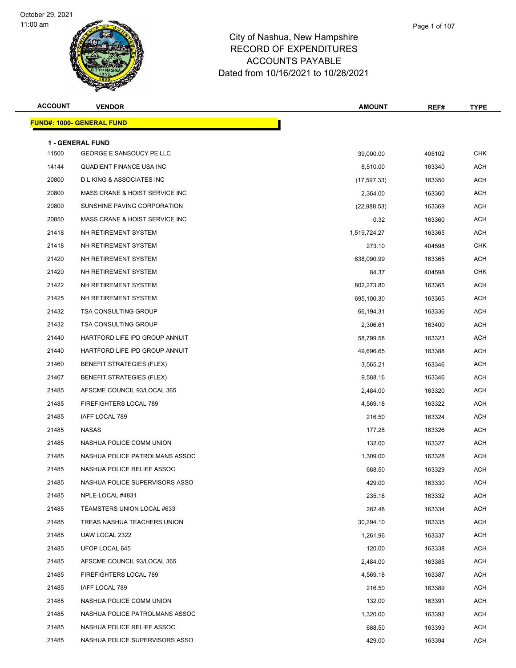

| npshire      |  |  |
|--------------|--|--|
| <b>TURES</b> |  |  |
| $-$          |  |  |

Page 1 of 107

| <b>ACCOUNT</b> | <b>VENDOR</b>                      | <b>AMOUNT</b> | REF#   | <b>TYPE</b> |
|----------------|------------------------------------|---------------|--------|-------------|
|                | <b>FUND#: 1000- GENERAL FUND</b>   |               |        |             |
|                | <b>1 - GENERAL FUND</b>            |               |        |             |
| 11500          | GEORGE E SANSOUCY PE LLC           | 39,000.00     | 405102 | <b>CHK</b>  |
| 14144          | QUADIENT FINANCE USA INC           | 8,510.00      | 163340 | <b>ACH</b>  |
| 20800          | <b>DLKING &amp; ASSOCIATES INC</b> | (17, 597.33)  | 163350 | <b>ACH</b>  |
| 20800          | MASS CRANE & HOIST SERVICE INC     | 2,364.00      | 163360 | ACH         |
| 20800          | SUNSHINE PAVING CORPORATION        | (22,988.53)   | 163369 | <b>ACH</b>  |
| 20850          | MASS CRANE & HOIST SERVICE INC     | 0.32          | 163360 | <b>ACH</b>  |
| 21418          | NH RETIREMENT SYSTEM               | 1,519,724.27  | 163365 | ACH         |
| 21418          | NH RETIREMENT SYSTEM               | 273.10        | 404598 | <b>CHK</b>  |
| 21420          | NH RETIREMENT SYSTEM               | 638,090.99    | 163365 | <b>ACH</b>  |
| 21420          | NH RETIREMENT SYSTEM               | 84.37         | 404598 | <b>CHK</b>  |
| 21422          | NH RETIREMENT SYSTEM               | 802,273.80    | 163365 | <b>ACH</b>  |
| 21425          | NH RETIREMENT SYSTEM               | 695,100.30    | 163365 | ACH         |
| 21432          | <b>TSA CONSULTING GROUP</b>        | 66,194.31     | 163336 | <b>ACH</b>  |
| 21432          | <b>TSA CONSULTING GROUP</b>        | 2,306.61      | 163400 | <b>ACH</b>  |
| 21440          | HARTFORD LIFE IPD GROUP ANNUIT     | 58.799.58     | 163323 | <b>ACH</b>  |
| 21440          | HARTFORD LIFE IPD GROUP ANNUIT     | 49,696.65     | 163388 | <b>ACH</b>  |
| 21460          | <b>BENEFIT STRATEGIES (FLEX)</b>   | 3,565.21      | 163346 | ACH         |
| 21467          | <b>BENEFIT STRATEGIES (FLEX)</b>   | 9,588.16      | 163346 | <b>ACH</b>  |
| 21485          | AFSCME COUNCIL 93/LOCAL 365        | 2,484.00      | 163320 | <b>ACH</b>  |
| 21485          | FIREFIGHTERS LOCAL 789             | 4,569.18      | 163322 | <b>ACH</b>  |
| 21485          | IAFF LOCAL 789                     | 216.50        | 163324 | <b>ACH</b>  |
| 21485          | NASAS                              | 177.28        | 163326 | <b>ACH</b>  |
| 21485          | NASHUA POLICE COMM UNION           | 132.00        | 163327 | <b>ACH</b>  |
| 21485          | NASHUA POLICE PATROLMANS ASSOC     | 1,309.00      | 163328 | ACH         |
| 21485          | NASHUA POLICE RELIEF ASSOC         | 688.50        | 163329 | <b>ACH</b>  |
| 21485          | NASHUA POLICE SUPERVISORS ASSO     | 429.00        | 163330 | ACH         |
| 21485          | NPLE-LOCAL #4831                   | 235.18        | 163332 | ACH         |
| 21485          | TEAMSTERS UNION LOCAL #633         | 282.48        | 163334 | ACH         |
| 21485          | TREAS NASHUA TEACHERS UNION        | 30,294.10     | 163335 | ACH         |
| 21485          | UAW LOCAL 2322                     | 1,261.96      | 163337 | ACH         |
| 21485          | UFOP LOCAL 645                     | 120.00        | 163338 | ACH         |
| 21485          | AFSCME COUNCIL 93/LOCAL 365        | 2,484.00      | 163385 | ACH         |
| 21485          | FIREFIGHTERS LOCAL 789             | 4,569.18      | 163387 | ACH         |
| 21485          | IAFF LOCAL 789                     | 216.50        | 163389 | ACH         |
| 21485          | NASHUA POLICE COMM UNION           | 132.00        | 163391 | ACH         |
| 21485          | NASHUA POLICE PATROLMANS ASSOC     | 1,320.00      | 163392 | ACH         |
| 21485          | NASHUA POLICE RELIEF ASSOC         | 688.50        | 163393 | ACH         |
| 21485          | NASHUA POLICE SUPERVISORS ASSO     | 429.00        | 163394 | ACH         |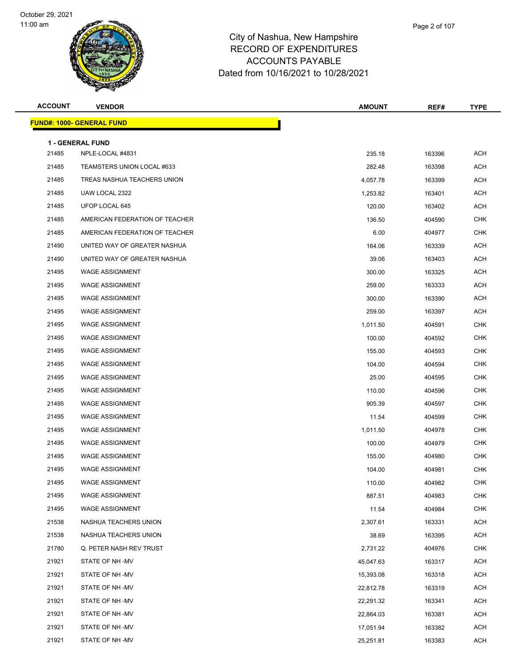

| <b>ACCOUNT</b> | <b>VENDOR</b>                        | <b>AMOUNT</b> | REF#   | <b>TYPE</b> |
|----------------|--------------------------------------|---------------|--------|-------------|
|                | <u> FUND#: 1000- GENERAL FUND</u>    |               |        |             |
|                |                                      |               |        |             |
| 21485          | 1 - GENERAL FUND<br>NPLE-LOCAL #4831 | 235.18        | 163396 | <b>ACH</b>  |
| 21485          | TEAMSTERS UNION LOCAL #633           | 282.48        | 163398 | <b>ACH</b>  |
| 21485          | TREAS NASHUA TEACHERS UNION          | 4,057.78      | 163399 | ACH         |
| 21485          | UAW LOCAL 2322                       | 1,253.82      | 163401 | ACH         |
| 21485          | UFOP LOCAL 645                       | 120.00        | 163402 | ACH         |
| 21485          | AMERICAN FEDERATION OF TEACHER       | 136.50        | 404590 | CHK         |
| 21485          | AMERICAN FEDERATION OF TEACHER       | 6.00          | 404977 | <b>CHK</b>  |
| 21490          | UNITED WAY OF GREATER NASHUA         | 164.06        | 163339 | ACH         |
| 21490          | UNITED WAY OF GREATER NASHUA         | 39.06         | 163403 | ACH         |
| 21495          | <b>WAGE ASSIGNMENT</b>               | 300.00        | 163325 | ACH         |
| 21495          | <b>WAGE ASSIGNMENT</b>               | 259.00        | 163333 | ACH         |
| 21495          | <b>WAGE ASSIGNMENT</b>               | 300.00        | 163390 | <b>ACH</b>  |
| 21495          | <b>WAGE ASSIGNMENT</b>               | 259.00        | 163397 | ACH         |
| 21495          | <b>WAGE ASSIGNMENT</b>               | 1,011.50      | 404591 | <b>CHK</b>  |
| 21495          | <b>WAGE ASSIGNMENT</b>               | 100.00        | 404592 | <b>CHK</b>  |
| 21495          | <b>WAGE ASSIGNMENT</b>               | 155.00        | 404593 | CHK         |
| 21495          | <b>WAGE ASSIGNMENT</b>               | 104.00        | 404594 | <b>CHK</b>  |
| 21495          | <b>WAGE ASSIGNMENT</b>               | 25.00         | 404595 | CHK         |
| 21495          | <b>WAGE ASSIGNMENT</b>               | 110.00        | 404596 | <b>CHK</b>  |
| 21495          | <b>WAGE ASSIGNMENT</b>               | 905.39        | 404597 | <b>CHK</b>  |
| 21495          | <b>WAGE ASSIGNMENT</b>               | 11.54         | 404599 | CHK         |
| 21495          | <b>WAGE ASSIGNMENT</b>               | 1,011.50      | 404978 | <b>CHK</b>  |
| 21495          | <b>WAGE ASSIGNMENT</b>               | 100.00        | 404979 | <b>CHK</b>  |
| 21495          | <b>WAGE ASSIGNMENT</b>               | 155.00        | 404980 | <b>CHK</b>  |
| 21495          | <b>WAGE ASSIGNMENT</b>               | 104.00        | 404981 | <b>CHK</b>  |
| 21495          | <b>WAGE ASSIGNMENT</b>               | 110.00        | 404982 | <b>CHK</b>  |
| 21495          | <b>WAGE ASSIGNMENT</b>               | 887.51        | 404983 | <b>CHK</b>  |
| 21495          | <b>WAGE ASSIGNMENT</b>               | 11.54         | 404984 | <b>CHK</b>  |
| 21538          | NASHUA TEACHERS UNION                | 2,307.61      | 163331 | ACH         |
| 21538          | NASHUA TEACHERS UNION                | 38.69         | 163395 | <b>ACH</b>  |
| 21780          | Q. PETER NASH REV TRUST              | 2,731.22      | 404976 | <b>CHK</b>  |
| 21921          | STATE OF NH-MV                       | 45,047.63     | 163317 | ACH         |
| 21921          | STATE OF NH-MV                       | 15,393.08     | 163318 | ACH         |
| 21921          | STATE OF NH -MV                      | 22,812.78     | 163319 | <b>ACH</b>  |
| 21921          | STATE OF NH-MV                       | 22,291.32     | 163341 | ACH         |
| 21921          | STATE OF NH-MV                       | 22,864.03     | 163381 | ACH         |
| 21921          | STATE OF NH -MV                      | 17,051.94     | 163382 | ACH         |
| 21921          | STATE OF NH -MV                      | 25,251.81     | 163383 | <b>ACH</b>  |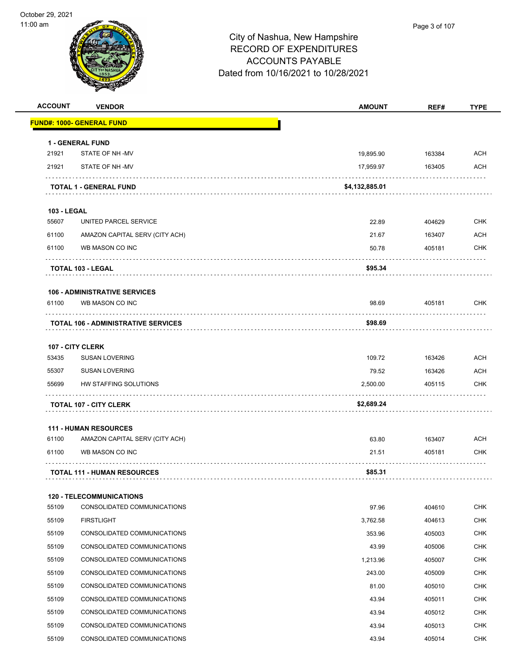

| <b>ACCOUNT</b>     | <b>VENDOR</b>                              | <b>AMOUNT</b>  | REF#   | <b>TYPE</b> |
|--------------------|--------------------------------------------|----------------|--------|-------------|
|                    | <u> FUND#: 1000- GENERAL FUND</u>          |                |        |             |
|                    | 1 - GENERAL FUND                           |                |        |             |
| 21921              | STATE OF NH-MV                             | 19,895.90      | 163384 | ACH         |
| 21921              | STATE OF NH-MV                             | 17,959.97      | 163405 | ACH         |
|                    | <b>TOTAL 1 - GENERAL FUND</b>              | \$4,132,885.01 |        |             |
| <b>103 - LEGAL</b> |                                            |                |        |             |
| 55607              | UNITED PARCEL SERVICE                      | 22.89          | 404629 | <b>CHK</b>  |
| 61100              | AMAZON CAPITAL SERV (CITY ACH)             | 21.67          | 163407 | ACH         |
| 61100              | WB MASON CO INC                            | 50.78          | 405181 | <b>CHK</b>  |
|                    | <b>TOTAL 103 - LEGAL</b>                   | \$95.34        |        |             |
|                    | <b>106 - ADMINISTRATIVE SERVICES</b>       |                |        |             |
| 61100              | WB MASON CO INC                            | 98.69          | 405181 | <b>CHK</b>  |
|                    | <b>TOTAL 106 - ADMINISTRATIVE SERVICES</b> | \$98.69        |        |             |
|                    |                                            |                |        |             |
| 53435              | 107 - CITY CLERK<br><b>SUSAN LOVERING</b>  | 109.72         | 163426 | ACH         |
| 55307              | <b>SUSAN LOVERING</b>                      | 79.52          | 163426 | ACH         |
| 55699              | HW STAFFING SOLUTIONS                      | 2,500.00       | 405115 | CHK         |
|                    | <b>TOTAL 107 - CITY CLERK</b>              | \$2,689.24     |        |             |
|                    |                                            |                |        |             |
|                    | <b>111 - HUMAN RESOURCES</b>               |                |        |             |
| 61100              | AMAZON CAPITAL SERV (CITY ACH)             | 63.80          | 163407 | <b>ACH</b>  |
| 61100              | WB MASON CO INC                            | 21.51          | 405181 | CHK         |
|                    | <b>TOTAL 111 - HUMAN RESOURCES</b>         | \$85.31        |        |             |
|                    | <b>120 - TELECOMMUNICATIONS</b>            |                |        |             |
| 55109              | CONSOLIDATED COMMUNICATIONS                | 97.96          | 404610 | CHK         |
| 55109              | <b>FIRSTLIGHT</b>                          | 3,762.58       | 404613 | <b>CHK</b>  |
| 55109              | CONSOLIDATED COMMUNICATIONS                | 353.96         | 405003 | CHK         |
| 55109              | CONSOLIDATED COMMUNICATIONS                | 43.99          | 405006 | <b>CHK</b>  |
| 55109              | CONSOLIDATED COMMUNICATIONS                | 1,213.96       | 405007 | <b>CHK</b>  |
| 55109              | CONSOLIDATED COMMUNICATIONS                | 243.00         | 405009 | <b>CHK</b>  |
| 55109              | CONSOLIDATED COMMUNICATIONS                | 81.00          | 405010 | <b>CHK</b>  |
| 55109              | CONSOLIDATED COMMUNICATIONS                | 43.94          | 405011 | <b>CHK</b>  |
| 55109              | CONSOLIDATED COMMUNICATIONS                | 43.94          | 405012 | <b>CHK</b>  |
| 55109              | CONSOLIDATED COMMUNICATIONS                | 43.94          | 405013 | <b>CHK</b>  |
| 55109              | CONSOLIDATED COMMUNICATIONS                | 43.94          | 405014 | <b>CHK</b>  |
|                    |                                            |                |        |             |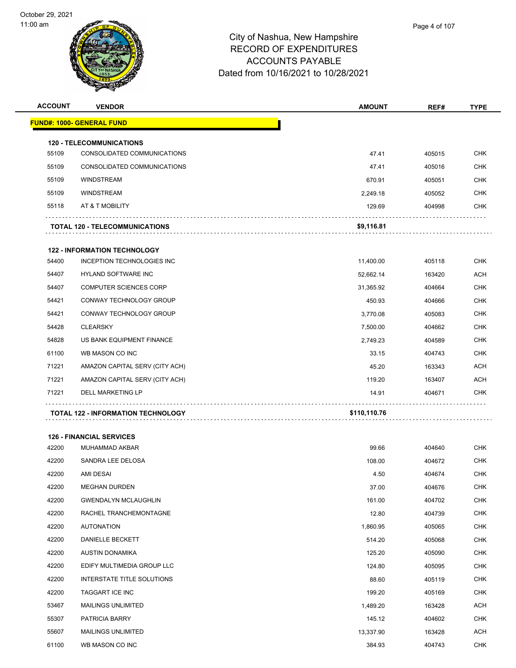| <b>ACCOUNT</b> | <b>VENDOR</b>                             | <b>AMOUNT</b> | REF#   | <b>TYPE</b> |
|----------------|-------------------------------------------|---------------|--------|-------------|
|                | <b>FUND#: 1000- GENERAL FUND</b>          |               |        |             |
|                | <b>120 - TELECOMMUNICATIONS</b>           |               |        |             |
| 55109          | CONSOLIDATED COMMUNICATIONS               | 47.41         | 405015 | <b>CHK</b>  |
| 55109          | CONSOLIDATED COMMUNICATIONS               | 47.41         | 405016 | <b>CHK</b>  |
| 55109          | <b>WINDSTREAM</b>                         | 670.91        | 405051 | <b>CHK</b>  |
| 55109          | <b>WINDSTREAM</b>                         | 2,249.18      | 405052 | <b>CHK</b>  |
| 55118          | AT & T MOBILITY                           | 129.69        | 404998 | <b>CHK</b>  |
|                | <b>TOTAL 120 - TELECOMMUNICATIONS</b>     | \$9,116.81    |        |             |
|                | <b>122 - INFORMATION TECHNOLOGY</b>       |               |        |             |
| 54400          | INCEPTION TECHNOLOGIES INC                | 11,400.00     | 405118 | <b>CHK</b>  |
| 54407          | HYLAND SOFTWARE INC                       | 52,662.14     | 163420 | <b>ACH</b>  |
| 54407          | <b>COMPUTER SCIENCES CORP</b>             | 31,365.92     | 404664 | <b>CHK</b>  |
| 54421          | CONWAY TECHNOLOGY GROUP                   | 450.93        | 404666 | <b>CHK</b>  |
| 54421          | CONWAY TECHNOLOGY GROUP                   | 3,770.08      | 405083 | <b>CHK</b>  |
| 54428          | <b>CLEARSKY</b>                           | 7,500.00      | 404662 | <b>CHK</b>  |
| 54828          | US BANK EQUIPMENT FINANCE                 | 2,749.23      | 404589 | <b>CHK</b>  |
| 61100          | WB MASON CO INC                           | 33.15         | 404743 | <b>CHK</b>  |
| 71221          | AMAZON CAPITAL SERV (CITY ACH)            | 45.20         | 163343 | ACH         |
| 71221          | AMAZON CAPITAL SERV (CITY ACH)            | 119.20        | 163407 | ACH         |
| 71221          | DELL MARKETING LP                         | 14.91         | 404671 | CHK         |
|                | <b>TOTAL 122 - INFORMATION TECHNOLOGY</b> | \$110,110.76  |        |             |
|                | <b>126 - FINANCIAL SERVICES</b>           |               |        |             |
| 42200          | MUHAMMAD AKBAR                            | 99.66         | 404640 | <b>CHK</b>  |
| 42200          | SANDRA LEE DELOSA                         | 108.00        | 404672 | <b>CHK</b>  |
| 42200          | AMI DESAI                                 | 4.50          | 404674 | <b>CHK</b>  |
| 42200          | <b>MEGHAN DURDEN</b>                      | 37.00         | 404676 | <b>CHK</b>  |
| 42200          | <b>GWENDALYN MCLAUGHLIN</b>               | 161.00        | 404702 | CHK         |
| 42200          | RACHEL TRANCHEMONTAGNE                    | 12.80         | 404739 | CHK         |
| 42200          | AUTONATION                                | 1,860.95      | 405065 | <b>CHK</b>  |
| 42200          | DANIELLE RECKETT                          | 514.20        | 105068 | <b>CHK</b>  |

| 42200 | <b>AUTONATION</b>          | 1,860.95  | 405065 | <b>CHK</b> |
|-------|----------------------------|-----------|--------|------------|
| 42200 | <b>DANIELLE BECKETT</b>    | 514.20    | 405068 | <b>CHK</b> |
| 42200 | AUSTIN DONAMIKA            | 125.20    | 405090 | <b>CHK</b> |
| 42200 | EDIFY MULTIMEDIA GROUP LLC | 124.80    | 405095 | <b>CHK</b> |
| 42200 | INTERSTATE TITLE SOLUTIONS | 88.60     | 405119 | <b>CHK</b> |
| 42200 | <b>TAGGART ICE INC</b>     | 199.20    | 405169 | <b>CHK</b> |
| 53467 | <b>MAILINGS UNLIMITED</b>  | 1,489.20  | 163428 | <b>ACH</b> |
| 55307 | <b>PATRICIA BARRY</b>      | 145.12    | 404602 | <b>CHK</b> |
| 55607 | <b>MAILINGS UNLIMITED</b>  | 13,337.90 | 163428 | <b>ACH</b> |
| 61100 | WB MASON CO INC            | 384.93    | 404743 | <b>CHK</b> |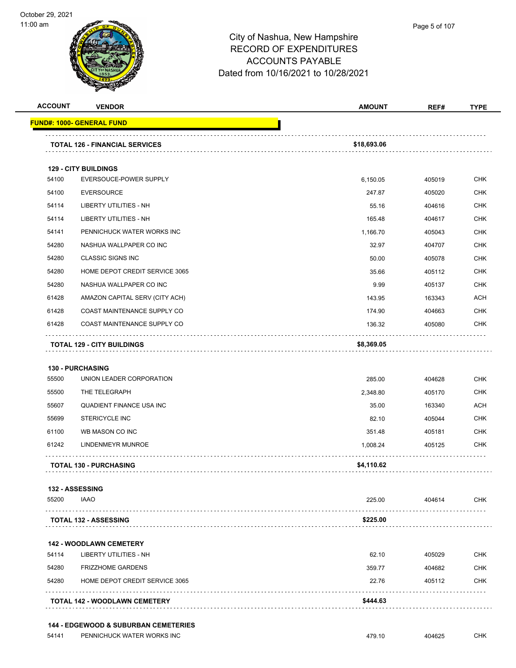

| <b>ACCOUNT</b> | <b>VENDOR</b>                                                     | <b>AMOUNT</b>   | REF#             | <b>TYPE</b>       |
|----------------|-------------------------------------------------------------------|-----------------|------------------|-------------------|
|                | <u> FUND#: 1000- GENERAL FUND</u>                                 |                 |                  |                   |
|                | <b>TOTAL 126 - FINANCIAL SERVICES</b>                             | \$18,693.06     |                  |                   |
|                |                                                                   |                 |                  |                   |
| 54100          | <b>129 - CITY BUILDINGS</b><br>EVERSOUCE-POWER SUPPLY             | 6,150.05        | 405019           | <b>CHK</b>        |
| 54100          | <b>EVERSOURCE</b>                                                 | 247.87          | 405020           | <b>CHK</b>        |
| 54114          | <b>LIBERTY UTILITIES - NH</b>                                     | 55.16           | 404616           | <b>CHK</b>        |
| 54114          | <b>LIBERTY UTILITIES - NH</b>                                     | 165.48          | 404617           | <b>CHK</b>        |
| 54141          | PENNICHUCK WATER WORKS INC                                        | 1,166.70        | 405043           | <b>CHK</b>        |
| 54280          | NASHUA WALLPAPER CO INC                                           | 32.97           | 404707           | <b>CHK</b>        |
| 54280          | <b>CLASSIC SIGNS INC</b>                                          | 50.00           | 405078           | <b>CHK</b>        |
| 54280          | HOME DEPOT CREDIT SERVICE 3065                                    | 35.66           | 405112           | <b>CHK</b>        |
| 54280          | NASHUA WALLPAPER CO INC                                           | 9.99            | 405137           | <b>CHK</b>        |
| 61428          | AMAZON CAPITAL SERV (CITY ACH)                                    | 143.95          | 163343           | <b>ACH</b>        |
| 61428          | COAST MAINTENANCE SUPPLY CO                                       | 174.90          | 404663           | <b>CHK</b>        |
| 61428          | COAST MAINTENANCE SUPPLY CO                                       | 136.32          | 405080           | <b>CHK</b>        |
|                |                                                                   |                 |                  |                   |
|                | TOTAL 129 - CITY BUILDINGS                                        | \$8,369.05      |                  |                   |
|                | <b>130 - PURCHASING</b>                                           |                 |                  |                   |
| 55500          | UNION LEADER CORPORATION                                          | 285.00          | 404628           | <b>CHK</b>        |
| 55500          | THE TELEGRAPH                                                     | 2,348.80        | 405170           | <b>CHK</b>        |
| 55607          | <b>QUADIENT FINANCE USA INC</b>                                   | 35.00           | 163340           | <b>ACH</b>        |
| 55699          | <b>STERICYCLE INC</b>                                             | 82.10           | 405044           | <b>CHK</b>        |
| 61100          | WB MASON CO INC                                                   | 351.48          | 405181           | <b>CHK</b>        |
| 61242          | LINDENMEYR MUNROE                                                 | 1,008.24        | 405125           | <b>CHK</b>        |
|                | <b>TOTAL 130 - PURCHASING</b>                                     | \$4,110.62      |                  |                   |
|                | 132 - ASSESSING                                                   |                 |                  |                   |
| 55200          | <b>IAAO</b>                                                       | 225.00          | 404614           | <b>CHK</b>        |
|                | <b>TOTAL 132 - ASSESSING</b>                                      | \$225.00        |                  |                   |
|                |                                                                   |                 |                  |                   |
| 54114          | <b>142 - WOODLAWN CEMETERY</b><br>LIBERTY UTILITIES - NH          | 62.10           | 405029           |                   |
|                |                                                                   |                 |                  | CHK<br><b>CHK</b> |
| 54280<br>54280 | <b>FRIZZHOME GARDENS</b><br><b>HOME DEPOT CREDIT SERVICE 3065</b> | 359.77<br>22.76 | 404682<br>405112 | <b>CHK</b>        |
|                |                                                                   |                 |                  |                   |
|                | TOTAL 142 - WOODLAWN CEMETERY                                     | \$444.63        |                  |                   |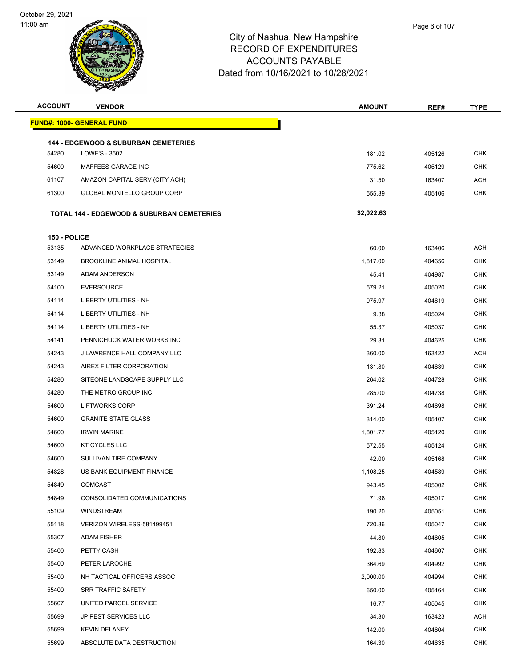

| <b>ACCOUNT</b> | <b>VENDOR</b>                                                    | <b>AMOUNT</b> | REF#   | <b>TYPE</b> |
|----------------|------------------------------------------------------------------|---------------|--------|-------------|
|                | <u> FUND#: 1000- GENERAL FUND</u>                                |               |        |             |
|                |                                                                  |               |        |             |
| 54280          | <b>144 - EDGEWOOD &amp; SUBURBAN CEMETERIES</b><br>LOWE'S - 3502 | 181.02        | 405126 | <b>CHK</b>  |
| 54600          | MAFFEES GARAGE INC                                               | 775.62        | 405129 | <b>CHK</b>  |
| 61107          | AMAZON CAPITAL SERV (CITY ACH)                                   | 31.50         | 163407 | ACH         |
| 61300          | <b>GLOBAL MONTELLO GROUP CORP</b>                                | 555.39        | 405106 | <b>CHK</b>  |
|                | <b>TOTAL 144 - EDGEWOOD &amp; SUBURBAN CEMETERIES</b>            | \$2,022.63    |        |             |
| 150 - POLICE   |                                                                  |               |        |             |
| 53135          | ADVANCED WORKPLACE STRATEGIES                                    | 60.00         | 163406 | ACH         |
| 53149          | <b>BROOKLINE ANIMAL HOSPITAL</b>                                 | 1,817.00      | 404656 | <b>CHK</b>  |
| 53149          | ADAM ANDERSON                                                    | 45.41         | 404987 | <b>CHK</b>  |
| 54100          | <b>EVERSOURCE</b>                                                | 579.21        | 405020 | <b>CHK</b>  |
| 54114          | LIBERTY UTILITIES - NH                                           | 975.97        | 404619 | <b>CHK</b>  |
| 54114          | LIBERTY UTILITIES - NH                                           | 9.38          | 405024 | <b>CHK</b>  |
| 54114          | LIBERTY UTILITIES - NH                                           | 55.37         | 405037 | <b>CHK</b>  |
| 54141          | PENNICHUCK WATER WORKS INC                                       | 29.31         | 404625 | <b>CHK</b>  |
| 54243          | J LAWRENCE HALL COMPANY LLC                                      | 360.00        | 163422 | ACH         |
| 54243          | AIREX FILTER CORPORATION                                         | 131.80        | 404639 | <b>CHK</b>  |
| 54280          | SITEONE LANDSCAPE SUPPLY LLC                                     | 264.02        | 404728 | <b>CHK</b>  |
| 54280          | THE METRO GROUP INC                                              | 285.00        | 404738 | <b>CHK</b>  |
| 54600          | <b>LIFTWORKS CORP</b>                                            | 391.24        | 404698 | <b>CHK</b>  |
| 54600          | <b>GRANITE STATE GLASS</b>                                       | 314.00        | 405107 | <b>CHK</b>  |
| 54600          | <b>IRWIN MARINE</b>                                              | 1,801.77      | 405120 | <b>CHK</b>  |
| 54600          | <b>KT CYCLES LLC</b>                                             | 572.55        | 405124 | <b>CHK</b>  |
| 54600          | SULLIVAN TIRE COMPANY                                            | 42.00         | 405168 | <b>CHK</b>  |
| 54828          | US BANK EQUIPMENT FINANCE                                        | 1,108.25      | 404589 | <b>CHK</b>  |
| 54849          | <b>COMCAST</b>                                                   | 943.45        | 405002 | <b>CHK</b>  |
| 54849          | CONSOLIDATED COMMUNICATIONS                                      | 71.98         | 405017 | <b>CHK</b>  |
| 55109          | <b>WINDSTREAM</b>                                                | 190.20        | 405051 | <b>CHK</b>  |
| 55118          | VERIZON WIRELESS-581499451                                       | 720.86        | 405047 | <b>CHK</b>  |
| 55307          | ADAM FISHER                                                      | 44.80         | 404605 | <b>CHK</b>  |
| 55400          | PETTY CASH                                                       | 192.83        | 404607 | <b>CHK</b>  |
| 55400          | PETER LAROCHE                                                    | 364.69        | 404992 | <b>CHK</b>  |
| 55400          | NH TACTICAL OFFICERS ASSOC                                       | 2,000.00      | 404994 | <b>CHK</b>  |
| 55400          | <b>SRR TRAFFIC SAFETY</b>                                        | 650.00        | 405164 | <b>CHK</b>  |
| 55607          | UNITED PARCEL SERVICE                                            | 16.77         | 405045 | <b>CHK</b>  |
| 55699          | JP PEST SERVICES LLC                                             | 34.30         | 163423 | ACH         |
| 55699          | <b>KEVIN DELANEY</b>                                             | 142.00        | 404604 | <b>CHK</b>  |
| 55699          | ABSOLUTE DATA DESTRUCTION                                        | 164.30        | 404635 | <b>CHK</b>  |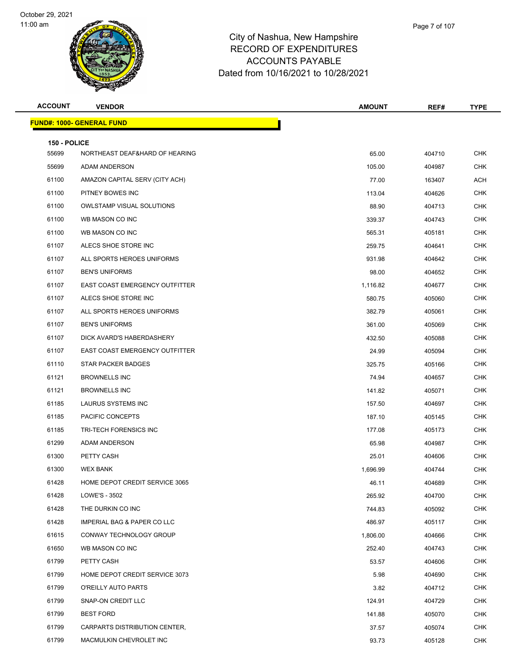

|   | Page 7 of 107 |  |
|---|---------------|--|
| е |               |  |
| ニ |               |  |

| <b>ACCOUNT</b>        | <b>VENDOR</b>                     | <b>AMOUNT</b> | REF#   | <b>TYPE</b> |
|-----------------------|-----------------------------------|---------------|--------|-------------|
|                       | <u> FUND#: 1000- GENERAL FUND</u> |               |        |             |
|                       |                                   |               |        |             |
| 150 - POLICE<br>55699 | NORTHEAST DEAF&HARD OF HEARING    | 65.00         | 404710 | <b>CHK</b>  |
| 55699                 | ADAM ANDERSON                     | 105.00        | 404987 | <b>CHK</b>  |
| 61100                 | AMAZON CAPITAL SERV (CITY ACH)    | 77.00         | 163407 | ACH         |
| 61100                 | PITNEY BOWES INC                  | 113.04        | 404626 | <b>CHK</b>  |
| 61100                 | <b>OWLSTAMP VISUAL SOLUTIONS</b>  | 88.90         | 404713 | <b>CHK</b>  |
| 61100                 | WB MASON CO INC                   | 339.37        | 404743 | CHK         |
| 61100                 | WB MASON CO INC                   | 565.31        | 405181 | <b>CHK</b>  |
| 61107                 | ALECS SHOE STORE INC              | 259.75        | 404641 | CHK         |
| 61107                 | ALL SPORTS HEROES UNIFORMS        | 931.98        | 404642 | <b>CHK</b>  |
| 61107                 | <b>BEN'S UNIFORMS</b>             | 98.00         | 404652 | <b>CHK</b>  |
| 61107                 | EAST COAST EMERGENCY OUTFITTER    | 1,116.82      | 404677 | CHK         |
| 61107                 | ALECS SHOE STORE INC              | 580.75        | 405060 | <b>CHK</b>  |
| 61107                 | ALL SPORTS HEROES UNIFORMS        | 382.79        | 405061 | CHK         |
| 61107                 | <b>BEN'S UNIFORMS</b>             | 361.00        | 405069 | <b>CHK</b>  |
| 61107                 | DICK AVARD'S HABERDASHERY         | 432.50        | 405088 | <b>CHK</b>  |
| 61107                 | EAST COAST EMERGENCY OUTFITTER    | 24.99         | 405094 | CHK         |
| 61110                 | STAR PACKER BADGES                | 325.75        | 405166 | <b>CHK</b>  |
| 61121                 | <b>BROWNELLS INC</b>              | 74.94         | 404657 | <b>CHK</b>  |
| 61121                 | <b>BROWNELLS INC</b>              | 141.82        | 405071 | <b>CHK</b>  |
| 61185                 | LAURUS SYSTEMS INC                | 157.50        | 404697 | <b>CHK</b>  |
| 61185                 | PACIFIC CONCEPTS                  | 187.10        | 405145 | <b>CHK</b>  |
| 61185                 | <b>TRI-TECH FORENSICS INC</b>     | 177.08        | 405173 | <b>CHK</b>  |
| 61299                 | ADAM ANDERSON                     | 65.98         | 404987 | CHK         |
| 61300                 | PETTY CASH                        | 25.01         | 404606 | <b>CHK</b>  |
| 61300                 | <b>WEX BANK</b>                   | 1,696.99      | 404744 | <b>CHK</b>  |
| 61428                 | HOME DEPOT CREDIT SERVICE 3065    | 46.11         | 404689 | CHK         |
| 61428                 | LOWE'S - 3502                     | 265.92        | 404700 | <b>CHK</b>  |
| 61428                 | THE DURKIN CO INC                 | 744.83        | 405092 | CHK         |
| 61428                 | IMPERIAL BAG & PAPER CO LLC       | 486.97        | 405117 | <b>CHK</b>  |
| 61615                 | CONWAY TECHNOLOGY GROUP           | 1,806.00      | 404666 | <b>CHK</b>  |
| 61650                 | WB MASON CO INC                   | 252.40        | 404743 | CHK         |
| 61799                 | PETTY CASH                        | 53.57         | 404606 | CHK         |
| 61799                 | HOME DEPOT CREDIT SERVICE 3073    | 5.98          | 404690 | CHK         |
| 61799                 | O'REILLY AUTO PARTS               | 3.82          | 404712 | <b>CHK</b>  |
| 61799                 | SNAP-ON CREDIT LLC                | 124.91        | 404729 | <b>CHK</b>  |
| 61799                 | <b>BEST FORD</b>                  | 141.88        | 405070 | CHK         |
| 61799                 | CARPARTS DISTRIBUTION CENTER,     | 37.57         | 405074 | <b>CHK</b>  |
| 61799                 | MACMULKIN CHEVROLET INC           | 93.73         | 405128 | <b>CHK</b>  |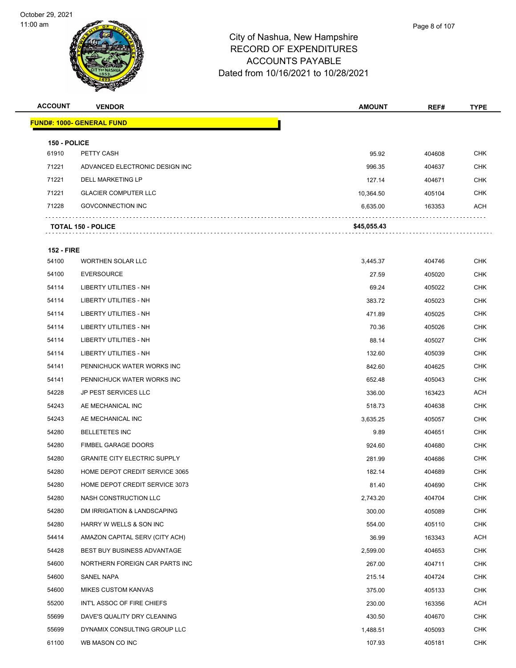

**FUND#: 1000- GENERAL FUND**

# City of Nashua, New Hampshire RECORD OF EXPENDITURES ACCOUNTS PAYABLE

|                | W                               | Dated from 10/16/2021 to 10/28/2021 |               |        |             |
|----------------|---------------------------------|-------------------------------------|---------------|--------|-------------|
| <b>ACCOUNT</b> | <b>VENDOR</b>                   |                                     | <b>AMOUNT</b> | REF#   | <b>TYPE</b> |
|                | <b>IND#: 1000- GENERAL FUND</b> |                                     |               |        |             |
|                | 150 - POLICE                    |                                     |               |        |             |
| 61910          | PETTY CASH                      |                                     | 95.92         | 404608 | <b>CHK</b>  |
| 71221          | ADVANCED ELECTRONIC DESIGN INC  |                                     | 996.35        | 404637 | <b>CHK</b>  |
| 71221          | <b>DELL MARKETING LP</b>        |                                     | 127.14        | 404671 | <b>CHK</b>  |
|                |                                 |                                     |               |        |             |

|       | <b>TOTAL 150 - POLICE</b>   | \$45,055.43 |        |            |
|-------|-----------------------------|-------------|--------|------------|
| 71228 | <b>GOVCONNECTION INC</b>    | 6.635.00    | 163353 | <b>ACH</b> |
| 71221 | <b>GLACIER COMPUTER LLC</b> | 10.364.50   | 405104 | CHK        |

| <b>152 - FIRE</b> |                                     |          |        |            |
|-------------------|-------------------------------------|----------|--------|------------|
| 54100             | <b>WORTHEN SOLAR LLC</b>            | 3,445.37 | 404746 | <b>CHK</b> |
| 54100             | <b>EVERSOURCE</b>                   | 27.59    | 405020 | <b>CHK</b> |
| 54114             | <b>LIBERTY UTILITIES - NH</b>       | 69.24    | 405022 | <b>CHK</b> |
| 54114             | <b>LIBERTY UTILITIES - NH</b>       | 383.72   | 405023 | <b>CHK</b> |
| 54114             | LIBERTY UTILITIES - NH              | 471.89   | 405025 | CHK        |
| 54114             | <b>LIBERTY UTILITIES - NH</b>       | 70.36    | 405026 | <b>CHK</b> |
| 54114             | <b>LIBERTY UTILITIES - NH</b>       | 88.14    | 405027 | <b>CHK</b> |
| 54114             | <b>LIBERTY UTILITIES - NH</b>       | 132.60   | 405039 | <b>CHK</b> |
| 54141             | PENNICHUCK WATER WORKS INC          | 842.60   | 404625 | <b>CHK</b> |
| 54141             | PENNICHUCK WATER WORKS INC          | 652.48   | 405043 | <b>CHK</b> |
| 54228             | JP PEST SERVICES LLC                | 336.00   | 163423 | ACH        |
| 54243             | AE MECHANICAL INC                   | 518.73   | 404638 | <b>CHK</b> |
| 54243             | AE MECHANICAL INC                   | 3,635.25 | 405057 | <b>CHK</b> |
| 54280             | <b>BELLETETES INC</b>               | 9.89     | 404651 | <b>CHK</b> |
| 54280             | FIMBEL GARAGE DOORS                 | 924.60   | 404680 | <b>CHK</b> |
| 54280             | <b>GRANITE CITY ELECTRIC SUPPLY</b> | 281.99   | 404686 | <b>CHK</b> |
| 54280             | HOME DEPOT CREDIT SERVICE 3065      | 182.14   | 404689 | <b>CHK</b> |
| 54280             | HOME DEPOT CREDIT SERVICE 3073      | 81.40    | 404690 | <b>CHK</b> |
| 54280             | NASH CONSTRUCTION LLC               | 2,743.20 | 404704 | <b>CHK</b> |
| 54280             | DM IRRIGATION & LANDSCAPING         | 300.00   | 405089 | <b>CHK</b> |
| 54280             | HARRY W WELLS & SON INC             | 554.00   | 405110 | <b>CHK</b> |
| 54414             | AMAZON CAPITAL SERV (CITY ACH)      | 36.99    | 163343 | <b>ACH</b> |
| 54428             | <b>BEST BUY BUSINESS ADVANTAGE</b>  | 2,599.00 | 404653 | <b>CHK</b> |
| 54600             | NORTHERN FOREIGN CAR PARTS INC      | 267.00   | 404711 | <b>CHK</b> |
| 54600             | SANEL NAPA                          | 215.14   | 404724 | <b>CHK</b> |
| 54600             | <b>MIKES CUSTOM KANVAS</b>          | 375.00   | 405133 | <b>CHK</b> |
| 55200             | INT'L ASSOC OF FIRE CHIEFS          | 230.00   | 163356 | <b>ACH</b> |
| 55699             | DAVE'S QUALITY DRY CLEANING         | 430.50   | 404670 | CHK        |
| 55699             | DYNAMIX CONSULTING GROUP LLC        | 1,488.51 | 405093 | <b>CHK</b> |
| 61100             | WB MASON CO INC                     | 107.93   | 405181 | <b>CHK</b> |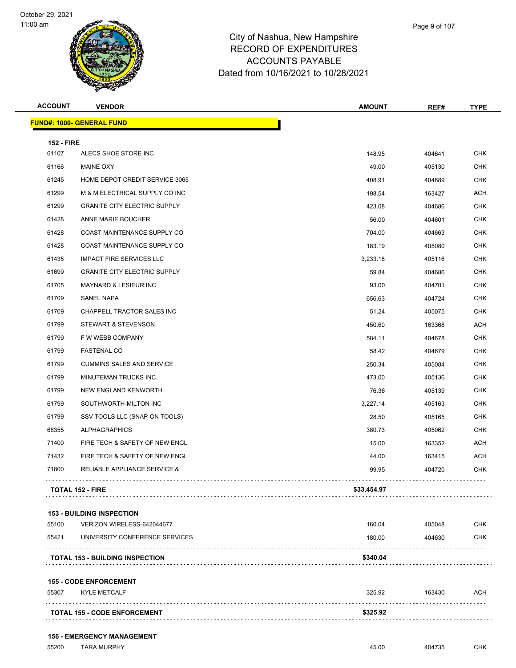

|   | Page 9 of 107 |  |
|---|---------------|--|
| e |               |  |
| - |               |  |

| <b>ACCOUNT</b>    | <b>VENDOR</b>                           | <b>AMOUNT</b> | REF#   | <b>TYPE</b> |
|-------------------|-----------------------------------------|---------------|--------|-------------|
|                   | <u> FUND#: 1000- GENERAL FUND</u>       |               |        |             |
| <b>152 - FIRE</b> |                                         |               |        |             |
| 61107             | ALECS SHOE STORE INC                    | 148.95        | 404641 | <b>CHK</b>  |
| 61166             | <b>MAINE OXY</b>                        | 49.00         | 405130 | <b>CHK</b>  |
| 61245             | HOME DEPOT CREDIT SERVICE 3065          | 408.91        | 404689 | <b>CHK</b>  |
| 61299             | M & M ELECTRICAL SUPPLY CO INC          | 198.54        | 163427 | <b>ACH</b>  |
| 61299             | <b>GRANITE CITY ELECTRIC SUPPLY</b>     | 423.08        | 404686 | <b>CHK</b>  |
| 61428             | ANNE MARIE BOUCHER                      | 56.00         | 404601 | <b>CHK</b>  |
| 61428             | COAST MAINTENANCE SUPPLY CO             | 704.00        | 404663 | <b>CHK</b>  |
| 61428             | COAST MAINTENANCE SUPPLY CO             | 183.19        | 405080 | <b>CHK</b>  |
| 61435             | <b>IMPACT FIRE SERVICES LLC</b>         | 3,233.18      | 405116 | <b>CHK</b>  |
| 61699             | <b>GRANITE CITY ELECTRIC SUPPLY</b>     | 59.84         | 404686 | <b>CHK</b>  |
| 61705             | <b>MAYNARD &amp; LESIEUR INC</b>        | 93.00         | 404701 | <b>CHK</b>  |
| 61709             | <b>SANEL NAPA</b>                       | 656.63        | 404724 | <b>CHK</b>  |
| 61709             | <b>CHAPPELL TRACTOR SALES INC</b>       | 51.24         | 405075 | <b>CHK</b>  |
| 61799             | STEWART & STEVENSON                     | 450.60        | 163368 | <b>ACH</b>  |
| 61799             | F W WEBB COMPANY                        | 584.11        | 404678 | <b>CHK</b>  |
| 61799             | <b>FASTENAL CO</b>                      | 58.42         | 404679 | <b>CHK</b>  |
| 61799             | <b>CUMMINS SALES AND SERVICE</b>        | 250.34        | 405084 | <b>CHK</b>  |
| 61799             | <b>MINUTEMAN TRUCKS INC</b>             | 473.00        | 405136 | <b>CHK</b>  |
| 61799             | NEW ENGLAND KENWORTH                    | 76.36         | 405139 | <b>CHK</b>  |
| 61799             | SOUTHWORTH-MILTON INC                   | 3,227.14      | 405163 | <b>CHK</b>  |
| 61799             | SSV TOOLS LLC (SNAP-ON TOOLS)           | 28.50         | 405165 | <b>CHK</b>  |
| 68355             | <b>ALPHAGRAPHICS</b>                    | 380.73        | 405062 | <b>CHK</b>  |
| 71400             | FIRE TECH & SAFETY OF NEW ENGL          | 15.00         | 163352 | ACH         |
| 71432             | FIRE TECH & SAFETY OF NEW ENGL          | 44.00         | 163415 | <b>ACH</b>  |
| 71800             | <b>RELIABLE APPLIANCE SERVICE &amp;</b> | 99.95         | 404720 | <b>CHK</b>  |
|                   | <b>TOTAL 152 - FIRE</b>                 | \$33,454.97   |        |             |
|                   |                                         |               |        |             |

|  | <b>153 - BUILDING INSPECTION</b> |  |
|--|----------------------------------|--|
|--|----------------------------------|--|

|       | <b>TOTAL 153 - BUILDING INSPECTION</b> | \$340.04 |        |            |
|-------|----------------------------------------|----------|--------|------------|
|       |                                        |          |        |            |
| 55421 | UNIVERSITY CONFERENCE SERVICES         | 180.00   | 404630 | <b>CHK</b> |
| 55100 | VERIZON WIRELESS-642044677             | 160.04   | 405048 | <b>CHK</b> |

#### **155 - CODE ENFORCEMENT**

| 55307 | <b>KYLE METCALF</b>                 | 325.92   | 163430 | ACH |
|-------|-------------------------------------|----------|--------|-----|
|       | <b>TOTAL 155 - CODE ENFORCEMENT</b> | \$325.92 |        |     |

#### **156 - EMERGENCY MANAGEMENT**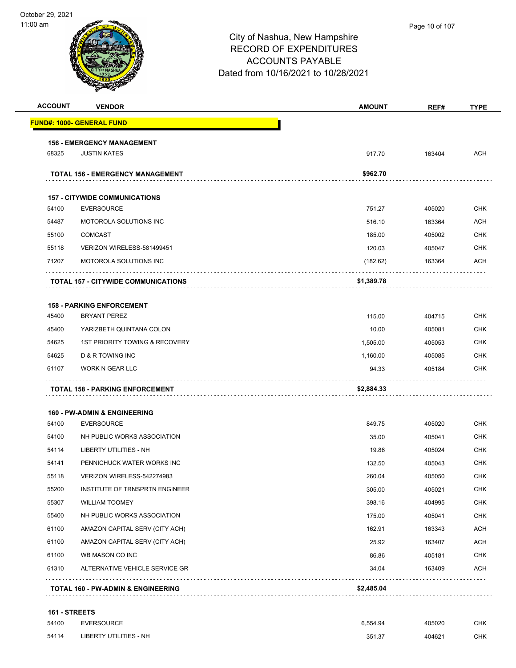| <b>ACCOUNT</b> | <b>VENDOR</b>                                 | <b>AMOUNT</b> | REF#   | <b>TYPE</b> |
|----------------|-----------------------------------------------|---------------|--------|-------------|
|                | <b>FUND#: 1000- GENERAL FUND</b>              |               |        |             |
|                | <b>156 - EMERGENCY MANAGEMENT</b>             |               |        |             |
| 68325          | <b>JUSTIN KATES</b>                           | 917.70        | 163404 | <b>ACH</b>  |
|                | <b>TOTAL 156 - EMERGENCY MANAGEMENT</b>       | \$962.70      |        |             |
|                | <b>157 - CITYWIDE COMMUNICATIONS</b>          |               |        |             |
| 54100          | <b>EVERSOURCE</b>                             | 751.27        | 405020 | <b>CHK</b>  |
| 54487          | MOTOROLA SOLUTIONS INC                        | 516.10        | 163364 | <b>ACH</b>  |
| 55100          | <b>COMCAST</b>                                | 185.00        | 405002 | <b>CHK</b>  |
| 55118          | VERIZON WIRELESS-581499451                    | 120.03        | 405047 | <b>CHK</b>  |
| 71207          | MOTOROLA SOLUTIONS INC                        | (182.62)      | 163364 | <b>ACH</b>  |
|                | <b>TOTAL 157 - CITYWIDE COMMUNICATIONS</b>    | \$1,389.78    |        |             |
|                | <b>158 - PARKING ENFORCEMENT</b>              |               |        |             |
| 45400          | <b>BRYANT PEREZ</b>                           | 115.00        | 404715 | <b>CHK</b>  |
| 45400          | YARIZBETH QUINTANA COLON                      | 10.00         | 405081 | CHK         |
| 54625          | 1ST PRIORITY TOWING & RECOVERY                | 1,505.00      | 405053 | <b>CHK</b>  |
| 54625          | D & R TOWING INC                              | 1,160.00      | 405085 | CHK         |
| 61107          | WORK N GEAR LLC                               | 94.33         | 405184 | CHK         |
|                | TOTAL 158 - PARKING ENFORCEMENT               | \$2,884.33    |        |             |
|                | <b>160 - PW-ADMIN &amp; ENGINEERING</b>       |               |        |             |
| 54100          | <b>EVERSOURCE</b>                             | 849.75        | 405020 | <b>CHK</b>  |
| 54100          | NH PUBLIC WORKS ASSOCIATION                   | 35.00         | 405041 | CHK         |
| 54114          | LIBERTY UTILITIES - NH                        | 19.86         | 405024 | <b>CHK</b>  |
| 54141          | PENNICHUCK WATER WORKS INC                    | 132.50        | 405043 | CHK         |
| 55118          | VERIZON WIRELESS-542274983                    | 260.04        | 405050 | <b>CHK</b>  |
| 55200          | INSTITUTE OF TRNSPRTN ENGINEER                | 305.00        | 405021 | <b>CHK</b>  |
| 55307          | <b>WILLIAM TOOMEY</b>                         | 398.16        | 404995 | <b>CHK</b>  |
| 55400          | NH PUBLIC WORKS ASSOCIATION                   | 175.00        | 405041 | <b>CHK</b>  |
| 61100          | AMAZON CAPITAL SERV (CITY ACH)                | 162.91        | 163343 | <b>ACH</b>  |
| 61100          | AMAZON CAPITAL SERV (CITY ACH)                | 25.92         | 163407 | <b>ACH</b>  |
| 61100          | WB MASON CO INC                               | 86.86         | 405181 | <b>CHK</b>  |
| 61310          | ALTERNATIVE VEHICLE SERVICE GR                | 34.04         | 163409 | ACH         |
|                | <b>TOTAL 160 - PW-ADMIN &amp; ENGINEERING</b> | \$2,485.04    |        |             |
|                |                                               |               |        |             |
| 161 - STREETS  | EUTDOOIDOP                                    |               |        |             |

| 54100 | <b>EVERSOURCE</b>      | 6.554.94 | 405020 | СНК |
|-------|------------------------|----------|--------|-----|
| 54114 | LIBERTY UTILITIES - NH | 351.37   | 404621 | СНК |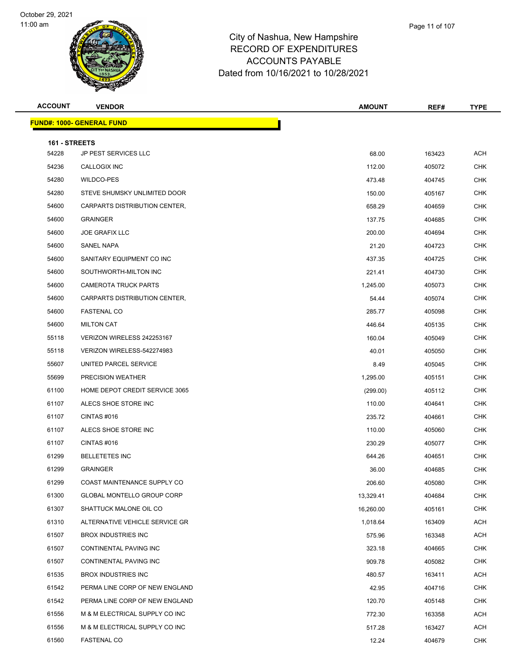

| Page 11 of 107 |
|----------------|
|                |

| <b>ACCOUNT</b>         | <b>VENDOR</b>                     | <b>AMOUNT</b> | REF#   | <b>TYPE</b> |
|------------------------|-----------------------------------|---------------|--------|-------------|
|                        | <b>FUND#: 1000- GENERAL FUND</b>  |               |        |             |
|                        |                                   |               |        |             |
| 161 - STREETS<br>54228 | JP PEST SERVICES LLC              | 68.00         | 163423 | <b>ACH</b>  |
| 54236                  | CALLOGIX INC                      | 112.00        | 405072 | <b>CHK</b>  |
| 54280                  | WILDCO-PES                        | 473.48        | 404745 | CHK         |
| 54280                  | STEVE SHUMSKY UNLIMITED DOOR      | 150.00        | 405167 | <b>CHK</b>  |
| 54600                  | CARPARTS DISTRIBUTION CENTER,     | 658.29        | 404659 | CHK         |
| 54600                  | <b>GRAINGER</b>                   | 137.75        | 404685 | <b>CHK</b>  |
| 54600                  | <b>JOE GRAFIX LLC</b>             | 200.00        | 404694 | <b>CHK</b>  |
| 54600                  | SANEL NAPA                        | 21.20         | 404723 | CHK         |
| 54600                  | SANITARY EQUIPMENT CO INC         | 437.35        | 404725 | <b>CHK</b>  |
| 54600                  | SOUTHWORTH-MILTON INC             | 221.41        | 404730 | CHK         |
| 54600                  | <b>CAMEROTA TRUCK PARTS</b>       | 1,245.00      | 405073 | <b>CHK</b>  |
| 54600                  | CARPARTS DISTRIBUTION CENTER,     | 54.44         | 405074 | <b>CHK</b>  |
| 54600                  | <b>FASTENAL CO</b>                | 285.77        | 405098 | CHK         |
| 54600                  | <b>MILTON CAT</b>                 | 446.64        | 405135 | <b>CHK</b>  |
| 55118                  | VERIZON WIRELESS 242253167        | 160.04        | 405049 | CHK         |
| 55118                  | VERIZON WIRELESS-542274983        | 40.01         | 405050 | <b>CHK</b>  |
| 55607                  | UNITED PARCEL SERVICE             | 8.49          | 405045 | <b>CHK</b>  |
| 55699                  | PRECISION WEATHER                 | 1,295.00      | 405151 | CHK         |
| 61100                  | HOME DEPOT CREDIT SERVICE 3065    | (299.00)      | 405112 | <b>CHK</b>  |
| 61107                  | ALECS SHOE STORE INC              | 110.00        | 404641 | CHK         |
| 61107                  | CINTAS#016                        | 235.72        | 404661 | <b>CHK</b>  |
| 61107                  | ALECS SHOE STORE INC              | 110.00        | 405060 | <b>CHK</b>  |
| 61107                  | CINTAS #016                       | 230.29        | 405077 | CHK         |
| 61299                  | <b>BELLETETES INC</b>             | 644.26        | 404651 | <b>CHK</b>  |
| 61299                  | <b>GRAINGER</b>                   | 36.00         | 404685 | <b>CHK</b>  |
| 61299                  | COAST MAINTENANCE SUPPLY CO       | 206.60        | 405080 | <b>CHK</b>  |
| 61300                  | <b>GLOBAL MONTELLO GROUP CORP</b> | 13,329.41     | 404684 | <b>CHK</b>  |
| 61307                  | SHATTUCK MALONE OIL CO            | 16,260.00     | 405161 | CHK         |
| 61310                  | ALTERNATIVE VEHICLE SERVICE GR    | 1,018.64      | 163409 | ACH         |
| 61507                  | <b>BROX INDUSTRIES INC</b>        | 575.96        | 163348 | ACH         |
| 61507                  | CONTINENTAL PAVING INC            | 323.18        | 404665 | <b>CHK</b>  |
| 61507                  | CONTINENTAL PAVING INC            | 909.78        | 405082 | <b>CHK</b>  |
| 61535                  | <b>BROX INDUSTRIES INC</b>        | 480.57        | 163411 | ACH         |
| 61542                  | PERMA LINE CORP OF NEW ENGLAND    | 42.95         | 404716 | <b>CHK</b>  |
| 61542                  | PERMA LINE CORP OF NEW ENGLAND    | 120.70        | 405148 | CHK         |
| 61556                  | M & M ELECTRICAL SUPPLY CO INC    | 772.30        | 163358 | <b>ACH</b>  |
| 61556                  | M & M ELECTRICAL SUPPLY CO INC    | 517.28        | 163427 | ACH         |
| 61560                  | <b>FASTENAL CO</b>                | 12.24         | 404679 | <b>CHK</b>  |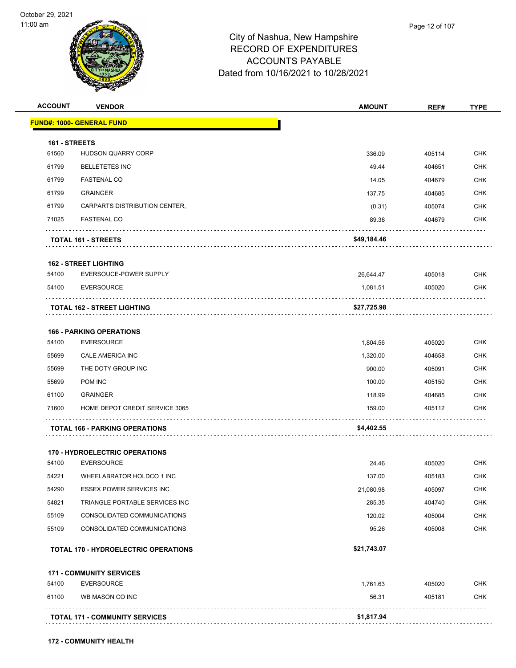

| <b>ACCOUNT</b> | <b>VENDOR</b>                               | <b>AMOUNT</b> | REF#   | <b>TYPE</b> |
|----------------|---------------------------------------------|---------------|--------|-------------|
|                | <u> FUND#: 1000- GENERAL FUND</u>           |               |        |             |
| 161 - STREETS  |                                             |               |        |             |
| 61560          | HUDSON QUARRY CORP                          | 336.09        | 405114 | <b>CHK</b>  |
| 61799          | <b>BELLETETES INC</b>                       | 49.44         | 404651 | <b>CHK</b>  |
| 61799          | <b>FASTENAL CO</b>                          | 14.05         | 404679 | <b>CHK</b>  |
| 61799          | <b>GRAINGER</b>                             | 137.75        | 404685 | <b>CHK</b>  |
| 61799          | CARPARTS DISTRIBUTION CENTER,               | (0.31)        | 405074 | <b>CHK</b>  |
| 71025          | <b>FASTENAL CO</b>                          | 89.38         | 404679 | <b>CHK</b>  |
|                | TOTAL 161 - STREETS                         | \$49,184.46   |        |             |
|                | <b>162 - STREET LIGHTING</b>                |               |        |             |
| 54100          | EVERSOUCE-POWER SUPPLY                      | 26,644.47     | 405018 | <b>CHK</b>  |
| 54100          | <b>EVERSOURCE</b>                           | 1,081.51      | 405020 | <b>CHK</b>  |
|                | TOTAL 162 - STREET LIGHTING                 | \$27,725.98   |        |             |
|                | <b>166 - PARKING OPERATIONS</b>             |               |        |             |
| 54100          | <b>EVERSOURCE</b>                           | 1,804.56      | 405020 | <b>CHK</b>  |
| 55699          | CALE AMERICA INC                            | 1,320.00      | 404658 | <b>CHK</b>  |
| 55699          | THE DOTY GROUP INC                          | 900.00        | 405091 | <b>CHK</b>  |
| 55699          | POM INC                                     | 100.00        | 405150 | <b>CHK</b>  |
| 61100          | <b>GRAINGER</b>                             | 118.99        | 404685 | <b>CHK</b>  |
| 71600          | HOME DEPOT CREDIT SERVICE 3065              | 159.00        | 405112 | <b>CHK</b>  |
|                | <b>TOTAL 166 - PARKING OPERATIONS</b>       | \$4,402.55    |        |             |
|                | <b>170 - HYDROELECTRIC OPERATIONS</b>       |               |        |             |
| 54100          | <b>EVERSOURCE</b>                           | 24.46         | 405020 | <b>CHK</b>  |
| 54221          | WHEELABRATOR HOLDCO 1 INC                   | 137.00        | 405183 | <b>CHK</b>  |
| 54290          | <b>ESSEX POWER SERVICES INC</b>             | 21,080.98     | 405097 | <b>CHK</b>  |
| 54821          | TRIANGLE PORTABLE SERVICES INC              | 285.35        | 404740 | <b>CHK</b>  |
| 55109          | CONSOLIDATED COMMUNICATIONS                 | 120.02        | 405004 | <b>CHK</b>  |
| 55109          | CONSOLIDATED COMMUNICATIONS                 | 95.26         | 405008 | <b>CHK</b>  |
|                | <b>TOTAL 170 - HYDROELECTRIC OPERATIONS</b> | \$21,743.07   |        |             |
|                | <b>171 - COMMUNITY SERVICES</b>             |               |        |             |
| 54100          | <b>EVERSOURCE</b>                           | 1,761.63      | 405020 | <b>CHK</b>  |
| 61100          | WB MASON CO INC                             | 56.31         | 405181 | <b>CHK</b>  |
|                | <b>TOTAL 171 - COMMUNITY SERVICES</b>       | \$1,817.94    |        |             |
|                |                                             |               |        |             |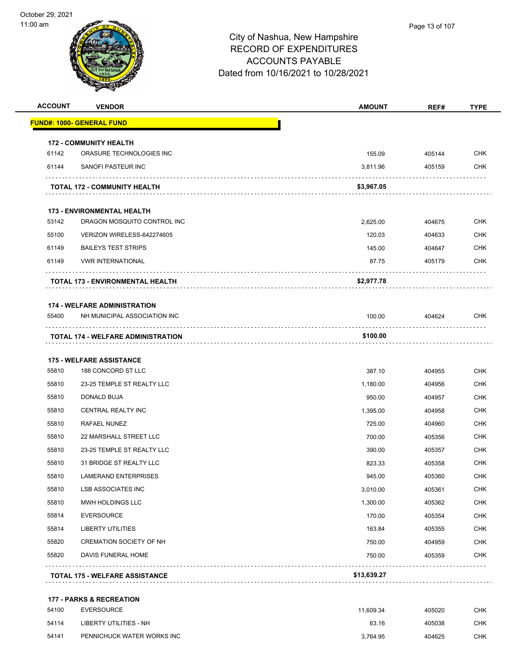

| <b>ACCOUNT</b> | <b>VENDOR</b>                             | <b>AMOUNT</b> | REF#        | <b>TYPE</b> |
|----------------|-------------------------------------------|---------------|-------------|-------------|
|                | <b>FUND#: 1000- GENERAL FUND</b>          |               |             |             |
|                | <b>172 - COMMUNITY HEALTH</b>             |               |             |             |
| 61142          | ORASURE TECHNOLOGIES INC                  | 155.09        | 405144      | <b>CHK</b>  |
| 61144          | SANOFI PASTEUR INC                        | 3,811.96      | 405159      | <b>CHK</b>  |
|                | <b>TOTAL 172 - COMMUNITY HEALTH</b>       | \$3,967.05    |             |             |
|                | <b>173 - ENVIRONMENTAL HEALTH</b>         |               |             |             |
| 53142          | DRAGON MOSQUITO CONTROL INC               | 2,625.00      | 404675      | <b>CHK</b>  |
| 55100          | VERIZON WIRELESS-642274605                | 120.03        | 404633      | <b>CHK</b>  |
| 61149          | <b>BAILEYS TEST STRIPS</b>                | 145.00        | 404647      | <b>CHK</b>  |
| 61149          | <b>VWR INTERNATIONAL</b>                  | 87.75         | 405179      | <b>CHK</b>  |
|                | TOTAL 173 - ENVIRONMENTAL HEALTH          | \$2,977.78    |             |             |
|                | <b>174 - WELFARE ADMINISTRATION</b>       |               |             |             |
| 55400          | NH MUNICIPAL ASSOCIATION INC              | 100.00        | 404624<br>. | CHK         |
|                | <b>TOTAL 174 - WELFARE ADMINISTRATION</b> | \$100.00      |             |             |
|                | <b>175 - WELFARE ASSISTANCE</b>           |               |             |             |
| 55810          | 188 CONCORD ST LLC                        | 387.10        | 404955      | <b>CHK</b>  |
| 55810          | 23-25 TEMPLE ST REALTY LLC                | 1,180.00      | 404956      | <b>CHK</b>  |
| 55810          | DONALD BUJA                               | 950.00        | 404957      | <b>CHK</b>  |
| 55810          | <b>CENTRAL REALTY INC</b>                 | 1,395.00      | 404958      | <b>CHK</b>  |
| 55810          | RAFAEL NUNEZ                              | 725.00        | 404960      | <b>CHK</b>  |
| 55810          | 22 MARSHALL STREET LLC                    | 700.00        | 405356      | <b>CHK</b>  |
| 55810          | 23-25 TEMPLE ST REALTY LLC                | 390.00        | 405357      | CHK         |
| 55810          | 31 BRIDGE ST REALTY LLC                   | 823.33        | 405358      | <b>CHK</b>  |
| 55810          | <b>LAMERAND ENTERPRISES</b>               | 945.00        | 405360      | <b>CHK</b>  |
| 55810          | <b>LSB ASSOCIATES INC</b>                 | 3,010.00      | 405361      | CHK         |
| 55810          | MWH HOLDINGS LLC                          | 1,300.00      | 405362      | <b>CHK</b>  |
| 55814          | <b>EVERSOURCE</b>                         | 170.00        | 405354      | CHK         |
| 55814          | <b>LIBERTY UTILITIES</b>                  | 163.84        | 405355      | <b>CHK</b>  |
| 55820          | <b>CREMATION SOCIETY OF NH</b>            | 750.00        | 404959      | <b>CHK</b>  |
| 55820          | DAVIS FUNERAL HOME                        | 750.00        | 405359      | <b>CHK</b>  |
|                | <b>TOTAL 175 - WELFARE ASSISTANCE</b>     | \$13,639.27   |             |             |
|                | <b>177 - PARKS &amp; RECREATION</b>       |               |             |             |
| 54100          | <b>EVERSOURCE</b>                         | 11,609.34     | 405020      | <b>CHK</b>  |
| 54114          | <b>LIBERTY UTILITIES - NH</b>             | 63.16         | 405038      | CHK         |

54141 PENNICHUCK WATER WORKS INC<br>
CHK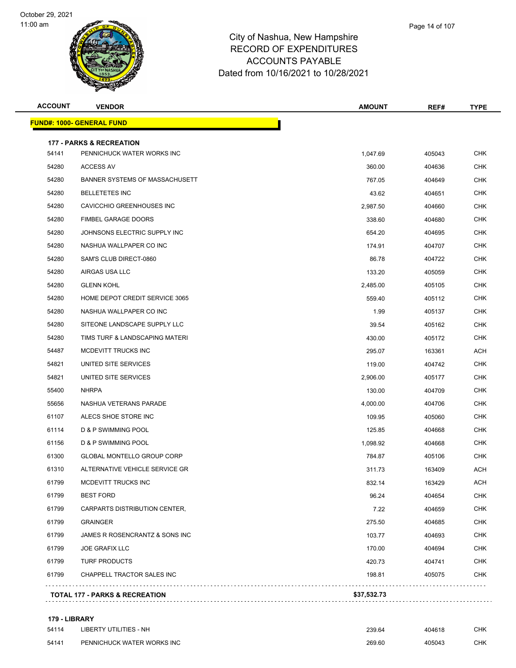



| <b>ACCOUNT</b> | <b>VENDOR</b>                       | <b>AMOUNT</b> | REF#   | TYPE       |
|----------------|-------------------------------------|---------------|--------|------------|
|                | <u> FUND#: 1000- GENERAL FUND</u>   |               |        |            |
|                | <b>177 - PARKS &amp; RECREATION</b> |               |        |            |
| 54141          | PENNICHUCK WATER WORKS INC          | 1,047.69      | 405043 | <b>CHK</b> |
| 54280          | ACCESS AV                           | 360.00        | 404636 | CHK        |
| 54280          | BANNER SYSTEMS OF MASSACHUSETT      | 767.05        | 404649 | CHK        |
| 54280          | <b>BELLETETES INC</b>               | 43.62         | 404651 | CHK        |
| 54280          | CAVICCHIO GREENHOUSES INC           | 2,987.50      | 404660 | CHK        |
| 54280          | <b>FIMBEL GARAGE DOORS</b>          | 338.60        | 404680 | CHK        |
| 54280          | JOHNSONS ELECTRIC SUPPLY INC        | 654.20        | 404695 | <b>CHK</b> |
| 54280          | NASHUA WALLPAPER CO INC             | 174.91        | 404707 | CHK        |
| 54280          | SAM'S CLUB DIRECT-0860              | 86.78         | 404722 | CHK        |
| 54280          | AIRGAS USA LLC                      | 133.20        | 405059 | CHK        |
| 54280          | <b>GLENN KOHL</b>                   | 2,485.00      | 405105 | CHK        |
| 54280          | HOME DEPOT CREDIT SERVICE 3065      | 559.40        | 405112 | <b>CHK</b> |
| 54280          | NASHUA WALLPAPER CO INC             | 1.99          | 405137 | <b>CHK</b> |
| 54280          | SITEONE LANDSCAPE SUPPLY LLC        | 39.54         | 405162 | CHK        |
| 54280          | TIMS TURF & LANDSCAPING MATERI      | 430.00        | 405172 | CHK        |
| 54487          | MCDEVITT TRUCKS INC                 | 295.07        | 163361 | ACH        |
| 54821          | UNITED SITE SERVICES                | 119.00        | 404742 | CHK        |
| 54821          | UNITED SITE SERVICES                | 2,906.00      | 405177 | CHK        |
| 55400          | <b>NHRPA</b>                        | 130.00        | 404709 | <b>CHK</b> |
| 55656          | NASHUA VETERANS PARADE              | 4,000.00      | 404706 | CHK        |
| 61107          | ALECS SHOE STORE INC                | 109.95        | 405060 | <b>CHK</b> |
| 61114          | D & P SWIMMING POOL                 | 125.85        | 404668 | CHK        |
| 61156          | D & P SWIMMING POOL                 | 1,098.92      | 404668 | <b>CHK</b> |
| 61300          | GLOBAL MONTELLO GROUP CORP          | 784.87        | 405106 | <b>CHK</b> |
| 61310          | ALTERNATIVE VEHICLE SERVICE GR      | 311.73        | 163409 | ACH        |
| 61799          | MCDEVITT TRUCKS INC                 | 832.14        | 163429 | ACH        |
| 61799          | <b>BEST FORD</b>                    | 96.24         | 404654 | <b>CHK</b> |
| 61799          | CARPARTS DISTRIBUTION CENTER,       | 7.22          | 404659 | <b>CHK</b> |
| 61799          | <b>GRAINGER</b>                     | 275.50        | 404685 | <b>CHK</b> |
| 61799          | JAMES R ROSENCRANTZ & SONS INC      | 103.77        | 404693 | <b>CHK</b> |
| 61799          | <b>JOE GRAFIX LLC</b>               | 170.00        | 404694 | <b>CHK</b> |
| 61799          | <b>TURF PRODUCTS</b>                | 420.73        | 404741 | <b>CHK</b> |
| 61799          | CHAPPELL TRACTOR SALES INC          | 198.81        | 405075 | <b>CHK</b> |

#### **179 - LIBRARY**

| 54114 | LIBERTY UTILITIES - NH     | 239.64 | 404618 | СНК |
|-------|----------------------------|--------|--------|-----|
| 54141 | PENNICHUCK WATER WORKS INC | 269.60 | 405043 | СНК |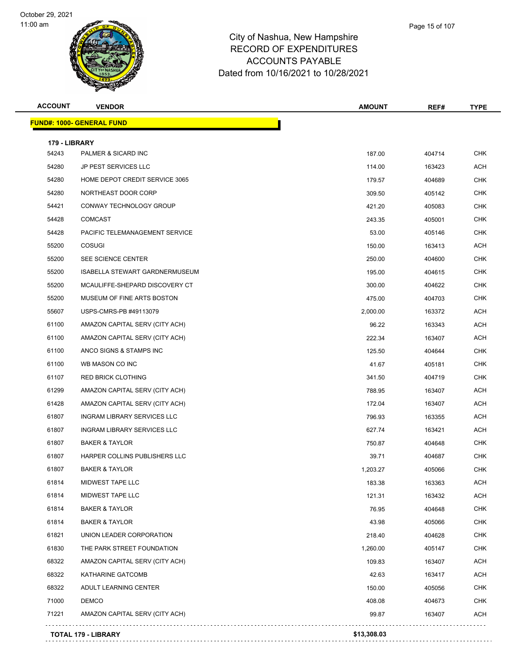

| <b>ACCOUNT</b> | <b>VENDOR</b>                  | <b>AMOUNT</b> | REF#   | <b>TYPE</b> |
|----------------|--------------------------------|---------------|--------|-------------|
|                | FUND#: 1000- GENERAL FUND      |               |        |             |
| 179 - LIBRARY  |                                |               |        |             |
| 54243          | PALMER & SICARD INC            | 187.00        | 404714 | <b>CHK</b>  |
| 54280          | JP PEST SERVICES LLC           | 114.00        | 163423 | <b>ACH</b>  |
| 54280          | HOME DEPOT CREDIT SERVICE 3065 | 179.57        | 404689 | <b>CHK</b>  |
| 54280          | NORTHEAST DOOR CORP            | 309.50        | 405142 | <b>CHK</b>  |
| 54421          | CONWAY TECHNOLOGY GROUP        | 421.20        | 405083 | <b>CHK</b>  |
| 54428          | <b>COMCAST</b>                 | 243.35        | 405001 | <b>CHK</b>  |
| 54428          | PACIFIC TELEMANAGEMENT SERVICE | 53.00         | 405146 | CHK         |
| 55200          | <b>COSUGI</b>                  | 150.00        | 163413 | <b>ACH</b>  |
| 55200          | SEE SCIENCE CENTER             | 250.00        | 404600 | <b>CHK</b>  |
| 55200          | ISABELLA STEWART GARDNERMUSEUM | 195.00        | 404615 | <b>CHK</b>  |
| 55200          | MCAULIFFE-SHEPARD DISCOVERY CT | 300.00        | 404622 | <b>CHK</b>  |
| 55200          | MUSEUM OF FINE ARTS BOSTON     | 475.00        | 404703 | CHK         |
| 55607          | USPS-CMRS-PB #49113079         | 2,000.00      | 163372 | <b>ACH</b>  |
| 61100          | AMAZON CAPITAL SERV (CITY ACH) | 96.22         | 163343 | <b>ACH</b>  |
| 61100          | AMAZON CAPITAL SERV (CITY ACH) | 222.34        | 163407 | <b>ACH</b>  |
| 61100          | ANCO SIGNS & STAMPS INC        | 125.50        | 404644 | <b>CHK</b>  |
| 61100          | WB MASON CO INC                | 41.67         | 405181 | CHK         |
| 61107          | <b>RED BRICK CLOTHING</b>      | 341.50        | 404719 | <b>CHK</b>  |
| 61299          | AMAZON CAPITAL SERV (CITY ACH) | 788.95        | 163407 | ACH         |
| 61428          | AMAZON CAPITAL SERV (CITY ACH) | 172.04        | 163407 | <b>ACH</b>  |
| 61807          | INGRAM LIBRARY SERVICES LLC    | 796.93        | 163355 | <b>ACH</b>  |
| 61807          | INGRAM LIBRARY SERVICES LLC    | 627.74        | 163421 | ACH         |
| 61807          | <b>BAKER &amp; TAYLOR</b>      | 750.87        | 404648 | <b>CHK</b>  |
| 61807          | HARPER COLLINS PUBLISHERS LLC  | 39.71         | 404687 | <b>CHK</b>  |
| 61807          | <b>BAKER &amp; TAYLOR</b>      | 1,203.27      | 405066 | <b>CHK</b>  |
| 61814          | MIDWEST TAPE LLC               | 183.38        | 163363 | <b>ACH</b>  |
| 61814          | MIDWEST TAPE LLC               | 121.31        | 163432 | <b>ACH</b>  |
| 61814          | <b>BAKER &amp; TAYLOR</b>      | 76.95         | 404648 | <b>CHK</b>  |
| 61814          | <b>BAKER &amp; TAYLOR</b>      | 43.98         | 405066 | <b>CHK</b>  |
| 61821          | UNION LEADER CORPORATION       | 218.40        | 404628 | <b>CHK</b>  |
| 61830          | THE PARK STREET FOUNDATION     | 1,260.00      | 405147 | CHK         |
| 68322          | AMAZON CAPITAL SERV (CITY ACH) | 109.83        | 163407 | <b>ACH</b>  |
| 68322          | KATHARINE GATCOMB              | 42.63         | 163417 | <b>ACH</b>  |
| 68322          | ADULT LEARNING CENTER          | 150.00        | 405056 | <b>CHK</b>  |
| 71000          | <b>DEMCO</b>                   | 408.08        | 404673 | <b>CHK</b>  |
| 71221          | AMAZON CAPITAL SERV (CITY ACH) | 99.87         | 163407 | ACH         |
|                | <b>TOTAL 179 - LIBRARY</b>     | \$13,308.03   |        |             |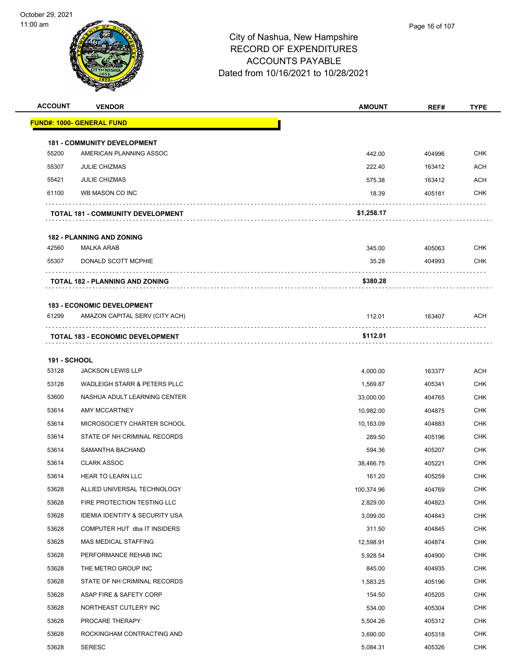

| <b>ACCOUNT</b>      | <b>VENDOR</b>                             | <b>AMOUNT</b> | REF#   | <b>TYPE</b> |
|---------------------|-------------------------------------------|---------------|--------|-------------|
|                     | FUND#: 1000- GENERAL FUND                 |               |        |             |
|                     | <b>181 - COMMUNITY DEVELOPMENT</b>        |               |        |             |
| 55200               | AMERICAN PLANNING ASSOC                   | 442.00        | 404996 | CHK         |
| 55307               | <b>JULIE CHIZMAS</b>                      | 222.40        | 163412 | <b>ACH</b>  |
| 55421               | <b>JULIE CHIZMAS</b>                      | 575.38        | 163412 | <b>ACH</b>  |
| 61100               | WB MASON CO INC                           | 18.39         | 405181 | <b>CHK</b>  |
|                     | TOTAL 181 - COMMUNITY DEVELOPMENT         | \$1,258.17    |        |             |
|                     | <b>182 - PLANNING AND ZONING</b>          |               |        |             |
| 42560               | <b>MALKA ARAB</b>                         | 345.00        | 405063 | <b>CHK</b>  |
| 55307               | DONALD SCOTT MCPHIE                       | 35.28         | 404993 | CHK         |
|                     | TOTAL 182 - PLANNING AND ZONING           | \$380.28      |        |             |
|                     | <b>183 - ECONOMIC DEVELOPMENT</b>         |               |        |             |
| 61299               | AMAZON CAPITAL SERV (CITY ACH)            | 112.01        | 163407 | ACH         |
|                     | <b>TOTAL 183 - ECONOMIC DEVELOPMENT</b>   | \$112.01      |        |             |
| <b>191 - SCHOOL</b> |                                           |               |        |             |
| 53128               | <b>JACKSON LEWIS LLP</b>                  | 4,000.00      | 163377 | <b>ACH</b>  |
| 53128               | WADLEIGH STARR & PETERS PLLC              | 1,569.87      | 405341 | <b>CHK</b>  |
| 53600               | NASHUA ADULT LEARNING CENTER              | 33,000.00     | 404765 | <b>CHK</b>  |
| 53614               | AMY MCCARTNEY                             | 10,982.00     | 404875 | CHK         |
| 53614               | MICROSOCIETY CHARTER SCHOOL               | 10,163.09     | 404883 | <b>CHK</b>  |
| 53614               | STATE OF NH CRIMINAL RECORDS              | 289.50        | 405196 | CHK         |
| 53614               | SAMANTHA BACHAND                          | 594.36        | 405207 | <b>CHK</b>  |
| 53614               | <b>CLARK ASSOC</b>                        | 38,466.75     | 405221 | <b>CHK</b>  |
| 53614               | <b>HEAR TO LEARN LLC</b>                  | 161.20        | 405259 | CHK         |
| 53628               | ALLIED UNIVERSAL TECHNOLOGY               | 100,374.96    | 404769 | <b>CHK</b>  |
| 53628               | FIRE PROTECTION TESTING LLC               | 2,829.00      | 404823 | <b>CHK</b>  |
| 53628               | <b>IDEMIA IDENTITY &amp; SECURITY USA</b> | 3,099.00      | 404843 | <b>CHK</b>  |
| 53628               | COMPUTER HUT dba IT INSIDERS              | 311.50        | 404845 | <b>CHK</b>  |
| 53628               | <b>MAS MEDICAL STAFFING</b>               | 12,598.91     | 404874 | <b>CHK</b>  |
| 53628               | PERFORMANCE REHAB INC                     | 5,928.54      | 404900 | <b>CHK</b>  |
| 53628               | THE METRO GROUP INC                       | 845.00        | 404935 | <b>CHK</b>  |
| 53628               | STATE OF NH CRIMINAL RECORDS              | 1,583.25      | 405196 | <b>CHK</b>  |
| 53628               | ASAP FIRE & SAFETY CORP                   | 154.50        | 405205 | <b>CHK</b>  |
| 53628               | NORTHEAST CUTLERY INC                     | 534.00        | 405304 | <b>CHK</b>  |
| 53628               | PROCARE THERAPY                           | 5,504.26      | 405312 | <b>CHK</b>  |
| 53628               | ROCKINGHAM CONTRACTING AND                | 3,690.00      | 405318 | <b>CHK</b>  |
| 53628               | <b>SERESC</b>                             | 5,084.31      | 405326 | <b>CHK</b>  |
|                     |                                           |               |        |             |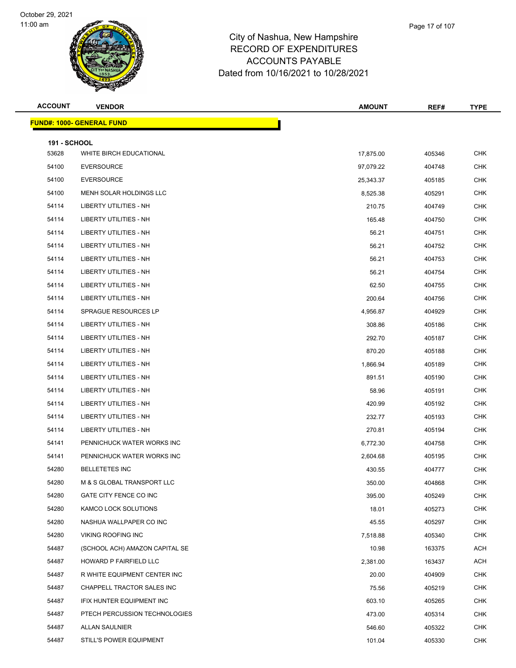

| ampshire       |  |
|----------------|--|
| <b>DITURES</b> |  |
| ARIE.          |  |

Page 17 of 107

| <b>ACCOUNT</b>               | <b>VENDOR</b>                    | <b>AMOUNT</b> | REF#   | <b>TYPE</b> |
|------------------------------|----------------------------------|---------------|--------|-------------|
|                              | <b>FUND#: 1000- GENERAL FUND</b> |               |        |             |
|                              |                                  |               |        |             |
| <b>191 - SCHOOL</b><br>53628 | WHITE BIRCH EDUCATIONAL          | 17,875.00     | 405346 | <b>CHK</b>  |
| 54100                        | <b>EVERSOURCE</b>                | 97,079.22     | 404748 | CHK         |
| 54100                        | <b>EVERSOURCE</b>                | 25,343.37     | 405185 | <b>CHK</b>  |
| 54100                        | MENH SOLAR HOLDINGS LLC          | 8,525.38      | 405291 | <b>CHK</b>  |
| 54114                        | LIBERTY UTILITIES - NH           | 210.75        | 404749 | CHK         |
| 54114                        | LIBERTY UTILITIES - NH           | 165.48        | 404750 | <b>CHK</b>  |
| 54114                        | LIBERTY UTILITIES - NH           | 56.21         | 404751 | <b>CHK</b>  |
| 54114                        | <b>LIBERTY UTILITIES - NH</b>    | 56.21         | 404752 | <b>CHK</b>  |
| 54114                        | LIBERTY UTILITIES - NH           | 56.21         | 404753 | <b>CHK</b>  |
| 54114                        | LIBERTY UTILITIES - NH           | 56.21         | 404754 | <b>CHK</b>  |
| 54114                        | LIBERTY UTILITIES - NH           | 62.50         | 404755 | <b>CHK</b>  |
| 54114                        | LIBERTY UTILITIES - NH           | 200.64        | 404756 | CHK         |
| 54114                        | SPRAGUE RESOURCES LP             | 4,956.87      | 404929 | <b>CHK</b>  |
| 54114                        | <b>LIBERTY UTILITIES - NH</b>    | 308.86        | 405186 | <b>CHK</b>  |
| 54114                        | <b>LIBERTY UTILITIES - NH</b>    | 292.70        | 405187 | CHK         |
| 54114                        | LIBERTY UTILITIES - NH           | 870.20        | 405188 | <b>CHK</b>  |
| 54114                        | LIBERTY UTILITIES - NH           | 1,866.94      | 405189 | <b>CHK</b>  |
| 54114                        | <b>LIBERTY UTILITIES - NH</b>    | 891.51        | 405190 | <b>CHK</b>  |
| 54114                        | LIBERTY UTILITIES - NH           | 58.96         | 405191 | <b>CHK</b>  |
| 54114                        | LIBERTY UTILITIES - NH           | 420.99        | 405192 | <b>CHK</b>  |
| 54114                        | LIBERTY UTILITIES - NH           | 232.77        | 405193 | <b>CHK</b>  |
| 54114                        | <b>LIBERTY UTILITIES - NH</b>    | 270.81        | 405194 | CHK         |
| 54141                        | PENNICHUCK WATER WORKS INC       | 6,772.30      | 404758 | <b>CHK</b>  |
| 54141                        | PENNICHUCK WATER WORKS INC       | 2,604.68      | 405195 | <b>CHK</b>  |
| 54280                        | <b>BELLETETES INC</b>            | 430.55        | 404777 | <b>CHK</b>  |
| 54280                        | M & S GLOBAL TRANSPORT LLC       | 350.00        | 404868 | <b>CHK</b>  |
| 54280                        | GATE CITY FENCE CO INC           | 395.00        | 405249 | <b>CHK</b>  |
| 54280                        | KAMCO LOCK SOLUTIONS             | 18.01         | 405273 | <b>CHK</b>  |
| 54280                        | NASHUA WALLPAPER CO INC          | 45.55         | 405297 | <b>CHK</b>  |
| 54280                        | VIKING ROOFING INC               | 7,518.88      | 405340 | CHK         |
| 54487                        | (SCHOOL ACH) AMAZON CAPITAL SE   | 10.98         | 163375 | ACH         |
| 54487                        | HOWARD P FAIRFIELD LLC           | 2,381.00      | 163437 | ACH         |
| 54487                        | R WHITE EQUIPMENT CENTER INC     | 20.00         | 404909 | <b>CHK</b>  |
| 54487                        | CHAPPELL TRACTOR SALES INC       | 75.56         | 405219 | <b>CHK</b>  |
| 54487                        | IFIX HUNTER EQUIPMENT INC        | 603.10        | 405265 | <b>CHK</b>  |
| 54487                        | PTECH PERCUSSION TECHNOLOGIES    | 473.00        | 405314 | <b>CHK</b>  |
| 54487                        | ALLAN SAULNIER                   | 546.60        | 405322 | CHK         |
| 54487                        | STILL'S POWER EQUIPMENT          | 101.04        | 405330 | <b>CHK</b>  |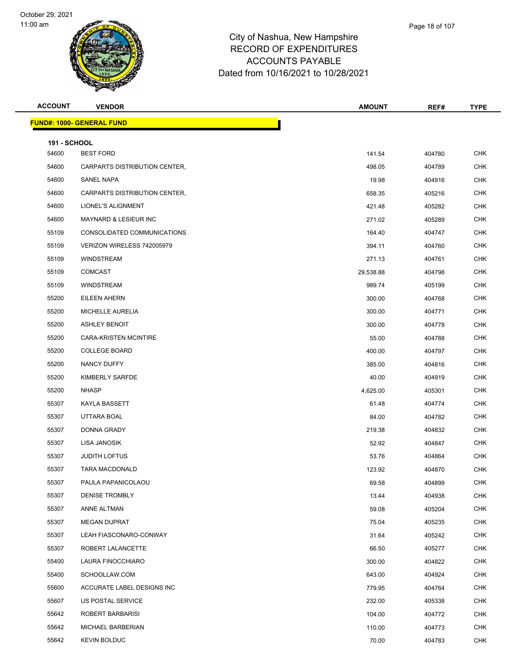

| Page 18 of 107 |
|----------------|
|                |

| <b>ACCOUNT</b>      | <b>VENDOR</b>                    | <b>AMOUNT</b> | REF#   | <b>TYPE</b> |
|---------------------|----------------------------------|---------------|--------|-------------|
|                     | <b>FUND#: 1000- GENERAL FUND</b> |               |        |             |
| <b>191 - SCHOOL</b> |                                  |               |        |             |
| 54600               | <b>BEST FORD</b>                 | 141.54        | 404780 | <b>CHK</b>  |
| 54600               | CARPARTS DISTRIBUTION CENTER,    | 498.05        | 404789 | <b>CHK</b>  |
| 54600               | SANEL NAPA                       | 19.98         | 404916 | <b>CHK</b>  |
| 54600               | CARPARTS DISTRIBUTION CENTER,    | 658.35        | 405216 | <b>CHK</b>  |
| 54600               | LIONEL'S ALIGNMENT               | 421.48        | 405282 | <b>CHK</b>  |
| 54600               | <b>MAYNARD &amp; LESIEUR INC</b> | 271.02        | 405289 | <b>CHK</b>  |
| 55109               | CONSOLIDATED COMMUNICATIONS      | 164.40        | 404747 | <b>CHK</b>  |
| 55109               | VERIZON WIRELESS 742005979       | 394.11        | 404760 | <b>CHK</b>  |
| 55109               | <b>WINDSTREAM</b>                | 271.13        | 404761 | <b>CHK</b>  |
| 55109               | <b>COMCAST</b>                   | 29,538.88     | 404798 | <b>CHK</b>  |
| 55109               | <b>WINDSTREAM</b>                | 989.74        | 405199 | <b>CHK</b>  |
| 55200               | EILEEN AHERN                     | 300.00        | 404768 | <b>CHK</b>  |
| 55200               | MICHELLE AURELIA                 | 300.00        | 404771 | <b>CHK</b>  |
| 55200               | <b>ASHLEY BENOIT</b>             | 300.00        | 404778 | <b>CHK</b>  |
| 55200               | CARA-KRISTEN MCINTIRE            | 55.00         | 404788 | <b>CHK</b>  |
| 55200               | <b>COLLEGE BOARD</b>             | 400.00        | 404797 | <b>CHK</b>  |
| 55200               | NANCY DUFFY                      | 385.00        | 404816 | <b>CHK</b>  |
| 55200               | KIMBERLY SARFDE                  | 40.00         | 404919 | <b>CHK</b>  |
| 55200               | <b>NHASP</b>                     | 4,625.00      | 405301 | <b>CHK</b>  |
| 55307               | KAYLA BASSETT                    | 61.48         | 404774 | <b>CHK</b>  |
| 55307               | UTTARA BOAL                      | 84.00         | 404782 | <b>CHK</b>  |
| 55307               | DONNA GRADY                      | 219.38        | 404832 | <b>CHK</b>  |
| 55307               | LISA JANOSIK                     | 52.92         | 404847 | <b>CHK</b>  |
| 55307               | <b>JUDITH LOFTUS</b>             | 53.76         | 404864 | <b>CHK</b>  |
| 55307               | <b>TARA MACDONALD</b>            | 123.92        | 404870 | <b>CHK</b>  |
| 55307               | PAULA PAPANICOLAOU               | 69.58         | 404899 | <b>CHK</b>  |
| 55307               | DENISE TROMBLY                   | 13.44         | 404938 | <b>CHK</b>  |
| 55307               | ANNE ALTMAN                      | 59.08         | 405204 | <b>CHK</b>  |
| 55307               | <b>MEGAN DUPRAT</b>              | 75.04         | 405235 | <b>CHK</b>  |
| 55307               | LEAH FIASCONARO-CONWAY           | 31.64         | 405242 | <b>CHK</b>  |
| 55307               | ROBERT LALANCETTE                | 66.50         | 405277 | <b>CHK</b>  |
| 55400               | LAURA FINOCCHIARO                | 300.00        | 404822 | <b>CHK</b>  |
| 55400               | SCHOOLLAW.COM                    | 643.00        | 404924 | <b>CHK</b>  |
| 55600               | ACCURATE LABEL DESIGNS INC       | 779.95        | 404764 | <b>CHK</b>  |
| 55607               | US POSTAL SERVICE                | 232.00        | 405338 | <b>CHK</b>  |
| 55642               | ROBERT BARBARISI                 | 104.00        | 404772 | <b>CHK</b>  |
| 55642               | MICHAEL BARBERIAN                | 110.00        | 404773 | <b>CHK</b>  |
| 55642               | <b>KEVIN BOLDUC</b>              | 70.00         | 404783 | <b>CHK</b>  |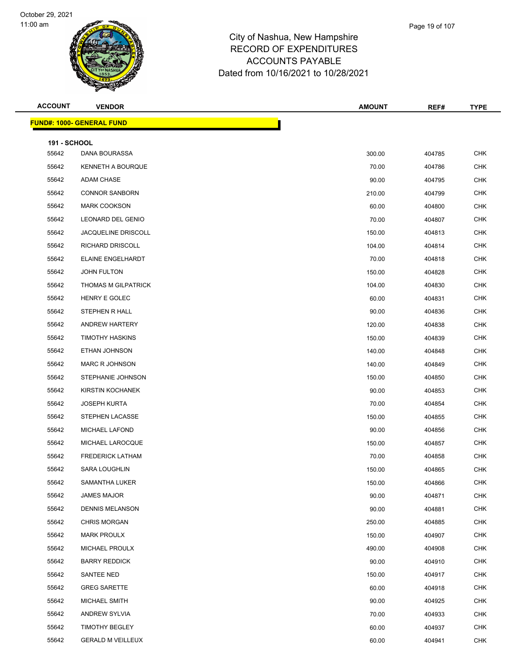

|            | Page 19 of 107 |
|------------|----------------|
| shire      |                |
| <b>RES</b> |                |

| <b>ACCOUNT</b>      | <b>VENDOR</b>                    | <b>AMOUNT</b> | REF#   | <b>TYPE</b> |
|---------------------|----------------------------------|---------------|--------|-------------|
|                     | <b>FUND#: 1000- GENERAL FUND</b> |               |        |             |
| <b>191 - SCHOOL</b> |                                  |               |        |             |
| 55642               | DANA BOURASSA                    | 300.00        | 404785 | CHK         |
| 55642               | KENNETH A BOURQUE                | 70.00         | 404786 | <b>CHK</b>  |
| 55642               | ADAM CHASE                       | 90.00         | 404795 | <b>CHK</b>  |
| 55642               | <b>CONNOR SANBORN</b>            | 210.00        | 404799 | <b>CHK</b>  |
| 55642               | <b>MARK COOKSON</b>              | 60.00         | 404800 | <b>CHK</b>  |
| 55642               | LEONARD DEL GENIO                | 70.00         | 404807 | <b>CHK</b>  |
| 55642               | <b>JACQUELINE DRISCOLL</b>       | 150.00        | 404813 | <b>CHK</b>  |
| 55642               | RICHARD DRISCOLL                 | 104.00        | 404814 | <b>CHK</b>  |
| 55642               | ELAINE ENGELHARDT                | 70.00         | 404818 | <b>CHK</b>  |
| 55642               | JOHN FULTON                      | 150.00        | 404828 | <b>CHK</b>  |
| 55642               | <b>THOMAS M GILPATRICK</b>       | 104.00        | 404830 | <b>CHK</b>  |
| 55642               | HENRY E GOLEC                    | 60.00         | 404831 | <b>CHK</b>  |
| 55642               | STEPHEN R HALL                   | 90.00         | 404836 | <b>CHK</b>  |
| 55642               | ANDREW HARTERY                   | 120.00        | 404838 | <b>CHK</b>  |
| 55642               | <b>TIMOTHY HASKINS</b>           | 150.00        | 404839 | <b>CHK</b>  |
| 55642               | ETHAN JOHNSON                    | 140.00        | 404848 | <b>CHK</b>  |
| 55642               | <b>MARC R JOHNSON</b>            | 140.00        | 404849 | <b>CHK</b>  |
| 55642               | STEPHANIE JOHNSON                | 150.00        | 404850 | <b>CHK</b>  |
| 55642               | <b>KIRSTIN KOCHANEK</b>          | 90.00         | 404853 | <b>CHK</b>  |
| 55642               | <b>JOSEPH KURTA</b>              | 70.00         | 404854 | <b>CHK</b>  |
| 55642               | STEPHEN LACASSE                  | 150.00        | 404855 | <b>CHK</b>  |
| 55642               | MICHAEL LAFOND                   | 90.00         | 404856 | <b>CHK</b>  |
| 55642               | MICHAEL LAROCQUE                 | 150.00        | 404857 | <b>CHK</b>  |
| 55642               | <b>FREDERICK LATHAM</b>          | 70.00         | 404858 | <b>CHK</b>  |
| 55642               | <b>SARA LOUGHLIN</b>             | 150.00        | 404865 | <b>CHK</b>  |
| 55642               | SAMANTHA LUKER                   | 150.00        | 404866 | CHK         |
| 55642               | <b>JAMES MAJOR</b>               | 90.00         | 404871 | <b>CHK</b>  |
| 55642               | <b>DENNIS MELANSON</b>           | 90.00         | 404881 | <b>CHK</b>  |
| 55642               | <b>CHRIS MORGAN</b>              | 250.00        | 404885 | <b>CHK</b>  |
| 55642               | <b>MARK PROULX</b>               | 150.00        | 404907 | <b>CHK</b>  |
| 55642               | MICHAEL PROULX                   | 490.00        | 404908 | <b>CHK</b>  |
| 55642               | <b>BARRY REDDICK</b>             | 90.00         | 404910 | <b>CHK</b>  |
| 55642               | SANTEE NED                       | 150.00        | 404917 | <b>CHK</b>  |
| 55642               | <b>GREG SARETTE</b>              | 60.00         | 404918 | <b>CHK</b>  |
| 55642               | MICHAEL SMITH                    | 90.00         | 404925 | <b>CHK</b>  |
| 55642               | ANDREW SYLVIA                    | 70.00         | 404933 | <b>CHK</b>  |
| 55642               | <b>TIMOTHY BEGLEY</b>            | 60.00         | 404937 | <b>CHK</b>  |
| 55642               | <b>GERALD M VEILLEUX</b>         | 60.00         | 404941 | <b>CHK</b>  |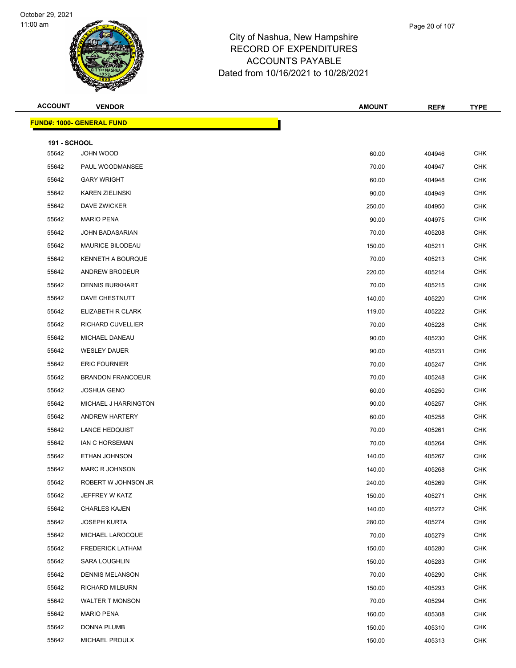

## City of Nashua, New Hampshire RECORD OF EXP ACCOUNTS Dated from 10/16/202

| ισνν παπιροπισ    |  |
|-------------------|--|
| <b>PENDITURES</b> |  |
| <b>PAYABLE</b>    |  |
| 21 to 10/28/2021  |  |
|                   |  |

| <b>ACCOUNT</b>      | <b>VENDOR</b>                    | <b>AMOUNT</b> | REF#   | TYPE       |
|---------------------|----------------------------------|---------------|--------|------------|
|                     | <b>FUND#: 1000- GENERAL FUND</b> |               |        |            |
| <b>191 - SCHOOL</b> |                                  |               |        |            |
| 55642               | JOHN WOOD                        | 60.00         | 404946 | CHK        |
| 55642               | PAUL WOODMANSEE                  | 70.00         | 404947 | <b>CHK</b> |
| 55642               | <b>GARY WRIGHT</b>               | 60.00         | 404948 | <b>CHK</b> |
| 55642               | <b>KAREN ZIELINSKI</b>           | 90.00         | 404949 | <b>CHK</b> |
| 55642               | <b>DAVE ZWICKER</b>              | 250.00        | 404950 | <b>CHK</b> |
| 55642               | <b>MARIO PENA</b>                | 90.00         | 404975 | <b>CHK</b> |
| 55642               | JOHN BADASARIAN                  | 70.00         | 405208 | <b>CHK</b> |
| 55642               | <b>MAURICE BILODEAU</b>          | 150.00        | 405211 | <b>CHK</b> |
| 55642               | KENNETH A BOURQUE                | 70.00         | 405213 | <b>CHK</b> |
| 55642               | ANDREW BRODEUR                   | 220.00        | 405214 | <b>CHK</b> |
| 55642               | <b>DENNIS BURKHART</b>           | 70.00         | 405215 | <b>CHK</b> |
| 55642               | DAVE CHESTNUTT                   | 140.00        | 405220 | <b>CHK</b> |
| 55642               | ELIZABETH R CLARK                | 119.00        | 405222 | <b>CHK</b> |
| 55642               | RICHARD CUVELLIER                | 70.00         | 405228 | <b>CHK</b> |
| 55642               | MICHAEL DANEAU                   | 90.00         | 405230 | <b>CHK</b> |
| 55642               | <b>WESLEY DAUER</b>              | 90.00         | 405231 | <b>CHK</b> |
| 55642               | <b>ERIC FOURNIER</b>             | 70.00         | 405247 | <b>CHK</b> |
| 55642               | <b>BRANDON FRANCOEUR</b>         | 70.00         | 405248 | <b>CHK</b> |
| 55642               | <b>JOSHUA GENO</b>               | 60.00         | 405250 | <b>CHK</b> |
| 55642               | MICHAEL J HARRINGTON             | 90.00         | 405257 | <b>CHK</b> |
| 55642               | ANDREW HARTERY                   | 60.00         | 405258 | <b>CHK</b> |
| 55642               | <b>LANCE HEDQUIST</b>            | 70.00         | 405261 | <b>CHK</b> |
| 55642               | <b>IAN C HORSEMAN</b>            | 70.00         | 405264 | <b>CHK</b> |
| 55642               | ETHAN JOHNSON                    | 140.00        | 405267 | <b>CHK</b> |
| 55642               | <b>MARC R JOHNSON</b>            | 140.00        | 405268 | <b>CHK</b> |
| 55642               | ROBERT W JOHNSON JR              | 240.00        | 405269 | <b>CHK</b> |
| 55642               | JEFFREY W KATZ                   | 150.00        | 405271 | CHK        |
| 55642               | <b>CHARLES KAJEN</b>             | 140.00        | 405272 | <b>CHK</b> |
| 55642               | JOSEPH KURTA                     | 280.00        | 405274 | <b>CHK</b> |
| 55642               | MICHAEL LAROCQUE                 | 70.00         | 405279 | <b>CHK</b> |
| 55642               | <b>FREDERICK LATHAM</b>          | 150.00        | 405280 | CHK        |
| 55642               | SARA LOUGHLIN                    | 150.00        | 405283 | <b>CHK</b> |
| 55642               | <b>DENNIS MELANSON</b>           | 70.00         | 405290 | <b>CHK</b> |
| 55642               | RICHARD MILBURN                  | 150.00        | 405293 | <b>CHK</b> |
| 55642               | <b>WALTER T MONSON</b>           | 70.00         | 405294 | <b>CHK</b> |
| 55642               | <b>MARIO PENA</b>                | 160.00        | 405308 | <b>CHK</b> |
| 55642               | DONNA PLUMB                      | 150.00        | 405310 | <b>CHK</b> |
| 55642               | MICHAEL PROULX                   | 150.00        | 405313 | <b>CHK</b> |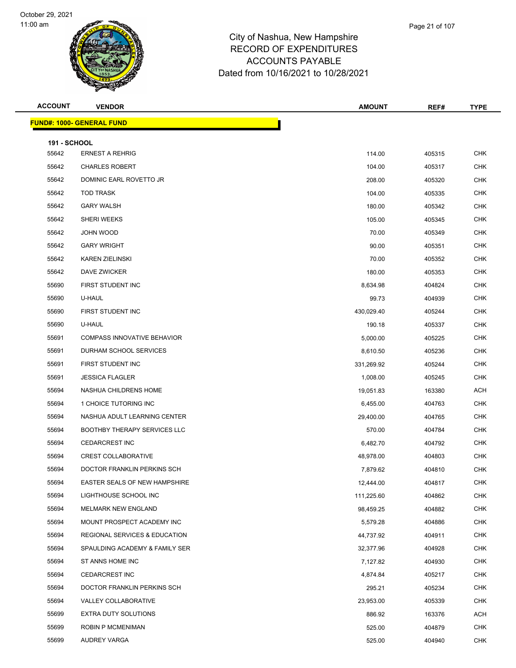

|       | Page 21 of 107 |  |
|-------|----------------|--|
| shire |                |  |
| RFS   |                |  |

| <b>ACCOUNT</b>        | <b>VENDOR</b>                            | <b>AMOUNT</b> | REF#   | <b>TYPE</b> |
|-----------------------|------------------------------------------|---------------|--------|-------------|
|                       | <b>FUND#: 1000- GENERAL FUND</b>         |               |        |             |
|                       |                                          |               |        |             |
| 191 - SCHOOL<br>55642 | <b>ERNEST A REHRIG</b>                   | 114.00        | 405315 | <b>CHK</b>  |
| 55642                 | <b>CHARLES ROBERT</b>                    | 104.00        | 405317 | <b>CHK</b>  |
| 55642                 | DOMINIC EARL ROVETTO JR                  | 208.00        | 405320 | <b>CHK</b>  |
| 55642                 | <b>TOD TRASK</b>                         | 104.00        | 405335 | <b>CHK</b>  |
| 55642                 | <b>GARY WALSH</b>                        | 180.00        | 405342 | <b>CHK</b>  |
| 55642                 | <b>SHERI WEEKS</b>                       | 105.00        | 405345 | <b>CHK</b>  |
| 55642                 | JOHN WOOD                                | 70.00         | 405349 | <b>CHK</b>  |
| 55642                 | <b>GARY WRIGHT</b>                       | 90.00         | 405351 | <b>CHK</b>  |
| 55642                 | <b>KAREN ZIELINSKI</b>                   | 70.00         | 405352 | <b>CHK</b>  |
| 55642                 | DAVE ZWICKER                             | 180.00        | 405353 | <b>CHK</b>  |
| 55690                 | FIRST STUDENT INC                        | 8,634.98      | 404824 | <b>CHK</b>  |
| 55690                 | U-HAUL                                   | 99.73         | 404939 | <b>CHK</b>  |
| 55690                 | FIRST STUDENT INC                        | 430,029.40    | 405244 | <b>CHK</b>  |
| 55690                 | U-HAUL                                   | 190.18        | 405337 | <b>CHK</b>  |
| 55691                 | <b>COMPASS INNOVATIVE BEHAVIOR</b>       | 5,000.00      | 405225 | <b>CHK</b>  |
| 55691                 | DURHAM SCHOOL SERVICES                   | 8,610.50      | 405236 | <b>CHK</b>  |
| 55691                 | FIRST STUDENT INC                        | 331,269.92    | 405244 | <b>CHK</b>  |
| 55691                 | <b>JESSICA FLAGLER</b>                   | 1,008.00      | 405245 | <b>CHK</b>  |
| 55694                 | NASHUA CHILDRENS HOME                    | 19,051.83     | 163380 | ACH         |
| 55694                 | 1 CHOICE TUTORING INC                    | 6,455.00      | 404763 | <b>CHK</b>  |
| 55694                 | NASHUA ADULT LEARNING CENTER             | 29,400.00     | 404765 | <b>CHK</b>  |
| 55694                 | <b>BOOTHBY THERAPY SERVICES LLC</b>      | 570.00        | 404784 | <b>CHK</b>  |
| 55694                 | <b>CEDARCREST INC</b>                    | 6,482.70      | 404792 | <b>CHK</b>  |
| 55694                 | <b>CREST COLLABORATIVE</b>               | 48,978.00     | 404803 | <b>CHK</b>  |
| 55694                 | DOCTOR FRANKLIN PERKINS SCH              | 7,879.62      | 404810 | <b>CHK</b>  |
| 55694                 | EASTER SEALS OF NEW HAMPSHIRE            | 12,444.00     | 404817 | <b>CHK</b>  |
| 55694                 | LIGHTHOUSE SCHOOL INC                    | 111,225.60    | 404862 | <b>CHK</b>  |
| 55694                 | MELMARK NEW ENGLAND                      | 98,459.25     | 404882 | CHK         |
| 55694                 | MOUNT PROSPECT ACADEMY INC               | 5,579.28      | 404886 | <b>CHK</b>  |
| 55694                 | <b>REGIONAL SERVICES &amp; EDUCATION</b> | 44,737.92     | 404911 | <b>CHK</b>  |
| 55694                 | SPAULDING ACADEMY & FAMILY SER           | 32,377.96     | 404928 | <b>CHK</b>  |
| 55694                 | ST ANNS HOME INC                         | 7,127.82      | 404930 | <b>CHK</b>  |
| 55694                 | <b>CEDARCREST INC</b>                    | 4,874.84      | 405217 | CHK         |
| 55694                 | DOCTOR FRANKLIN PERKINS SCH              | 295.21        | 405234 | <b>CHK</b>  |
| 55694                 | VALLEY COLLABORATIVE                     | 23,953.00     | 405339 | <b>CHK</b>  |
| 55699                 | EXTRA DUTY SOLUTIONS                     | 886.92        | 163376 | ACH         |
| 55699                 | ROBIN P MCMENIMAN                        | 525.00        | 404879 | <b>CHK</b>  |
| 55699                 | AUDREY VARGA                             | 525.00        | 404940 | <b>CHK</b>  |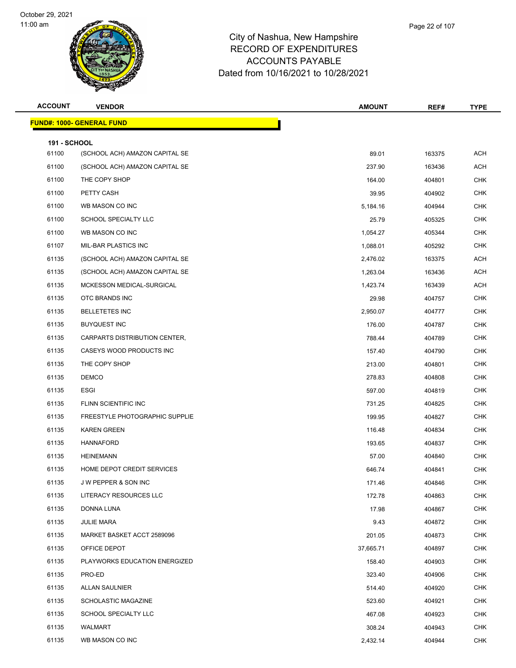

| Page 22 of 107 |  |
|----------------|--|
|                |  |

| <b>ACCOUNT</b>               | <b>VENDOR</b>                     | <b>AMOUNT</b> | REF#   | <b>TYPE</b> |
|------------------------------|-----------------------------------|---------------|--------|-------------|
|                              | <u> FUND#: 1000- GENERAL FUND</u> |               |        |             |
|                              |                                   |               |        |             |
| <b>191 - SCHOOL</b><br>61100 | (SCHOOL ACH) AMAZON CAPITAL SE    | 89.01         | 163375 | <b>ACH</b>  |
| 61100                        | (SCHOOL ACH) AMAZON CAPITAL SE    | 237.90        | 163436 | <b>ACH</b>  |
| 61100                        | THE COPY SHOP                     | 164.00        | 404801 | <b>CHK</b>  |
| 61100                        | PETTY CASH                        | 39.95         | 404902 | <b>CHK</b>  |
| 61100                        | WB MASON CO INC                   | 5,184.16      | 404944 | <b>CHK</b>  |
| 61100                        | SCHOOL SPECIALTY LLC              | 25.79         | 405325 | <b>CHK</b>  |
| 61100                        | WB MASON CO INC                   | 1,054.27      | 405344 | <b>CHK</b>  |
| 61107                        | MIL-BAR PLASTICS INC              | 1,088.01      | 405292 | <b>CHK</b>  |
| 61135                        | (SCHOOL ACH) AMAZON CAPITAL SE    | 2,476.02      | 163375 | <b>ACH</b>  |
| 61135                        | (SCHOOL ACH) AMAZON CAPITAL SE    | 1,263.04      | 163436 | ACH         |
| 61135                        | MCKESSON MEDICAL-SURGICAL         | 1,423.74      | 163439 | <b>ACH</b>  |
| 61135                        | OTC BRANDS INC                    | 29.98         | 404757 | <b>CHK</b>  |
| 61135                        | <b>BELLETETES INC</b>             | 2,950.07      | 404777 | <b>CHK</b>  |
| 61135                        | <b>BUYQUEST INC</b>               | 176.00        | 404787 | <b>CHK</b>  |
| 61135                        | CARPARTS DISTRIBUTION CENTER,     | 788.44        | 404789 | <b>CHK</b>  |
| 61135                        | CASEYS WOOD PRODUCTS INC          | 157.40        | 404790 | <b>CHK</b>  |
| 61135                        | THE COPY SHOP                     | 213.00        | 404801 | <b>CHK</b>  |
| 61135                        | <b>DEMCO</b>                      | 278.83        | 404808 | <b>CHK</b>  |
| 61135                        | <b>ESGI</b>                       | 597.00        | 404819 | <b>CHK</b>  |
| 61135                        | FLINN SCIENTIFIC INC              | 731.25        | 404825 | <b>CHK</b>  |
| 61135                        | FREESTYLE PHOTOGRAPHIC SUPPLIE    | 199.95        | 404827 | <b>CHK</b>  |
| 61135                        | <b>KAREN GREEN</b>                | 116.48        | 404834 | <b>CHK</b>  |
| 61135                        | <b>HANNAFORD</b>                  | 193.65        | 404837 | CHK         |
| 61135                        | <b>HEINEMANN</b>                  | 57.00         | 404840 | <b>CHK</b>  |
| 61135                        | HOME DEPOT CREDIT SERVICES        | 646.74        | 404841 | <b>CHK</b>  |
| 61135                        | J W PEPPER & SON INC              | 171.46        | 404846 | <b>CHK</b>  |
| 61135                        | LITERACY RESOURCES LLC            | 172.78        | 404863 | <b>CHK</b>  |
| 61135                        | DONNA LUNA                        | 17.98         | 404867 | <b>CHK</b>  |
| 61135                        | <b>JULIE MARA</b>                 | 9.43          | 404872 | <b>CHK</b>  |
| 61135                        | MARKET BASKET ACCT 2589096        | 201.05        | 404873 | <b>CHK</b>  |
| 61135                        | OFFICE DEPOT                      | 37,665.71     | 404897 | <b>CHK</b>  |
| 61135                        | PLAYWORKS EDUCATION ENERGIZED     | 158.40        | 404903 | <b>CHK</b>  |
| 61135                        | PRO-ED                            | 323.40        | 404906 | CHK         |
| 61135                        | ALLAN SAULNIER                    | 514.40        | 404920 | <b>CHK</b>  |
| 61135                        | SCHOLASTIC MAGAZINE               | 523.60        | 404921 | <b>CHK</b>  |
| 61135                        | SCHOOL SPECIALTY LLC              | 467.08        | 404923 | <b>CHK</b>  |
| 61135                        | WALMART                           | 308.24        | 404943 | <b>CHK</b>  |
| 61135                        | WB MASON CO INC                   | 2,432.14      | 404944 | <b>CHK</b>  |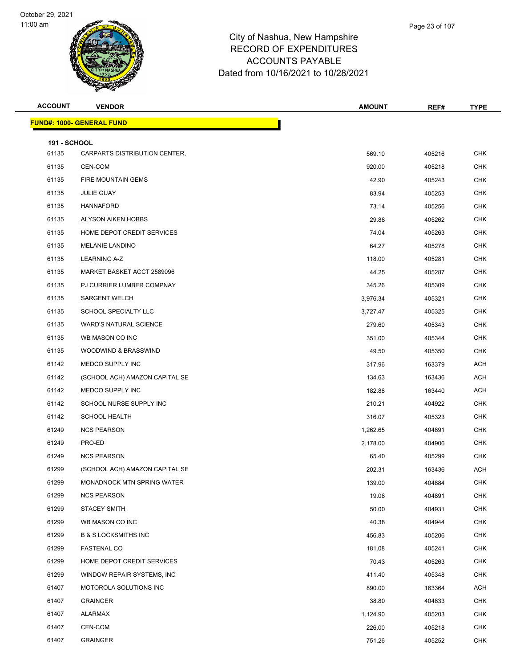

|      | Page 23 of 107 |
|------|----------------|
| hire |                |
| ,-^  |                |

| <b>ACCOUNT</b>               | <b>VENDOR</b>                                 | <b>AMOUNT</b> | REF#   | <b>TYPE</b> |
|------------------------------|-----------------------------------------------|---------------|--------|-------------|
|                              | <b>FUND#: 1000- GENERAL FUND</b>              |               |        |             |
|                              |                                               |               |        |             |
| <b>191 - SCHOOL</b><br>61135 | CARPARTS DISTRIBUTION CENTER,                 | 569.10        | 405216 | <b>CHK</b>  |
| 61135                        | CEN-COM                                       |               |        | <b>CHK</b>  |
|                              |                                               | 920.00        | 405218 | <b>CHK</b>  |
| 61135<br>61135               | FIRE MOUNTAIN GEMS<br><b>JULIE GUAY</b>       | 42.90         | 405243 |             |
|                              |                                               | 83.94         | 405253 | <b>CHK</b>  |
| 61135                        | <b>HANNAFORD</b><br><b>ALYSON AIKEN HOBBS</b> | 73.14         | 405256 | <b>CHK</b>  |
| 61135                        |                                               | 29.88         | 405262 | <b>CHK</b>  |
| 61135                        | HOME DEPOT CREDIT SERVICES                    | 74.04         | 405263 | <b>CHK</b>  |
| 61135                        | <b>MELANIE LANDINO</b>                        | 64.27         | 405278 | <b>CHK</b>  |
| 61135                        | <b>LEARNING A-Z</b>                           | 118.00        | 405281 | <b>CHK</b>  |
| 61135                        | MARKET BASKET ACCT 2589096                    | 44.25         | 405287 | <b>CHK</b>  |
| 61135                        | PJ CURRIER LUMBER COMPNAY                     | 345.26        | 405309 | <b>CHK</b>  |
| 61135                        | <b>SARGENT WELCH</b>                          | 3,976.34      | 405321 | <b>CHK</b>  |
| 61135                        | SCHOOL SPECIALTY LLC                          | 3,727.47      | 405325 | <b>CHK</b>  |
| 61135                        | <b>WARD'S NATURAL SCIENCE</b>                 | 279.60        | 405343 | <b>CHK</b>  |
| 61135                        | WB MASON CO INC                               | 351.00        | 405344 | <b>CHK</b>  |
| 61135                        | <b>WOODWIND &amp; BRASSWIND</b>               | 49.50         | 405350 | <b>CHK</b>  |
| 61142                        | MEDCO SUPPLY INC                              | 317.96        | 163379 | ACH         |
| 61142                        | (SCHOOL ACH) AMAZON CAPITAL SE                | 134.63        | 163436 | <b>ACH</b>  |
| 61142                        | MEDCO SUPPLY INC                              | 182.88        | 163440 | <b>ACH</b>  |
| 61142                        | SCHOOL NURSE SUPPLY INC                       | 210.21        | 404922 | <b>CHK</b>  |
| 61142                        | <b>SCHOOL HEALTH</b>                          | 316.07        | 405323 | <b>CHK</b>  |
| 61249                        | <b>NCS PEARSON</b>                            | 1,262.65      | 404891 | <b>CHK</b>  |
| 61249                        | PRO-ED                                        | 2,178.00      | 404906 | CHK         |
| 61249                        | <b>NCS PEARSON</b>                            | 65.40         | 405299 | <b>CHK</b>  |
| 61299                        | (SCHOOL ACH) AMAZON CAPITAL SE                | 202.31        | 163436 | ACH         |
| 61299                        | MONADNOCK MTN SPRING WATER                    | 139.00        | 404884 | CHK         |
| 61299                        | <b>NCS PEARSON</b>                            | 19.08         | 404891 | <b>CHK</b>  |
| 61299                        | <b>STACEY SMITH</b>                           | 50.00         | 404931 | <b>CHK</b>  |
| 61299                        | WB MASON CO INC                               | 40.38         | 404944 | <b>CHK</b>  |
| 61299                        | <b>B &amp; S LOCKSMITHS INC</b>               | 456.83        | 405206 | <b>CHK</b>  |
| 61299                        | <b>FASTENAL CO</b>                            | 181.08        | 405241 | <b>CHK</b>  |
| 61299                        | HOME DEPOT CREDIT SERVICES                    | 70.43         | 405263 | <b>CHK</b>  |
| 61299                        | WINDOW REPAIR SYSTEMS, INC.                   | 411.40        | 405348 | <b>CHK</b>  |
| 61407                        | MOTOROLA SOLUTIONS INC                        | 890.00        | 163364 | ACH         |
| 61407                        | <b>GRAINGER</b>                               | 38.80         | 404833 | <b>CHK</b>  |
| 61407                        | ALARMAX                                       | 1,124.90      | 405203 | <b>CHK</b>  |
| 61407                        | CEN-COM                                       | 226.00        | 405218 | <b>CHK</b>  |
| 61407                        | <b>GRAINGER</b>                               | 751.26        | 405252 | <b>CHK</b>  |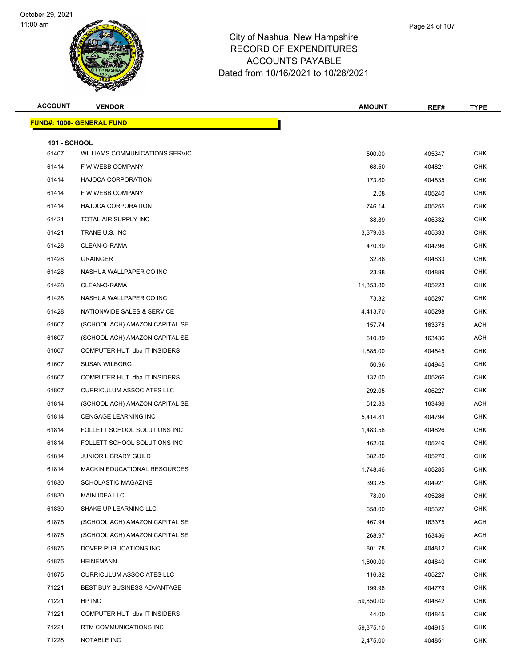

| Page 24 of 107 |
|----------------|
|                |

| <b>ACCOUNT</b> | <b>VENDOR</b>                         | <b>AMOUNT</b> | REF#   | <b>TYPE</b> |
|----------------|---------------------------------------|---------------|--------|-------------|
|                | <b>FUND#: 1000- GENERAL FUND</b>      |               |        |             |
| 191 - SCHOOL   |                                       |               |        |             |
| 61407          | <b>WILLIAMS COMMUNICATIONS SERVIC</b> | 500.00        | 405347 | <b>CHK</b>  |
| 61414          | F W WEBB COMPANY                      | 68.50         | 404821 | <b>CHK</b>  |
| 61414          | <b>HAJOCA CORPORATION</b>             | 173.80        | 404835 | <b>CHK</b>  |
| 61414          | F W WEBB COMPANY                      | 2.08          | 405240 | <b>CHK</b>  |
| 61414          | <b>HAJOCA CORPORATION</b>             | 746.14        | 405255 | <b>CHK</b>  |
| 61421          | TOTAL AIR SUPPLY INC                  | 38.89         | 405332 | <b>CHK</b>  |
| 61421          | TRANE U.S. INC                        | 3,379.63      | 405333 | <b>CHK</b>  |
| 61428          | CLEAN-O-RAMA                          | 470.39        | 404796 | <b>CHK</b>  |
| 61428          | <b>GRAINGER</b>                       | 32.88         | 404833 | <b>CHK</b>  |
| 61428          | NASHUA WALLPAPER CO INC               | 23.98         | 404889 | <b>CHK</b>  |
| 61428          | CLEAN-O-RAMA                          | 11,353.80     | 405223 | <b>CHK</b>  |
| 61428          | NASHUA WALLPAPER CO INC               | 73.32         | 405297 | <b>CHK</b>  |
| 61428          | NATIONWIDE SALES & SERVICE            | 4,413.70      | 405298 | <b>CHK</b>  |
| 61607          | (SCHOOL ACH) AMAZON CAPITAL SE        | 157.74        | 163375 | ACH         |
| 61607          | (SCHOOL ACH) AMAZON CAPITAL SE        | 610.89        | 163436 | ACH         |
| 61607          | COMPUTER HUT dba IT INSIDERS          | 1,885.00      | 404845 | <b>CHK</b>  |
| 61607          | <b>SUSAN WILBORG</b>                  | 50.96         | 404945 | <b>CHK</b>  |
| 61607          | COMPUTER HUT dba IT INSIDERS          | 132.00        | 405266 | <b>CHK</b>  |
| 61807          | <b>CURRICULUM ASSOCIATES LLC</b>      | 292.05        | 405227 | <b>CHK</b>  |
| 61814          | (SCHOOL ACH) AMAZON CAPITAL SE        | 512.83        | 163436 | ACH         |
| 61814          | <b>CENGAGE LEARNING INC</b>           | 5,414.81      | 404794 | <b>CHK</b>  |
| 61814          | FOLLETT SCHOOL SOLUTIONS INC          | 1,483.58      | 404826 | <b>CHK</b>  |
| 61814          | FOLLETT SCHOOL SOLUTIONS INC          | 462.06        | 405246 | <b>CHK</b>  |
| 61814          | <b>JUNIOR LIBRARY GUILD</b>           | 682.80        | 405270 | <b>CHK</b>  |
| 61814          | <b>MACKIN EDUCATIONAL RESOURCES</b>   | 1,748.46      | 405285 | <b>CHK</b>  |
| 61830          | SCHOLASTIC MAGAZINE                   | 393.25        | 404921 | <b>CHK</b>  |
| 61830          | MAIN IDEA LLC                         | 78.00         | 405286 | <b>CHK</b>  |
| 61830          | SHAKE UP LEARNING LLC                 | 658.00        | 405327 | <b>CHK</b>  |
| 61875          | (SCHOOL ACH) AMAZON CAPITAL SE        | 467.94        | 163375 | ACH         |
| 61875          | (SCHOOL ACH) AMAZON CAPITAL SE        | 268.97        | 163436 | ACH         |
| 61875          | DOVER PUBLICATIONS INC                | 801.78        | 404812 | <b>CHK</b>  |
| 61875          | <b>HEINEMANN</b>                      | 1,800.00      | 404840 | <b>CHK</b>  |
| 61875          | <b>CURRICULUM ASSOCIATES LLC</b>      | 116.82        | 405227 | <b>CHK</b>  |
| 71221          | BEST BUY BUSINESS ADVANTAGE           | 199.96        | 404779 | <b>CHK</b>  |
| 71221          | HP INC                                | 59,850.00     | 404842 | <b>CHK</b>  |
| 71221          | COMPUTER HUT dba IT INSIDERS          | 44.00         | 404845 | <b>CHK</b>  |
| 71221          | RTM COMMUNICATIONS INC                | 59,375.10     | 404915 | <b>CHK</b>  |
| 71228          | NOTABLE INC                           | 2,475.00      | 404851 | <b>CHK</b>  |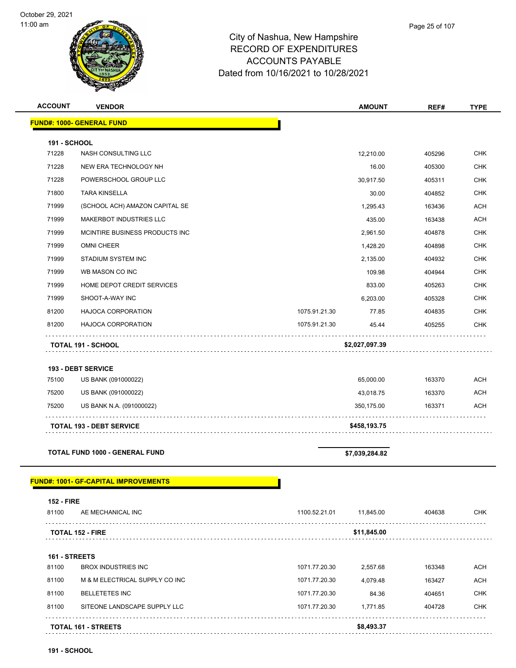

#### City of Nashua, New Hampshire RECORD OF EXPENDITURES ACCOUNTS PAYABLE Dated from 10/16/2021 to 10/28/2021

| <b>ACCOUNT</b>      | <b>VENDOR</b>                         |               | <b>AMOUNT</b>  | REF#   | <b>TYPE</b> |
|---------------------|---------------------------------------|---------------|----------------|--------|-------------|
|                     | <b>FUND#: 1000- GENERAL FUND</b>      |               |                |        |             |
| <b>191 - SCHOOL</b> |                                       |               |                |        |             |
| 71228               | <b>NASH CONSULTING LLC</b>            |               | 12,210.00      | 405296 | <b>CHK</b>  |
| 71228               | NEW ERA TECHNOLOGY NH                 |               | 16.00          | 405300 | <b>CHK</b>  |
| 71228               | POWERSCHOOL GROUP LLC                 |               | 30,917.50      | 405311 | <b>CHK</b>  |
| 71800               | <b>TARA KINSELLA</b>                  |               | 30.00          | 404852 | <b>CHK</b>  |
| 71999               | (SCHOOL ACH) AMAZON CAPITAL SE        |               | 1,295.43       | 163436 | <b>ACH</b>  |
| 71999               | MAKERBOT INDUSTRIES LLC               |               | 435.00         | 163438 | <b>ACH</b>  |
| 71999               | MCINTIRE BUSINESS PRODUCTS INC        |               | 2,961.50       | 404878 | <b>CHK</b>  |
| 71999               | <b>OMNI CHEER</b>                     |               | 1,428.20       | 404898 | <b>CHK</b>  |
| 71999               | STADIUM SYSTEM INC                    |               | 2,135.00       | 404932 | <b>CHK</b>  |
| 71999               | WB MASON CO INC                       |               | 109.98         | 404944 | <b>CHK</b>  |
| 71999               | HOME DEPOT CREDIT SERVICES            |               | 833.00         | 405263 | <b>CHK</b>  |
| 71999               | SHOOT-A-WAY INC                       |               | 6,203.00       | 405328 | <b>CHK</b>  |
| 81200               | <b>HAJOCA CORPORATION</b>             | 1075.91.21.30 | 77.85          | 404835 | <b>CHK</b>  |
| 81200               | <b>HAJOCA CORPORATION</b>             | 1075.91.21.30 | 45.44          | 405255 | <b>CHK</b>  |
|                     | <b>TOTAL 191 - SCHOOL</b>             |               | \$2,027,097.39 |        |             |
|                     | 193 - DEBT SERVICE                    |               |                |        |             |
| 75100               | US BANK (091000022)                   |               | 65,000.00      | 163370 | <b>ACH</b>  |
| 75200               | US BANK (091000022)                   |               | 43,018.75      | 163370 | <b>ACH</b>  |
| 75200               | US BANK N.A. (091000022)              |               | 350,175.00     | 163371 | <b>ACH</b>  |
|                     | <b>TOTAL 193 - DEBT SERVICE</b>       |               | \$458,193.75   |        |             |
|                     | <b>TOTAL FUND 1000 - GENERAL FUND</b> |               | \$7,039,284.82 |        |             |

|               | <b>TOTAL 152 - FIRE</b>        |               | \$11,845.00 |        |            |
|---------------|--------------------------------|---------------|-------------|--------|------------|
| 161 - STREETS |                                |               |             |        |            |
| 81100         | BROX INDUSTRIES INC            | 1071.77.20.30 | 2.557.68    | 163348 | ACH        |
| 81100         | M & M ELECTRICAL SUPPLY CO INC | 1071.77.20.30 | 4.079.48    | 163427 | <b>ACH</b> |
| 81100         | <b>BELLETETES INC</b>          | 1071.77.20.30 | 84.36       | 404651 | <b>CHK</b> |
| 81100         | SITEONE LANDSCAPE SUPPLY LLC   | 1071.77.20.30 | 1.771.85    | 404728 | <b>CHK</b> |
|               | <b>TOTAL 161 - STREETS</b>     |               | \$8,493.37  |        |            |

81100 AE MECHANICAL INC 1100.52.21.01 11,845.00 404638 CHK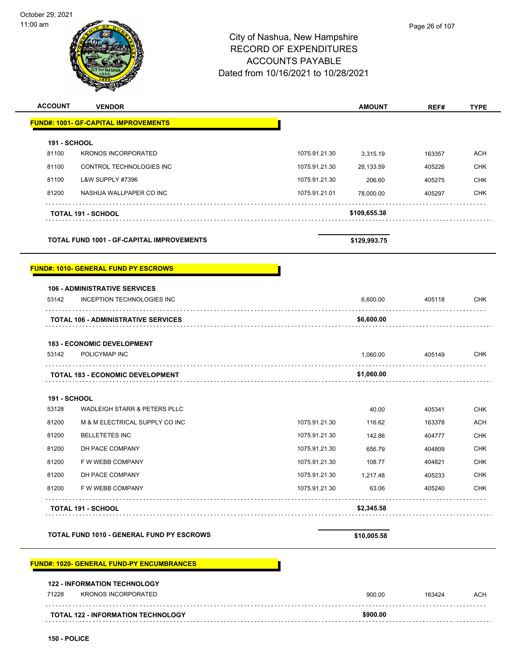|                     |                                                                          | City of Nashua, New Hampshire<br><b>RECORD OF EXPENDITURES</b><br><b>ACCOUNTS PAYABLE</b><br>Dated from 10/16/2021 to 10/28/2021 |                        | Page 26 of 107 |                                                                                                              |
|---------------------|--------------------------------------------------------------------------|----------------------------------------------------------------------------------------------------------------------------------|------------------------|----------------|--------------------------------------------------------------------------------------------------------------|
| <b>ACCOUNT</b>      | <b>VENDOR</b>                                                            |                                                                                                                                  | <b>AMOUNT</b>          | REF#           | <b>TYPE</b>                                                                                                  |
|                     | <b>FUND#: 1001- GF-CAPITAL IMPROVEMENTS</b>                              |                                                                                                                                  |                        |                |                                                                                                              |
| <b>191 - SCHOOL</b> |                                                                          |                                                                                                                                  |                        |                |                                                                                                              |
| 81100               | <b>KRONOS INCORPORATED</b>                                               | 1075.91.21.30                                                                                                                    | 3,315.19               | 163357         | <b>ACH</b>                                                                                                   |
| 81100               | CONTROL TECHNOLOGIES INC                                                 | 1075.91.21.30                                                                                                                    | 28,133.59              | 405226         | CHK                                                                                                          |
| 81100               | L&W SUPPLY #7396                                                         | 1075.91.21.30                                                                                                                    | 206.60                 | 405275         | CHK                                                                                                          |
| 81200               | NASHUA WALLPAPER CO INC                                                  | 1075.91.21.01                                                                                                                    | 78,000.00              | 405297         | CHK                                                                                                          |
|                     | <b>TOTAL 191 - SCHOOL</b>                                                |                                                                                                                                  | \$109,655.38           |                |                                                                                                              |
|                     | <b>TOTAL FUND 1001 - GF-CAPITAL IMPROVEMENTS</b>                         |                                                                                                                                  | \$129,993.75           |                |                                                                                                              |
| 53142               | INCEPTION TECHNOLOGIES INC<br><b>TOTAL 106 - ADMINISTRATIVE SERVICES</b> |                                                                                                                                  | 6,600.00<br>\$6,600.00 | 405118         | <b>CHK</b>                                                                                                   |
|                     | <b>183 - ECONOMIC DEVELOPMENT</b>                                        |                                                                                                                                  |                        |                |                                                                                                              |
|                     |                                                                          |                                                                                                                                  |                        |                |                                                                                                              |
| 53142               | POLICYMAP INC                                                            |                                                                                                                                  | 1,060.00               | 405149         |                                                                                                              |
|                     | <b>TOTAL 183 - ECONOMIC DEVELOPMENT</b>                                  |                                                                                                                                  | \$1,060.00             |                |                                                                                                              |
| 191 - SCHOOL        |                                                                          |                                                                                                                                  |                        |                |                                                                                                              |
| 53128               | <b>WADLEIGH STARR &amp; PETERS PLLC</b>                                  |                                                                                                                                  | 40.00                  | 405341         |                                                                                                              |
| 81200               | M & M ELECTRICAL SUPPLY CO INC                                           | 1075.91.21.30                                                                                                                    | 116.62                 | 163378         |                                                                                                              |
| 81200               | <b>BELLETETES INC</b>                                                    | 1075.91.21.30                                                                                                                    | 142.86                 | 404777         |                                                                                                              |
| 81200               | DH PACE COMPANY                                                          | 1075.91.21.30                                                                                                                    | 656.79                 | 404809         |                                                                                                              |
| 81200               | F W WEBB COMPANY                                                         | 1075.91.21.30                                                                                                                    | 108.77                 | 404821         |                                                                                                              |
| 81200               | DH PACE COMPANY                                                          | 1075.91.21.30                                                                                                                    | 1,217.48               | 405233         |                                                                                                              |
| 81200               | F W WEBB COMPANY                                                         | 1075.91.21.30                                                                                                                    | 63.06                  | 405240         |                                                                                                              |
|                     | <b>TOTAL 191 - SCHOOL</b>                                                |                                                                                                                                  | \$2,345.58             |                | <b>CHK</b><br><b>CHK</b><br><b>ACH</b><br><b>CHK</b><br><b>CHK</b><br><b>CHK</b><br><b>CHK</b><br><b>CHK</b> |

# **FUND#: 1020- GENERAL FUND-PY ENCUMBRANCES**

#### **122 - INFORMATION TECHNOLOGY** The Superintendial State of the State of the State of the State of the State of the State of the State of the State of the State of the State of the State of the State of the State of the State of the State of the State of **TOTAL 122 - INFORMATION TECHNOLOGY \$900.00**

 $\overline{\phantom{a}}$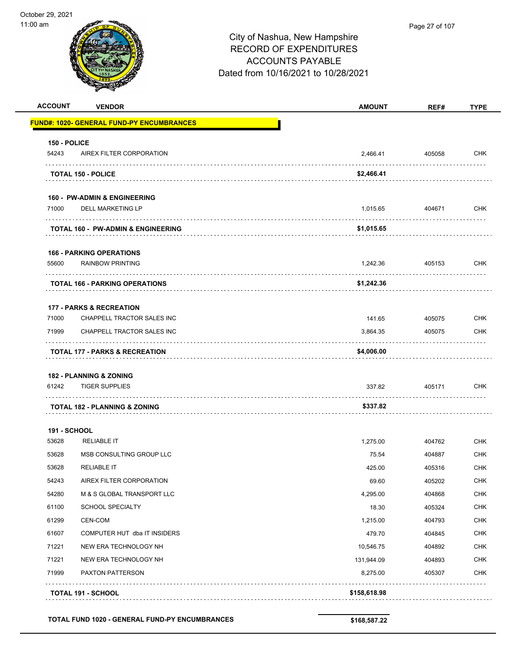|                     | <b>ACCOUNT</b><br><b>VENDOR</b>                   | <b>AMOUNT</b> | REF#   | <b>TYPE</b>                                                                                                                                     |
|---------------------|---------------------------------------------------|---------------|--------|-------------------------------------------------------------------------------------------------------------------------------------------------|
|                     | <u> FUND#: 1020- GENERAL FUND-PY ENCUMBRANCES</u> |               |        |                                                                                                                                                 |
| 150 - POLICE        |                                                   |               |        |                                                                                                                                                 |
| 54243               | AIREX FILTER CORPORATION                          | 2,466.41      | 405058 | CHK                                                                                                                                             |
|                     | <b>TOTAL 150 - POLICE</b>                         | \$2,466.41    |        |                                                                                                                                                 |
|                     | <b>160 - PW-ADMIN &amp; ENGINEERING</b>           |               |        |                                                                                                                                                 |
| 71000               | <b>DELL MARKETING LP</b>                          | 1,015.65      | 404671 | CHK                                                                                                                                             |
|                     | <b>TOTAL 160 - PW-ADMIN &amp; ENGINEERING</b>     | \$1,015.65    |        |                                                                                                                                                 |
|                     | <b>166 - PARKING OPERATIONS</b>                   |               |        |                                                                                                                                                 |
| 55600               | <b>RAINBOW PRINTING</b>                           | 1,242.36      | 405153 | <b>CHK</b>                                                                                                                                      |
|                     | <b>TOTAL 166 - PARKING OPERATIONS</b>             | \$1,242.36    |        |                                                                                                                                                 |
|                     | <b>177 - PARKS &amp; RECREATION</b>               |               |        |                                                                                                                                                 |
| 71000               | CHAPPELL TRACTOR SALES INC                        | 141.65        | 405075 | <b>CHK</b>                                                                                                                                      |
| 71999               | CHAPPELL TRACTOR SALES INC                        | 3,864.35      | 405075 | <b>CHK</b>                                                                                                                                      |
|                     |                                                   |               |        |                                                                                                                                                 |
|                     | <b>TOTAL 177 - PARKS &amp; RECREATION</b>         | \$4,006.00    |        |                                                                                                                                                 |
|                     |                                                   |               |        |                                                                                                                                                 |
| 61242               | <b>182 - PLANNING &amp; ZONING</b>                | 337.82        | 405171 |                                                                                                                                                 |
|                     | <b>TIGER SUPPLIES</b>                             |               |        |                                                                                                                                                 |
|                     | <b>TOTAL 182 - PLANNING &amp; ZONING</b>          | \$337.82      |        |                                                                                                                                                 |
| <b>191 - SCHOOL</b> |                                                   |               |        |                                                                                                                                                 |
| 53628               | <b>RELIABLE IT</b>                                | 1,275.00      | 404762 |                                                                                                                                                 |
| 53628               | MSB CONSULTING GROUP LLC                          | 75.54         | 404887 |                                                                                                                                                 |
| 53628               | <b>RELIABLE IT</b>                                | 425.00        | 405316 |                                                                                                                                                 |
| 54243               | AIREX FILTER CORPORATION                          | 69.60         | 405202 |                                                                                                                                                 |
| 54280               | M & S GLOBAL TRANSPORT LLC                        | 4,295.00      | 404868 |                                                                                                                                                 |
| 61100               | <b>SCHOOL SPECIALTY</b>                           | 18.30         | 405324 |                                                                                                                                                 |
| 61299               | CEN-COM                                           | 1,215.00      | 404793 |                                                                                                                                                 |
| 61607               | COMPUTER HUT dba IT INSIDERS                      | 479.70        | 404845 |                                                                                                                                                 |
| 71221               | NEW ERA TECHNOLOGY NH                             | 10,546.75     | 404892 |                                                                                                                                                 |
| 71221               | NEW ERA TECHNOLOGY NH                             | 131,944.09    | 404893 |                                                                                                                                                 |
| 71999               | PAXTON PATTERSON                                  | 8,275.00      | 405307 | CHK<br><b>CHK</b><br><b>CHK</b><br><b>CHK</b><br>CHK<br><b>CHK</b><br><b>CHK</b><br>CHK<br><b>CHK</b><br><b>CHK</b><br><b>CHK</b><br><b>CHK</b> |

TOTAL FUND 1020 - GENERAL FUND-PY ENCUMBRANCES \$168,587.22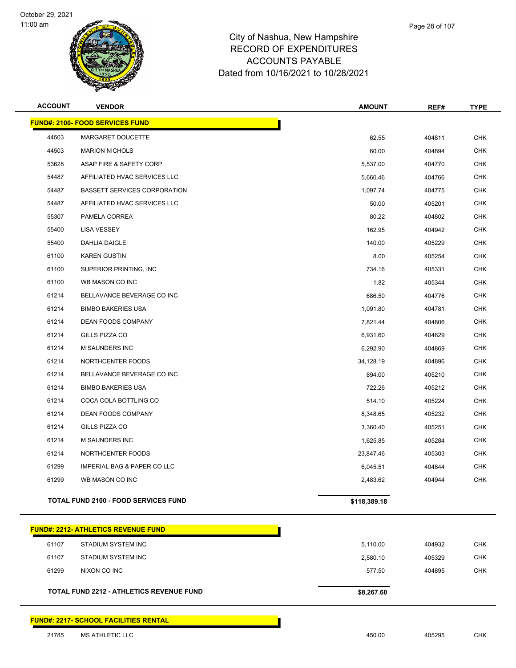



| <b>ACCOUNT</b> | <b>VENDOR</b>                                   | <b>AMOUNT</b> | REF#   | <b>TYPE</b> |
|----------------|-------------------------------------------------|---------------|--------|-------------|
|                | <b>FUND#: 2100- FOOD SERVICES FUND</b>          |               |        |             |
| 44503          | MARGARET DOUCETTE                               | 62.55         | 404811 | CHK         |
| 44503          | <b>MARION NICHOLS</b>                           | 60.00         | 404894 | <b>CHK</b>  |
| 53628          | ASAP FIRE & SAFETY CORP                         | 5,537.00      | 404770 | <b>CHK</b>  |
| 54487          | AFFILIATED HVAC SERVICES LLC                    | 5,660.46      | 404766 | CHK         |
| 54487          | <b>BASSETT SERVICES CORPORATION</b>             | 1,097.74      | 404775 | <b>CHK</b>  |
| 54487          | AFFILIATED HVAC SERVICES LLC                    | 50.00         | 405201 | <b>CHK</b>  |
| 55307          | PAMELA CORREA                                   | 80.22         | 404802 | <b>CHK</b>  |
| 55400          | <b>LISA VESSEY</b>                              | 162.95        | 404942 | <b>CHK</b>  |
| 55400          | DAHLIA DAIGLE                                   | 140.00        | 405229 | <b>CHK</b>  |
| 61100          | <b>KAREN GUSTIN</b>                             | 8.00          | 405254 | <b>CHK</b>  |
| 61100          | SUPERIOR PRINTING, INC.                         | 734.16        | 405331 | <b>CHK</b>  |
| 61100          | WB MASON CO INC                                 | 1.82          | 405344 | <b>CHK</b>  |
| 61214          | BELLAVANCE BEVERAGE CO INC                      | 686.50        | 404776 | <b>CHK</b>  |
| 61214          | <b>BIMBO BAKERIES USA</b>                       | 1,091.80      | 404781 | CHK         |
| 61214          | DEAN FOODS COMPANY                              | 7,821.44      | 404806 | <b>CHK</b>  |
| 61214          | GILLS PIZZA CO                                  | 6,931.60      | 404829 | <b>CHK</b>  |
| 61214          | <b>M SAUNDERS INC</b>                           | 6,292.90      | 404869 | <b>CHK</b>  |
| 61214          | NORTHCENTER FOODS                               | 34,128.19     | 404896 | <b>CHK</b>  |
| 61214          | BELLAVANCE BEVERAGE CO INC                      | 894.00        | 405210 | CHK         |
| 61214          | <b>BIMBO BAKERIES USA</b>                       | 722.26        | 405212 | <b>CHK</b>  |
| 61214          | COCA COLA BOTTLING CO                           | 514.10        | 405224 | <b>CHK</b>  |
| 61214          | <b>DEAN FOODS COMPANY</b>                       | 8,348.65      | 405232 | <b>CHK</b>  |
| 61214          | GILLS PIZZA CO                                  | 3,360.40      | 405251 | <b>CHK</b>  |
| 61214          | <b>M SAUNDERS INC</b>                           | 1,625.85      | 405284 | CHK         |
| 61214          | NORTHCENTER FOODS                               | 23,847.46     | 405303 | <b>CHK</b>  |
| 61299          | <b>IMPERIAL BAG &amp; PAPER CO LLC</b>          | 6,045.51      | 404844 | <b>CHK</b>  |
| 61299          | WB MASON CO INC                                 | 2,483.62      | 404944 | CHK.        |
|                | <b>TOTAL FUND 2100 - FOOD SERVICES FUND</b>     | \$118,389.18  |        |             |
|                | <u> FUND#: 2212- ATHLETICS REVENUE FUND</u>     |               |        |             |
| 61107          | STADIUM SYSTEM INC                              | 5,110.00      | 404932 | <b>CHK</b>  |
| 61107          | <b>STADIUM SYSTEM INC</b>                       | 2,580.10      | 405329 | <b>CHK</b>  |
| 61299          | NIXON CO INC                                    | 577.50        | 404895 | <b>CHK</b>  |
|                | <b>TOTAL FUND 2212 - ATHLETICS REVENUE FUND</b> | \$8,267.60    |        |             |
|                | <b>FUND#: 2217- SCHOOL FACILITIES RENTAL</b>    |               |        |             |
| 21785          | <b>MS ATHLETIC LLC</b>                          | 450.00        | 405295 | <b>CHK</b>  |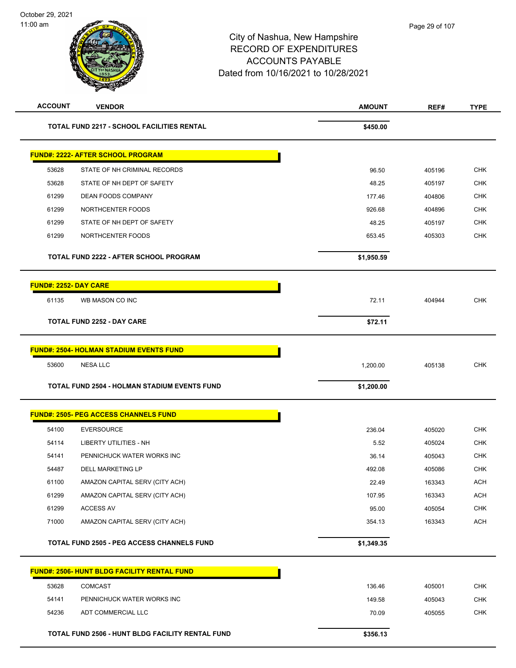| <b>ACCOUNT</b>               | <b>VENDOR</b>                                       | <b>AMOUNT</b> | REF#   | <b>TYPE</b> |
|------------------------------|-----------------------------------------------------|---------------|--------|-------------|
|                              | <b>TOTAL FUND 2217 - SCHOOL FACILITIES RENTAL</b>   | \$450.00      |        |             |
|                              | <b>FUND#: 2222- AFTER SCHOOL PROGRAM</b>            |               |        |             |
| 53628                        | STATE OF NH CRIMINAL RECORDS                        | 96.50         | 405196 | <b>CHK</b>  |
| 53628                        | STATE OF NH DEPT OF SAFETY                          | 48.25         | 405197 | <b>CHK</b>  |
| 61299                        | DEAN FOODS COMPANY                                  | 177.46        | 404806 | <b>CHK</b>  |
| 61299                        | NORTHCENTER FOODS                                   | 926.68        | 404896 | <b>CHK</b>  |
| 61299                        | STATE OF NH DEPT OF SAFETY                          | 48.25         | 405197 | <b>CHK</b>  |
| 61299                        | NORTHCENTER FOODS                                   | 653.45        | 405303 | <b>CHK</b>  |
|                              | <b>TOTAL FUND 2222 - AFTER SCHOOL PROGRAM</b>       | \$1,950.59    |        |             |
| <b>FUND#: 2252- DAY CARE</b> |                                                     |               |        |             |
| 61135                        | WB MASON CO INC                                     | 72.11         | 404944 | <b>CHK</b>  |
|                              | <b>TOTAL FUND 2252 - DAY CARE</b>                   | \$72.11       |        |             |
|                              | <b>FUND#: 2504- HOLMAN STADIUM EVENTS FUND</b>      |               |        |             |
| 53600                        | <b>NESA LLC</b>                                     | 1,200.00      | 405138 | <b>CHK</b>  |
|                              |                                                     |               |        |             |
|                              | <b>TOTAL FUND 2504 - HOLMAN STADIUM EVENTS FUND</b> | \$1,200.00    |        |             |
|                              | <b>FUND#: 2505- PEG ACCESS CHANNELS FUND</b>        |               |        |             |
| 54100                        | <b>EVERSOURCE</b>                                   | 236.04        | 405020 | <b>CHK</b>  |
| 54114                        | <b>LIBERTY UTILITIES - NH</b>                       | 5.52          | 405024 | <b>CHK</b>  |
| 54141                        | PENNICHUCK WATER WORKS INC                          | 36.14         | 405043 | <b>CHK</b>  |
| 54487                        | DELL MARKETING LP                                   | 492.08        | 405086 | <b>CHK</b>  |
| 61100                        | AMAZON CAPITAL SERV (CITY ACH)                      | 22.49         | 163343 | <b>ACH</b>  |
| 61299                        | AMAZON CAPITAL SERV (CITY ACH)                      | 107.95        | 163343 | <b>ACH</b>  |
| 61299                        | ACCESS AV                                           | 95.00         | 405054 | <b>CHK</b>  |
| 71000                        | AMAZON CAPITAL SERV (CITY ACH)                      | 354.13        | 163343 | <b>ACH</b>  |
|                              | <b>TOTAL FUND 2505 - PEG ACCESS CHANNELS FUND</b>   | \$1,349.35    |        |             |
|                              | <u>FUND#: 2506- HUNT BLDG FACILITY RENTAL FUND</u>  |               |        |             |
| 53628                        | <b>COMCAST</b>                                      | 136.46        | 405001 | CHK         |
| 54141                        | PENNICHUCK WATER WORKS INC                          | 149.58        | 405043 | <b>CHK</b>  |
| 54236                        | ADT COMMERCIAL LLC                                  | 70.09         | 405055 | CHK         |
|                              | TOTAL FUND 2506 - HUNT BLDG FACILITY RENTAL FUND    | \$356.13      |        |             |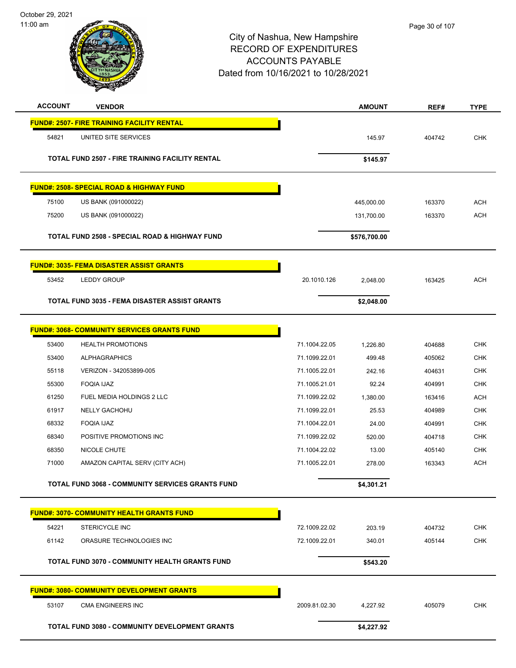**or** son

| <b>ACCOUNT</b> | <b>VENDOR</b>                                            |               | <b>AMOUNT</b> | REF#   | <b>TYPE</b> |
|----------------|----------------------------------------------------------|---------------|---------------|--------|-------------|
|                | <b>FUND#: 2507- FIRE TRAINING FACILITY RENTAL</b>        |               |               |        |             |
| 54821          | UNITED SITE SERVICES                                     |               | 145.97        | 404742 | <b>CHK</b>  |
|                | <b>TOTAL FUND 2507 - FIRE TRAINING FACILITY RENTAL</b>   |               | \$145.97      |        |             |
|                |                                                          |               |               |        |             |
|                | <b>FUND#: 2508- SPECIAL ROAD &amp; HIGHWAY FUND</b>      |               |               |        |             |
| 75100          | US BANK (091000022)                                      |               | 445,000.00    | 163370 | <b>ACH</b>  |
| 75200          | US BANK (091000022)                                      |               | 131,700.00    | 163370 | ACH         |
|                | <b>TOTAL FUND 2508 - SPECIAL ROAD &amp; HIGHWAY FUND</b> |               | \$576,700.00  |        |             |
|                | <b>FUND#: 3035- FEMA DISASTER ASSIST GRANTS</b>          |               |               |        |             |
| 53452          | <b>LEDDY GROUP</b>                                       | 20.1010.126   | 2,048.00      | 163425 | ACH         |
|                | <b>TOTAL FUND 3035 - FEMA DISASTER ASSIST GRANTS</b>     |               | \$2,048.00    |        |             |
|                |                                                          |               |               |        |             |
|                | <b>FUND#: 3068- COMMUNITY SERVICES GRANTS FUND</b>       |               |               |        |             |
| 53400          | <b>HEALTH PROMOTIONS</b>                                 | 71.1004.22.05 | 1,226.80      | 404688 | CHK         |
| 53400          | <b>ALPHAGRAPHICS</b>                                     | 71.1099.22.01 | 499.48        | 405062 | <b>CHK</b>  |
| 55118          | VERIZON - 342053899-005                                  | 71.1005.22.01 | 242.16        | 404631 | <b>CHK</b>  |
| 55300          | <b>FOQIA IJAZ</b>                                        | 71.1005.21.01 | 92.24         | 404991 | <b>CHK</b>  |
| 61250          | FUEL MEDIA HOLDINGS 2 LLC                                | 71.1099.22.02 | 1,380.00      | 163416 | <b>ACH</b>  |
| 61917          | <b>NELLY GACHOHU</b>                                     | 71.1099.22.01 | 25.53         | 404989 | <b>CHK</b>  |
| 68332          | <b>FOQIA IJAZ</b>                                        | 71.1004.22.01 | 24.00         | 404991 | <b>CHK</b>  |
| 68340          | POSITIVE PROMOTIONS INC                                  | 71.1099.22.02 | 520.00        | 404718 | <b>CHK</b>  |
| 68350          | NICOLE CHUTE                                             | 71.1004.22.02 | 13.00         | 405140 | <b>CHK</b>  |
| 71000          | AMAZON CAPITAL SERV (CITY ACH)                           | 71.1005.22.01 | 278.00        | 163343 | ACH         |
|                | TOTAL FUND 3068 - COMMUNITY SERVICES GRANTS FUND         |               | \$4,301.21    |        |             |
|                | <b>FUND#: 3070- COMMUNITY HEALTH GRANTS FUND</b>         |               |               |        |             |
| 54221          | <b>STERICYCLE INC</b>                                    | 72.1009.22.02 | 203.19        | 404732 | <b>CHK</b>  |
| 61142          | ORASURE TECHNOLOGIES INC                                 | 72.1009.22.01 | 340.01        | 405144 | <b>CHK</b>  |
|                | TOTAL FUND 3070 - COMMUNITY HEALTH GRANTS FUND           |               | \$543.20      |        |             |
|                | <b>FUND#: 3080- COMMUNITY DEVELOPMENT GRANTS</b>         |               |               |        |             |
| 53107          | CMA ENGINEERS INC                                        | 2009.81.02.30 | 4,227.92      | 405079 | <b>CHK</b>  |
|                | TOTAL FUND 3080 - COMMUNITY DEVELOPMENT GRANTS           |               | \$4,227.92    |        |             |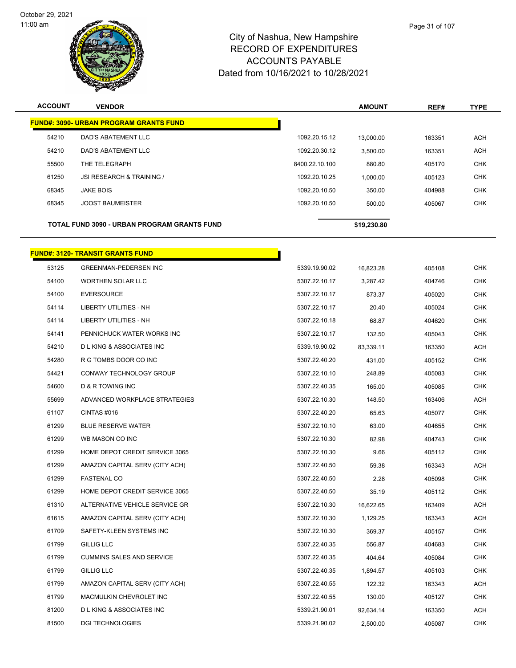

**ACCOUNT VENDOR AMOUNT REF# TYPE**

|       | <b>FUND#: 3090- URBAN PROGRAM GRANTS FUND</b> |                |             |        |            |
|-------|-----------------------------------------------|----------------|-------------|--------|------------|
| 54210 | <b>DAD'S ABATEMENT LLC</b>                    | 1092.20.15.12  | 13,000.00   | 163351 | <b>ACH</b> |
| 54210 | DAD'S ABATEMENT LLC                           | 1092.20.30.12  | 3,500.00    | 163351 | <b>ACH</b> |
| 55500 | THE TELEGRAPH                                 | 8400.22.10.100 | 880.80      | 405170 | <b>CHK</b> |
| 61250 | JSI RESEARCH & TRAINING /                     | 1092.20.10.25  | 1,000.00    | 405123 | <b>CHK</b> |
| 68345 | <b>JAKE BOIS</b>                              | 1092.20.10.50  | 350.00      | 404988 | <b>CHK</b> |
| 68345 | <b>JOOST BAUMEISTER</b>                       | 1092.20.10.50  | 500.00      | 405067 | <b>CHK</b> |
|       | TOTAL FUND 3090 - URBAN PROGRAM GRANTS FUND   |                | \$19,230.80 |        |            |
|       | <b>FUND#: 3120- TRANSIT GRANTS FUND</b>       |                |             |        |            |
| 53125 | <b>GREENMAN-PEDERSEN INC</b>                  | 5339.19.90.02  | 16,823.28   | 405108 | <b>CHK</b> |
| 54100 | <b>WORTHEN SOLAR LLC</b>                      | 5307.22.10.17  | 3,287.42    | 404746 | <b>CHK</b> |
| 54100 | <b>EVERSOURCE</b>                             | 5307.22.10.17  | 873.37      | 405020 | <b>CHK</b> |
| 54114 | LIBERTY UTILITIES - NH                        | 5307.22.10.17  | 20.40       | 405024 | <b>CHK</b> |
| 54114 | <b>LIBERTY UTILITIES - NH</b>                 | 5307.22.10.18  | 68.87       | 404620 | <b>CHK</b> |
| 54141 | PENNICHUCK WATER WORKS INC                    | 5307.22.10.17  | 132.50      | 405043 | <b>CHK</b> |
| 54210 | <b>DLKING &amp; ASSOCIATES INC</b>            | 5339.19.90.02  | 83,339.11   | 163350 | <b>ACH</b> |
| 54280 | R G TOMBS DOOR CO INC                         | 5307.22.40.20  | 431.00      | 405152 | <b>CHK</b> |
| 54421 | CONWAY TECHNOLOGY GROUP                       | 5307.22.10.10  | 248.89      | 405083 | <b>CHK</b> |
| 54600 | D & R TOWING INC                              | 5307.22.40.35  | 165.00      | 405085 | <b>CHK</b> |
| 55699 | ADVANCED WORKPLACE STRATEGIES                 | 5307.22.10.30  | 148.50      | 163406 | <b>ACH</b> |
| 61107 | CINTAS#016                                    | 5307.22.40.20  | 65.63       | 405077 | <b>CHK</b> |
| 61299 | <b>BLUE RESERVE WATER</b>                     | 5307.22.10.10  | 63.00       | 404655 | <b>CHK</b> |
| 61299 | WB MASON CO INC                               | 5307.22.10.30  | 82.98       | 404743 | <b>CHK</b> |
| 61299 | HOME DEPOT CREDIT SERVICE 3065                | 5307.22.10.30  | 9.66        | 405112 | <b>CHK</b> |
| 61299 | AMAZON CAPITAL SERV (CITY ACH)                | 5307.22.40.50  | 59.38       | 163343 | <b>ACH</b> |
| 61299 | <b>FASTENAL CO</b>                            | 5307.22.40.50  | 2.28        | 405098 | <b>CHK</b> |
| 61299 | HOME DEPOT CREDIT SERVICE 3065                | 5307.22.40.50  | 35.19       | 405112 | CHK        |
| 61310 | ALTERNATIVE VEHICLE SERVICE GR                | 5307.22.10.30  | 16,622.65   | 163409 | ACH        |
| 61615 | AMAZON CAPITAL SERV (CITY ACH)                | 5307.22.10.30  | 1,129.25    | 163343 | <b>ACH</b> |
| 61709 | SAFETY-KLEEN SYSTEMS INC                      | 5307.22.10.30  | 369.37      | 405157 | <b>CHK</b> |
| 61799 | <b>GILLIG LLC</b>                             | 5307.22.40.35  | 556.87      | 404683 | <b>CHK</b> |
| 61799 | <b>CUMMINS SALES AND SERVICE</b>              | 5307.22.40.35  | 404.64      | 405084 | <b>CHK</b> |
| 61799 | <b>GILLIG LLC</b>                             | 5307.22.40.35  | 1,894.57    | 405103 | <b>CHK</b> |
| 61799 | AMAZON CAPITAL SERV (CITY ACH)                | 5307.22.40.55  | 122.32      | 163343 | <b>ACH</b> |
| 61799 | MACMULKIN CHEVROLET INC                       | 5307.22.40.55  | 130.00      | 405127 | <b>CHK</b> |
| 81200 | <b>DLKING &amp; ASSOCIATES INC</b>            | 5339.21.90.01  | 92,634.14   | 163350 | <b>ACH</b> |
| 81500 | <b>DGI TECHNOLOGIES</b>                       | 5339.21.90.02  | 2,500.00    | 405087 | <b>CHK</b> |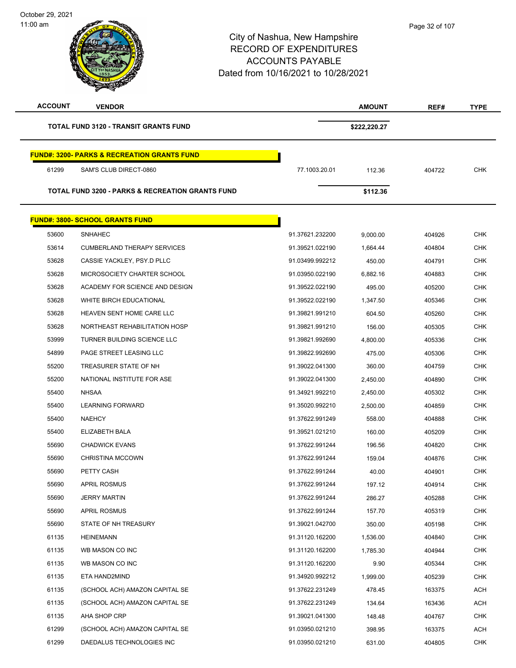October 29, 2021 11:00 am

 $\overline{a}$ 

| <b>ACCOUNT</b> | <b>VENDOR</b>                                               |                 | <b>AMOUNT</b> | REF#   | <b>TYPE</b> |
|----------------|-------------------------------------------------------------|-----------------|---------------|--------|-------------|
|                | <b>TOTAL FUND 3120 - TRANSIT GRANTS FUND</b>                |                 | \$222,220.27  |        |             |
|                | <b>FUND#: 3200- PARKS &amp; RECREATION GRANTS FUND</b>      |                 |               |        |             |
| 61299          | SAM'S CLUB DIRECT-0860                                      | 77.1003.20.01   | 112.36        | 404722 | <b>CHK</b>  |
|                | <b>TOTAL FUND 3200 - PARKS &amp; RECREATION GRANTS FUND</b> |                 | \$112.36      |        |             |
|                | <b>FUND#: 3800- SCHOOL GRANTS FUND</b>                      |                 |               |        |             |
| 53600          | <b>SNHAHEC</b>                                              | 91.37621.232200 | 9,000.00      | 404926 | <b>CHK</b>  |
| 53614          | <b>CUMBERLAND THERAPY SERVICES</b>                          | 91.39521.022190 | 1,664.44      | 404804 | <b>CHK</b>  |
| 53628          | CASSIE YACKLEY, PSY.D PLLC                                  | 91.03499.992212 | 450.00        | 404791 | <b>CHK</b>  |
| 53628          | MICROSOCIETY CHARTER SCHOOL                                 | 91.03950.022190 | 6,882.16      | 404883 | <b>CHK</b>  |
| 53628          | ACADEMY FOR SCIENCE AND DESIGN                              | 91.39522.022190 | 495.00        | 405200 | <b>CHK</b>  |
| 53628          | WHITE BIRCH EDUCATIONAL                                     | 91.39522.022190 | 1,347.50      | 405346 | <b>CHK</b>  |
| 53628          | HEAVEN SENT HOME CARE LLC                                   | 91.39821.991210 | 604.50        | 405260 | CHK         |
| 53628          | NORTHEAST REHABILITATION HOSP                               | 91.39821.991210 | 156.00        | 405305 | <b>CHK</b>  |
| 53999          | TURNER BUILDING SCIENCE LLC                                 | 91.39821.992690 | 4,800.00      | 405336 | <b>CHK</b>  |
| 54899          | PAGE STREET LEASING LLC                                     | 91.39822.992690 | 475.00        | 405306 | <b>CHK</b>  |
| 55200          | TREASURER STATE OF NH                                       | 91.39022.041300 | 360.00        | 404759 | <b>CHK</b>  |
| 55200          | NATIONAL INSTITUTE FOR ASE                                  | 91.39022.041300 | 2,450.00      | 404890 | <b>CHK</b>  |
| 55400          | <b>NHSAA</b>                                                | 91.34921.992210 | 2,450.00      | 405302 | <b>CHK</b>  |
| 55400          | <b>LEARNING FORWARD</b>                                     | 91.35020.992210 | 2,500.00      | 404859 | <b>CHK</b>  |
| 55400          | <b>NAEHCY</b>                                               | 91.37622.991249 | 558.00        | 404888 | <b>CHK</b>  |
| 55400          | ELIZABETH BALA                                              | 91.39521.021210 | 160.00        | 405209 | <b>CHK</b>  |
| 55690          | <b>CHADWICK EVANS</b>                                       | 91.37622.991244 | 196.56        | 404820 | <b>CHK</b>  |
| 55690          | <b>CHRISTINA MCCOWN</b>                                     | 91.37622.991244 | 159.04        | 404876 | <b>CHK</b>  |
| 55690          | PETTY CASH                                                  | 91.37622.991244 | 40.00         | 404901 | <b>CHK</b>  |
| 55690          | <b>APRIL ROSMUS</b>                                         | 91.37622.991244 | 197.12        | 404914 | <b>CHK</b>  |
| 55690          | <b>JERRY MARTIN</b>                                         | 91.37622.991244 | 286.27        | 405288 | <b>CHK</b>  |
| 55690          | <b>APRIL ROSMUS</b>                                         | 91.37622.991244 | 157.70        | 405319 | <b>CHK</b>  |
| 55690          | STATE OF NH TREASURY                                        | 91.39021.042700 | 350.00        | 405198 | <b>CHK</b>  |
| 61135          | <b>HEINEMANN</b>                                            | 91.31120.162200 | 1,536.00      | 404840 | <b>CHK</b>  |
| 61135          | WB MASON CO INC                                             | 91.31120.162200 | 1,785.30      | 404944 | <b>CHK</b>  |
| 61135          | WB MASON CO INC                                             | 91.31120.162200 | 9.90          | 405344 | <b>CHK</b>  |
| 61135          | ETA HAND2MIND                                               | 91.34920.992212 | 1,999.00      | 405239 | <b>CHK</b>  |
| 61135          | (SCHOOL ACH) AMAZON CAPITAL SE                              | 91.37622.231249 | 478.45        | 163375 | <b>ACH</b>  |
| 61135          | (SCHOOL ACH) AMAZON CAPITAL SE                              | 91.37622.231249 | 134.64        | 163436 | <b>ACH</b>  |
| 61135          | AHA SHOP CRP                                                | 91.39021.041300 | 148.48        | 404767 | <b>CHK</b>  |
| 61299          | (SCHOOL ACH) AMAZON CAPITAL SE                              | 91.03950.021210 | 398.95        | 163375 | <b>ACH</b>  |
| 61299          | DAEDALUS TECHNOLOGIES INC                                   | 91.03950.021210 | 631.00        | 404805 | <b>CHK</b>  |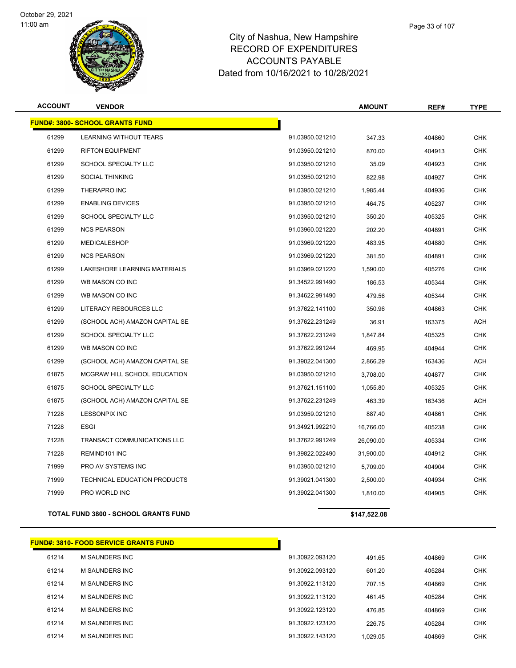



| <b>ACCOUNT</b> | <b>VENDOR</b>                          |                 | <b>AMOUNT</b> | REF#   | <b>TYPE</b> |
|----------------|----------------------------------------|-----------------|---------------|--------|-------------|
|                | <b>FUND#: 3800- SCHOOL GRANTS FUND</b> |                 |               |        |             |
| 61299          | <b>LEARNING WITHOUT TEARS</b>          | 91.03950.021210 | 347.33        | 404860 | <b>CHK</b>  |
| 61299          | <b>RIFTON EQUIPMENT</b>                | 91.03950.021210 | 870.00        | 404913 | <b>CHK</b>  |
| 61299          | <b>SCHOOL SPECIALTY LLC</b>            | 91.03950.021210 | 35.09         | 404923 | <b>CHK</b>  |
| 61299          | <b>SOCIAL THINKING</b>                 | 91.03950.021210 | 822.98        | 404927 | <b>CHK</b>  |
| 61299          | THERAPRO INC                           | 91.03950.021210 | 1,985.44      | 404936 | <b>CHK</b>  |
| 61299          | <b>ENABLING DEVICES</b>                | 91.03950.021210 | 464.75        | 405237 | CHK         |
| 61299          | SCHOOL SPECIALTY LLC                   | 91.03950.021210 | 350.20        | 405325 | <b>CHK</b>  |
| 61299          | <b>NCS PEARSON</b>                     | 91.03960.021220 | 202.20        | 404891 | <b>CHK</b>  |
| 61299          | MEDICALESHOP                           | 91.03969.021220 | 483.95        | 404880 | <b>CHK</b>  |
| 61299          | <b>NCS PEARSON</b>                     | 91.03969.021220 | 381.50        | 404891 | <b>CHK</b>  |
| 61299          | LAKESHORE LEARNING MATERIALS           | 91.03969.021220 | 1,590.00      | 405276 | <b>CHK</b>  |
| 61299          | WB MASON CO INC                        | 91.34522.991490 | 186.53        | 405344 | <b>CHK</b>  |
| 61299          | WB MASON CO INC                        | 91.34622.991490 | 479.56        | 405344 | <b>CHK</b>  |
| 61299          | LITERACY RESOURCES LLC                 | 91.37622.141100 | 350.96        | 404863 | <b>CHK</b>  |
| 61299          | (SCHOOL ACH) AMAZON CAPITAL SE         | 91.37622.231249 | 36.91         | 163375 | <b>ACH</b>  |
| 61299          | SCHOOL SPECIALTY LLC                   | 91.37622.231249 | 1,847.84      | 405325 | <b>CHK</b>  |
| 61299          | WB MASON CO INC                        | 91.37622.991244 | 469.95        | 404944 | <b>CHK</b>  |
| 61299          | (SCHOOL ACH) AMAZON CAPITAL SE         | 91.39022.041300 | 2,866.29      | 163436 | <b>ACH</b>  |
| 61875          | MCGRAW HILL SCHOOL EDUCATION           | 91.03950.021210 | 3,708.00      | 404877 | <b>CHK</b>  |
| 61875          | SCHOOL SPECIALTY LLC                   | 91.37621.151100 | 1,055.80      | 405325 | <b>CHK</b>  |
| 61875          | (SCHOOL ACH) AMAZON CAPITAL SE         | 91.37622.231249 | 463.39        | 163436 | ACH         |
| 71228          | <b>LESSONPIX INC</b>                   | 91.03959.021210 | 887.40        | 404861 | <b>CHK</b>  |
| 71228          | <b>ESGI</b>                            | 91.34921.992210 | 16,766.00     | 405238 | <b>CHK</b>  |
| 71228          | TRANSACT COMMUNICATIONS LLC            | 91.37622.991249 | 26,090.00     | 405334 | <b>CHK</b>  |
| 71228          | REMIND101 INC                          | 91.39822.022490 | 31,900.00     | 404912 | <b>CHK</b>  |
| 71999          | PRO AV SYSTEMS INC                     | 91.03950.021210 | 5,709.00      | 404904 | <b>CHK</b>  |
| 71999          | TECHNICAL EDUCATION PRODUCTS           | 91.39021.041300 | 2,500.00      | 404934 | <b>CHK</b>  |
| 71999          | PRO WORLD INC                          | 91.39022.041300 | 1,810.00      | 404905 | <b>CHK</b>  |
|                |                                        |                 |               |        |             |

**TOTAL FUND 3800 - SCHOOL GRANTS FUND \$147,522.08** 

**FUND#: 3810- FOOD SERVICE GRANTS FUND** M SAUNDERS INC 91.30922.093120 491.65 404869 CHK M SAUNDERS INC 91.30922.093120 601.20 405284 CHK M SAUNDERS INC 91.30922.113120 707.15 404869 CHK M SAUNDERS INC 91.30922.113120 461.45 405284 CHK M SAUNDERS INC 91.30922.123120 476.85 404869 CHK M SAUNDERS INC 91.30922.123120 226.75 405284 CHK M SAUNDERS INC 91.30922.143120 1,029.05 404869 CHK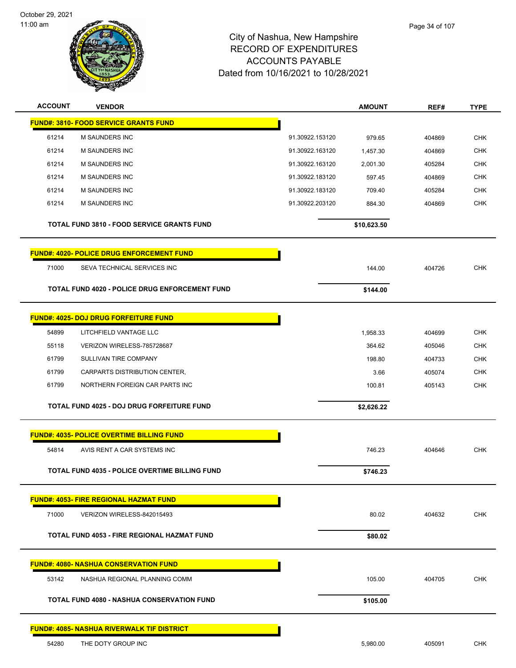



| <b>ACCOUNT</b> | <b>VENDOR</b>                                         |                 | <b>AMOUNT</b> | REF#   | <b>TYPE</b> |
|----------------|-------------------------------------------------------|-----------------|---------------|--------|-------------|
|                | <b>FUND#: 3810- FOOD SERVICE GRANTS FUND</b>          |                 |               |        |             |
| 61214          | <b>M SAUNDERS INC</b>                                 | 91.30922.153120 | 979.65        | 404869 | <b>CHK</b>  |
| 61214          | M SAUNDERS INC                                        | 91.30922.163120 | 1,457.30      | 404869 | <b>CHK</b>  |
| 61214          | <b>M SAUNDERS INC</b>                                 | 91.30922.163120 | 2,001.30      | 405284 | <b>CHK</b>  |
| 61214          | <b>M SAUNDERS INC</b>                                 | 91.30922.183120 | 597.45        | 404869 | <b>CHK</b>  |
| 61214          | <b>M SAUNDERS INC</b>                                 | 91.30922.183120 | 709.40        | 405284 | <b>CHK</b>  |
| 61214          | M SAUNDERS INC                                        | 91.30922.203120 | 884.30        | 404869 | <b>CHK</b>  |
|                | <b>TOTAL FUND 3810 - FOOD SERVICE GRANTS FUND</b>     |                 | \$10,623.50   |        |             |
|                | <b>FUND#: 4020- POLICE DRUG ENFORCEMENT FUND</b>      |                 |               |        |             |
| 71000          | SEVA TECHNICAL SERVICES INC                           |                 | 144.00        | 404726 | <b>CHK</b>  |
|                | TOTAL FUND 4020 - POLICE DRUG ENFORCEMENT FUND        |                 | \$144.00      |        |             |
|                | <b>FUND#: 4025- DOJ DRUG FORFEITURE FUND</b>          |                 |               |        |             |
| 54899          | LITCHFIELD VANTAGE LLC                                |                 | 1,958.33      | 404699 | <b>CHK</b>  |
| 55118          | VERIZON WIRELESS-785728687                            |                 | 364.62        | 405046 | <b>CHK</b>  |
| 61799          | SULLIVAN TIRE COMPANY                                 |                 | 198.80        | 404733 | CHK         |
| 61799          | CARPARTS DISTRIBUTION CENTER,                         |                 | 3.66          | 405074 | <b>CHK</b>  |
| 61799          | NORTHERN FOREIGN CAR PARTS INC                        |                 | 100.81        | 405143 | <b>CHK</b>  |
|                | <b>TOTAL FUND 4025 - DOJ DRUG FORFEITURE FUND</b>     |                 | \$2,626.22    |        |             |
|                | <b>FUND#: 4035- POLICE OVERTIME BILLING FUND</b>      |                 |               |        |             |
| 54814          | AVIS RENT A CAR SYSTEMS INC                           |                 | 746.23        | 404646 | <b>CHK</b>  |
|                | <b>TOTAL FUND 4035 - POLICE OVERTIME BILLING FUND</b> |                 | \$746.23      |        |             |
|                | <b>FUND#: 4053- FIRE REGIONAL HAZMAT FUND</b>         |                 |               |        |             |
| 71000          | VERIZON WIRELESS-842015493                            |                 | 80.02         | 404632 | <b>CHK</b>  |
|                | <b>TOTAL FUND 4053 - FIRE REGIONAL HAZMAT FUND</b>    |                 | \$80.02       |        |             |
|                | <b>FUND#: 4080- NASHUA CONSERVATION FUND</b>          |                 |               |        |             |
| 53142          | NASHUA REGIONAL PLANNING COMM                         |                 | 105.00        | 404705 | <b>CHK</b>  |
|                | <b>TOTAL FUND 4080 - NASHUA CONSERVATION FUND</b>     |                 | \$105.00      |        |             |
|                | <b>FUND#: 4085- NASHUA RIVERWALK TIF DISTRICT</b>     |                 |               |        |             |
| 54280          | THE DOTY GROUP INC                                    |                 | 5,980.00      | 405091 | <b>CHK</b>  |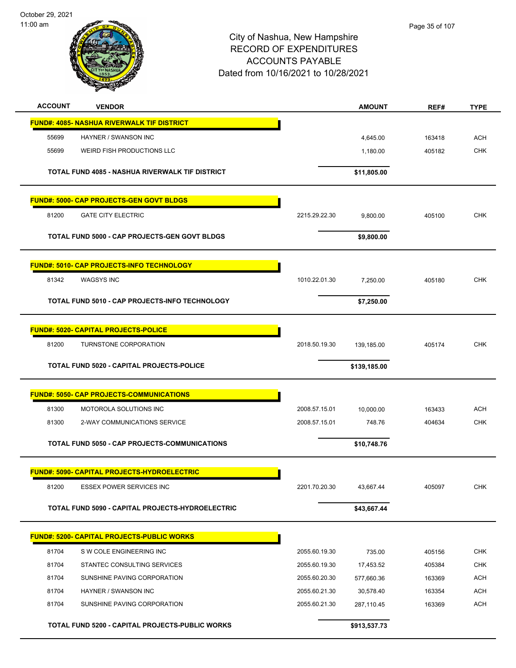October 29, 2021 11:00 am



| <b>ACCOUNT</b> | <b>VENDOR</b>                                      |               | <b>AMOUNT</b> | REF#   | <b>TYPE</b> |
|----------------|----------------------------------------------------|---------------|---------------|--------|-------------|
|                | <b>FUND#: 4085- NASHUA RIVERWALK TIF DISTRICT</b>  |               |               |        |             |
| 55699          | HAYNER / SWANSON INC                               |               | 4,645.00      | 163418 | ACH         |
| 55699          | WEIRD FISH PRODUCTIONS LLC                         |               | 1,180.00      | 405182 | <b>CHK</b>  |
|                |                                                    |               |               |        |             |
|                | TOTAL FUND 4085 - NASHUA RIVERWALK TIF DISTRICT    |               | \$11,805.00   |        |             |
|                | <b>FUND#: 5000- CAP PROJECTS-GEN GOVT BLDGS</b>    |               |               |        |             |
| 81200          | <b>GATE CITY ELECTRIC</b>                          | 2215.29.22.30 | 9,800.00      | 405100 | <b>CHK</b>  |
|                | TOTAL FUND 5000 - CAP PROJECTS-GEN GOVT BLDGS      |               | \$9,800.00    |        |             |
|                | <b>FUND#: 5010- CAP PROJECTS-INFO TECHNOLOGY</b>   |               |               |        |             |
| 81342          | <b>WAGSYS INC</b>                                  | 1010.22.01.30 | 7,250.00      | 405180 | <b>CHK</b>  |
|                | TOTAL FUND 5010 - CAP PROJECTS-INFO TECHNOLOGY     |               | \$7,250.00    |        |             |
|                | <b>FUND#: 5020- CAPITAL PROJECTS-POLICE</b>        |               |               |        |             |
| 81200          | TURNSTONE CORPORATION                              | 2018.50.19.30 | 139,185.00    | 405174 | <b>CHK</b>  |
|                |                                                    |               |               |        |             |
|                | TOTAL FUND 5020 - CAPITAL PROJECTS-POLICE          |               | \$139,185.00  |        |             |
|                | <b>FUND#: 5050- CAP PROJECTS-COMMUNICATIONS</b>    |               |               |        |             |
| 81300          | MOTOROLA SOLUTIONS INC                             | 2008.57.15.01 | 10,000.00     | 163433 | <b>ACH</b>  |
| 81300          | 2-WAY COMMUNICATIONS SERVICE                       | 2008.57.15.01 | 748.76        | 404634 | <b>CHK</b>  |
|                | TOTAL FUND 5050 - CAP PROJECTS-COMMUNICATIONS      |               | \$10,748.76   |        |             |
|                |                                                    |               |               |        |             |
|                | <b>FUND#: 5090- CAPITAL PROJECTS-HYDROELECTRIC</b> |               |               |        |             |
| 81200          | <b>ESSEX POWER SERVICES INC</b>                    | 2201.70.20.30 | 43,667.44     | 405097 | <b>CHK</b>  |
|                | TOTAL FUND 5090 - CAPITAL PROJECTS-HYDROELECTRIC   |               | \$43,667.44   |        |             |
|                | <b>FUND#: 5200- CAPITAL PROJECTS-PUBLIC WORKS</b>  |               |               |        |             |
| 81704          | S W COLE ENGINEERING INC                           | 2055.60.19.30 | 735.00        | 405156 | <b>CHK</b>  |
| 81704          | STANTEC CONSULTING SERVICES                        | 2055.60.19.30 | 17,453.52     | 405384 | CHK         |
| 81704          | SUNSHINE PAVING CORPORATION                        | 2055.60.20.30 | 577,660.36    | 163369 | <b>ACH</b>  |
| 81704          | HAYNER / SWANSON INC                               | 2055.60.21.30 | 30,578.40     | 163354 | <b>ACH</b>  |
| 81704          | SUNSHINE PAVING CORPORATION                        | 2055.60.21.30 | 287,110.45    | 163369 | <b>ACH</b>  |
|                | TOTAL FUND 5200 - CAPITAL PROJECTS-PUBLIC WORKS    |               | \$913,537.73  |        |             |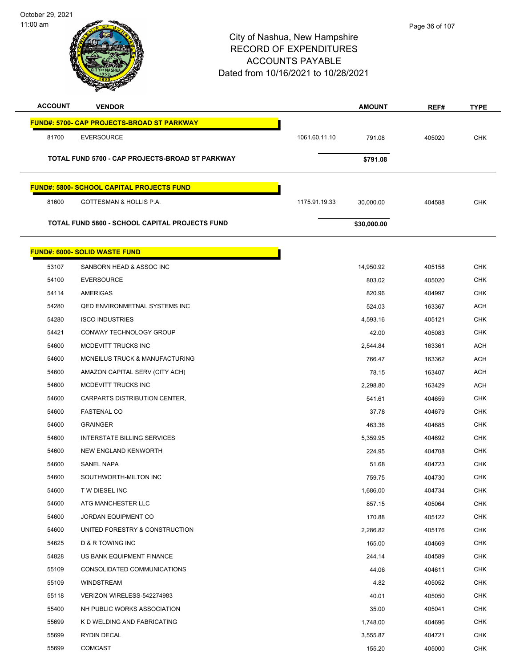

| <b>ACCOUNT</b> | <b>VENDOR</b>                                         |               | <b>AMOUNT</b> | REF#   | <b>TYPE</b> |
|----------------|-------------------------------------------------------|---------------|---------------|--------|-------------|
|                | <b>FUND#: 5700- CAP PROJECTS-BROAD ST PARKWAY</b>     |               |               |        |             |
| 81700          | <b>EVERSOURCE</b>                                     | 1061.60.11.10 | 791.08        | 405020 | <b>CHK</b>  |
|                | TOTAL FUND 5700 - CAP PROJECTS-BROAD ST PARKWAY       |               | \$791.08      |        |             |
|                |                                                       |               |               |        |             |
|                | <b>FUND#: 5800- SCHOOL CAPITAL PROJECTS FUND</b>      |               |               |        |             |
| 81600          | GOTTESMAN & HOLLIS P.A.                               | 1175.91.19.33 | 30,000.00     | 404588 | <b>CHK</b>  |
|                | <b>TOTAL FUND 5800 - SCHOOL CAPITAL PROJECTS FUND</b> |               | \$30,000.00   |        |             |
|                |                                                       |               |               |        |             |
|                | <b>FUND#: 6000- SOLID WASTE FUND</b>                  |               |               |        |             |
| 53107          | SANBORN HEAD & ASSOC INC                              |               | 14,950.92     | 405158 | <b>CHK</b>  |
| 54100          | <b>EVERSOURCE</b>                                     |               | 803.02        | 405020 | <b>CHK</b>  |
| 54114          | AMERIGAS                                              |               | 820.96        | 404997 | <b>CHK</b>  |
| 54280          | <b>QED ENVIRONMETNAL SYSTEMS INC</b>                  |               | 524.03        | 163367 | <b>ACH</b>  |
| 54280          | <b>ISCO INDUSTRIES</b>                                |               | 4,593.16      | 405121 | <b>CHK</b>  |
| 54421          | CONWAY TECHNOLOGY GROUP                               |               | 42.00         | 405083 | <b>CHK</b>  |
| 54600          | MCDEVITT TRUCKS INC                                   |               | 2,544.84      | 163361 | <b>ACH</b>  |
| 54600          | MCNEILUS TRUCK & MANUFACTURING                        |               | 766.47        | 163362 | <b>ACH</b>  |
| 54600          | AMAZON CAPITAL SERV (CITY ACH)                        |               | 78.15         | 163407 | <b>ACH</b>  |
| 54600          | MCDEVITT TRUCKS INC                                   |               | 2,298.80      | 163429 | <b>ACH</b>  |
| 54600          | CARPARTS DISTRIBUTION CENTER,                         |               | 541.61        | 404659 | <b>CHK</b>  |
| 54600          | <b>FASTENAL CO</b>                                    |               | 37.78         | 404679 | <b>CHK</b>  |
| 54600          | <b>GRAINGER</b>                                       |               | 463.36        | 404685 | <b>CHK</b>  |
| 54600          | <b>INTERSTATE BILLING SERVICES</b>                    |               | 5,359.95      | 404692 | <b>CHK</b>  |
| 54600          | NEW ENGLAND KENWORTH                                  |               | 224.95        | 404708 | CHK         |
| 54600          | <b>SANEL NAPA</b>                                     |               | 51.68         | 404723 | <b>CHK</b>  |
| 54600          | SOUTHWORTH-MILTON INC                                 |               | 759.75        | 404730 | <b>CHK</b>  |
| 54600          | T W DIESEL INC                                        |               | 1,686.00      | 404734 | <b>CHK</b>  |
| 54600          | ATG MANCHESTER LLC                                    |               | 857.15        | 405064 | <b>CHK</b>  |
| 54600          | JORDAN EQUIPMENT CO                                   |               | 170.88        | 405122 | <b>CHK</b>  |
| 54600          | UNITED FORESTRY & CONSTRUCTION                        |               | 2,286.82      | 405176 | <b>CHK</b>  |
| 54625          | D & R TOWING INC                                      |               | 165.00        | 404669 | <b>CHK</b>  |
| 54828          | US BANK EQUIPMENT FINANCE                             |               | 244.14        | 404589 | <b>CHK</b>  |
| 55109          | CONSOLIDATED COMMUNICATIONS                           |               | 44.06         | 404611 | <b>CHK</b>  |
| 55109          | <b>WINDSTREAM</b>                                     |               | 4.82          | 405052 | CHK         |
| 55118          | VERIZON WIRELESS-542274983                            |               | 40.01         | 405050 | <b>CHK</b>  |
| 55400          | NH PUBLIC WORKS ASSOCIATION                           |               | 35.00         | 405041 | <b>CHK</b>  |
| 55699          | K D WELDING AND FABRICATING                           |               | 1,748.00      | 404696 | CHK         |
| 55699          | RYDIN DECAL                                           |               | 3,555.87      | 404721 | <b>CHK</b>  |
| 55699          | <b>COMCAST</b>                                        |               | 155.20        | 405000 | <b>CHK</b>  |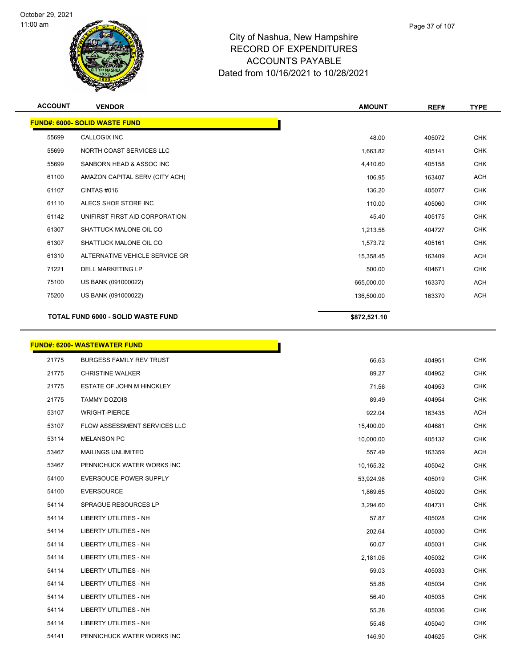



| <b>ACCOUNT</b> | <b>VENDOR</b>                             | <b>AMOUNT</b> | REF#   | <b>TYPE</b> |
|----------------|-------------------------------------------|---------------|--------|-------------|
|                | <b>FUND#: 6000- SOLID WASTE FUND</b>      |               |        |             |
| 55699          | CALLOGIX INC                              | 48.00         | 405072 | <b>CHK</b>  |
| 55699          | NORTH COAST SERVICES LLC                  | 1,663.82      | 405141 | <b>CHK</b>  |
| 55699          | SANBORN HEAD & ASSOC INC                  | 4,410.60      | 405158 | <b>CHK</b>  |
| 61100          | AMAZON CAPITAL SERV (CITY ACH)            | 106.95        | 163407 | <b>ACH</b>  |
| 61107          | CINTAS #016                               | 136.20        | 405077 | <b>CHK</b>  |
| 61110          | ALECS SHOE STORE INC                      | 110.00        | 405060 | CHK         |
| 61142          | UNIFIRST FIRST AID CORPORATION            | 45.40         | 405175 | <b>CHK</b>  |
| 61307          | SHATTUCK MALONE OIL CO                    | 1,213.58      | 404727 | <b>CHK</b>  |
| 61307          | SHATTUCK MALONE OIL CO                    | 1,573.72      | 405161 | <b>CHK</b>  |
| 61310          | ALTERNATIVE VEHICLE SERVICE GR            | 15,358.45     | 163409 | <b>ACH</b>  |
| 71221          | <b>DELL MARKETING LP</b>                  | 500.00        | 404671 | <b>CHK</b>  |
| 75100          | US BANK (091000022)                       | 665,000.00    | 163370 | <b>ACH</b>  |
| 75200          | US BANK (091000022)                       | 136,500.00    | 163370 | <b>ACH</b>  |
|                | <b>TOTAL FUND 6000 - SOLID WASTE FUND</b> | \$872,521.10  |        |             |
|                | <b>FUND#: 6200- WASTEWATER FUND</b>       |               |        |             |
| 21775          | <b>BURGESS FAMILY REV TRUST</b>           | 66.63         | 404951 | <b>CHK</b>  |
| 21775          | <b>CHRISTINE WALKER</b>                   | 89.27         | 404952 | <b>CHK</b>  |
| 21775          | ESTATE OF JOHN M HINCKLEY                 | 71.56         | 404953 | <b>CHK</b>  |
| 21775          | <b>TAMMY DOZOIS</b>                       | 89.49         | 404954 | <b>CHK</b>  |
| 53107          | <b>WRIGHT-PIERCE</b>                      | 922.04        | 163435 | <b>ACH</b>  |
| 53107          | FLOW ASSESSMENT SERVICES LLC              | 15,400.00     | 404681 | <b>CHK</b>  |

| 21775 | <b>BURGESS FAMILY REV TRUST</b> | 66.63     | 404951 | <b>CHK</b> |
|-------|---------------------------------|-----------|--------|------------|
| 21775 | <b>CHRISTINE WALKER</b>         | 89.27     | 404952 | <b>CHK</b> |
| 21775 | ESTATE OF JOHN M HINCKLEY       | 71.56     | 404953 | <b>CHK</b> |
| 21775 | <b>TAMMY DOZOIS</b>             | 89.49     | 404954 | <b>CHK</b> |
| 53107 | <b>WRIGHT-PIERCE</b>            | 922.04    | 163435 | <b>ACH</b> |
| 53107 | FLOW ASSESSMENT SERVICES LLC    | 15,400.00 | 404681 | <b>CHK</b> |
| 53114 | <b>MELANSON PC</b>              | 10,000.00 | 405132 | <b>CHK</b> |
| 53467 | <b>MAILINGS UNLIMITED</b>       | 557.49    | 163359 | <b>ACH</b> |
| 53467 | PENNICHUCK WATER WORKS INC      | 10,165.32 | 405042 | <b>CHK</b> |
| 54100 | EVERSOUCE-POWER SUPPLY          | 53,924.96 | 405019 | <b>CHK</b> |
| 54100 | <b>EVERSOURCE</b>               | 1,869.65  | 405020 | <b>CHK</b> |
| 54114 | <b>SPRAGUE RESOURCES LP</b>     | 3,294.60  | 404731 | <b>CHK</b> |
| 54114 | <b>LIBERTY UTILITIES - NH</b>   | 57.87     | 405028 | <b>CHK</b> |
| 54114 | <b>LIBERTY UTILITIES - NH</b>   | 202.64    | 405030 | <b>CHK</b> |
| 54114 | <b>LIBERTY UTILITIES - NH</b>   | 60.07     | 405031 | <b>CHK</b> |
| 54114 | <b>LIBERTY UTILITIES - NH</b>   | 2,181.06  | 405032 | <b>CHK</b> |
| 54114 | <b>LIBERTY UTILITIES - NH</b>   | 59.03     | 405033 | <b>CHK</b> |
| 54114 | <b>LIBERTY UTILITIES - NH</b>   | 55.88     | 405034 | <b>CHK</b> |
| 54114 | <b>LIBERTY UTILITIES - NH</b>   | 56.40     | 405035 | <b>CHK</b> |
| 54114 | <b>LIBERTY UTILITIES - NH</b>   | 55.28     | 405036 | <b>CHK</b> |
| 54114 | LIBERTY UTILITIES - NH          | 55.48     | 405040 | <b>CHK</b> |
| 54141 | PENNICHUCK WATER WORKS INC      | 146.90    | 404625 | <b>CHK</b> |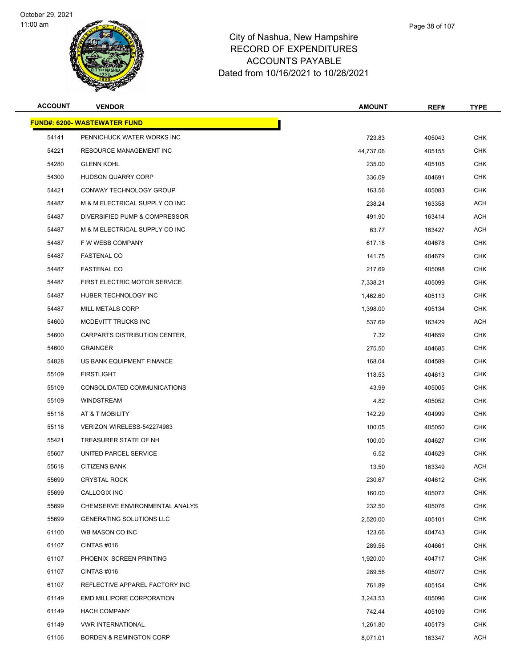**FUND#: 6200- W** 





### City of Nashua, New Hampshire RECORD OF EXPENDITURES ACCOUNTS PAYABLE Dated from 10/16/2021 to 10/28/2021

| ACCOUNT | <b>VENDOR</b>                       | <b>AMOUNT</b> | REF#   | <b>TYPE</b> |
|---------|-------------------------------------|---------------|--------|-------------|
|         | <u> IND#: 6200- WASTEWATER FUND</u> |               |        |             |
| 54141   | PENNICHUCK WATER WORKS INC          | 723.83        | 405043 | <b>CHK</b>  |
| 54221   | <b>RESOURCE MANAGEMENT INC</b>      | 44,737.06     | 405155 | <b>CHK</b>  |
| 54280   | <b>GLENN KOHL</b>                   | 235.00        | 405105 | <b>CHK</b>  |
| 54300   | <b>HUDSON QUARRY CORP</b>           | 336.09        | 404691 | <b>CHK</b>  |
| 54421   | CONWAY TECHNOLOGY GROUP             | 163.56        | 405083 | <b>CHK</b>  |
| 54487   | M & M ELECTRICAL SUPPLY CO INC      | 238.24        | 163358 | <b>ACH</b>  |
| 54487   | DIVERSIFIED PUMP & COMPRESSOR       | 491.90        | 163414 | <b>ACH</b>  |
| 54487   | M & M ELECTRICAL SUPPLY CO INC      | 63.77         | 163427 | <b>ACH</b>  |
| 54487   | F W WEBB COMPANY                    | 617.18        | 404678 | <b>CHK</b>  |
| 54487   | <b>FASTENAL CO</b>                  | 141.75        | 404679 | <b>CHK</b>  |
| 54487   | <b>FASTENAL CO</b>                  | 217.69        | 405098 | <b>CHK</b>  |
| 54487   | FIRST ELECTRIC MOTOR SERVICE        | 7,338.21      | 405099 | <b>CHK</b>  |
| 54487   | HUBER TECHNOLOGY INC                | 1,462.60      | 405113 | <b>CHK</b>  |
| 54487   | <b>MILL METALS CORP</b>             | 1,398.00      | 405134 | <b>CHK</b>  |
| 54600   | MCDEVITT TRUCKS INC                 | 537.69        | 163429 | <b>ACH</b>  |
| 54600   | CARPARTS DISTRIBUTION CENTER,       | 7.32          | 404659 | <b>CHK</b>  |
| 54600   | <b>GRAINGER</b>                     | 275.50        | 404685 | <b>CHK</b>  |
| 54828   | US BANK EQUIPMENT FINANCE           | 168.04        | 404589 | <b>CHK</b>  |
| 55109   | <b>FIRSTLIGHT</b>                   | 118.53        | 404613 | <b>CHK</b>  |
| 55109   | CONSOLIDATED COMMUNICATIONS         | 43.99         | 405005 | <b>CHK</b>  |
| 55109   | WINDSTREAM                          | 4.82          | 405052 | <b>CHK</b>  |
| 55118   | AT & T MOBILITY                     | 142.29        | 404999 | <b>CHK</b>  |
| 55118   | VERIZON WIRELESS-542274983          | 100.05        | 405050 | <b>CHK</b>  |
| 55421   | TREASURER STATE OF NH               | 100.00        | 404627 | <b>CHK</b>  |
| 55607   | UNITED PARCEL SERVICE               | 6.52          | 404629 | <b>CHK</b>  |
| 55618   | <b>CITIZENS BANK</b>                | 13.50         | 163349 | ACH         |
| 55699   | <b>CRYSTAL ROCK</b>                 | 230.67        | 404612 | <b>CHK</b>  |
| 55699   | CALLOGIX INC                        | 160.00        | 405072 | <b>CHK</b>  |
| 55699   | CHEMSERVE ENVIRONMENTAL ANALYS      | 232.50        | 405076 | <b>CHK</b>  |
| 55699   | <b>GENERATING SOLUTIONS LLC</b>     | 2,520.00      | 405101 | <b>CHK</b>  |
| 61100   | WB MASON CO INC                     | 123.66        | 404743 | <b>CHK</b>  |
| 61107   | CINTAS #016                         | 289.56        | 404661 | <b>CHK</b>  |
| 61107   | PHOENIX SCREEN PRINTING             | 1,920.00      | 404717 | <b>CHK</b>  |
| 61107   | CINTAS #016                         | 289.56        | 405077 | <b>CHK</b>  |
| 61107   | REFLECTIVE APPAREL FACTORY INC      | 761.89        | 405154 | <b>CHK</b>  |
| 61149   | EMD MILLIPORE CORPORATION           | 3,243.53      | 405096 | <b>CHK</b>  |
| 61149   | <b>HACH COMPANY</b>                 | 742.44        | 405109 | <b>CHK</b>  |

 VWR INTERNATIONAL 1,261.80 405179 CHK er and the state of the state of the state of the state of the state of the state of the state of the state of the state of the state of the state of the state of the state of the state of the state of the state of the sta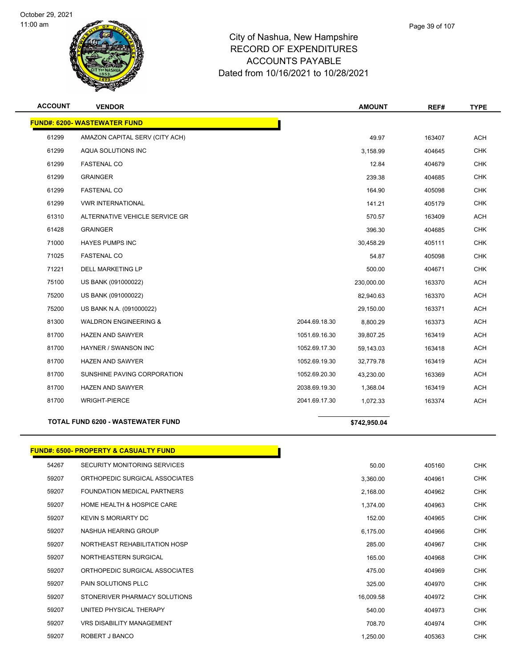



| <b>ACCOUNT</b> | <b>VENDOR</b>                       |               | <b>AMOUNT</b> | REF#   | <b>TYPE</b> |
|----------------|-------------------------------------|---------------|---------------|--------|-------------|
|                | <b>FUND#: 6200- WASTEWATER FUND</b> |               |               |        |             |
| 61299          | AMAZON CAPITAL SERV (CITY ACH)      |               | 49.97         | 163407 | ACH         |
| 61299          | AQUA SOLUTIONS INC                  |               | 3,158.99      | 404645 | <b>CHK</b>  |
| 61299          | <b>FASTENAL CO</b>                  |               | 12.84         | 404679 | <b>CHK</b>  |
| 61299          | <b>GRAINGER</b>                     |               | 239.38        | 404685 | <b>CHK</b>  |
| 61299          | <b>FASTENAL CO</b>                  |               | 164.90        | 405098 | <b>CHK</b>  |
| 61299          | <b>VWR INTERNATIONAL</b>            |               | 141.21        | 405179 | <b>CHK</b>  |
| 61310          | ALTERNATIVE VEHICLE SERVICE GR      |               | 570.57        | 163409 | <b>ACH</b>  |
| 61428          | <b>GRAINGER</b>                     |               | 396.30        | 404685 | <b>CHK</b>  |
| 71000          | <b>HAYES PUMPS INC</b>              |               | 30,458.29     | 405111 | <b>CHK</b>  |
| 71025          | <b>FASTENAL CO</b>                  |               | 54.87         | 405098 | <b>CHK</b>  |
| 71221          | <b>DELL MARKETING LP</b>            |               | 500.00        | 404671 | <b>CHK</b>  |
| 75100          | US BANK (091000022)                 |               | 230,000.00    | 163370 | <b>ACH</b>  |
| 75200          | US BANK (091000022)                 |               | 82,940.63     | 163370 | <b>ACH</b>  |
| 75200          | US BANK N.A. (091000022)            |               | 29,150.00     | 163371 | <b>ACH</b>  |
| 81300          | <b>WALDRON ENGINEERING &amp;</b>    | 2044.69.18.30 | 8,800.29      | 163373 | <b>ACH</b>  |
| 81700          | <b>HAZEN AND SAWYER</b>             | 1051.69.16.30 | 39,807.25     | 163419 | ACH         |
| 81700          | HAYNER / SWANSON INC                | 1052.69.17.30 | 59,143.03     | 163418 | <b>ACH</b>  |
| 81700          | <b>HAZEN AND SAWYER</b>             | 1052.69.19.30 | 32,779.78     | 163419 | <b>ACH</b>  |
| 81700          | SUNSHINE PAVING CORPORATION         | 1052.69.20.30 | 43,230.00     | 163369 | <b>ACH</b>  |
| 81700          | <b>HAZEN AND SAWYER</b>             | 2038.69.19.30 | 1,368.04      | 163419 | <b>ACH</b>  |
| 81700          | <b>WRIGHT-PIERCE</b>                | 2041.69.17.30 | 1,072.33      | 163374 | <b>ACH</b>  |
|                | TOTAL FUND 6200 - WASTEWATER FUND   |               | \$742.950.04  |        |             |

### **FUND#: 6500- PROPERTY & CASUALTY FUND**

| 54267 | SECURITY MONITORING SERVICES          | 50.00     | 405160 | <b>CHK</b> |
|-------|---------------------------------------|-----------|--------|------------|
| 59207 | ORTHOPEDIC SURGICAL ASSOCIATES        | 3,360.00  | 404961 | <b>CHK</b> |
| 59207 | FOUNDATION MEDICAL PARTNERS           | 2,168.00  | 404962 | <b>CHK</b> |
| 59207 | <b>HOME HEALTH &amp; HOSPICE CARE</b> | 1,374.00  | 404963 | <b>CHK</b> |
| 59207 | <b>KEVIN S MORIARTY DC</b>            | 152.00    | 404965 | <b>CHK</b> |
| 59207 | NASHUA HEARING GROUP                  | 6,175.00  | 404966 | <b>CHK</b> |
| 59207 | NORTHEAST REHABILITATION HOSP         | 285.00    | 404967 | <b>CHK</b> |
| 59207 | NORTHEASTERN SURGICAL                 | 165.00    | 404968 | <b>CHK</b> |
| 59207 | ORTHOPEDIC SURGICAL ASSOCIATES        | 475.00    | 404969 | <b>CHK</b> |
| 59207 | PAIN SOLUTIONS PLLC                   | 325.00    | 404970 | <b>CHK</b> |
| 59207 | STONERIVER PHARMACY SOLUTIONS         | 16,009.58 | 404972 | <b>CHK</b> |
| 59207 | UNITED PHYSICAL THERAPY               | 540.00    | 404973 | <b>CHK</b> |
| 59207 | <b>VRS DISABILITY MANAGEMENT</b>      | 708.70    | 404974 | <b>CHK</b> |
| 59207 | ROBERT J BANCO                        | 1,250.00  | 405363 | <b>CHK</b> |

T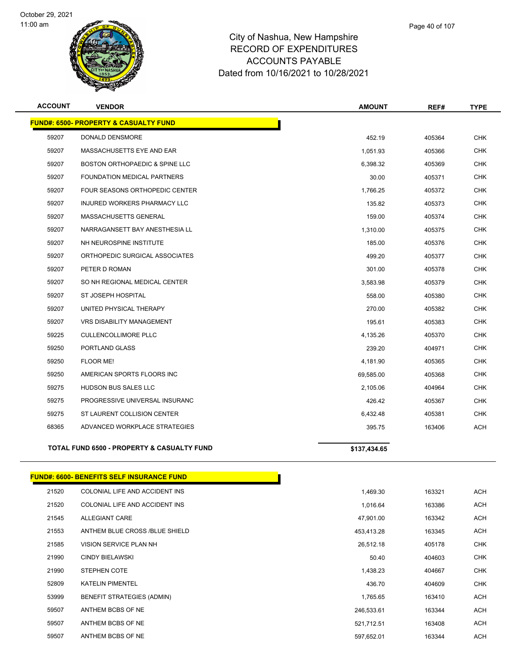

| <b>ACCOUNT</b> | <b>VENDOR</b>                                    | <b>AMOUNT</b> | REF#   | <b>TYPE</b> |
|----------------|--------------------------------------------------|---------------|--------|-------------|
|                | <b>FUND#: 6500- PROPERTY &amp; CASUALTY FUND</b> |               |        |             |
| 59207          | DONALD DENSMORE                                  | 452.19        | 405364 | <b>CHK</b>  |
| 59207          | MASSACHUSETTS EYE AND EAR                        | 1.051.93      | 405366 | <b>CHK</b>  |
| 59207          | BOSTON ORTHOPAEDIC & SPINE LLC                   | 6,398.32      | 405369 | <b>CHK</b>  |
| 59207          | FOUNDATION MEDICAL PARTNERS                      | 30.00         | 405371 | <b>CHK</b>  |
| 59207          | FOUR SEASONS ORTHOPEDIC CENTER                   | 1,766.25      | 405372 | <b>CHK</b>  |
| 59207          | INJURED WORKERS PHARMACY LLC                     | 135.82        | 405373 | <b>CHK</b>  |
| 59207          | MASSACHUSETTS GENERAL                            | 159.00        | 405374 | <b>CHK</b>  |
| 59207          | NARRAGANSETT BAY ANESTHESIA LL                   | 1,310.00      | 405375 | <b>CHK</b>  |
| 59207          | NH NEUROSPINE INSTITUTE                          | 185.00        | 405376 | <b>CHK</b>  |
| 59207          | ORTHOPEDIC SURGICAL ASSOCIATES                   | 499.20        | 405377 | <b>CHK</b>  |
| 59207          | PETER D ROMAN                                    | 301.00        | 405378 | <b>CHK</b>  |
| 59207          | SO NH REGIONAL MEDICAL CENTER                    | 3,583.98      | 405379 | <b>CHK</b>  |
| 59207          | ST JOSEPH HOSPITAL                               | 558.00        | 405380 | <b>CHK</b>  |
| 59207          | UNITED PHYSICAL THERAPY                          | 270.00        | 405382 | <b>CHK</b>  |
| 59207          | <b>VRS DISABILITY MANAGEMENT</b>                 | 195.61        | 405383 | <b>CHK</b>  |
| 59225          | <b>CULLENCOLLIMORE PLLC</b>                      | 4,135.26      | 405370 | <b>CHK</b>  |
| 59250          | PORTLAND GLASS                                   | 239.20        | 404971 | <b>CHK</b>  |
| 59250          | FLOOR ME!                                        | 4,181.90      | 405365 | <b>CHK</b>  |
| 59250          | AMERICAN SPORTS FLOORS INC                       | 69,585.00     | 405368 | <b>CHK</b>  |
| 59275          | HUDSON BUS SALES LLC                             | 2,105.06      | 404964 | <b>CHK</b>  |
| 59275          | PROGRESSIVE UNIVERSAL INSURANC                   | 426.42        | 405367 | <b>CHK</b>  |
| 59275          | ST LAURENT COLLISION CENTER                      | 6,432.48      | 405381 | <b>CHK</b>  |
| 68365          | ADVANCED WORKPLACE STRATEGIES                    | 395.75        | 163406 | <b>ACH</b>  |
|                | TOTAL FUND 6500 - PROPERTY & CASUALTY FUND       | \$137,434.65  |        |             |
|                | <b>FUND#: 6600- BENEFITS SELF INSURANCE FUND</b> |               |        |             |
| 21520          | COLONIAL LIFE AND ACCIDENT INS                   | 1,469.30      | 163321 | <b>ACH</b>  |
| 21520          | COLONIAL LIFE AND ACCIDENT INS                   | 1,016.64      | 163386 | ACH         |
| 21545          | ALLEGIANT CARE                                   | 47,901.00     | 163342 | ACH         |
| 21553          | ANTHEM BLUE CROSS /BLUE SHIELD                   | 453,413.28    | 163345 | ACH         |
| 21585          | VISION SERVICE PLAN NH                           | 26,512.18     | 405178 | <b>CHK</b>  |
| 21990          | <b>CINDY BIELAWSKI</b>                           | 50.40         | 404603 | <b>CHK</b>  |
| 21990          | STEPHEN COTE                                     | 1,438.23      | 404667 | <b>CHK</b>  |
| 52809          | <b>KATELIN PIMENTEL</b>                          | 436.70        | 404609 | <b>CHK</b>  |
| 53999          | BENEFIT STRATEGIES (ADMIN)                       | 1,765.65      | 163410 | ACH         |
| 59507          | ANTHEM BCBS OF NE                                | 246,533.61    | 163344 | <b>ACH</b>  |

59507 ANTHEM BCBS OF NE 521,712.51 163408 ACH 59507 ANTHEM BCBS OF NE 597,652.01 163344 ACH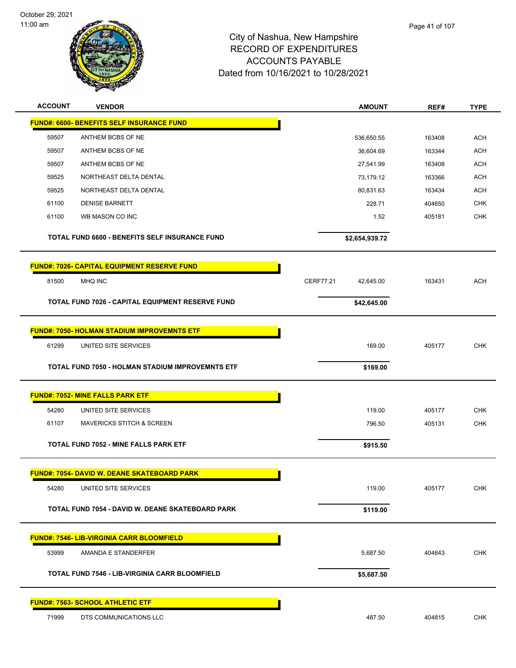

| <b>ACCOUNT</b> | <b>VENDOR</b>                                           | <b>AMOUNT</b>          | REF#   | <b>TYPE</b> |
|----------------|---------------------------------------------------------|------------------------|--------|-------------|
|                | <b>FUND#: 6600- BENEFITS SELF INSURANCE FUND</b>        |                        |        |             |
| 59507          | ANTHEM BCBS OF NE                                       | 536,650.55             | 163408 | <b>ACH</b>  |
| 59507          | ANTHEM BCBS OF NE                                       | 36,604.69              | 163344 | <b>ACH</b>  |
| 59507          | ANTHEM BCBS OF NE                                       | 27,541.99              | 163408 | <b>ACH</b>  |
| 59525          | NORTHEAST DELTA DENTAL                                  | 73,179.12              | 163366 | <b>ACH</b>  |
| 59525          | NORTHEAST DELTA DENTAL                                  | 80,831.63              | 163434 | <b>ACH</b>  |
| 61100          | <b>DENISE BARNETT</b>                                   | 228.71                 | 404650 | CHK         |
| 61100          | WB MASON CO INC                                         | 1.52                   | 405181 | <b>CHK</b>  |
|                | TOTAL FUND 6600 - BENEFITS SELF INSURANCE FUND          | \$2,654,939.72         |        |             |
|                | <b>FUND#: 7026- CAPITAL EQUIPMENT RESERVE FUND</b>      |                        |        |             |
| 81500          | MHQ INC                                                 | CERF77.21<br>42,645.00 | 163431 | <b>ACH</b>  |
|                | TOTAL FUND 7026 - CAPITAL EQUIPMENT RESERVE FUND        | \$42,645.00            |        |             |
|                | <b>FUND#: 7050- HOLMAN STADIUM IMPROVEMNTS ETF</b>      |                        |        |             |
| 61299          | UNITED SITE SERVICES                                    | 169.00                 | 405177 | <b>CHK</b>  |
|                | <b>TOTAL FUND 7050 - HOLMAN STADIUM IMPROVEMNTS ETF</b> | \$169.00               |        |             |
|                | <b>FUND#: 7052- MINE FALLS PARK ETF</b>                 |                        |        |             |
| 54280          | UNITED SITE SERVICES                                    | 119.00                 | 405177 | <b>CHK</b>  |
| 61107          | <b>MAVERICKS STITCH &amp; SCREEN</b>                    | 796.50                 | 405131 | <b>CHK</b>  |
|                |                                                         |                        |        |             |
|                | <b>TOTAL FUND 7052 - MINE FALLS PARK ETF</b>            | \$915.50               |        |             |
|                | <b>FUND#: 7054- DAVID W. DEANE SKATEBOARD PARK</b>      |                        |        |             |
| 54280          | UNITED SITE SERVICES                                    | 119.00                 | 405177 | <b>CHK</b>  |
|                | TOTAL FUND 7054 - DAVID W. DEANE SKATEBOARD PARK        | \$119.00               |        |             |
|                |                                                         |                        |        |             |
|                | <b>FUND#: 7546- LIB-VIRGINIA CARR BLOOMFIELD</b>        |                        |        |             |
| 53999          | AMANDA E STANDERFER                                     | 5,687.50               | 404643 | <b>CHK</b>  |
|                | <b>TOTAL FUND 7546 - LIB-VIRGINIA CARR BLOOMFIELD</b>   | \$5,687.50             |        |             |
|                | <b>FUND#: 7563- SCHOOL ATHLETIC ETF</b>                 |                        |        |             |
| 71999          | DTS COMMUNICATIONS LLC                                  | 487.50                 | 404815 | <b>CHK</b>  |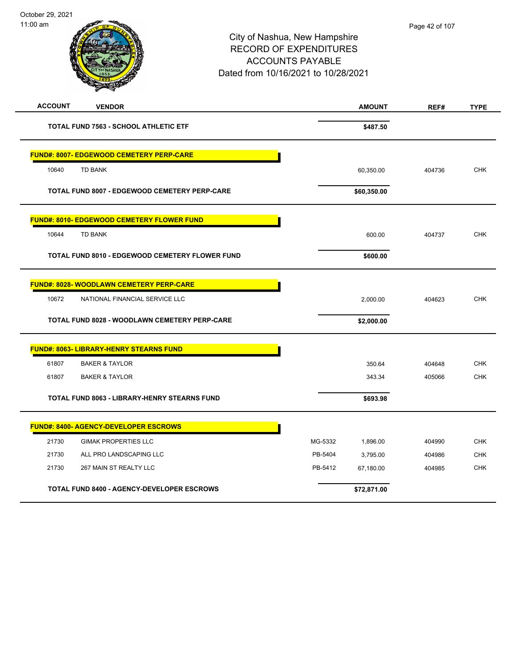| <b>ACCOUNT</b><br><b>VENDOR</b>                      | <b>AMOUNT</b>        | REF#   | <b>TYPE</b> |
|------------------------------------------------------|----------------------|--------|-------------|
| <b>TOTAL FUND 7563 - SCHOOL ATHLETIC ETF</b>         | \$487.50             |        |             |
| <b>FUND#: 8007- EDGEWOOD CEMETERY PERP-CARE</b>      |                      |        |             |
| <b>TD BANK</b><br>10640                              | 60,350.00            | 404736 | <b>CHK</b>  |
| <b>TOTAL FUND 8007 - EDGEWOOD CEMETERY PERP-CARE</b> | \$60,350.00          |        |             |
| <b>FUND#: 8010- EDGEWOOD CEMETERY FLOWER FUND</b>    |                      |        |             |
| 10644<br><b>TD BANK</b>                              | 600.00               | 404737 | <b>CHK</b>  |
| TOTAL FUND 8010 - EDGEWOOD CEMETERY FLOWER FUND      | \$600.00             |        |             |
| <b>FUND#: 8028- WOODLAWN CEMETERY PERP-CARE</b>      |                      |        |             |
| 10672<br>NATIONAL FINANCIAL SERVICE LLC              | 2,000.00             | 404623 | <b>CHK</b>  |
| TOTAL FUND 8028 - WOODLAWN CEMETERY PERP-CARE        | \$2,000.00           |        |             |
| <b>FUND#: 8063- LIBRARY-HENRY STEARNS FUND</b>       |                      |        |             |
| 61807<br><b>BAKER &amp; TAYLOR</b>                   | 350.64               | 404648 | <b>CHK</b>  |
| 61807<br><b>BAKER &amp; TAYLOR</b>                   | 343.34               | 405066 | <b>CHK</b>  |
| <b>TOTAL FUND 8063 - LIBRARY-HENRY STEARNS FUND</b>  | \$693.98             |        |             |
| <b>FUND#: 8400- AGENCY-DEVELOPER ESCROWS</b>         |                      |        |             |
| 21730<br><b>GIMAK PROPERTIES LLC</b>                 | MG-5332<br>1,896.00  | 404990 | <b>CHK</b>  |
| 21730<br>ALL PRO LANDSCAPING LLC                     | PB-5404<br>3,795.00  | 404986 | <b>CHK</b>  |
| 21730<br>267 MAIN ST REALTY LLC                      | PB-5412<br>67,180.00 | 404985 | <b>CHK</b>  |
| <b>TOTAL FUND 8400 - AGENCY-DEVELOPER ESCROWS</b>    | \$72,871.00          |        |             |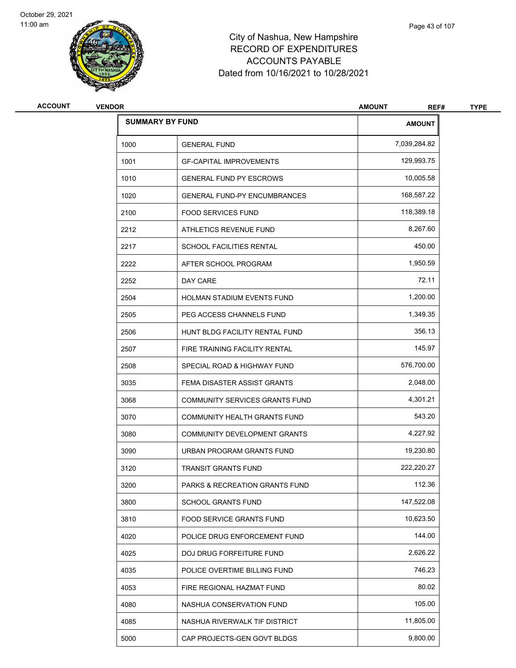



| <b>ACCOUNT</b> | <b>VENDOR</b> |                                     | <b>AMOUNT</b><br>REF# | <b>TYPE</b> |
|----------------|---------------|-------------------------------------|-----------------------|-------------|
|                |               | <b>SUMMARY BY FUND</b>              | <b>AMOUNT</b>         |             |
|                | 1000          | <b>GENERAL FUND</b>                 | 7,039,284.82          |             |
|                | 1001          | <b>GF-CAPITAL IMPROVEMENTS</b>      | 129,993.75            |             |
|                | 1010          | <b>GENERAL FUND PY ESCROWS</b>      | 10,005.58             |             |
|                | 1020          | <b>GENERAL FUND-PY ENCUMBRANCES</b> | 168,587.22            |             |
|                | 2100          | <b>FOOD SERVICES FUND</b>           | 118,389.18            |             |
|                | 2212          | ATHLETICS REVENUE FUND              | 8,267.60              |             |
|                | 2217          | <b>SCHOOL FACILITIES RENTAL</b>     | 450.00                |             |
|                | 2222          | AFTER SCHOOL PROGRAM                | 1,950.59              |             |
|                | 2252          | DAY CARE                            | 72.11                 |             |
|                | 2504          | HOLMAN STADIUM EVENTS FUND          | 1,200.00              |             |
|                | 2505          | PEG ACCESS CHANNELS FUND            | 1,349.35              |             |
|                | 2506          | HUNT BLDG FACILITY RENTAL FUND      | 356.13                |             |
|                | 2507          | FIRE TRAINING FACILITY RENTAL       | 145.97                |             |
|                | 2508          | SPECIAL ROAD & HIGHWAY FUND         | 576,700.00            |             |
|                | 3035          | FEMA DISASTER ASSIST GRANTS         | 2,048.00              |             |
|                | 3068          | COMMUNITY SERVICES GRANTS FUND      | 4,301.21              |             |
|                | 3070          | COMMUNITY HEALTH GRANTS FUND        | 543.20                |             |
|                | 3080          | COMMUNITY DEVELOPMENT GRANTS        | 4,227.92              |             |
|                | 3090          | URBAN PROGRAM GRANTS FUND           | 19,230.80             |             |
|                | 3120          | <b>TRANSIT GRANTS FUND</b>          | 222,220.27            |             |
|                | 3200          | PARKS & RECREATION GRANTS FUND      | 112.36                |             |
|                | 3800          | <b>SCHOOL GRANTS FUND</b>           | 147,522.08            |             |
|                | 3810          | FOOD SERVICE GRANTS FUND            | 10,623.50             |             |
|                | 4020          | POLICE DRUG ENFORCEMENT FUND        | 144.00                |             |
|                | 4025          | DOJ DRUG FORFEITURE FUND            | 2,626.22              |             |
|                | 4035          | POLICE OVERTIME BILLING FUND        | 746.23                |             |
|                | 4053          | FIRE REGIONAL HAZMAT FUND           | 80.02                 |             |
|                | 4080          | NASHUA CONSERVATION FUND            | 105.00                |             |
|                | 4085          | NASHUA RIVERWALK TIF DISTRICT       | 11,805.00             |             |
|                | 5000          | CAP PROJECTS-GEN GOVT BLDGS         | 9,800.00              |             |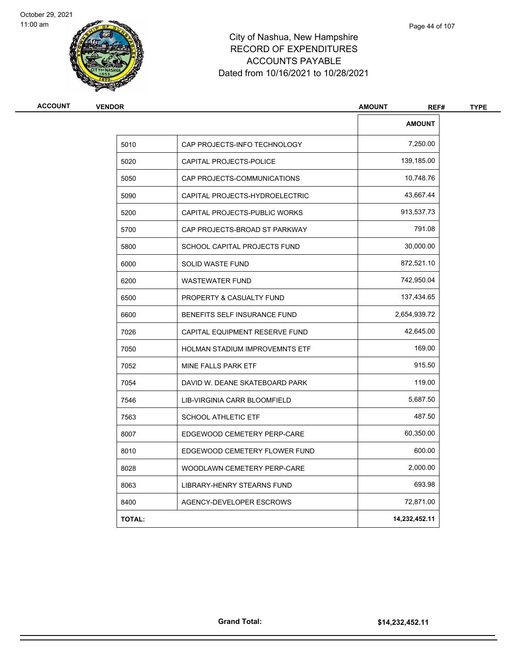



| <b>AMOUNT</b><br>REF# |                                       | <b>VENDOR</b> |
|-----------------------|---------------------------------------|---------------|
| <b>AMOUNT</b>         |                                       |               |
| 7,250.00              | CAP PROJECTS-INFO TECHNOLOGY          | 5010          |
| 139,185.00            | CAPITAL PROJECTS-POLICE               | 5020          |
| 10,748.76             | CAP PROJECTS-COMMUNICATIONS           | 5050          |
| 43,667.44             | CAPITAL PROJECTS-HYDROELECTRIC        | 5090          |
| 913,537.73            | CAPITAL PROJECTS-PUBLIC WORKS         | 5200          |
| 791.08                | CAP PROJECTS-BROAD ST PARKWAY         | 5700          |
| 30,000.00             | SCHOOL CAPITAL PROJECTS FUND          | 5800          |
| 872,521.10            | <b>SOLID WASTE FUND</b>               | 6000          |
| 742,950.04            | <b>WASTEWATER FUND</b>                | 6200          |
| 137,434.65            | <b>PROPERTY &amp; CASUALTY FUND</b>   | 6500          |
| 2,654,939.72          | BENEFITS SELF INSURANCE FUND          | 6600          |
| 42,645.00             | CAPITAL EQUIPMENT RESERVE FUND        | 7026          |
| 169.00                | <b>HOLMAN STADIUM IMPROVEMNTS ETF</b> | 7050          |
| 915.50                | MINE FALLS PARK ETF                   | 7052          |
| 119.00                | DAVID W. DEANE SKATEBOARD PARK        | 7054          |
| 5,687.50              | LIB-VIRGINIA CARR BLOOMFIELD          | 7546          |
| 487.50                | <b>SCHOOL ATHLETIC ETF</b>            | 7563          |
| 60,350.00             | EDGEWOOD CEMETERY PERP-CARE           | 8007          |
| 600.00                | EDGEWOOD CEMETERY FLOWER FUND         | 8010          |
| 2,000.00              | WOODLAWN CEMETERY PERP-CARE           | 8028          |
| 693.98                | LIBRARY-HENRY STEARNS FUND            | 8063          |
| 72,871.00             | AGENCY-DEVELOPER ESCROWS              | 8400          |
| 14,232,452.11         |                                       | <b>TOTAL:</b> |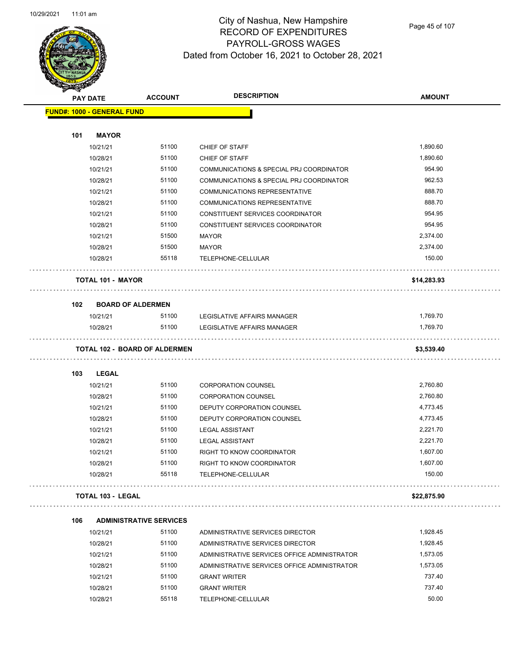

Page 45 of 107

| <b>SANGAN</b> |                                   |                                               |                                                 |                        |
|---------------|-----------------------------------|-----------------------------------------------|-------------------------------------------------|------------------------|
|               | <b>PAY DATE</b>                   | <b>ACCOUNT</b>                                | <b>DESCRIPTION</b>                              | <b>AMOUNT</b>          |
|               | <b>FUND#: 1000 - GENERAL FUND</b> |                                               |                                                 |                        |
|               |                                   |                                               |                                                 |                        |
| 101           | <b>MAYOR</b>                      |                                               |                                                 |                        |
|               | 10/21/21                          | 51100                                         | CHIEF OF STAFF                                  | 1,890.60               |
|               | 10/28/21                          | 51100                                         | CHIEF OF STAFF                                  | 1,890.60               |
|               | 10/21/21                          | 51100                                         | COMMUNICATIONS & SPECIAL PRJ COORDINATOR        | 954.90                 |
|               | 10/28/21                          | 51100                                         | COMMUNICATIONS & SPECIAL PRJ COORDINATOR        | 962.53                 |
|               | 10/21/21                          | 51100                                         | COMMUNICATIONS REPRESENTATIVE                   | 888.70                 |
|               | 10/28/21                          | 51100                                         | <b>COMMUNICATIONS REPRESENTATIVE</b>            | 888.70                 |
|               | 10/21/21                          | 51100                                         | CONSTITUENT SERVICES COORDINATOR                | 954.95                 |
|               | 10/28/21                          | 51100                                         | CONSTITUENT SERVICES COORDINATOR                | 954.95                 |
|               | 10/21/21                          | 51500                                         | <b>MAYOR</b>                                    | 2,374.00               |
|               | 10/28/21                          | 51500                                         | MAYOR                                           | 2,374.00               |
|               | 10/28/21                          | 55118                                         | TELEPHONE-CELLULAR                              | 150.00                 |
|               | <b>TOTAL 101 - MAYOR</b>          |                                               |                                                 | \$14,283.93            |
| 102           | <b>BOARD OF ALDERMEN</b>          |                                               |                                                 |                        |
|               | 10/21/21                          | 51100                                         | LEGISLATIVE AFFAIRS MANAGER                     | 1,769.70               |
|               |                                   |                                               |                                                 |                        |
|               |                                   |                                               |                                                 |                        |
|               | 10/28/21                          | 51100<br><b>TOTAL 102 - BOARD OF ALDERMEN</b> | LEGISLATIVE AFFAIRS MANAGER                     | 1,769.70<br>\$3,539.40 |
| 103           | <b>LEGAL</b>                      |                                               |                                                 |                        |
|               | 10/21/21                          | 51100                                         | <b>CORPORATION COUNSEL</b>                      | 2,760.80               |
|               | 10/28/21                          | 51100                                         | <b>CORPORATION COUNSEL</b>                      | 2,760.80               |
|               | 10/21/21                          | 51100                                         | DEPUTY CORPORATION COUNSEL                      | 4,773.45               |
|               |                                   | 51100                                         |                                                 |                        |
|               | 10/28/21                          |                                               | DEPUTY CORPORATION COUNSEL                      | 4,773.45               |
|               | 10/21/21                          | 51100                                         | <b>LEGAL ASSISTANT</b>                          | 2,221.70               |
|               | 10/28/21                          | 51100                                         | <b>LEGAL ASSISTANT</b>                          | 2,221.70               |
|               | 10/21/21                          | 51100                                         | RIGHT TO KNOW COORDINATOR                       | 1,607.00               |
|               | 10/28/21<br>10/28/21              | 51100<br>55118                                | RIGHT TO KNOW COORDINATOR<br>TELEPHONE-CELLULAR | 1,607.00<br>150.00     |
|               | <b>TOTAL 103 - LEGAL</b>          |                                               |                                                 | \$22,875.90            |
|               |                                   |                                               |                                                 |                        |
| 106           |                                   | <b>ADMINISTRATIVE SERVICES</b>                |                                                 |                        |
|               | 10/21/21                          | 51100                                         | ADMINISTRATIVE SERVICES DIRECTOR                | 1,928.45               |
|               | 10/28/21                          | 51100                                         | ADMINISTRATIVE SERVICES DIRECTOR                | 1,928.45               |
|               | 10/21/21                          | 51100                                         | ADMINISTRATIVE SERVICES OFFICE ADMINISTRATOR    | 1,573.05               |
|               | 10/28/21                          | 51100                                         | ADMINISTRATIVE SERVICES OFFICE ADMINISTRATOR    | 1,573.05               |
|               | 10/21/21                          | 51100                                         | <b>GRANT WRITER</b>                             | 737.40                 |
|               | 10/28/21<br>10/28/21              | 51100<br>55118                                | <b>GRANT WRITER</b><br>TELEPHONE-CELLULAR       | 737.40<br>50.00        |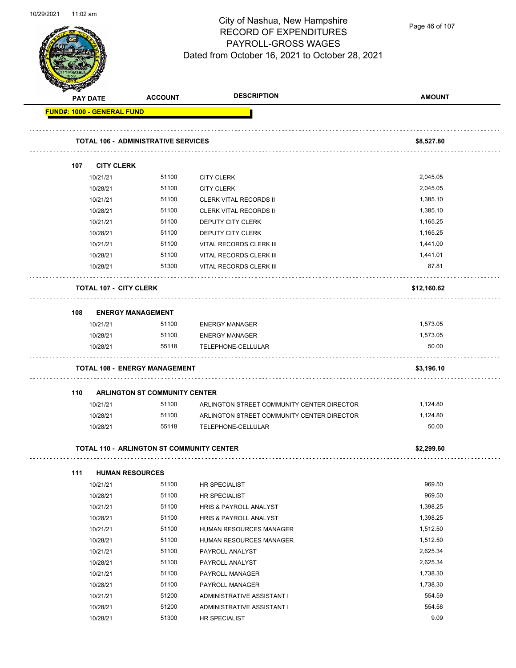

Page 46 of 107

|     | PAY DATE                          | <b>ACCOUNT</b>                                   | <b>DESCRIPTION</b>                                 | <b>AMOUNT</b>        |
|-----|-----------------------------------|--------------------------------------------------|----------------------------------------------------|----------------------|
|     | <b>FUND#: 1000 - GENERAL FUND</b> |                                                  |                                                    |                      |
|     |                                   | TOTAL 106 - ADMINISTRATIVE SERVICES              |                                                    | \$8,527.80           |
|     |                                   |                                                  |                                                    |                      |
| 107 | <b>CITY CLERK</b>                 |                                                  |                                                    |                      |
|     | 10/21/21<br>10/28/21              | 51100<br>51100                                   | <b>CITY CLERK</b>                                  | 2,045.05<br>2,045.05 |
|     | 10/21/21                          | 51100                                            | <b>CITY CLERK</b><br><b>CLERK VITAL RECORDS II</b> | 1,385.10             |
|     | 10/28/21                          | 51100                                            | <b>CLERK VITAL RECORDS II</b>                      | 1,385.10             |
|     | 10/21/21                          | 51100                                            | DEPUTY CITY CLERK                                  | 1,165.25             |
|     | 10/28/21                          | 51100                                            | DEPUTY CITY CLERK                                  | 1,165.25             |
|     | 10/21/21                          | 51100                                            | VITAL RECORDS CLERK III                            | 1,441.00             |
|     | 10/28/21                          | 51100                                            | VITAL RECORDS CLERK III                            | 1,441.01             |
|     | 10/28/21                          | 51300                                            | VITAL RECORDS CLERK III                            | 87.81                |
|     | <b>TOTAL 107 - CITY CLERK</b>     |                                                  |                                                    | \$12,160.62          |
| 108 |                                   | <b>ENERGY MANAGEMENT</b>                         |                                                    |                      |
|     | 10/21/21                          | 51100                                            | <b>ENERGY MANAGER</b>                              | 1,573.05             |
|     | 10/28/21                          | 51100                                            | <b>ENERGY MANAGER</b>                              | 1,573.05             |
|     | 10/28/21                          | 55118                                            | TELEPHONE-CELLULAR                                 | 50.00                |
|     |                                   | <b>TOTAL 108 - ENERGY MANAGEMENT</b>             |                                                    | \$3,196.10           |
| 110 |                                   | <b>ARLINGTON ST COMMUNITY CENTER</b>             |                                                    |                      |
|     | 10/21/21                          | 51100                                            | ARLINGTON STREET COMMUNITY CENTER DIRECTOR         | 1,124.80             |
|     | 10/28/21                          | 51100                                            | ARLINGTON STREET COMMUNITY CENTER DIRECTOR         | 1,124.80             |
|     | 10/28/21                          | 55118                                            | TELEPHONE-CELLULAR                                 | 50.00                |
|     |                                   | <b>TOTAL 110 - ARLINGTON ST COMMUNITY CENTER</b> |                                                    | \$2,299.60           |
| 111 |                                   | <b>HUMAN RESOURCES</b>                           |                                                    |                      |
|     | 10/21/21                          | 51100                                            | HR SPECIALIST                                      | 969.50               |
|     | 10/28/21                          | 51100                                            | HR SPECIALIST                                      | 969.50               |
|     | 10/21/21                          | 51100                                            | HRIS & PAYROLL ANALYST                             | 1,398.25             |
|     | 10/28/21                          | 51100                                            | HRIS & PAYROLL ANALYST                             | 1,398.25             |
|     | 10/21/21                          | 51100                                            | <b>HUMAN RESOURCES MANAGER</b>                     | 1,512.50             |
|     | 10/28/21                          | 51100                                            | HUMAN RESOURCES MANAGER                            | 1,512.50             |
|     | 10/21/21                          | 51100                                            | PAYROLL ANALYST                                    | 2,625.34             |
|     | 10/28/21                          | 51100                                            | PAYROLL ANALYST                                    | 2,625.34             |
|     | 10/21/21                          | 51100                                            | PAYROLL MANAGER                                    | 1,738.30             |
|     | 10/28/21                          | 51100                                            | PAYROLL MANAGER                                    | 1,738.30             |
|     | 10/21/21                          | 51200                                            | ADMINISTRATIVE ASSISTANT I                         | 554.59               |
|     | 10/28/21                          | 51200                                            | ADMINISTRATIVE ASSISTANT I                         | 554.58               |
|     | 10/28/21                          | 51300                                            | HR SPECIALIST                                      | 9.09                 |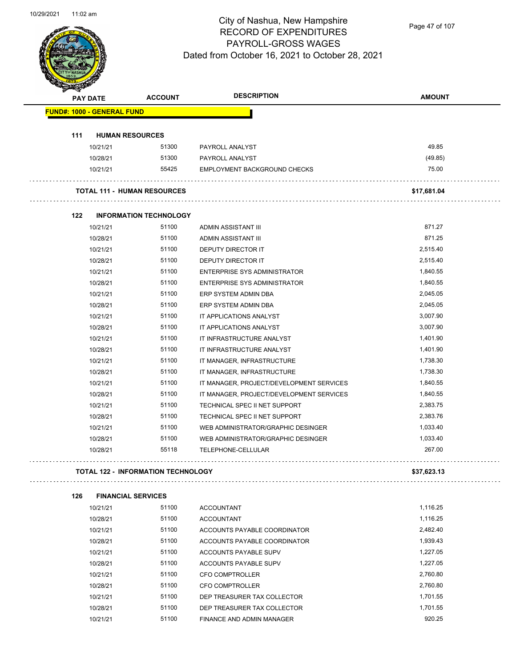

Page 47 of 107

| <b>PAY DATE</b>                   | <b>ACCOUNT</b>                            | <b>DESCRIPTION</b>                       | <b>AMOUNT</b> |
|-----------------------------------|-------------------------------------------|------------------------------------------|---------------|
| <b>FUND#: 1000 - GENERAL FUND</b> |                                           |                                          |               |
| 111                               | <b>HUMAN RESOURCES</b>                    |                                          |               |
| 10/21/21                          | 51300                                     | PAYROLL ANALYST                          | 49.85         |
| 10/28/21                          | 51300                                     | PAYROLL ANALYST                          | (49.85)       |
| 10/21/21                          | 55425                                     | EMPLOYMENT BACKGROUND CHECKS             | 75.00         |
|                                   | <b>TOTAL 111 - HUMAN RESOURCES</b>        |                                          | \$17,681.04   |
| 122                               | <b>INFORMATION TECHNOLOGY</b>             |                                          |               |
| 10/21/21                          | 51100                                     | ADMIN ASSISTANT III                      | 871.27        |
| 10/28/21                          | 51100                                     | ADMIN ASSISTANT III                      | 871.25        |
| 10/21/21                          | 51100                                     | DEPUTY DIRECTOR IT                       | 2,515.40      |
| 10/28/21                          | 51100                                     | <b>DEPUTY DIRECTOR IT</b>                | 2,515.40      |
| 10/21/21                          | 51100                                     | <b>ENTERPRISE SYS ADMINISTRATOR</b>      | 1,840.55      |
| 10/28/21                          | 51100                                     | <b>ENTERPRISE SYS ADMINISTRATOR</b>      | 1,840.55      |
| 10/21/21                          | 51100                                     | ERP SYSTEM ADMIN DBA                     | 2,045.05      |
| 10/28/21                          | 51100                                     | ERP SYSTEM ADMIN DBA                     | 2,045.05      |
| 10/21/21                          | 51100                                     | IT APPLICATIONS ANALYST                  | 3,007.90      |
| 10/28/21                          | 51100                                     | IT APPLICATIONS ANALYST                  | 3,007.90      |
| 10/21/21                          | 51100                                     | IT INFRASTRUCTURE ANALYST                | 1,401.90      |
| 10/28/21                          | 51100                                     | IT INFRASTRUCTURE ANALYST                | 1,401.90      |
| 10/21/21                          | 51100                                     | IT MANAGER, INFRASTRUCTURE               | 1,738.30      |
| 10/28/21                          | 51100                                     | IT MANAGER, INFRASTRUCTURE               | 1,738.30      |
| 10/21/21                          | 51100                                     | IT MANAGER, PROJECT/DEVELOPMENT SERVICES | 1,840.55      |
| 10/28/21                          | 51100                                     | IT MANAGER, PROJECT/DEVELOPMENT SERVICES | 1,840.55      |
| 10/21/21                          | 51100                                     | TECHNICAL SPEC II NET SUPPORT            | 2,383.75      |
| 10/28/21                          | 51100                                     | TECHNICAL SPEC II NET SUPPORT            | 2,383.76      |
| 10/21/21                          | 51100                                     | WEB ADMINISTRATOR/GRAPHIC DESINGER       | 1,033.40      |
| 10/28/21                          | 51100                                     | WEB ADMINISTRATOR/GRAPHIC DESINGER       | 1,033.40      |
| 10/28/21                          | 55118                                     | TELEPHONE-CELLULAR                       | 267.00        |
|                                   | <b>TOTAL 122 - INFORMATION TECHNOLOGY</b> |                                          | \$37,623.13   |
| 126                               | <b>FINANCIAL SERVICES</b>                 |                                          |               |
| 10/21/21                          | 51100                                     | <b>ACCOUNTANT</b>                        | 1,116.25      |
| 10/28/21                          | 51100                                     | <b>ACCOUNTANT</b>                        | 1,116.25      |
| 10/21/21                          | 51100                                     | ACCOUNTS PAYABLE COORDINATOR             | 2,482.40      |
| 10/28/21                          | 51100                                     | ACCOUNTS PAYABLE COORDINATOR             | 1,939.43      |
| 10/21/21                          | 51100                                     | ACCOUNTS PAYABLE SUPV                    | 1,227.05      |

10/28/21 51100 ACCOUNTS PAYABLE SUPV 1,227.05 10/21/21 51100 CFO COMPTROLLER 2,760.80 10/28/21 51100 CFO COMPTROLLER 2,760.80 10/21/21 51100 DEP TREASURER TAX COLLECTOR 1,701.55 10/28/21 51100 DEP TREASURER TAX COLLECTOR 1,701.55 10/21/21 51100 FINANCE AND ADMIN MANAGER 920.25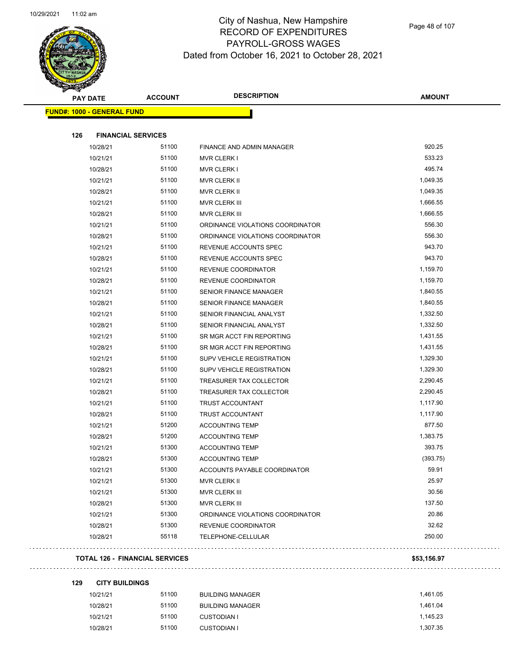

| <b>PAY DATE</b>                   | <b>ACCOUNT</b>                        | <b>DESCRIPTION</b>               | <b>AMOUNT</b> |
|-----------------------------------|---------------------------------------|----------------------------------|---------------|
| <b>FUND#: 1000 - GENERAL FUND</b> |                                       |                                  |               |
| 126<br><b>FINANCIAL SERVICES</b>  |                                       |                                  |               |
| 10/28/21                          | 51100                                 | FINANCE AND ADMIN MANAGER        | 920.25        |
| 10/21/21                          | 51100                                 | <b>MVR CLERK I</b>               | 533.23        |
| 10/28/21                          | 51100                                 | <b>MVR CLERK I</b>               | 495.74        |
| 10/21/21                          | 51100                                 | MVR CLERK II                     | 1,049.35      |
| 10/28/21                          | 51100                                 | MVR CLERK II                     | 1,049.35      |
| 10/21/21                          | 51100                                 | <b>MVR CLERK III</b>             | 1,666.55      |
| 10/28/21                          | 51100                                 | MVR CLERK III                    | 1,666.55      |
| 10/21/21                          | 51100                                 | ORDINANCE VIOLATIONS COORDINATOR | 556.30        |
| 10/28/21                          | 51100                                 | ORDINANCE VIOLATIONS COORDINATOR | 556.30        |
| 10/21/21                          | 51100                                 | REVENUE ACCOUNTS SPEC            | 943.70        |
| 10/28/21                          | 51100                                 | REVENUE ACCOUNTS SPEC            | 943.70        |
| 10/21/21                          | 51100                                 | REVENUE COORDINATOR              | 1,159.70      |
| 10/28/21                          | 51100                                 | REVENUE COORDINATOR              | 1,159.70      |
| 10/21/21                          | 51100                                 | <b>SENIOR FINANCE MANAGER</b>    | 1,840.55      |
| 10/28/21                          | 51100                                 | <b>SENIOR FINANCE MANAGER</b>    | 1,840.55      |
| 10/21/21                          | 51100                                 | SENIOR FINANCIAL ANALYST         | 1,332.50      |
| 10/28/21                          | 51100                                 | SENIOR FINANCIAL ANALYST         | 1,332.50      |
| 10/21/21                          | 51100                                 | SR MGR ACCT FIN REPORTING        | 1,431.55      |
| 10/28/21                          | 51100                                 | SR MGR ACCT FIN REPORTING        | 1,431.55      |
| 10/21/21                          | 51100                                 | SUPV VEHICLE REGISTRATION        | 1,329.30      |
| 10/28/21                          | 51100                                 | SUPV VEHICLE REGISTRATION        | 1,329.30      |
| 10/21/21                          | 51100                                 | TREASURER TAX COLLECTOR          | 2,290.45      |
| 10/28/21                          | 51100                                 | TREASURER TAX COLLECTOR          | 2,290.45      |
| 10/21/21                          | 51100                                 | TRUST ACCOUNTANT                 | 1,117.90      |
| 10/28/21                          | 51100                                 | <b>TRUST ACCOUNTANT</b>          | 1,117.90      |
| 10/21/21                          | 51200                                 | <b>ACCOUNTING TEMP</b>           | 877.50        |
| 10/28/21                          | 51200                                 | <b>ACCOUNTING TEMP</b>           | 1,383.75      |
| 10/21/21                          | 51300                                 | <b>ACCOUNTING TEMP</b>           | 393.75        |
| 10/28/21                          | 51300                                 | <b>ACCOUNTING TEMP</b>           | (393.75)      |
| 10/21/21                          | 51300                                 | ACCOUNTS PAYABLE COORDINATOR     | 59.91         |
| 10/21/21                          | 51300                                 | <b>MVR CLERK II</b>              | 25.97         |
| 10/21/21                          | 51300                                 | <b>MVR CLERK III</b>             | 30.56         |
| 10/28/21                          | 51300                                 | MVR CLERK III                    | 137.50        |
| 10/21/21                          | 51300                                 | ORDINANCE VIOLATIONS COORDINATOR | 20.86         |
| 10/28/21                          | 51300                                 | REVENUE COORDINATOR              | 32.62         |
| 10/28/21                          | 55118                                 | TELEPHONE-CELLULAR               | 250.00        |
|                                   | <b>TOTAL 126 - FINANCIAL SERVICES</b> |                                  | \$53,156.97   |

**129 CITY BUILDINGS**

| 10/21/21 | 51100 | <b>BUILDING MANAGER</b> | 1.461.05 |
|----------|-------|-------------------------|----------|
| 10/28/21 | 51100 | <b>BUILDING MANAGER</b> | 1.461.04 |
| 10/21/21 | 51100 | CUSTODIAN I             | 1.145.23 |
| 10/28/21 | 51100 | CUSTODIAN I             | 1.307.35 |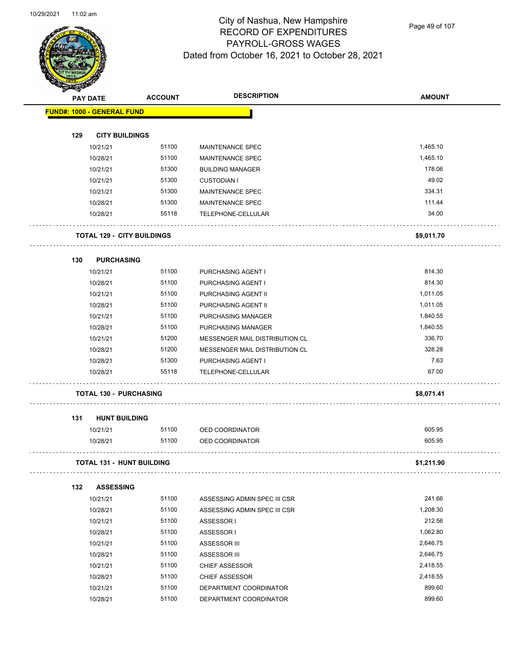

Page 49 of 107

|     | <b>PAY DATE</b>                   | <b>ACCOUNT</b> | <b>DESCRIPTION</b>             | <b>AMOUNT</b> |
|-----|-----------------------------------|----------------|--------------------------------|---------------|
|     | <b>FUND#: 1000 - GENERAL FUND</b> |                |                                |               |
|     |                                   |                |                                |               |
| 129 | <b>CITY BUILDINGS</b>             |                |                                |               |
|     | 10/21/21                          | 51100          | MAINTENANCE SPEC               | 1,465.10      |
|     | 10/28/21                          | 51100          | <b>MAINTENANCE SPEC</b>        | 1,465.10      |
|     | 10/21/21                          | 51300          | <b>BUILDING MANAGER</b>        | 178.06        |
|     | 10/21/21                          | 51300          | <b>CUSTODIAN I</b>             | 49.02         |
|     | 10/21/21                          | 51300          | <b>MAINTENANCE SPEC</b>        | 334.31        |
|     | 10/28/21                          | 51300          | MAINTENANCE SPEC               | 111.44        |
|     | 10/28/21                          | 55118          | TELEPHONE-CELLULAR             | 34.00         |
|     | <b>TOTAL 129 - CITY BUILDINGS</b> |                |                                | \$9,011.70    |
| 130 | <b>PURCHASING</b>                 |                |                                |               |
|     | 10/21/21                          | 51100          | PURCHASING AGENT I             | 814.30        |
|     | 10/28/21                          | 51100          | PURCHASING AGENT I             | 814.30        |
|     | 10/21/21                          | 51100          | PURCHASING AGENT II            | 1,011.05      |
|     | 10/28/21                          | 51100          | PURCHASING AGENT II            | 1,011.05      |
|     | 10/21/21                          | 51100          | <b>PURCHASING MANAGER</b>      | 1,840.55      |
|     | 10/28/21                          | 51100          | PURCHASING MANAGER             | 1,840.55      |
|     | 10/21/21                          | 51200          | MESSENGER MAIL DISTRIBUTION CL | 336.70        |
|     | 10/28/21                          | 51200          | MESSENGER MAIL DISTRIBUTION CL | 328.28        |
|     | 10/28/21                          | 51300          | PURCHASING AGENT I             | 7.63          |
|     | 10/28/21                          | 55118          | TELEPHONE-CELLULAR             | 67.00         |
|     | <b>TOTAL 130 - PURCHASING</b>     |                |                                | \$8,071.41    |
| 131 | <b>HUNT BUILDING</b>              |                |                                |               |
|     | 10/21/21                          | 51100          | OED COORDINATOR                | 605.95        |
|     | 10/28/21                          | 51100          | OED COORDINATOR                | 605.95        |
|     | <b>TOTAL 131 - HUNT BUILDING</b>  |                |                                | \$1,211.90    |
| 132 | <b>ASSESSING</b>                  |                |                                |               |
|     | 10/21/21                          | 51100          | ASSESSING ADMIN SPEC III CSR   | 241.66        |
|     | 10/28/21                          | 51100          | ASSESSING ADMIN SPEC III CSR   | 1,208.30      |
|     | 10/21/21                          | 51100          | ASSESSOR I                     | 212.56        |
|     | 10/28/21                          | 51100          | ASSESSOR I                     | 1,062.80      |
|     | 10/21/21                          | 51100          | ASSESSOR III                   | 2,646.75      |
|     | 10/28/21                          | 51100          | ASSESSOR III                   | 2,646.75      |
|     | 10/21/21                          | 51100          | <b>CHIEF ASSESSOR</b>          | 2,418.55      |
|     | 10/28/21                          | 51100          | <b>CHIEF ASSESSOR</b>          | 2,418.55      |
|     |                                   |                |                                |               |
|     | 10/21/21                          | 51100          | DEPARTMENT COORDINATOR         | 899.60        |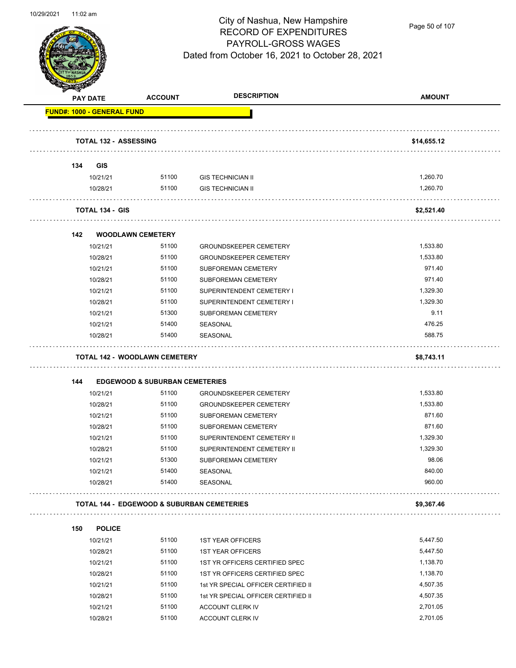

Page 50 of 107

|     |                                   | <b>ACCOUNT</b>                                        | <b>DESCRIPTION</b>                  | <b>AMOUNT</b> |
|-----|-----------------------------------|-------------------------------------------------------|-------------------------------------|---------------|
|     | <b>PAY DATE</b>                   |                                                       |                                     |               |
|     | <b>FUND#: 1000 - GENERAL FUND</b> |                                                       |                                     |               |
|     | <b>TOTAL 132 - ASSESSING</b>      |                                                       |                                     | \$14,655.12   |
|     |                                   |                                                       |                                     |               |
| 134 | <b>GIS</b>                        |                                                       |                                     |               |
|     | 10/21/21                          | 51100                                                 | <b>GIS TECHNICIAN II</b>            | 1,260.70      |
|     | 10/28/21                          | 51100                                                 | <b>GIS TECHNICIAN II</b>            | 1,260.70      |
|     | <b>TOTAL 134 - GIS</b>            |                                                       |                                     | \$2,521.40    |
| 142 |                                   | <b>WOODLAWN CEMETERY</b>                              |                                     |               |
|     | 10/21/21                          | 51100                                                 | <b>GROUNDSKEEPER CEMETERY</b>       | 1,533.80      |
|     | 10/28/21                          | 51100                                                 | <b>GROUNDSKEEPER CEMETERY</b>       | 1,533.80      |
|     | 10/21/21                          | 51100                                                 | <b>SUBFOREMAN CEMETERY</b>          | 971.40        |
|     | 10/28/21                          | 51100                                                 | SUBFOREMAN CEMETERY                 | 971.40        |
|     | 10/21/21                          | 51100                                                 | SUPERINTENDENT CEMETERY I           | 1,329.30      |
|     | 10/28/21                          | 51100                                                 | SUPERINTENDENT CEMETERY I           | 1,329.30      |
|     | 10/21/21                          | 51300                                                 | SUBFOREMAN CEMETERY                 | 9.11          |
|     | 10/21/21                          | 51400                                                 | <b>SEASONAL</b>                     | 476.25        |
|     | 10/28/21                          | 51400                                                 | SEASONAL                            | 588.75        |
|     |                                   | <b>TOTAL 142 - WOODLAWN CEMETERY</b>                  |                                     | \$8,743.11    |
|     |                                   |                                                       |                                     |               |
| 144 |                                   | <b>EDGEWOOD &amp; SUBURBAN CEMETERIES</b>             |                                     |               |
|     | 10/21/21                          | 51100                                                 | <b>GROUNDSKEEPER CEMETERY</b>       | 1,533.80      |
|     | 10/28/21                          | 51100                                                 | <b>GROUNDSKEEPER CEMETERY</b>       | 1,533.80      |
|     | 10/21/21                          | 51100                                                 | <b>SUBFOREMAN CEMETERY</b>          | 871.60        |
|     | 10/28/21                          | 51100                                                 | SUBFOREMAN CEMETERY                 | 871.60        |
|     | 10/21/21                          | 51100                                                 | SUPERINTENDENT CEMETERY II          | 1,329.30      |
|     | 10/28/21                          | 51100                                                 | SUPERINTENDENT CEMETERY II          | 1,329.30      |
|     | 10/21/21                          | 51300                                                 | SUBFOREMAN CEMETERY                 | 98.06         |
|     | 10/21/21                          | 51400                                                 | <b>SEASONAL</b>                     | 840.00        |
|     | 10/28/21                          | 51400                                                 | <b>SEASONAL</b>                     | 960.00        |
|     |                                   | <b>TOTAL 144 - EDGEWOOD &amp; SUBURBAN CEMETERIES</b> |                                     | \$9,367.46    |
| 150 | <b>POLICE</b>                     |                                                       |                                     |               |
|     | 10/21/21                          | 51100                                                 | <b>1ST YEAR OFFICERS</b>            | 5,447.50      |
|     | 10/28/21                          | 51100                                                 | <b>1ST YEAR OFFICERS</b>            | 5,447.50      |
|     | 10/21/21                          | 51100                                                 | 1ST YR OFFICERS CERTIFIED SPEC      | 1,138.70      |
|     | 10/28/21                          | 51100                                                 | 1ST YR OFFICERS CERTIFIED SPEC      | 1,138.70      |
|     | 10/21/21                          | 51100                                                 | 1st YR SPECIAL OFFICER CERTIFIED II | 4,507.35      |
|     | 10/28/21                          | 51100                                                 | 1st YR SPECIAL OFFICER CERTIFIED II | 4,507.35      |
|     | 10/21/21                          | 51100                                                 | ACCOUNT CLERK IV                    | 2,701.05      |
|     | 10/28/21                          | 51100                                                 | ACCOUNT CLERK IV                    | 2,701.05      |
|     |                                   |                                                       |                                     |               |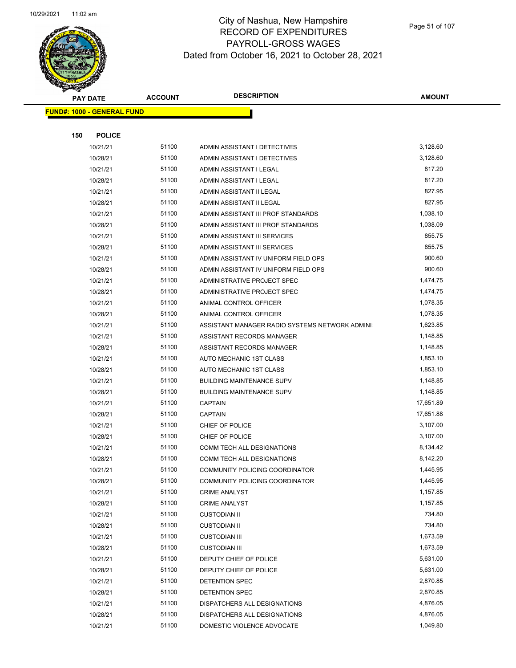

Page 51 of 107

|     | <b>PAY DATE</b>                   | <b>ACCOUNT</b> | <b>DESCRIPTION</b>                             | <b>AMOUNT</b> |  |
|-----|-----------------------------------|----------------|------------------------------------------------|---------------|--|
|     | <b>FUND#: 1000 - GENERAL FUND</b> |                |                                                |               |  |
|     |                                   |                |                                                |               |  |
| 150 | <b>POLICE</b>                     |                |                                                |               |  |
|     | 10/21/21                          | 51100          | ADMIN ASSISTANT I DETECTIVES                   | 3,128.60      |  |
|     | 10/28/21                          | 51100          | ADMIN ASSISTANT I DETECTIVES                   | 3,128.60      |  |
|     | 10/21/21                          | 51100          | ADMIN ASSISTANT I LEGAL                        | 817.20        |  |
|     | 10/28/21                          | 51100          | ADMIN ASSISTANT I LEGAL                        | 817.20        |  |
|     | 10/21/21                          | 51100          | ADMIN ASSISTANT II LEGAL                       | 827.95        |  |
|     | 10/28/21                          | 51100          | ADMIN ASSISTANT II LEGAL                       | 827.95        |  |
|     | 10/21/21                          | 51100          | ADMIN ASSISTANT III PROF STANDARDS             | 1,038.10      |  |
|     | 10/28/21                          | 51100          | ADMIN ASSISTANT III PROF STANDARDS             | 1,038.09      |  |
|     | 10/21/21                          | 51100          | ADMIN ASSISTANT III SERVICES                   | 855.75        |  |
|     | 10/28/21                          | 51100          | ADMIN ASSISTANT III SERVICES                   | 855.75        |  |
|     | 10/21/21                          | 51100          | ADMIN ASSISTANT IV UNIFORM FIELD OPS           | 900.60        |  |
|     | 10/28/21                          | 51100          | ADMIN ASSISTANT IV UNIFORM FIELD OPS           | 900.60        |  |
|     | 10/21/21                          | 51100          | ADMINISTRATIVE PROJECT SPEC                    | 1,474.75      |  |
|     | 10/28/21                          | 51100          | ADMINISTRATIVE PROJECT SPEC                    | 1,474.75      |  |
|     | 10/21/21                          | 51100          | ANIMAL CONTROL OFFICER                         | 1,078.35      |  |
|     | 10/28/21                          | 51100          | ANIMAL CONTROL OFFICER                         | 1,078.35      |  |
|     | 10/21/21                          | 51100          | ASSISTANT MANAGER RADIO SYSTEMS NETWORK ADMINI | 1,623.85      |  |
|     | 10/21/21                          | 51100          | ASSISTANT RECORDS MANAGER                      | 1,148.85      |  |
|     | 10/28/21                          | 51100          | ASSISTANT RECORDS MANAGER                      | 1,148.85      |  |
|     | 10/21/21                          | 51100          | AUTO MECHANIC 1ST CLASS                        | 1,853.10      |  |
|     | 10/28/21                          | 51100          | AUTO MECHANIC 1ST CLASS                        | 1,853.10      |  |
|     | 10/21/21                          | 51100          | <b>BUILDING MAINTENANCE SUPV</b>               | 1,148.85      |  |
|     | 10/28/21                          | 51100          | <b>BUILDING MAINTENANCE SUPV</b>               | 1,148.85      |  |
|     | 10/21/21                          | 51100          | <b>CAPTAIN</b>                                 | 17,651.89     |  |
|     | 10/28/21                          | 51100          | <b>CAPTAIN</b>                                 | 17,651.88     |  |
|     | 10/21/21                          | 51100          | CHIEF OF POLICE                                | 3,107.00      |  |
|     | 10/28/21                          | 51100          | CHIEF OF POLICE                                | 3,107.00      |  |
|     | 10/21/21                          | 51100          | COMM TECH ALL DESIGNATIONS                     | 8,134.42      |  |
|     | 10/28/21                          | 51100          | COMM TECH ALL DESIGNATIONS                     | 8,142.20      |  |
|     | 10/21/21                          | 51100          | COMMUNITY POLICING COORDINATOR                 | 1,445.95      |  |
|     | 10/28/21                          | 51100          | COMMUNITY POLICING COORDINATOR                 | 1,445.95      |  |
|     | 10/21/21                          | 51100          | <b>CRIME ANALYST</b>                           | 1,157.85      |  |
|     | 10/28/21                          | 51100          | <b>CRIME ANALYST</b>                           | 1,157.85      |  |
|     | 10/21/21                          | 51100          | <b>CUSTODIAN II</b>                            | 734.80        |  |
|     | 10/28/21                          | 51100          | <b>CUSTODIAN II</b>                            | 734.80        |  |
|     | 10/21/21                          | 51100          | <b>CUSTODIAN III</b>                           | 1,673.59      |  |
|     | 10/28/21                          | 51100          | <b>CUSTODIAN III</b>                           | 1,673.59      |  |
|     | 10/21/21                          | 51100          | DEPUTY CHIEF OF POLICE                         | 5,631.00      |  |
|     | 10/28/21                          | 51100          | DEPUTY CHIEF OF POLICE                         | 5,631.00      |  |
|     | 10/21/21                          | 51100          | DETENTION SPEC                                 | 2,870.85      |  |
|     | 10/28/21                          | 51100          | DETENTION SPEC                                 | 2,870.85      |  |
|     | 10/21/21                          | 51100          | DISPATCHERS ALL DESIGNATIONS                   | 4,876.05      |  |
|     | 10/28/21                          | 51100          | DISPATCHERS ALL DESIGNATIONS                   | 4,876.05      |  |
|     | 10/21/21                          | 51100          | DOMESTIC VIOLENCE ADVOCATE                     | 1,049.80      |  |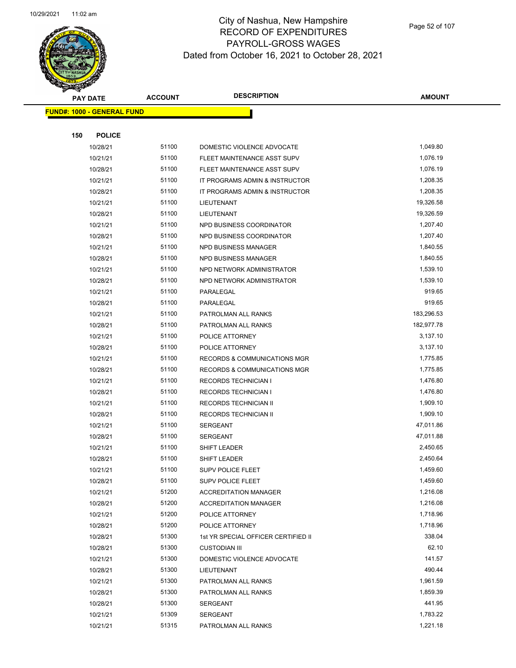

|     | <b>PAY DATE</b>                    | <b>ACCOUNT</b> | <b>DESCRIPTION</b>                      | <b>AMOUNT</b> |
|-----|------------------------------------|----------------|-----------------------------------------|---------------|
|     | <u> FUND#: 1000 - GENERAL FUND</u> |                |                                         |               |
|     |                                    |                |                                         |               |
| 150 | <b>POLICE</b>                      |                |                                         |               |
|     | 10/28/21                           | 51100          | DOMESTIC VIOLENCE ADVOCATE              | 1,049.80      |
|     | 10/21/21                           | 51100          | FLEET MAINTENANCE ASST SUPV             | 1,076.19      |
|     | 10/28/21                           | 51100          | FLEET MAINTENANCE ASST SUPV             | 1,076.19      |
|     | 10/21/21                           | 51100          | IT PROGRAMS ADMIN & INSTRUCTOR          | 1,208.35      |
|     | 10/28/21                           | 51100          | IT PROGRAMS ADMIN & INSTRUCTOR          | 1,208.35      |
|     | 10/21/21                           | 51100          | <b>LIEUTENANT</b>                       | 19,326.58     |
|     | 10/28/21                           | 51100          | LIEUTENANT                              | 19,326.59     |
|     | 10/21/21                           | 51100          | NPD BUSINESS COORDINATOR                | 1,207.40      |
|     | 10/28/21                           | 51100          | NPD BUSINESS COORDINATOR                | 1,207.40      |
|     | 10/21/21                           | 51100          | NPD BUSINESS MANAGER                    | 1,840.55      |
|     | 10/28/21                           | 51100          | NPD BUSINESS MANAGER                    | 1,840.55      |
|     | 10/21/21                           | 51100          | NPD NETWORK ADMINISTRATOR               | 1,539.10      |
|     | 10/28/21                           | 51100          | NPD NETWORK ADMINISTRATOR               | 1,539.10      |
|     | 10/21/21                           | 51100          | PARALEGAL                               | 919.65        |
|     | 10/28/21                           | 51100          | PARALEGAL                               | 919.65        |
|     | 10/21/21                           | 51100          | PATROLMAN ALL RANKS                     | 183,296.53    |
|     | 10/28/21                           | 51100          | PATROLMAN ALL RANKS                     | 182,977.78    |
|     | 10/21/21                           | 51100          | POLICE ATTORNEY                         | 3,137.10      |
|     | 10/28/21                           | 51100          | POLICE ATTORNEY                         | 3,137.10      |
|     | 10/21/21                           | 51100          | RECORDS & COMMUNICATIONS MGR            | 1,775.85      |
|     | 10/28/21                           | 51100          | <b>RECORDS &amp; COMMUNICATIONS MGR</b> | 1,775.85      |
|     | 10/21/21                           | 51100          | <b>RECORDS TECHNICIAN I</b>             | 1,476.80      |
|     | 10/28/21                           | 51100          | <b>RECORDS TECHNICIAN I</b>             | 1,476.80      |
|     | 10/21/21                           | 51100          | RECORDS TECHNICIAN II                   | 1,909.10      |
|     | 10/28/21                           | 51100          | RECORDS TECHNICIAN II                   | 1,909.10      |
|     | 10/21/21                           | 51100          | <b>SERGEANT</b>                         | 47,011.86     |
|     | 10/28/21                           | 51100          | <b>SERGEANT</b>                         | 47,011.88     |
|     | 10/21/21                           | 51100          | SHIFT LEADER                            | 2,450.65      |
|     | 10/28/21                           | 51100          | SHIFT LEADER                            | 2,450.64      |
|     | 10/21/21                           | 51100          | <b>SUPV POLICE FLEET</b>                | 1,459.60      |
|     | 10/28/21                           | 51100          | <b>SUPV POLICE FLEET</b>                | 1,459.60      |
|     | 10/21/21                           | 51200          | <b>ACCREDITATION MANAGER</b>            | 1,216.08      |
|     | 10/28/21                           | 51200          | <b>ACCREDITATION MANAGER</b>            | 1,216.08      |
|     | 10/21/21                           | 51200          | POLICE ATTORNEY                         | 1,718.96      |
|     | 10/28/21                           | 51200          | POLICE ATTORNEY                         | 1,718.96      |
|     | 10/28/21                           | 51300          | 1st YR SPECIAL OFFICER CERTIFIED II     | 338.04        |
|     | 10/28/21                           | 51300          | <b>CUSTODIAN III</b>                    | 62.10         |
|     | 10/21/21                           | 51300          | DOMESTIC VIOLENCE ADVOCATE              | 141.57        |
|     | 10/28/21                           | 51300          | LIEUTENANT                              | 490.44        |
|     | 10/21/21                           | 51300          | PATROLMAN ALL RANKS                     | 1,961.59      |
|     | 10/28/21                           | 51300          | PATROLMAN ALL RANKS                     | 1,859.39      |
|     | 10/28/21                           | 51300          | SERGEANT                                | 441.95        |
|     | 10/21/21                           | 51309          | <b>SERGEANT</b>                         | 1,783.22      |
|     | 10/21/21                           | 51315          | PATROLMAN ALL RANKS                     | 1,221.18      |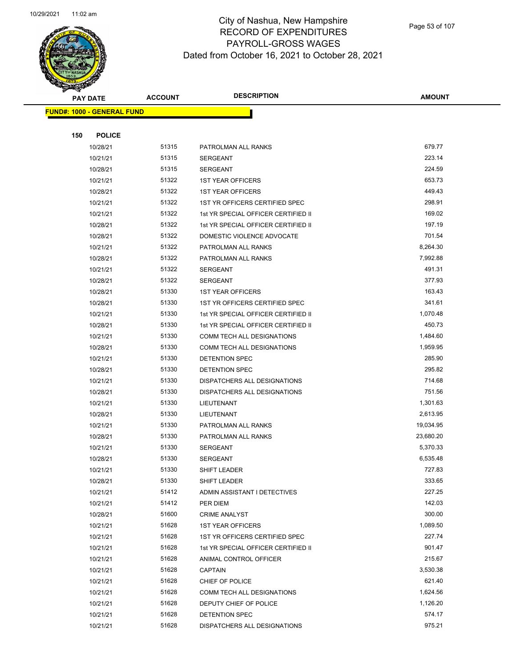

Page 53 of 107

|     | <b>PAY DATE</b>                   | <b>ACCOUNT</b> | <b>DESCRIPTION</b>                                            | <b>AMOUNT</b>    |
|-----|-----------------------------------|----------------|---------------------------------------------------------------|------------------|
|     | <b>FUND#: 1000 - GENERAL FUND</b> |                |                                                               |                  |
|     |                                   |                |                                                               |                  |
| 150 | <b>POLICE</b>                     |                |                                                               |                  |
|     | 10/28/21                          | 51315          | PATROLMAN ALL RANKS                                           | 679.77           |
|     | 10/21/21                          | 51315          | <b>SERGEANT</b>                                               | 223.14           |
|     | 10/28/21                          | 51315          | <b>SERGEANT</b>                                               | 224.59           |
|     | 10/21/21                          | 51322          | <b>1ST YEAR OFFICERS</b>                                      | 653.73           |
|     | 10/28/21                          | 51322          | <b>1ST YEAR OFFICERS</b>                                      | 449.43           |
|     | 10/21/21                          | 51322          | 1ST YR OFFICERS CERTIFIED SPEC                                | 298.91           |
|     | 10/21/21                          | 51322          | 1st YR SPECIAL OFFICER CERTIFIED II                           | 169.02           |
|     | 10/28/21                          | 51322          | 1st YR SPECIAL OFFICER CERTIFIED II                           | 197.19           |
|     | 10/28/21                          | 51322          | DOMESTIC VIOLENCE ADVOCATE                                    | 701.54           |
|     | 10/21/21                          | 51322          | PATROLMAN ALL RANKS                                           | 8,264.30         |
|     | 10/28/21                          | 51322          | PATROLMAN ALL RANKS                                           | 7,992.88         |
|     | 10/21/21                          | 51322          | <b>SERGEANT</b>                                               | 491.31           |
|     | 10/28/21                          | 51322          | <b>SERGEANT</b>                                               | 377.93           |
|     | 10/28/21                          | 51330          | <b>1ST YEAR OFFICERS</b>                                      | 163.43           |
|     | 10/28/21                          | 51330          | 1ST YR OFFICERS CERTIFIED SPEC                                | 341.61           |
|     | 10/21/21                          | 51330          | 1st YR SPECIAL OFFICER CERTIFIED II                           | 1,070.48         |
|     | 10/28/21                          | 51330          | 1st YR SPECIAL OFFICER CERTIFIED II                           | 450.73           |
|     | 10/21/21                          | 51330          | COMM TECH ALL DESIGNATIONS                                    | 1,484.60         |
|     | 10/28/21                          | 51330          | COMM TECH ALL DESIGNATIONS                                    | 1,959.95         |
|     | 10/21/21                          | 51330          | DETENTION SPEC                                                | 285.90           |
|     | 10/28/21                          | 51330          | DETENTION SPEC                                                | 295.82           |
|     | 10/21/21                          | 51330          | DISPATCHERS ALL DESIGNATIONS                                  | 714.68           |
|     | 10/28/21                          | 51330          | DISPATCHERS ALL DESIGNATIONS                                  | 751.56           |
|     | 10/21/21                          | 51330          | LIEUTENANT                                                    | 1,301.63         |
|     | 10/28/21                          | 51330          | LIEUTENANT                                                    | 2,613.95         |
|     | 10/21/21                          | 51330          | PATROLMAN ALL RANKS                                           | 19,034.95        |
|     | 10/28/21                          | 51330          | PATROLMAN ALL RANKS                                           | 23,680.20        |
|     | 10/21/21                          | 51330          | <b>SERGEANT</b>                                               | 5,370.33         |
|     | 10/28/21                          | 51330          | <b>SERGEANT</b>                                               | 6,535.48         |
|     | 10/21/21                          | 51330          | <b>SHIFT LEADER</b>                                           | 727.83           |
|     | 10/28/21                          | 51330          | SHIFT LEADER                                                  | 333.65           |
|     | 10/21/21                          | 51412          | ADMIN ASSISTANT I DETECTIVES                                  | 227.25           |
|     | 10/21/21                          | 51412          | PER DIEM                                                      | 142.03           |
|     | 10/28/21                          | 51600          | <b>CRIME ANALYST</b>                                          | 300.00           |
|     | 10/21/21                          | 51628          | <b>1ST YEAR OFFICERS</b>                                      | 1,089.50         |
|     | 10/21/21                          | 51628<br>51628 | 1ST YR OFFICERS CERTIFIED SPEC                                | 227.74<br>901.47 |
|     | 10/21/21                          | 51628          | 1st YR SPECIAL OFFICER CERTIFIED II<br>ANIMAL CONTROL OFFICER | 215.67           |
|     | 10/21/21                          | 51628          | <b>CAPTAIN</b>                                                | 3,530.38         |
|     | 10/21/21                          | 51628          |                                                               | 621.40           |
|     | 10/21/21<br>10/21/21              | 51628          | CHIEF OF POLICE<br>COMM TECH ALL DESIGNATIONS                 | 1,624.56         |
|     | 10/21/21                          | 51628          | DEPUTY CHIEF OF POLICE                                        | 1,126.20         |
|     | 10/21/21                          | 51628          | DETENTION SPEC                                                | 574.17           |
|     | 10/21/21                          | 51628          | DISPATCHERS ALL DESIGNATIONS                                  | 975.21           |
|     |                                   |                |                                                               |                  |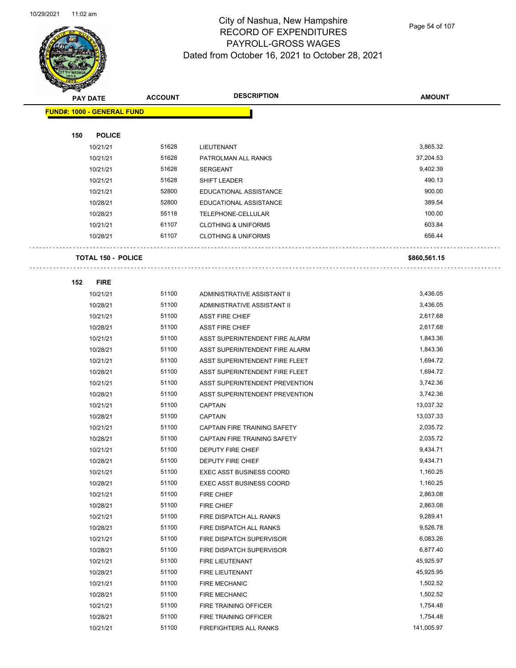

Page 54 of 107

|     | <b>PAY DATE</b>                   | <b>DESCRIPTION</b><br><b>ACCOUNT</b> |                                                      | <b>AMOUNT</b> |
|-----|-----------------------------------|--------------------------------------|------------------------------------------------------|---------------|
|     | <b>FUND#: 1000 - GENERAL FUND</b> |                                      |                                                      |               |
|     |                                   |                                      |                                                      |               |
| 150 | <b>POLICE</b>                     |                                      |                                                      |               |
|     | 10/21/21                          | 51628                                | LIEUTENANT                                           | 3,865.32      |
|     | 10/21/21                          | 51628                                | PATROLMAN ALL RANKS                                  | 37,204.53     |
|     | 10/21/21                          | 51628                                | <b>SERGEANT</b>                                      | 9,402.39      |
|     | 10/21/21                          | 51628                                | SHIFT LEADER                                         | 490.13        |
|     | 10/21/21                          | 52800                                | EDUCATIONAL ASSISTANCE                               | 900.00        |
|     | 10/28/21                          | 52800                                | EDUCATIONAL ASSISTANCE                               | 389.54        |
|     | 10/28/21                          | 55118                                | TELEPHONE-CELLULAR                                   | 100.00        |
|     | 10/21/21                          | 61107                                | <b>CLOTHING &amp; UNIFORMS</b>                       | 603.84        |
|     | 10/28/21                          | 61107                                | <b>CLOTHING &amp; UNIFORMS</b>                       | 656.44        |
|     | <b>TOTAL 150 - POLICE</b>         |                                      |                                                      | \$860,561.15  |
| 152 | <b>FIRE</b>                       |                                      |                                                      |               |
|     | 10/21/21                          | 51100                                | ADMINISTRATIVE ASSISTANT II                          | 3,436.05      |
|     | 10/28/21                          | 51100                                | ADMINISTRATIVE ASSISTANT II                          | 3,436.05      |
|     | 10/21/21                          | 51100                                | <b>ASST FIRE CHIEF</b>                               | 2,617.68      |
|     | 10/28/21                          | 51100                                | <b>ASST FIRE CHIEF</b>                               | 2,617.68      |
|     | 10/21/21                          | 51100                                | ASST SUPERINTENDENT FIRE ALARM                       | 1,843.36      |
|     | 10/28/21                          | 51100                                | ASST SUPERINTENDENT FIRE ALARM                       | 1,843.36      |
|     | 10/21/21                          | 51100                                | ASST SUPERINTENDENT FIRE FLEET                       | 1,694.72      |
|     | 10/28/21                          | 51100                                | ASST SUPERINTENDENT FIRE FLEET                       | 1,694.72      |
|     | 10/21/21                          | 51100                                | ASST SUPERINTENDENT PREVENTION                       | 3,742.36      |
|     | 10/28/21                          | 51100                                | ASST SUPERINTENDENT PREVENTION                       | 3,742.36      |
|     | 10/21/21                          | 51100                                | <b>CAPTAIN</b>                                       | 13,037.32     |
|     | 10/28/21                          | 51100                                | <b>CAPTAIN</b>                                       | 13,037.33     |
|     | 10/21/21                          | 51100                                | CAPTAIN FIRE TRAINING SAFETY                         | 2,035.72      |
|     | 10/28/21                          | 51100                                | <b>CAPTAIN FIRE TRAINING SAFETY</b>                  | 2,035.72      |
|     | 10/21/21                          | 51100                                | DEPUTY FIRE CHIEF                                    | 9,434.71      |
|     | 10/28/21                          | 51100                                | DEPUTY FIRE CHIEF                                    | 9,434.71      |
|     | 10/21/21                          | 51100                                | EXEC ASST BUSINESS COORD                             | 1,160.25      |
|     | 10/28/21                          | 51100                                | <b>EXEC ASST BUSINESS COORD</b>                      | 1,160.25      |
|     | 10/21/21                          | 51100                                | FIRE CHIEF                                           | 2,863.08      |
|     | 10/28/21                          | 51100                                | FIRE CHIEF                                           | 2,863.08      |
|     | 10/21/21                          | 51100                                | FIRE DISPATCH ALL RANKS                              | 9,289.41      |
|     | 10/28/21                          | 51100                                | FIRE DISPATCH ALL RANKS                              | 9,526.78      |
|     | 10/21/21                          | 51100                                |                                                      | 6,083.26      |
|     | 10/28/21                          | 51100                                | FIRE DISPATCH SUPERVISOR<br>FIRE DISPATCH SUPERVISOR | 6,877.40      |
|     |                                   |                                      | FIRE LIEUTENANT                                      | 45,925.97     |
|     | 10/21/21                          | 51100                                |                                                      | 45,925.95     |
|     | 10/28/21                          | 51100                                | FIRE LIEUTENANT                                      |               |
|     | 10/21/21                          | 51100                                | <b>FIRE MECHANIC</b>                                 | 1,502.52      |
|     | 10/28/21                          | 51100                                | <b>FIRE MECHANIC</b>                                 | 1,502.52      |
|     | 10/21/21                          | 51100                                | FIRE TRAINING OFFICER                                | 1,754.48      |
|     | 10/28/21                          | 51100                                | FIRE TRAINING OFFICER                                | 1,754.48      |
|     | 10/21/21                          | 51100                                | FIREFIGHTERS ALL RANKS                               | 141,005.97    |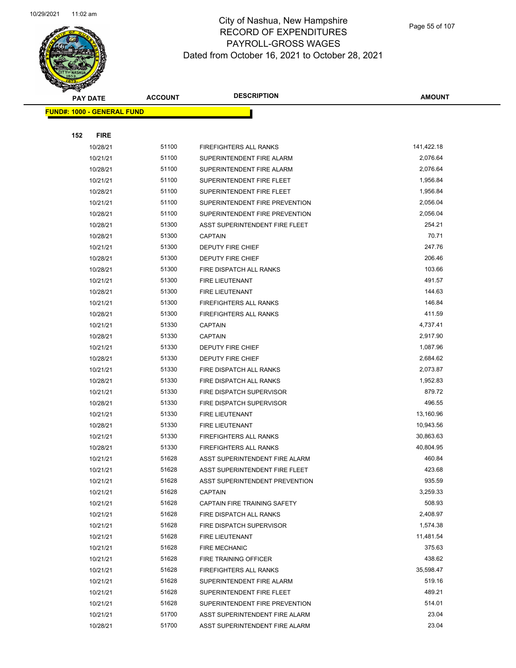

Page 55 of 107

|     | <b>PAY DATE</b>                   | <b>ACCOUNT</b> | <b>DESCRIPTION</b>             | <b>AMOUNT</b> |
|-----|-----------------------------------|----------------|--------------------------------|---------------|
|     | <b>FUND#: 1000 - GENERAL FUND</b> |                |                                |               |
|     |                                   |                |                                |               |
| 152 | <b>FIRE</b>                       |                |                                |               |
|     | 10/28/21                          | 51100          | <b>FIREFIGHTERS ALL RANKS</b>  | 141,422.18    |
|     | 10/21/21                          | 51100          | SUPERINTENDENT FIRE ALARM      | 2,076.64      |
|     | 10/28/21                          | 51100          | SUPERINTENDENT FIRE ALARM      | 2,076.64      |
|     | 10/21/21                          | 51100          | SUPERINTENDENT FIRE FLEET      | 1,956.84      |
|     | 10/28/21                          | 51100          | SUPERINTENDENT FIRE FLEET      | 1,956.84      |
|     | 10/21/21                          | 51100          | SUPERINTENDENT FIRE PREVENTION | 2,056.04      |
|     | 10/28/21                          | 51100          | SUPERINTENDENT FIRE PREVENTION | 2,056.04      |
|     | 10/28/21                          | 51300          | ASST SUPERINTENDENT FIRE FLEET | 254.21        |
|     | 10/28/21                          | 51300          | <b>CAPTAIN</b>                 | 70.71         |
|     | 10/21/21                          | 51300          | DEPUTY FIRE CHIEF              | 247.76        |
|     | 10/28/21                          | 51300          | DEPUTY FIRE CHIEF              | 206.46        |
|     | 10/28/21                          | 51300          | FIRE DISPATCH ALL RANKS        | 103.66        |
|     | 10/21/21                          | 51300          | <b>FIRE LIEUTENANT</b>         | 491.57        |
|     | 10/28/21                          | 51300          | FIRE LIEUTENANT                | 144.63        |
|     | 10/21/21                          | 51300          | <b>FIREFIGHTERS ALL RANKS</b>  | 146.84        |
|     | 10/28/21                          | 51300          | <b>FIREFIGHTERS ALL RANKS</b>  | 411.59        |
|     | 10/21/21                          | 51330          | <b>CAPTAIN</b>                 | 4,737.41      |
|     | 10/28/21                          | 51330          | <b>CAPTAIN</b>                 | 2,917.90      |
|     | 10/21/21                          | 51330          | DEPUTY FIRE CHIEF              | 1,087.96      |
|     | 10/28/21                          | 51330          | DEPUTY FIRE CHIEF              | 2,684.62      |
|     | 10/21/21                          | 51330          | FIRE DISPATCH ALL RANKS        | 2,073.87      |
|     | 10/28/21                          | 51330          | FIRE DISPATCH ALL RANKS        | 1,952.83      |
|     | 10/21/21                          | 51330          | FIRE DISPATCH SUPERVISOR       | 879.72        |
|     | 10/28/21                          | 51330          | FIRE DISPATCH SUPERVISOR       | 496.55        |
|     | 10/21/21                          | 51330          | FIRE LIEUTENANT                | 13,160.96     |
|     | 10/28/21                          | 51330          | FIRE LIEUTENANT                | 10,943.56     |
|     | 10/21/21                          | 51330          | FIREFIGHTERS ALL RANKS         | 30,863.63     |
|     | 10/28/21                          | 51330          | <b>FIREFIGHTERS ALL RANKS</b>  | 40,804.95     |
|     | 10/21/21                          | 51628          | ASST SUPERINTENDENT FIRE ALARM | 460.84        |
|     | 10/21/21                          | 51628          | ASST SUPERINTENDENT FIRE FLEET | 423.68        |
|     | 10/21/21                          | 51628          | ASST SUPERINTENDENT PREVENTION | 935.59        |
|     | 10/21/21                          | 51628          | <b>CAPTAIN</b>                 | 3,259.33      |
|     | 10/21/21                          | 51628          | CAPTAIN FIRE TRAINING SAFETY   | 508.93        |
|     | 10/21/21                          | 51628          | FIRE DISPATCH ALL RANKS        | 2,408.97      |
|     | 10/21/21                          | 51628          | FIRE DISPATCH SUPERVISOR       | 1,574.38      |
|     | 10/21/21                          | 51628          | FIRE LIEUTENANT                | 11,481.54     |
|     | 10/21/21                          | 51628          | <b>FIRE MECHANIC</b>           | 375.63        |
|     | 10/21/21                          | 51628          | <b>FIRE TRAINING OFFICER</b>   | 438.62        |
|     | 10/21/21                          | 51628          | FIREFIGHTERS ALL RANKS         | 35,598.47     |
|     | 10/21/21                          | 51628          | SUPERINTENDENT FIRE ALARM      | 519.16        |
|     | 10/21/21                          | 51628          | SUPERINTENDENT FIRE FLEET      | 489.21        |
|     | 10/21/21                          | 51628          | SUPERINTENDENT FIRE PREVENTION | 514.01        |
|     | 10/21/21                          | 51700          | ASST SUPERINTENDENT FIRE ALARM | 23.04         |
|     | 10/28/21                          | 51700          | ASST SUPERINTENDENT FIRE ALARM | 23.04         |
|     |                                   |                |                                |               |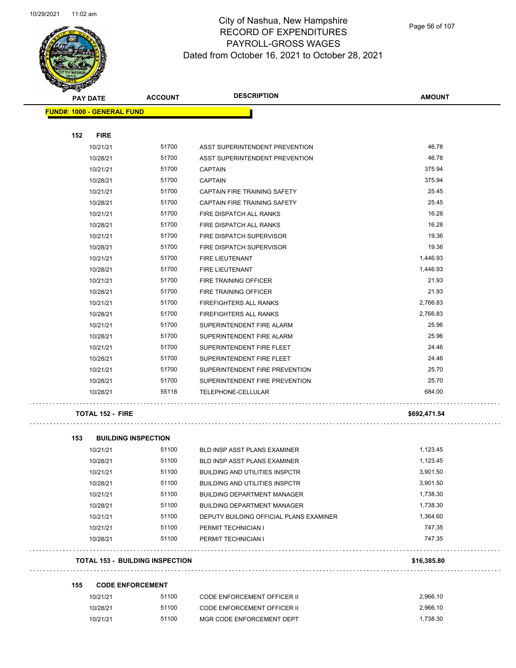

Page 56 of 107

|     | <b>PAY DATE</b>                   | <b>ACCOUNT</b> | <b>DESCRIPTION</b>                      | <b>AMOUNT</b> |
|-----|-----------------------------------|----------------|-----------------------------------------|---------------|
|     | <b>FUND#: 1000 - GENERAL FUND</b> |                |                                         |               |
| 152 | <b>FIRE</b>                       |                |                                         |               |
|     | 10/21/21                          | 51700          | ASST SUPERINTENDENT PREVENTION          | 46.78         |
|     | 10/28/21                          | 51700          | ASST SUPERINTENDENT PREVENTION          | 46.78         |
|     | 10/21/21                          | 51700          | <b>CAPTAIN</b>                          | 375.94        |
|     | 10/28/21                          | 51700          | <b>CAPTAIN</b>                          | 375.94        |
|     | 10/21/21                          | 51700          | CAPTAIN FIRE TRAINING SAFETY            | 25.45         |
|     | 10/28/21                          | 51700          | CAPTAIN FIRE TRAINING SAFETY            | 25.45         |
|     | 10/21/21                          | 51700          | FIRE DISPATCH ALL RANKS                 | 16.28         |
|     | 10/28/21                          | 51700          | FIRE DISPATCH ALL RANKS                 | 16.28         |
|     | 10/21/21                          | 51700          | FIRE DISPATCH SUPERVISOR                | 19.36         |
|     | 10/28/21                          | 51700          | FIRE DISPATCH SUPERVISOR                | 19.36         |
|     | 10/21/21                          | 51700          | FIRE LIEUTENANT                         | 1,446.93      |
|     | 10/28/21                          | 51700          | <b>FIRE LIEUTENANT</b>                  | 1,446.93      |
|     | 10/21/21                          | 51700          | FIRE TRAINING OFFICER                   | 21.93         |
|     | 10/28/21                          | 51700          | FIRE TRAINING OFFICER                   | 21.93         |
|     | 10/21/21                          | 51700          | FIREFIGHTERS ALL RANKS                  | 2,766.83      |
|     | 10/28/21                          | 51700          | FIREFIGHTERS ALL RANKS                  | 2,766.83      |
|     | 10/21/21                          | 51700          | SUPERINTENDENT FIRE ALARM               | 25.96         |
|     | 10/28/21                          | 51700          | SUPERINTENDENT FIRE ALARM               | 25.96         |
|     | 10/21/21                          | 51700          | SUPERINTENDENT FIRE FLEET               | 24.46         |
|     | 10/28/21                          | 51700          | SUPERINTENDENT FIRE FLEET               | 24.46         |
|     | 10/21/21                          | 51700          | SUPERINTENDENT FIRE PREVENTION          | 25.70         |
|     | 10/28/21                          | 51700          | SUPERINTENDENT FIRE PREVENTION          | 25.70         |
|     | 10/28/21                          | 55118          | TELEPHONE-CELLULAR                      | 684.00        |
|     | <b>TOTAL 152 - FIRE</b>           |                |                                         | \$692,471.54  |
| 153 | <b>BUILDING INSPECTION</b>        |                |                                         |               |
|     | 10/21/21                          | 51100          | <b>BLD INSP ASST PLANS EXAMINER</b>     | 1,123.45      |
|     | 10/28/21                          | 51100          | <b>BLD INSP ASST PLANS EXAMINER</b>     | 1,123.45      |
|     | 10/21/21                          | 51100          | BUILDING AND UTILITIES INSPCTR          | 3,901.50      |
|     | 10/28/21                          | 51100          | <b>BUILDING AND UTILITIES INSPCTR</b>   | 3,901.50      |
|     | 10/21/21                          | 51100          | <b>BUILDING DEPARTMENT MANAGER</b>      | 1,738.30      |
|     | 10/28/21                          | 51100          | <b>BUILDING DEPARTMENT MANAGER</b>      | 1,738.30      |
|     | 10/21/21                          | 51100          | DEPUTY BUILDING OFFICIAL PLANS EXAMINER | 1,364.60      |
|     | 10/21/21                          | 51100          | PERMIT TECHNICIAN I                     | 747.35        |
|     | 10/28/21                          | 51100          | PERMIT TECHNICIAN I                     | 747.35        |

### **TOTAL 153 - BUILDING INSPECTION \$16,385.80**

### **155 CODE ENFORCEMENT**

| 10/21/21 | 51100 | CODE ENFORCEMENT OFFICER II | 2.966.10 |
|----------|-------|-----------------------------|----------|
| 10/28/21 | 51100 | CODE ENFORCEMENT OFFICER II | 2.966.10 |
| 10/21/21 | 51100 | MGR CODE ENFORCEMENT DEPT   | 1.738.30 |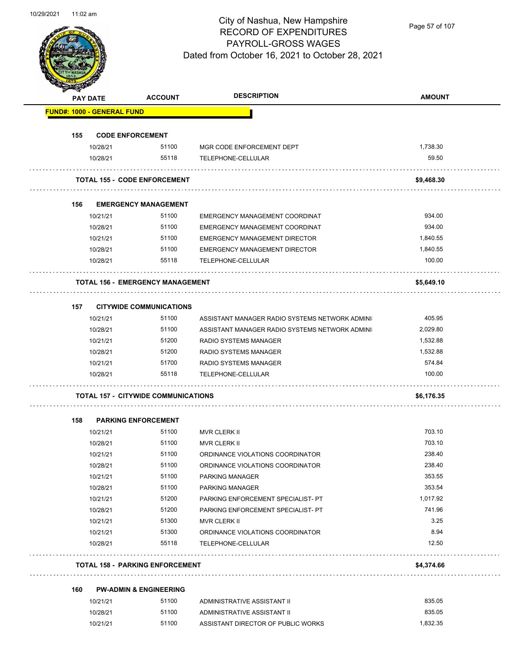

Page 57 of 107

| <b>SANGAL</b> | <b>PAY DATE</b>                   | <b>ACCOUNT</b>                             | <b>DESCRIPTION</b>                             | <b>AMOUNT</b> |
|---------------|-----------------------------------|--------------------------------------------|------------------------------------------------|---------------|
|               | <b>FUND#: 1000 - GENERAL FUND</b> |                                            |                                                |               |
| 155           | <b>CODE ENFORCEMENT</b>           |                                            |                                                |               |
|               | 10/28/21                          | 51100                                      | MGR CODE ENFORCEMENT DEPT                      | 1,738.30      |
|               | 10/28/21                          | 55118                                      | TELEPHONE-CELLULAR                             | 59.50         |
|               |                                   |                                            |                                                |               |
|               |                                   | <b>TOTAL 155 - CODE ENFORCEMENT</b>        |                                                | \$9,468.30    |
| 156           |                                   | <b>EMERGENCY MANAGEMENT</b>                |                                                |               |
|               | 10/21/21                          | 51100                                      | EMERGENCY MANAGEMENT COORDINAT                 | 934.00        |
|               | 10/28/21                          | 51100                                      | <b>EMERGENCY MANAGEMENT COORDINAT</b>          | 934.00        |
|               | 10/21/21                          | 51100                                      | <b>EMERGENCY MANAGEMENT DIRECTOR</b>           | 1,840.55      |
|               | 10/28/21                          | 51100                                      | <b>EMERGENCY MANAGEMENT DIRECTOR</b>           | 1,840.55      |
|               | 10/28/21                          | 55118                                      | TELEPHONE-CELLULAR                             | 100.00        |
|               |                                   |                                            |                                                |               |
|               |                                   | <b>TOTAL 156 - EMERGENCY MANAGEMENT</b>    |                                                | \$5,649.10    |
|               |                                   |                                            |                                                |               |
| 157           |                                   | <b>CITYWIDE COMMUNICATIONS</b>             |                                                |               |
|               | 10/21/21                          | 51100                                      | ASSISTANT MANAGER RADIO SYSTEMS NETWORK ADMINI | 405.95        |
|               | 10/28/21                          | 51100                                      | ASSISTANT MANAGER RADIO SYSTEMS NETWORK ADMINI | 2,029.80      |
|               | 10/21/21                          | 51200                                      | RADIO SYSTEMS MANAGER                          | 1,532.88      |
|               | 10/28/21                          | 51200                                      | RADIO SYSTEMS MANAGER                          | 1,532.88      |
|               | 10/21/21                          | 51700                                      | RADIO SYSTEMS MANAGER                          | 574.84        |
|               | 10/28/21                          | 55118                                      | TELEPHONE-CELLULAR                             | 100.00        |
|               |                                   | <b>TOTAL 157 - CITYWIDE COMMUNICATIONS</b> |                                                | \$6,176.35    |
|               |                                   |                                            |                                                |               |
| 158           |                                   | <b>PARKING ENFORCEMENT</b>                 |                                                |               |
|               | 10/21/21                          | 51100                                      | <b>MVR CLERK II</b>                            | 703.10        |
|               | 10/28/21                          | 51100                                      | <b>MVR CLERK II</b>                            | 703.10        |
|               | 10/21/21                          | 51100                                      | ORDINANCE VIOLATIONS COORDINATOR               | 238.40        |
|               | 10/28/21                          | 51100                                      | ORDINANCE VIOLATIONS COORDINATOR               | 238.40        |
|               | 10/21/21                          | 51100                                      | <b>PARKING MANAGER</b>                         | 353.55        |
|               | 10/28/21                          | 51100                                      | PARKING MANAGER                                | 353.54        |
|               | 10/21/21                          | 51200                                      | PARKING ENFORCEMENT SPECIALIST- PT             | 1,017.92      |
|               | 10/28/21                          | 51200                                      | PARKING ENFORCEMENT SPECIALIST- PT             | 741.96        |
|               | 10/21/21                          | 51300                                      | MVR CLERK II                                   | 3.25          |
|               |                                   |                                            | ORDINANCE VIOLATIONS COORDINATOR               | 8.94          |
|               | 10/21/21                          | 51300                                      |                                                |               |
|               | 10/28/21                          | 55118                                      | TELEPHONE-CELLULAR                             | 12.50         |
|               |                                   | <b>TOTAL 158 - PARKING ENFORCEMENT</b>     |                                                | \$4,374.66    |
| 160           |                                   | <b>PW-ADMIN &amp; ENGINEERING</b>          |                                                |               |
|               | 10/21/21                          | 51100                                      | ADMINISTRATIVE ASSISTANT II                    | 835.05        |
|               | 10/28/21                          | 51100                                      | ADMINISTRATIVE ASSISTANT II                    | 835.05        |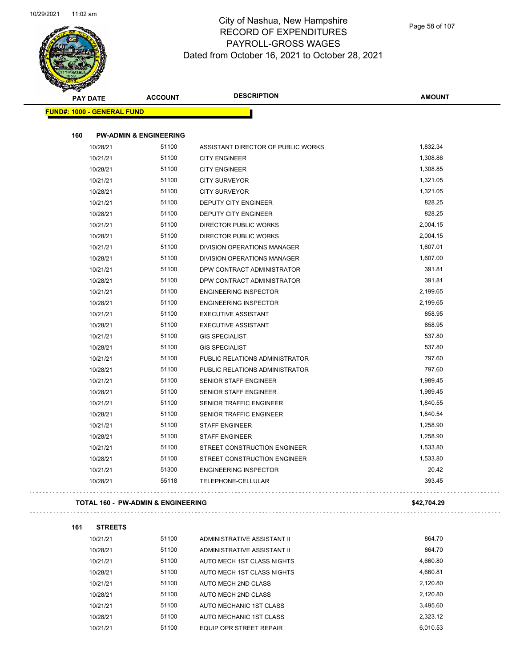

 $\bar{\omega}$  .

 $\Box$ 

### City of Nashua, New Hampshire RECORD OF EXPENDITURES PAYROLL-GROSS WAGES Dated from October 16, 2021 to October 28, 2021

| <b>STARBURGEN</b> |                                               |                |                                     |                          |
|-------------------|-----------------------------------------------|----------------|-------------------------------------|--------------------------|
|                   | <b>PAY DATE</b>                               | <b>ACCOUNT</b> | <b>DESCRIPTION</b>                  | <b>AMOUNT</b>            |
|                   | <b>FUND#: 1000 - GENERAL FUND</b>             |                |                                     |                          |
|                   |                                               |                |                                     |                          |
| 160               | <b>PW-ADMIN &amp; ENGINEERING</b>             |                |                                     |                          |
|                   | 10/28/21                                      | 51100          | ASSISTANT DIRECTOR OF PUBLIC WORKS  | 1,832.34                 |
|                   | 10/21/21                                      | 51100          | <b>CITY ENGINEER</b>                | 1,308.86                 |
|                   | 10/28/21                                      | 51100          | <b>CITY ENGINEER</b>                | 1,308.85                 |
|                   | 10/21/21                                      | 51100          | <b>CITY SURVEYOR</b>                | 1,321.05                 |
|                   | 10/28/21                                      | 51100          | <b>CITY SURVEYOR</b>                | 1,321.05                 |
|                   | 10/21/21                                      | 51100          | DEPUTY CITY ENGINEER                | 828.25                   |
|                   | 10/28/21                                      | 51100          | DEPUTY CITY ENGINEER                | 828.25                   |
|                   | 10/21/21                                      | 51100          | DIRECTOR PUBLIC WORKS               | 2,004.15                 |
|                   | 10/28/21                                      | 51100          | DIRECTOR PUBLIC WORKS               | 2,004.15                 |
|                   | 10/21/21                                      | 51100          | DIVISION OPERATIONS MANAGER         | 1,607.01                 |
|                   | 10/28/21                                      | 51100          | DIVISION OPERATIONS MANAGER         | 1,607.00                 |
|                   | 10/21/21                                      | 51100          | DPW CONTRACT ADMINISTRATOR          | 391.81                   |
|                   | 10/28/21                                      | 51100          | DPW CONTRACT ADMINISTRATOR          | 391.81                   |
|                   | 10/21/21                                      | 51100          | <b>ENGINEERING INSPECTOR</b>        | 2,199.65                 |
|                   | 10/28/21                                      | 51100          | <b>ENGINEERING INSPECTOR</b>        | 2,199.65                 |
|                   | 10/21/21                                      | 51100          | <b>EXECUTIVE ASSISTANT</b>          | 858.95                   |
|                   | 10/28/21                                      | 51100          | <b>EXECUTIVE ASSISTANT</b>          | 858.95                   |
|                   | 10/21/21                                      | 51100          | <b>GIS SPECIALIST</b>               | 537.80                   |
|                   | 10/28/21                                      | 51100          | <b>GIS SPECIALIST</b>               | 537.80                   |
|                   | 10/21/21                                      | 51100          | PUBLIC RELATIONS ADMINISTRATOR      | 797.60                   |
|                   | 10/28/21                                      | 51100          | PUBLIC RELATIONS ADMINISTRATOR      | 797.60                   |
|                   | 10/21/21                                      | 51100          | SENIOR STAFF ENGINEER               | 1,989.45                 |
|                   | 10/28/21                                      | 51100          | SENIOR STAFF ENGINEER               | 1,989.45                 |
|                   | 10/21/21                                      | 51100          | SENIOR TRAFFIC ENGINEER             | 1,840.55                 |
|                   | 10/28/21                                      | 51100          | SENIOR TRAFFIC ENGINEER             | 1,840.54                 |
|                   | 10/21/21                                      | 51100          | <b>STAFF ENGINEER</b>               | 1,258.90                 |
|                   | 10/28/21                                      | 51100          | <b>STAFF ENGINEER</b>               | 1,258.90                 |
|                   | 10/21/21                                      | 51100          | STREET CONSTRUCTION ENGINEER        | 1,533.80                 |
|                   | 10/28/21                                      | 51100          | <b>STREET CONSTRUCTION ENGINEER</b> | 1,533.80                 |
|                   | 10/21/21                                      | 51300          | <b>ENGINEERING INSPECTOR</b>        | 20.42                    |
|                   | 10/28/21                                      | 55118          | TELEPHONE-CELLULAR                  | 393.45                   |
|                   | <b>TOTAL 160 - PW-ADMIN &amp; ENGINEERING</b> |                |                                     | \$42,704.29              |
| 161               | <b>STREETS</b>                                |                |                                     |                          |
|                   | 10/21/21                                      | 51100          | ADMINISTRATIVE ASSISTANT II         | 864.70                   |
|                   | 10/28/21                                      | 51100          | ADMINISTRATIVE ASSISTANT II         | 864.70                   |
|                   | 10/21/21                                      | 51100          | AUTO MECH 1ST CLASS NIGHTS          | 4,660.80                 |
|                   | 10/20/21                                      | 51100          | ALITO MECH 4ST OLASS MICHTS         | $A$ G <sub>AD</sub> $91$ |

| 10/28/21 | 51100 | ADMINISTRATIVE ASSISTANT II | 864.70   |
|----------|-------|-----------------------------|----------|
| 10/21/21 | 51100 | AUTO MECH 1ST CLASS NIGHTS  | 4.660.80 |
| 10/28/21 | 51100 | AUTO MECH 1ST CLASS NIGHTS  | 4.660.81 |
| 10/21/21 | 51100 | AUTO MECH 2ND CLASS         | 2.120.80 |
| 10/28/21 | 51100 | AUTO MECH 2ND CLASS         | 2.120.80 |
| 10/21/21 | 51100 | AUTO MECHANIC 1ST CLASS     | 3.495.60 |
| 10/28/21 | 51100 | AUTO MECHANIC 1ST CLASS     | 2.323.12 |
| 10/21/21 | 51100 | EQUIP OPR STREET REPAIR     | 6.010.53 |
|          |       |                             |          |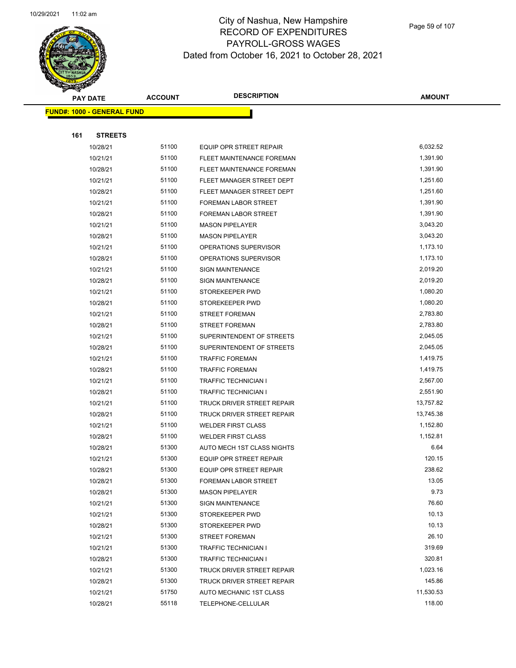

Page 59 of 107

|     | <b>PAY DATE</b>                    | <b>ACCOUNT</b> | <b>DESCRIPTION</b>             | <b>AMOUNT</b> |  |
|-----|------------------------------------|----------------|--------------------------------|---------------|--|
|     | <u> FUND#: 1000 - GENERAL FUND</u> |                |                                |               |  |
|     |                                    |                |                                |               |  |
| 161 | <b>STREETS</b>                     |                |                                |               |  |
|     | 10/28/21                           | 51100          | <b>EQUIP OPR STREET REPAIR</b> | 6,032.52      |  |
|     | 10/21/21                           | 51100          | FLEET MAINTENANCE FOREMAN      | 1,391.90      |  |
|     | 10/28/21                           | 51100          | FLEET MAINTENANCE FOREMAN      | 1,391.90      |  |
|     | 10/21/21                           | 51100          | FLEET MANAGER STREET DEPT      | 1,251.60      |  |
|     | 10/28/21                           | 51100          | FLEET MANAGER STREET DEPT      | 1,251.60      |  |
|     | 10/21/21                           | 51100          | FOREMAN LABOR STREET           | 1,391.90      |  |
|     | 10/28/21                           | 51100          | FOREMAN LABOR STREET           | 1,391.90      |  |
|     | 10/21/21                           | 51100          | <b>MASON PIPELAYER</b>         | 3,043.20      |  |
|     | 10/28/21                           | 51100          | <b>MASON PIPELAYER</b>         | 3,043.20      |  |
|     | 10/21/21                           | 51100          | OPERATIONS SUPERVISOR          | 1,173.10      |  |
|     | 10/28/21                           | 51100          | OPERATIONS SUPERVISOR          | 1,173.10      |  |
|     | 10/21/21                           | 51100          | <b>SIGN MAINTENANCE</b>        | 2,019.20      |  |
|     | 10/28/21                           | 51100          | <b>SIGN MAINTENANCE</b>        | 2,019.20      |  |
|     | 10/21/21                           | 51100          | STOREKEEPER PWD                | 1,080.20      |  |
|     | 10/28/21                           | 51100          | STOREKEEPER PWD                | 1,080.20      |  |
|     | 10/21/21                           | 51100          | <b>STREET FOREMAN</b>          | 2,783.80      |  |
|     | 10/28/21                           | 51100          | <b>STREET FOREMAN</b>          | 2,783.80      |  |
|     | 10/21/21                           | 51100          | SUPERINTENDENT OF STREETS      | 2,045.05      |  |
|     | 10/28/21                           | 51100          | SUPERINTENDENT OF STREETS      | 2,045.05      |  |
|     | 10/21/21                           | 51100          | <b>TRAFFIC FOREMAN</b>         | 1,419.75      |  |
|     | 10/28/21                           | 51100          | <b>TRAFFIC FOREMAN</b>         | 1,419.75      |  |
|     | 10/21/21                           | 51100          | <b>TRAFFIC TECHNICIAN I</b>    | 2,567.00      |  |
|     | 10/28/21                           | 51100          | TRAFFIC TECHNICIAN I           | 2,551.90      |  |
|     | 10/21/21                           | 51100          | TRUCK DRIVER STREET REPAIR     | 13,757.82     |  |
|     | 10/28/21                           | 51100          | TRUCK DRIVER STREET REPAIR     | 13,745.38     |  |
|     | 10/21/21                           | 51100          | <b>WELDER FIRST CLASS</b>      | 1,152.80      |  |
|     | 10/28/21                           | 51100          | <b>WELDER FIRST CLASS</b>      | 1,152.81      |  |
|     | 10/28/21                           | 51300          | AUTO MECH 1ST CLASS NIGHTS     | 6.64          |  |
|     | 10/21/21                           | 51300          | EQUIP OPR STREET REPAIR        | 120.15        |  |
|     | 10/28/21                           | 51300          | EQUIP OPR STREET REPAIR        | 238.62        |  |
|     | 10/28/21                           | 51300          | <b>FOREMAN LABOR STREET</b>    | 13.05         |  |
|     | 10/28/21                           | 51300          | <b>MASON PIPELAYER</b>         | 9.73          |  |
|     | 10/21/21                           | 51300          | <b>SIGN MAINTENANCE</b>        | 76.60         |  |
|     | 10/21/21                           | 51300          | STOREKEEPER PWD                | 10.13         |  |
|     | 10/28/21                           | 51300          | STOREKEEPER PWD                | 10.13         |  |
|     | 10/21/21                           | 51300          | <b>STREET FOREMAN</b>          | 26.10         |  |
|     | 10/21/21                           | 51300          | <b>TRAFFIC TECHNICIAN I</b>    | 319.69        |  |
|     | 10/28/21                           | 51300          | TRAFFIC TECHNICIAN I           | 320.81        |  |
|     | 10/21/21                           | 51300          | TRUCK DRIVER STREET REPAIR     | 1,023.16      |  |
|     | 10/28/21                           | 51300          | TRUCK DRIVER STREET REPAIR     | 145.86        |  |
|     | 10/21/21                           | 51750          | AUTO MECHANIC 1ST CLASS        | 11,530.53     |  |
|     | 10/28/21                           | 55118          | TELEPHONE-CELLULAR             | 118.00        |  |
|     |                                    |                |                                |               |  |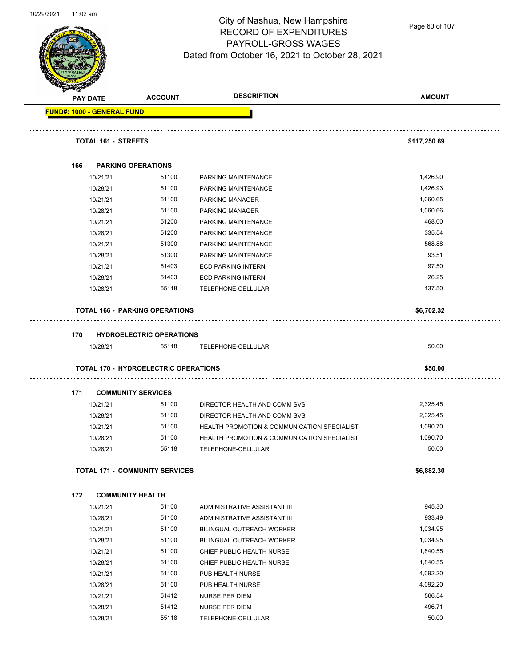

Page 60 of 107

|     | <b>PAY DATE</b>                   | <b>ACCOUNT</b>                              | <b>DESCRIPTION</b>                                     | <b>AMOUNT</b> |
|-----|-----------------------------------|---------------------------------------------|--------------------------------------------------------|---------------|
|     | <b>FUND#: 1000 - GENERAL FUND</b> |                                             |                                                        |               |
|     |                                   |                                             |                                                        |               |
|     | <b>TOTAL 161 - STREETS</b>        |                                             |                                                        | \$117,250.69  |
| 166 |                                   | <b>PARKING OPERATIONS</b>                   |                                                        |               |
|     | 10/21/21                          | 51100                                       | PARKING MAINTENANCE                                    | 1,426.90      |
|     | 10/28/21                          | 51100                                       | PARKING MAINTENANCE                                    | 1,426.93      |
|     | 10/21/21                          | 51100                                       | <b>PARKING MANAGER</b>                                 | 1,060.65      |
|     | 10/28/21                          | 51100                                       | <b>PARKING MANAGER</b>                                 | 1,060.66      |
|     | 10/21/21                          | 51200                                       | PARKING MAINTENANCE                                    | 468.00        |
|     | 10/28/21                          | 51200                                       | PARKING MAINTENANCE                                    | 335.54        |
|     | 10/21/21                          | 51300                                       | PARKING MAINTENANCE                                    | 568.88        |
|     | 10/28/21                          | 51300                                       | PARKING MAINTENANCE                                    | 93.51         |
|     | 10/21/21                          | 51403                                       | <b>ECD PARKING INTERN</b>                              | 97.50         |
|     | 10/28/21                          | 51403                                       | <b>ECD PARKING INTERN</b>                              | 26.25         |
|     | 10/28/21                          | 55118                                       | TELEPHONE-CELLULAR                                     | 137.50        |
|     |                                   | <b>TOTAL 166 - PARKING OPERATIONS</b>       |                                                        | \$6,702.32    |
|     |                                   |                                             |                                                        |               |
| 170 |                                   | <b>HYDROELECTRIC OPERATIONS</b>             |                                                        |               |
|     | 10/28/21                          | 55118                                       | TELEPHONE-CELLULAR                                     | 50.00         |
|     |                                   | <b>TOTAL 170 - HYDROELECTRIC OPERATIONS</b> |                                                        | \$50.00       |
| 171 |                                   | <b>COMMUNITY SERVICES</b>                   |                                                        |               |
|     | 10/21/21                          | 51100                                       | DIRECTOR HEALTH AND COMM SVS                           | 2,325.45      |
|     | 10/28/21                          | 51100                                       | DIRECTOR HEALTH AND COMM SVS                           | 2,325.45      |
|     | 10/21/21                          | 51100                                       | HEALTH PROMOTION & COMMUNICATION SPECIALIST            | 1,090.70      |
|     | 10/28/21                          | 51100                                       | <b>HEALTH PROMOTION &amp; COMMUNICATION SPECIALIST</b> | 1,090.70      |
|     | 10/28/21                          | 55118                                       | TELEPHONE-CELLULAR                                     | 50.00         |
|     |                                   | <b>TOTAL 171 - COMMUNITY SERVICES</b>       |                                                        | \$6,882.30    |
| 172 |                                   | <b>COMMUNITY HEALTH</b>                     |                                                        |               |
|     | 10/21/21                          | 51100                                       | ADMINISTRATIVE ASSISTANT III                           | 945.30        |
|     | 10/28/21                          | 51100                                       | ADMINISTRATIVE ASSISTANT III                           | 933.49        |
|     | 10/21/21                          | 51100                                       | <b>BILINGUAL OUTREACH WORKER</b>                       | 1,034.95      |
|     | 10/28/21                          | 51100                                       | BILINGUAL OUTREACH WORKER                              | 1,034.95      |
|     | 10/21/21                          | 51100                                       | CHIEF PUBLIC HEALTH NURSE                              | 1,840.55      |
|     | 10/28/21                          | 51100                                       | CHIEF PUBLIC HEALTH NURSE                              | 1,840.55      |
|     | 10/21/21                          | 51100                                       | PUB HEALTH NURSE                                       | 4,092.20      |
|     | 10/28/21                          | 51100                                       | PUB HEALTH NURSE                                       | 4,092.20      |
|     | 10/21/21                          | 51412                                       | <b>NURSE PER DIEM</b>                                  | 566.54        |
|     | 10/28/21                          | 51412                                       | <b>NURSE PER DIEM</b>                                  | 496.71        |
|     | 10/28/21                          | 55118                                       | TELEPHONE-CELLULAR                                     | 50.00         |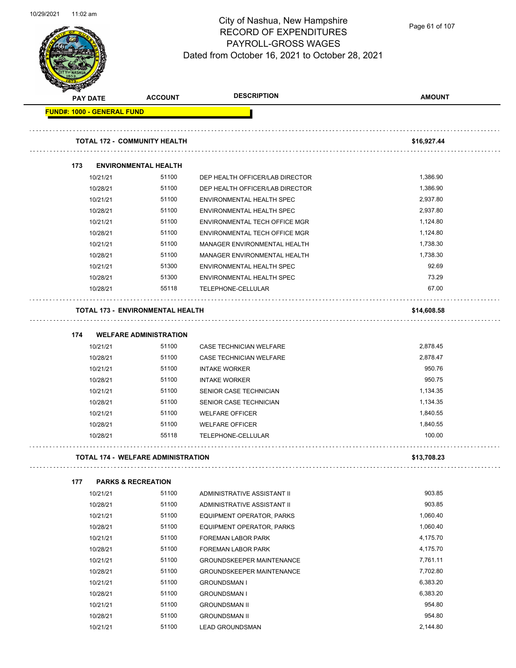

Page 61 of 107

|     | <b>PAY DATE</b>                   | <b>ACCOUNT</b>                            | <b>DESCRIPTION</b>                           | <b>AMOUNT</b>      |
|-----|-----------------------------------|-------------------------------------------|----------------------------------------------|--------------------|
|     | <b>FUND#: 1000 - GENERAL FUND</b> |                                           |                                              |                    |
|     |                                   | <b>TOTAL 172 - COMMUNITY HEALTH</b>       |                                              | \$16,927.44        |
|     |                                   |                                           |                                              |                    |
| 173 |                                   | <b>ENVIRONMENTAL HEALTH</b>               |                                              |                    |
|     | 10/21/21                          | 51100                                     | DEP HEALTH OFFICER/LAB DIRECTOR              | 1,386.90           |
|     | 10/28/21                          | 51100                                     | DEP HEALTH OFFICER/LAB DIRECTOR              | 1,386.90           |
|     | 10/21/21                          | 51100                                     | ENVIRONMENTAL HEALTH SPEC                    | 2,937.80           |
|     | 10/28/21                          | 51100                                     | ENVIRONMENTAL HEALTH SPEC                    | 2,937.80           |
|     | 10/21/21                          | 51100                                     | ENVIRONMENTAL TECH OFFICE MGR                | 1,124.80           |
|     | 10/28/21                          | 51100                                     | ENVIRONMENTAL TECH OFFICE MGR                | 1,124.80           |
|     | 10/21/21                          | 51100                                     | MANAGER ENVIRONMENTAL HEALTH                 | 1,738.30           |
|     | 10/28/21                          | 51100                                     | MANAGER ENVIRONMENTAL HEALTH                 | 1,738.30           |
|     | 10/21/21                          | 51300                                     | ENVIRONMENTAL HEALTH SPEC                    | 92.69              |
|     | 10/28/21                          | 51300                                     | <b>ENVIRONMENTAL HEALTH SPEC</b>             | 73.29              |
|     | 10/28/21                          | 55118                                     | TELEPHONE-CELLULAR                           | 67.00              |
|     |                                   | <b>TOTAL 173 - ENVIRONMENTAL HEALTH</b>   |                                              | \$14,608.58        |
|     |                                   |                                           |                                              |                    |
| 174 |                                   | <b>WELFARE ADMINISTRATION</b>             |                                              |                    |
|     | 10/21/21                          | 51100                                     | CASE TECHNICIAN WELFARE                      | 2,878.45           |
|     | 10/28/21                          | 51100                                     | CASE TECHNICIAN WELFARE                      | 2,878.47           |
|     | 10/21/21                          | 51100                                     | <b>INTAKE WORKER</b>                         | 950.76             |
|     | 10/28/21                          | 51100                                     | <b>INTAKE WORKER</b>                         | 950.75             |
|     | 10/21/21                          | 51100                                     | SENIOR CASE TECHNICIAN                       | 1,134.35           |
|     | 10/28/21                          | 51100                                     | SENIOR CASE TECHNICIAN                       | 1,134.35           |
|     | 10/21/21                          | 51100                                     | <b>WELFARE OFFICER</b>                       | 1,840.55           |
|     | 10/28/21<br>10/28/21              | 51100<br>55118                            | <b>WELFARE OFFICER</b><br>TELEPHONE-CELLULAR | 1,840.55<br>100.00 |
|     |                                   |                                           |                                              |                    |
|     |                                   | <b>TOTAL 174 - WELFARE ADMINISTRATION</b> |                                              | \$13.708.23        |
| 177 |                                   | <b>PARKS &amp; RECREATION</b>             |                                              |                    |
|     | 10/21/21                          | 51100                                     | ADMINISTRATIVE ASSISTANT II                  | 903.85             |
|     | 10/28/21                          | 51100                                     | ADMINISTRATIVE ASSISTANT II                  | 903.85             |
|     | 10/21/21                          | 51100                                     | EQUIPMENT OPERATOR, PARKS                    | 1,060.40           |
|     | 10/28/21                          | 51100                                     | EQUIPMENT OPERATOR, PARKS                    | 1,060.40           |
|     | 10/21/21                          | 51100                                     | FOREMAN LABOR PARK                           | 4,175.70           |
|     | 10/28/21                          | 51100                                     | FOREMAN LABOR PARK                           | 4,175.70           |
|     | 10/21/21                          | 51100                                     | <b>GROUNDSKEEPER MAINTENANCE</b>             | 7,761.11           |
|     | 10/28/21                          | 51100                                     | <b>GROUNDSKEEPER MAINTENANCE</b>             | 7,702.80           |
|     | 10/21/21                          | 51100                                     | <b>GROUNDSMAN I</b>                          | 6,383.20           |
|     | 10/28/21                          | 51100                                     | <b>GROUNDSMAN I</b>                          | 6,383.20           |
|     | 10/21/21                          | 51100                                     | <b>GROUNDSMAN II</b>                         | 954.80             |
|     | 10/28/21                          | 51100                                     | <b>GROUNDSMAN II</b>                         | 954.80             |
|     | 10/21/21                          | 51100                                     | <b>LEAD GROUNDSMAN</b>                       | 2,144.80           |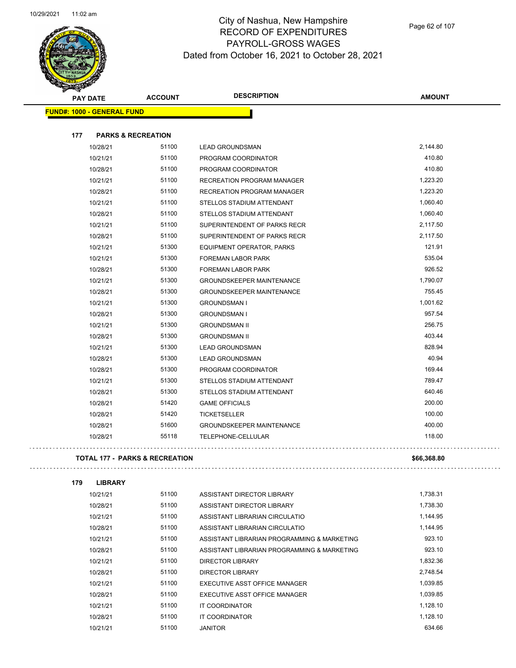$\Box$ 



### City of Nashua, New Hampshire RECORD OF EXPENDITURES PAYROLL-GROSS WAGES Dated from October 16, 2021 to October 28, 2021

Page 62 of 107

| <b>PAY DATE</b>                           | <b>ACCOUNT</b>                | <b>DESCRIPTION</b>               | <b>AMOUNT</b> |
|-------------------------------------------|-------------------------------|----------------------------------|---------------|
| <b>FUND#: 1000 - GENERAL FUND</b>         |                               |                                  |               |
|                                           |                               |                                  |               |
| 177                                       | <b>PARKS &amp; RECREATION</b> |                                  |               |
| 10/28/21                                  | 51100                         | <b>LEAD GROUNDSMAN</b>           | 2,144.80      |
| 10/21/21                                  | 51100                         | PROGRAM COORDINATOR              | 410.80        |
| 10/28/21                                  | 51100                         | PROGRAM COORDINATOR              | 410.80        |
| 10/21/21                                  | 51100                         | RECREATION PROGRAM MANAGER       | 1,223.20      |
| 10/28/21                                  | 51100                         | RECREATION PROGRAM MANAGER       | 1,223.20      |
| 10/21/21                                  | 51100                         | STELLOS STADIUM ATTENDANT        | 1,060.40      |
| 10/28/21                                  | 51100                         | STELLOS STADIUM ATTENDANT        | 1,060.40      |
| 10/21/21                                  | 51100                         | SUPERINTENDENT OF PARKS RECR     | 2,117.50      |
| 10/28/21                                  | 51100                         | SUPERINTENDENT OF PARKS RECR     | 2,117.50      |
| 10/21/21                                  | 51300                         | <b>EQUIPMENT OPERATOR, PARKS</b> | 121.91        |
| 10/21/21                                  | 51300                         | FOREMAN LABOR PARK               | 535.04        |
| 10/28/21                                  | 51300                         | FOREMAN LABOR PARK               | 926.52        |
| 10/21/21                                  | 51300                         | <b>GROUNDSKEEPER MAINTENANCE</b> | 1,790.07      |
| 10/28/21                                  | 51300                         | <b>GROUNDSKEEPER MAINTENANCE</b> | 755.45        |
| 10/21/21                                  | 51300                         | <b>GROUNDSMAN I</b>              | 1,001.62      |
| 10/28/21                                  | 51300                         | <b>GROUNDSMAN I</b>              | 957.54        |
| 10/21/21                                  | 51300                         | <b>GROUNDSMAN II</b>             | 256.75        |
| 10/28/21                                  | 51300                         | <b>GROUNDSMAN II</b>             | 403.44        |
| 10/21/21                                  | 51300                         | <b>LEAD GROUNDSMAN</b>           | 828.94        |
| 10/28/21                                  | 51300                         | <b>LEAD GROUNDSMAN</b>           | 40.94         |
| 10/28/21                                  | 51300                         | PROGRAM COORDINATOR              | 169.44        |
| 10/21/21                                  | 51300                         | STELLOS STADIUM ATTENDANT        | 789.47        |
| 10/28/21                                  | 51300                         | STELLOS STADIUM ATTENDANT        | 640.46        |
| 10/28/21                                  | 51420                         | <b>GAME OFFICIALS</b>            | 200.00        |
| 10/28/21                                  | 51420                         | <b>TICKETSELLER</b>              | 100.00        |
| 10/28/21                                  | 51600                         | <b>GROUNDSKEEPER MAINTENANCE</b> | 400.00        |
| 10/28/21                                  | 55118                         | TELEPHONE-CELLULAR               | 118.00        |
| <b>TOTAL 177 - PARKS &amp; RECREATION</b> |                               |                                  | \$66,368.80   |

| 179 | <b>LIBRARY</b> |       |                                             |          |
|-----|----------------|-------|---------------------------------------------|----------|
|     | 10/21/21       | 51100 | ASSISTANT DIRECTOR LIBRARY                  | 1,738.31 |
|     | 10/28/21       | 51100 | ASSISTANT DIRECTOR LIBRARY                  | 1,738.30 |
|     | 10/21/21       | 51100 | ASSISTANT LIBRARIAN CIRCULATIO              | 1,144.95 |
|     | 10/28/21       | 51100 | ASSISTANT LIBRARIAN CIRCULATIO              | 1.144.95 |
|     | 10/21/21       | 51100 | ASSISTANT LIBRARIAN PROGRAMMING & MARKETING | 923.10   |
|     | 10/28/21       | 51100 | ASSISTANT LIBRARIAN PROGRAMMING & MARKETING | 923.10   |
|     | 10/21/21       | 51100 | DIRECTOR LIBRARY                            | 1.832.36 |
|     | 10/28/21       | 51100 | DIRECTOR LIBRARY                            | 2.748.54 |
|     | 10/21/21       | 51100 | EXECUTIVE ASST OFFICE MANAGER               | 1,039.85 |
|     | 10/28/21       | 51100 | EXECUTIVE ASST OFFICE MANAGER               | 1.039.85 |
|     | 10/21/21       | 51100 | IT COORDINATOR                              | 1,128.10 |
|     | 10/28/21       | 51100 | IT COORDINATOR                              | 1.128.10 |

10/21/21 51100 JANITOR 634.66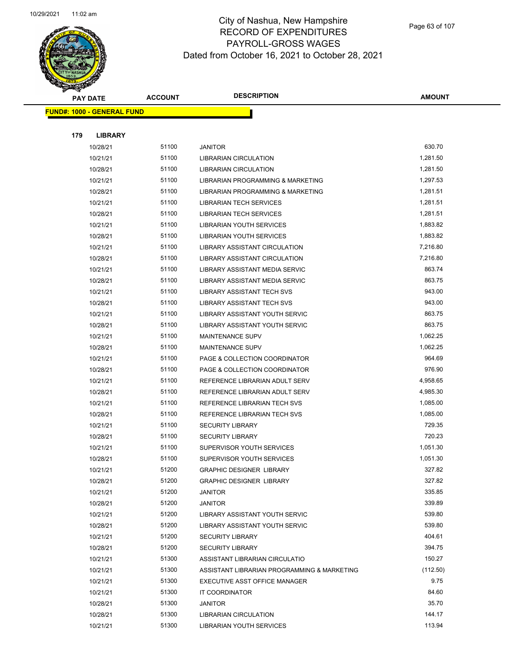

Page 63 of 107

|  |     | <b>PAY DATE</b>                   | <b>ACCOUNT</b> | <b>DESCRIPTION</b>                          | <b>AMOUNT</b> |  |
|--|-----|-----------------------------------|----------------|---------------------------------------------|---------------|--|
|  |     | <b>FUND#: 1000 - GENERAL FUND</b> |                |                                             |               |  |
|  |     |                                   |                |                                             |               |  |
|  | 179 | <b>LIBRARY</b>                    |                |                                             |               |  |
|  |     | 10/28/21                          | 51100          | <b>JANITOR</b>                              | 630.70        |  |
|  |     | 10/21/21                          | 51100          | LIBRARIAN CIRCULATION                       | 1,281.50      |  |
|  |     | 10/28/21                          | 51100          | <b>LIBRARIAN CIRCULATION</b>                | 1,281.50      |  |
|  |     | 10/21/21                          | 51100          | LIBRARIAN PROGRAMMING & MARKETING           | 1,297.53      |  |
|  |     | 10/28/21                          | 51100          | LIBRARIAN PROGRAMMING & MARKETING           | 1,281.51      |  |
|  |     | 10/21/21                          | 51100          | <b>LIBRARIAN TECH SERVICES</b>              | 1,281.51      |  |
|  |     | 10/28/21                          | 51100          | <b>LIBRARIAN TECH SERVICES</b>              | 1,281.51      |  |
|  |     | 10/21/21                          | 51100          | LIBRARIAN YOUTH SERVICES                    | 1,883.82      |  |
|  |     | 10/28/21                          | 51100          | LIBRARIAN YOUTH SERVICES                    | 1,883.82      |  |
|  |     | 10/21/21                          | 51100          | <b>LIBRARY ASSISTANT CIRCULATION</b>        | 7,216.80      |  |
|  |     | 10/28/21                          | 51100          | <b>LIBRARY ASSISTANT CIRCULATION</b>        | 7,216.80      |  |
|  |     | 10/21/21                          | 51100          | LIBRARY ASSISTANT MEDIA SERVIC              | 863.74        |  |
|  |     | 10/28/21                          | 51100          | LIBRARY ASSISTANT MEDIA SERVIC              | 863.75        |  |
|  |     | 10/21/21                          | 51100          | <b>LIBRARY ASSISTANT TECH SVS</b>           | 943.00        |  |
|  |     | 10/28/21                          | 51100          | LIBRARY ASSISTANT TECH SVS                  | 943.00        |  |
|  |     | 10/21/21                          | 51100          | LIBRARY ASSISTANT YOUTH SERVIC              | 863.75        |  |
|  |     | 10/28/21                          | 51100          | LIBRARY ASSISTANT YOUTH SERVIC              | 863.75        |  |
|  |     | 10/21/21                          | 51100          | <b>MAINTENANCE SUPV</b>                     | 1,062.25      |  |
|  |     | 10/28/21                          | 51100          | <b>MAINTENANCE SUPV</b>                     | 1,062.25      |  |
|  |     | 10/21/21                          | 51100          | PAGE & COLLECTION COORDINATOR               | 964.69        |  |
|  |     | 10/28/21                          | 51100          | PAGE & COLLECTION COORDINATOR               | 976.90        |  |
|  |     | 10/21/21                          | 51100          | REFERENCE LIBRARIAN ADULT SERV              | 4,958.65      |  |
|  |     | 10/28/21                          | 51100          | REFERENCE LIBRARIAN ADULT SERV              | 4,985.30      |  |
|  |     | 10/21/21                          | 51100          | REFERENCE LIBRARIAN TECH SVS                | 1,085.00      |  |
|  |     | 10/28/21                          | 51100          | REFERENCE LIBRARIAN TECH SVS                | 1,085.00      |  |
|  |     | 10/21/21                          | 51100          | <b>SECURITY LIBRARY</b>                     | 729.35        |  |
|  |     | 10/28/21                          | 51100          | <b>SECURITY LIBRARY</b>                     | 720.23        |  |
|  |     | 10/21/21                          | 51100          | SUPERVISOR YOUTH SERVICES                   | 1,051.30      |  |
|  |     | 10/28/21                          | 51100          | SUPERVISOR YOUTH SERVICES                   | 1,051.30      |  |
|  |     | 10/21/21                          | 51200          | <b>GRAPHIC DESIGNER LIBRARY</b>             | 327.82        |  |
|  |     | 10/28/21                          | 51200          | <b>GRAPHIC DESIGNER LIBRARY</b>             | 327.82        |  |
|  |     | 10/21/21                          | 51200          | <b>JANITOR</b>                              | 335.85        |  |
|  |     | 10/28/21                          | 51200          | JANITOR                                     | 339.89        |  |
|  |     | 10/21/21                          | 51200          | LIBRARY ASSISTANT YOUTH SERVIC              | 539.80        |  |
|  |     | 10/28/21                          | 51200          | LIBRARY ASSISTANT YOUTH SERVIC              | 539.80        |  |
|  |     | 10/21/21                          | 51200          | <b>SECURITY LIBRARY</b>                     | 404.61        |  |
|  |     | 10/28/21                          | 51200          | <b>SECURITY LIBRARY</b>                     | 394.75        |  |
|  |     | 10/21/21                          | 51300          | ASSISTANT LIBRARIAN CIRCULATIO              | 150.27        |  |
|  |     | 10/21/21                          | 51300          | ASSISTANT LIBRARIAN PROGRAMMING & MARKETING | (112.50)      |  |
|  |     | 10/21/21                          | 51300          | EXECUTIVE ASST OFFICE MANAGER               | 9.75          |  |
|  |     | 10/21/21                          | 51300          | IT COORDINATOR                              | 84.60         |  |
|  |     | 10/28/21                          | 51300          | <b>JANITOR</b>                              | 35.70         |  |
|  |     | 10/28/21                          | 51300          | LIBRARIAN CIRCULATION                       | 144.17        |  |
|  |     | 10/21/21                          | 51300          | LIBRARIAN YOUTH SERVICES                    | 113.94        |  |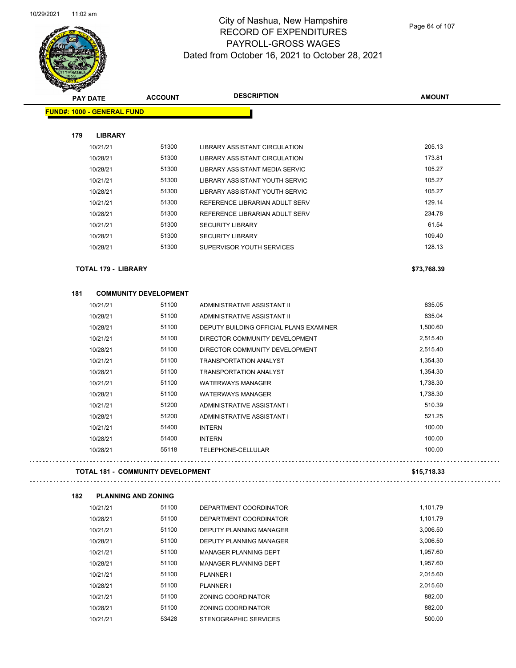

### City of Nashua, New Hampshire RECORD OF EXPENDITURES PAYROLL-GROSS WAGES Dated from October 16, 2021 to October 28, 2021

Page 64 of 107

|     | <b>PAY DATE</b>                    | <b>ACCOUNT</b> | <b>DESCRIPTION</b>                      | <b>AMOUNT</b> |
|-----|------------------------------------|----------------|-----------------------------------------|---------------|
|     | <b>FUND#: 1000 - GENERAL FUND</b>  |                |                                         |               |
|     |                                    |                |                                         |               |
| 179 | <b>LIBRARY</b>                     |                |                                         |               |
|     | 10/21/21                           | 51300          | LIBRARY ASSISTANT CIRCULATION           | 205.13        |
|     | 10/28/21                           | 51300          | LIBRARY ASSISTANT CIRCULATION           | 173.81        |
|     | 10/28/21                           | 51300          | LIBRARY ASSISTANT MEDIA SERVIC          | 105.27        |
|     | 10/21/21                           | 51300          | LIBRARY ASSISTANT YOUTH SERVIC          | 105.27        |
|     | 10/28/21                           | 51300          | LIBRARY ASSISTANT YOUTH SERVIC          | 105.27        |
|     | 10/21/21                           | 51300          | REFERENCE LIBRARIAN ADULT SERV          | 129.14        |
|     | 10/28/21                           | 51300          | REFERENCE LIBRARIAN ADULT SERV          | 234.78        |
|     | 10/21/21                           | 51300          | <b>SECURITY LIBRARY</b>                 | 61.54         |
|     | 10/28/21                           | 51300          | <b>SECURITY LIBRARY</b>                 | 109.40        |
|     | 10/28/21                           | 51300          | SUPERVISOR YOUTH SERVICES               | 128.13        |
|     |                                    |                |                                         |               |
|     | <b>TOTAL 179 - LIBRARY</b>         |                |                                         | \$73,768.39   |
|     |                                    |                |                                         |               |
| 181 | <b>COMMUNITY DEVELOPMENT</b>       |                |                                         |               |
|     | 10/21/21                           | 51100          | ADMINISTRATIVE ASSISTANT II             | 835.05        |
|     | 10/28/21                           | 51100          | ADMINISTRATIVE ASSISTANT II             | 835.04        |
|     | 10/28/21                           | 51100          | DEPUTY BUILDING OFFICIAL PLANS EXAMINER | 1,500.60      |
|     | 10/21/21                           | 51100          | DIRECTOR COMMUNITY DEVELOPMENT          | 2,515.40      |
|     | 10/28/21                           | 51100          | DIRECTOR COMMUNITY DEVELOPMENT          | 2,515.40      |
|     | 10/21/21                           | 51100          | <b>TRANSPORTATION ANALYST</b>           | 1,354.30      |
|     | 10/28/21                           | 51100          | <b>TRANSPORTATION ANALYST</b>           | 1,354.30      |
|     | 10/21/21                           | 51100          | <b>WATERWAYS MANAGER</b>                | 1,738.30      |
|     | 10/28/21                           | 51100          | <b>WATERWAYS MANAGER</b>                | 1,738.30      |
|     | 10/21/21                           | 51200          | ADMINISTRATIVE ASSISTANT I              | 510.39        |
|     | 10/28/21                           | 51200          | ADMINISTRATIVE ASSISTANT I              | 521.25        |
|     | 10/21/21                           | 51400          | <b>INTERN</b>                           | 100.00        |
|     | 10/28/21                           | 51400          | <b>INTERN</b>                           | 100.00        |
|     | 10/28/21                           | 55118          | TELEPHONE-CELLULAR                      | 100.00        |
|     |                                    |                |                                         |               |
|     | TOTAL 181 -  COMMUNITY DEVELOPMENT |                |                                         | \$15,718.33   |
|     |                                    |                |                                         |               |
| 182 | <b>PLANNING AND ZONING</b>         |                |                                         |               |
|     | 10/21/21                           | 51100          | DEPARTMENT COORDINATOR                  | 1,101.79      |
|     | 10/28/21                           | 51100          | DEPARTMENT COORDINATOR                  | 1,101.79      |
|     | 10/21/21                           | 51100          | <b>DEPUTY PLANNING MANAGER</b>          | 3,006.50      |
|     | 10/28/21                           | 51100          | DEPUTY PLANNING MANAGER                 | 3,006.50      |
|     | 10/21/21                           | 51100          | MANAGER PLANNING DEPT                   | 1,957.60      |
|     | 10/28/21                           | 51100          | <b>MANAGER PLANNING DEPT</b>            | 1,957.60      |
|     | 10/21/21                           | 51100          | <b>PLANNER I</b>                        | 2,015.60      |
|     | 10/28/21                           | 51100          | PLANNER I                               | 2,015.60      |
|     | 10/21/21                           | 51100          | ZONING COORDINATOR                      | 882.00        |
|     | 10/28/21                           | 51100          | ZONING COORDINATOR                      | 882.00        |
|     | 10/21/21                           | 53428          | STENOGRAPHIC SERVICES                   | 500.00        |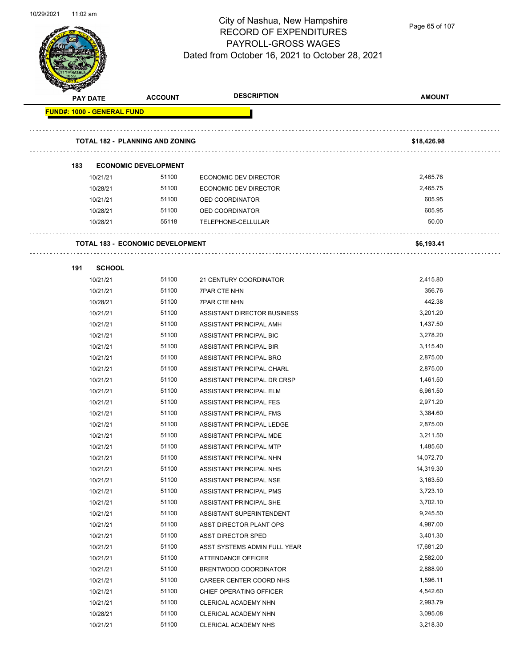

Page 65 of 107

| B.<br><b>PAY DATE</b>             | <b>ACCOUNT</b>                          | <b>DESCRIPTION</b>           | <b>AMOUNT</b> |
|-----------------------------------|-----------------------------------------|------------------------------|---------------|
| <b>FUND#: 1000 - GENERAL FUND</b> |                                         |                              |               |
|                                   | <b>TOTAL 182 - PLANNING AND ZONING</b>  |                              | \$18,426.98   |
| 183                               | <b>ECONOMIC DEVELOPMENT</b>             |                              |               |
| 10/21/21                          | 51100                                   | <b>ECONOMIC DEV DIRECTOR</b> | 2,465.76      |
| 10/28/21                          | 51100                                   | ECONOMIC DEV DIRECTOR        | 2,465.75      |
| 10/21/21                          | 51100                                   | OED COORDINATOR              | 605.95        |
| 10/28/21                          | 51100                                   | OED COORDINATOR              | 605.95        |
| 10/28/21                          | 55118                                   | TELEPHONE-CELLULAR           | 50.00         |
|                                   |                                         |                              |               |
|                                   | <b>TOTAL 183 - ECONOMIC DEVELOPMENT</b> |                              | \$6,193.41    |
| 191                               | <b>SCHOOL</b>                           |                              |               |
| 10/21/21                          | 51100                                   | 21 CENTURY COORDINATOR       | 2,415.80      |
| 10/21/21                          | 51100                                   | <b>7PAR CTE NHN</b>          | 356.76        |
| 10/28/21                          | 51100                                   | <b>7PAR CTE NHN</b>          | 442.38        |
| 10/21/21                          | 51100                                   | ASSISTANT DIRECTOR BUSINESS  | 3,201.20      |
| 10/21/21                          | 51100                                   | ASSISTANT PRINCIPAL AMH      | 1,437.50      |
| 10/21/21                          | 51100                                   | ASSISTANT PRINCIPAL BIC      | 3,278.20      |
| 10/21/21                          | 51100                                   | ASSISTANT PRINCIPAL BIR      | 3,115.40      |
| 10/21/21                          | 51100                                   | ASSISTANT PRINCIPAL BRO      | 2,875.00      |
| 10/21/21                          | 51100                                   | ASSISTANT PRINCIPAL CHARL    | 2,875.00      |
| 10/21/21                          | 51100                                   | ASSISTANT PRINCIPAL DR CRSP  | 1,461.50      |
| 10/21/21                          | 51100                                   | ASSISTANT PRINCIPAL ELM      | 6,961.50      |
| 10/21/21                          | 51100                                   | ASSISTANT PRINCIPAL FES      | 2,971.20      |
| 10/21/21                          | 51100                                   | ASSISTANT PRINCIPAL FMS      | 3,384.60      |
| 10/21/21                          | 51100                                   | ASSISTANT PRINCIPAL LEDGE    | 2,875.00      |
| 10/21/21                          | 51100                                   | ASSISTANT PRINCIPAL MDE      | 3,211.50      |
| 10/21/21                          | 51100                                   | ASSISTANT PRINCIPAL MTP      | 1,485.60      |
| 10/21/21                          | 51100                                   | ASSISTANT PRINCIPAL NHN      | 14,072.70     |
| 10/21/21                          | 51100                                   | ASSISTANT PRINCIPAL NHS      | 14,319.30     |
| 10/21/21                          | 51100                                   | ASSISTANT PRINCIPAL NSE      | 3,163.50      |
| 10/21/21                          | 51100                                   | ASSISTANT PRINCIPAL PMS      | 3,723.10      |
| 10/21/21                          | 51100                                   | ASSISTANT PRINCIPAL SHE      | 3,702.10      |
| 10/21/21                          | 51100                                   | ASSISTANT SUPERINTENDENT     | 9,245.50      |
| 10/21/21                          | 51100                                   | ASST DIRECTOR PLANT OPS      | 4,987.00      |
| 10/21/21                          | 51100                                   | <b>ASST DIRECTOR SPED</b>    | 3,401.30      |
| 10/21/21                          | 51100                                   | ASST SYSTEMS ADMIN FULL YEAR | 17,681.20     |
| 10/21/21                          | 51100                                   | ATTENDANCE OFFICER           | 2,582.00      |
| 10/21/21                          | 51100                                   | BRENTWOOD COORDINATOR        | 2,888.90      |
| 10/21/21                          | 51100                                   | CAREER CENTER COORD NHS      | 1,596.11      |
| 10/21/21                          | 51100                                   | CHIEF OPERATING OFFICER      | 4,542.60      |
| 10/21/21                          | 51100                                   | CLERICAL ACADEMY NHN         | 2,993.79      |
| 10/28/21                          | 51100                                   | CLERICAL ACADEMY NHN         | 3,095.08      |
| 10/21/21                          | 51100                                   | CLERICAL ACADEMY NHS         | 3,218.30      |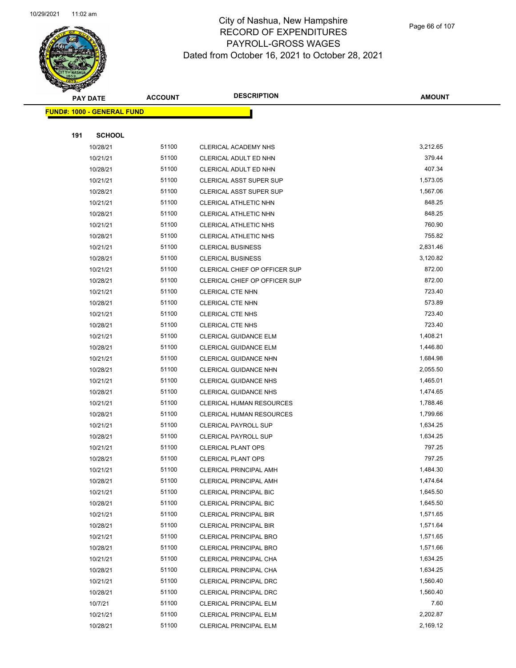

Page 66 of 107

|     | <b>PAY DATE</b>                    | <b>ACCOUNT</b> | <b>DESCRIPTION</b>                   | <b>AMOUNT</b> |
|-----|------------------------------------|----------------|--------------------------------------|---------------|
|     | <u> FUND#: 1000 - GENERAL FUND</u> |                |                                      |               |
|     |                                    |                |                                      |               |
| 191 | <b>SCHOOL</b>                      |                |                                      |               |
|     | 10/28/21                           | 51100          | CLERICAL ACADEMY NHS                 | 3,212.65      |
|     | 10/21/21                           | 51100          | CLERICAL ADULT ED NHN                | 379.44        |
|     | 10/28/21                           | 51100          | CLERICAL ADULT ED NHN                | 407.34        |
|     | 10/21/21                           | 51100          | <b>CLERICAL ASST SUPER SUP</b>       | 1,573.05      |
|     | 10/28/21                           | 51100          | <b>CLERICAL ASST SUPER SUP</b>       | 1,567.06      |
|     | 10/21/21                           | 51100          | CLERICAL ATHLETIC NHN                | 848.25        |
|     | 10/28/21                           | 51100          | CLERICAL ATHLETIC NHN                | 848.25        |
|     | 10/21/21                           | 51100          | CLERICAL ATHLETIC NHS                | 760.90        |
|     | 10/28/21                           | 51100          | CLERICAL ATHLETIC NHS                | 755.82        |
|     | 10/21/21                           | 51100          | <b>CLERICAL BUSINESS</b>             | 2,831.46      |
|     | 10/28/21                           | 51100          | <b>CLERICAL BUSINESS</b>             | 3,120.82      |
|     | 10/21/21                           | 51100          | <b>CLERICAL CHIEF OP OFFICER SUP</b> | 872.00        |
|     | 10/28/21                           | 51100          | <b>CLERICAL CHIEF OP OFFICER SUP</b> | 872.00        |
|     | 10/21/21                           | 51100          | <b>CLERICAL CTE NHN</b>              | 723.40        |
|     | 10/28/21                           | 51100          | <b>CLERICAL CTE NHN</b>              | 573.89        |
|     | 10/21/21                           | 51100          | <b>CLERICAL CTE NHS</b>              | 723.40        |
|     | 10/28/21                           | 51100          | <b>CLERICAL CTE NHS</b>              | 723.40        |
|     | 10/21/21                           | 51100          | <b>CLERICAL GUIDANCE ELM</b>         | 1,408.21      |
|     | 10/28/21                           | 51100          | CLERICAL GUIDANCE ELM                | 1,446.80      |
|     | 10/21/21                           | 51100          | CLERICAL GUIDANCE NHN                | 1,684.98      |
|     | 10/28/21                           | 51100          | CLERICAL GUIDANCE NHN                | 2,055.50      |
|     | 10/21/21                           | 51100          | <b>CLERICAL GUIDANCE NHS</b>         | 1,465.01      |
|     | 10/28/21                           | 51100          | <b>CLERICAL GUIDANCE NHS</b>         | 1,474.65      |
|     | 10/21/21                           | 51100          | <b>CLERICAL HUMAN RESOURCES</b>      | 1,788.46      |
|     | 10/28/21                           | 51100          | <b>CLERICAL HUMAN RESOURCES</b>      | 1,799.66      |
|     | 10/21/21                           | 51100          | <b>CLERICAL PAYROLL SUP</b>          | 1,634.25      |
|     | 10/28/21                           | 51100          | <b>CLERICAL PAYROLL SUP</b>          | 1,634.25      |
|     | 10/21/21                           | 51100          | <b>CLERICAL PLANT OPS</b>            | 797.25        |
|     | 10/28/21                           | 51100          | <b>CLERICAL PLANT OPS</b>            | 797.25        |
|     | 10/21/21                           | 51100          | <b>CLERICAL PRINCIPAL AMH</b>        | 1,484.30      |
|     | 10/28/21                           | 51100          | CLERICAL PRINCIPAL AMH               | 1,474.64      |
|     | 10/21/21                           | 51100          | <b>CLERICAL PRINCIPAL BIC</b>        | 1,645.50      |
|     | 10/28/21                           | 51100          | <b>CLERICAL PRINCIPAL BIC</b>        | 1,645.50      |
|     | 10/21/21                           | 51100          | CLERICAL PRINCIPAL BIR               | 1,571.65      |
|     | 10/28/21                           | 51100          | <b>CLERICAL PRINCIPAL BIR</b>        | 1,571.64      |
|     | 10/21/21                           | 51100          | <b>CLERICAL PRINCIPAL BRO</b>        | 1,571.65      |
|     | 10/28/21                           | 51100          | <b>CLERICAL PRINCIPAL BRO</b>        | 1,571.66      |
|     | 10/21/21                           | 51100          | CLERICAL PRINCIPAL CHA               | 1,634.25      |
|     | 10/28/21                           | 51100          | CLERICAL PRINCIPAL CHA               | 1,634.25      |
|     | 10/21/21                           | 51100          | CLERICAL PRINCIPAL DRC               | 1,560.40      |
|     | 10/28/21                           | 51100          | CLERICAL PRINCIPAL DRC               | 1,560.40      |
|     | 10/7/21                            | 51100          | <b>CLERICAL PRINCIPAL ELM</b>        | 7.60          |
|     | 10/21/21                           | 51100          | <b>CLERICAL PRINCIPAL ELM</b>        | 2,202.87      |
|     | 10/28/21                           | 51100          | CLERICAL PRINCIPAL ELM               | 2,169.12      |
|     |                                    |                |                                      |               |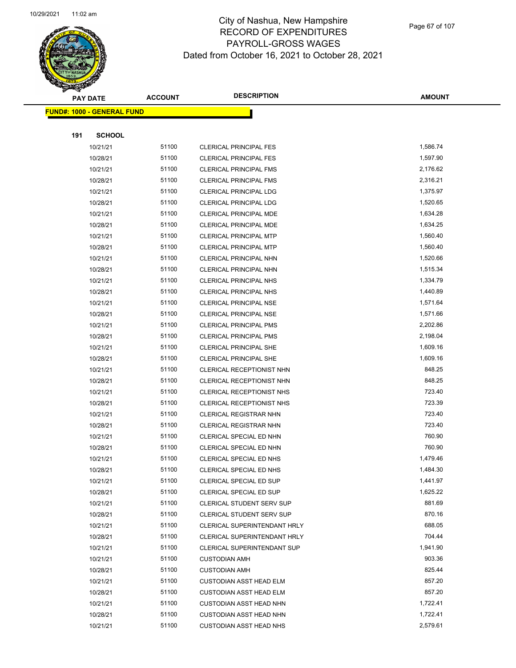

Page 67 of 107

|     | <b>PAY DATE</b>                   | <b>ACCOUNT</b> | <b>DESCRIPTION</b>                                               | <b>AMOUNT</b>        |
|-----|-----------------------------------|----------------|------------------------------------------------------------------|----------------------|
|     | <b>FUND#: 1000 - GENERAL FUND</b> |                |                                                                  |                      |
|     |                                   |                |                                                                  |                      |
| 191 | <b>SCHOOL</b>                     |                |                                                                  |                      |
|     | 10/21/21                          | 51100          | <b>CLERICAL PRINCIPAL FES</b>                                    | 1,586.74             |
|     | 10/28/21                          | 51100          | <b>CLERICAL PRINCIPAL FES</b>                                    | 1,597.90             |
|     | 10/21/21                          | 51100          | <b>CLERICAL PRINCIPAL FMS</b>                                    | 2,176.62             |
|     | 10/28/21                          | 51100          | <b>CLERICAL PRINCIPAL FMS</b>                                    | 2,316.21             |
|     | 10/21/21                          | 51100          | <b>CLERICAL PRINCIPAL LDG</b>                                    | 1,375.97             |
|     | 10/28/21                          | 51100          | <b>CLERICAL PRINCIPAL LDG</b>                                    | 1,520.65             |
|     | 10/21/21                          | 51100          | CLERICAL PRINCIPAL MDE                                           | 1,634.28             |
|     | 10/28/21                          | 51100          | <b>CLERICAL PRINCIPAL MDE</b>                                    | 1,634.25             |
|     | 10/21/21                          | 51100          | <b>CLERICAL PRINCIPAL MTP</b>                                    | 1,560.40             |
|     | 10/28/21                          | 51100          | <b>CLERICAL PRINCIPAL MTP</b>                                    | 1,560.40             |
|     | 10/21/21                          | 51100          | CLERICAL PRINCIPAL NHN                                           | 1,520.66             |
|     | 10/28/21                          | 51100          | CLERICAL PRINCIPAL NHN                                           | 1,515.34             |
|     | 10/21/21                          | 51100          | <b>CLERICAL PRINCIPAL NHS</b>                                    | 1,334.79             |
|     | 10/28/21                          | 51100          | <b>CLERICAL PRINCIPAL NHS</b>                                    | 1,440.89             |
|     | 10/21/21                          | 51100          | <b>CLERICAL PRINCIPAL NSE</b>                                    | 1,571.64             |
|     | 10/28/21                          | 51100          | <b>CLERICAL PRINCIPAL NSE</b>                                    | 1,571.66             |
|     | 10/21/21                          | 51100          | <b>CLERICAL PRINCIPAL PMS</b>                                    | 2,202.86             |
|     | 10/28/21                          | 51100          | <b>CLERICAL PRINCIPAL PMS</b>                                    | 2,198.04             |
|     | 10/21/21                          | 51100          | <b>CLERICAL PRINCIPAL SHE</b>                                    | 1,609.16             |
|     | 10/28/21                          | 51100          | <b>CLERICAL PRINCIPAL SHE</b>                                    | 1,609.16             |
|     | 10/21/21                          | 51100          | CLERICAL RECEPTIONIST NHN                                        | 848.25               |
|     | 10/28/21                          | 51100          | CLERICAL RECEPTIONIST NHN                                        | 848.25               |
|     | 10/21/21                          | 51100          | CLERICAL RECEPTIONIST NHS                                        | 723.40               |
|     | 10/28/21                          | 51100          | CLERICAL RECEPTIONIST NHS                                        | 723.39               |
|     | 10/21/21                          | 51100          | <b>CLERICAL REGISTRAR NHN</b>                                    | 723.40               |
|     | 10/28/21                          | 51100          | <b>CLERICAL REGISTRAR NHN</b>                                    | 723.40               |
|     | 10/21/21                          | 51100          | CLERICAL SPECIAL ED NHN                                          | 760.90               |
|     | 10/28/21                          | 51100          | CLERICAL SPECIAL ED NHN                                          | 760.90               |
|     | 10/21/21                          | 51100          | CLERICAL SPECIAL ED NHS                                          | 1,479.46             |
|     | 10/28/21                          | 51100          | CLERICAL SPECIAL ED NHS                                          | 1,484.30             |
|     | 10/21/21                          | 51100          | <b>CLERICAL SPECIAL ED SUP</b>                                   | 1,441.97             |
|     | 10/28/21                          | 51100          | CLERICAL SPECIAL ED SUP                                          | 1,625.22             |
|     | 10/21/21                          | 51100          | CLERICAL STUDENT SERV SUP                                        | 881.69               |
|     | 10/28/21                          | 51100          | CLERICAL STUDENT SERV SUP                                        | 870.16               |
|     | 10/21/21                          | 51100          | CLERICAL SUPERINTENDANT HRLY                                     | 688.05               |
|     | 10/28/21                          | 51100          | CLERICAL SUPERINTENDANT HRLY                                     | 704.44               |
|     | 10/21/21                          | 51100          | <b>CLERICAL SUPERINTENDANT SUP</b>                               | 1,941.90             |
|     | 10/21/21                          | 51100          | <b>CUSTODIAN AMH</b>                                             | 903.36<br>825.44     |
|     | 10/28/21                          | 51100<br>51100 | <b>CUSTODIAN AMH</b>                                             | 857.20               |
|     | 10/21/21                          | 51100          | <b>CUSTODIAN ASST HEAD ELM</b>                                   | 857.20               |
|     | 10/28/21                          | 51100          | <b>CUSTODIAN ASST HEAD ELM</b>                                   | 1,722.41             |
|     | 10/21/21                          | 51100          | <b>CUSTODIAN ASST HEAD NHN</b>                                   |                      |
|     | 10/28/21<br>10/21/21              | 51100          | <b>CUSTODIAN ASST HEAD NHN</b><br><b>CUSTODIAN ASST HEAD NHS</b> | 1,722.41<br>2,579.61 |
|     |                                   |                |                                                                  |                      |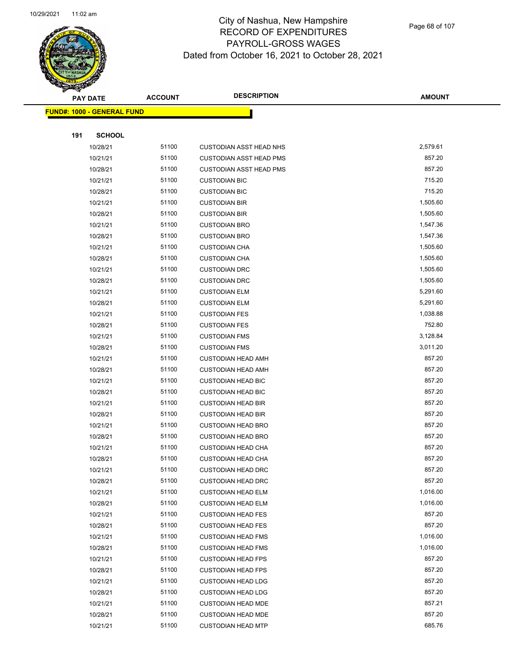

Page 68 of 107

|     | <b>PAY DATE</b>                    | <b>ACCOUNT</b> | <b>DESCRIPTION</b>                                     | AMOUNT           |  |
|-----|------------------------------------|----------------|--------------------------------------------------------|------------------|--|
|     | <u> FUND#: 1000 - GENERAL FUND</u> |                |                                                        |                  |  |
|     |                                    |                |                                                        |                  |  |
| 191 | <b>SCHOOL</b>                      |                |                                                        |                  |  |
|     | 10/28/21                           | 51100          | <b>CUSTODIAN ASST HEAD NHS</b>                         | 2,579.61         |  |
|     | 10/21/21                           | 51100          | <b>CUSTODIAN ASST HEAD PMS</b>                         | 857.20           |  |
|     | 10/28/21                           | 51100          | <b>CUSTODIAN ASST HEAD PMS</b>                         | 857.20           |  |
|     | 10/21/21                           | 51100          | <b>CUSTODIAN BIC</b>                                   | 715.20           |  |
|     | 10/28/21                           | 51100          | <b>CUSTODIAN BIC</b>                                   | 715.20           |  |
|     | 10/21/21                           | 51100          | <b>CUSTODIAN BIR</b>                                   | 1,505.60         |  |
|     | 10/28/21                           | 51100          | <b>CUSTODIAN BIR</b>                                   | 1,505.60         |  |
|     | 10/21/21                           | 51100          | <b>CUSTODIAN BRO</b>                                   | 1,547.36         |  |
|     | 10/28/21                           | 51100          | <b>CUSTODIAN BRO</b>                                   | 1,547.36         |  |
|     | 10/21/21                           | 51100          | <b>CUSTODIAN CHA</b>                                   | 1,505.60         |  |
|     | 10/28/21                           | 51100          | <b>CUSTODIAN CHA</b>                                   | 1,505.60         |  |
|     | 10/21/21                           | 51100          | <b>CUSTODIAN DRC</b>                                   | 1,505.60         |  |
|     | 10/28/21                           | 51100          | <b>CUSTODIAN DRC</b>                                   | 1,505.60         |  |
|     | 10/21/21                           | 51100          | <b>CUSTODIAN ELM</b>                                   | 5,291.60         |  |
|     | 10/28/21                           | 51100          | <b>CUSTODIAN ELM</b>                                   | 5,291.60         |  |
|     | 10/21/21                           | 51100          | <b>CUSTODIAN FES</b>                                   | 1,038.88         |  |
|     | 10/28/21                           | 51100          | <b>CUSTODIAN FES</b>                                   | 752.80           |  |
|     | 10/21/21                           | 51100          | <b>CUSTODIAN FMS</b>                                   | 3,128.84         |  |
|     | 10/28/21                           | 51100          | <b>CUSTODIAN FMS</b>                                   | 3,011.20         |  |
|     | 10/21/21                           | 51100          | <b>CUSTODIAN HEAD AMH</b>                              | 857.20           |  |
|     | 10/28/21                           | 51100          | <b>CUSTODIAN HEAD AMH</b>                              | 857.20           |  |
|     | 10/21/21                           | 51100          | <b>CUSTODIAN HEAD BIC</b>                              | 857.20           |  |
|     | 10/28/21                           | 51100          | <b>CUSTODIAN HEAD BIC</b>                              | 857.20           |  |
|     | 10/21/21                           | 51100          | <b>CUSTODIAN HEAD BIR</b>                              | 857.20           |  |
|     | 10/28/21                           | 51100          | <b>CUSTODIAN HEAD BIR</b>                              | 857.20           |  |
|     | 10/21/21                           | 51100          | <b>CUSTODIAN HEAD BRO</b>                              | 857.20           |  |
|     | 10/28/21                           | 51100          | <b>CUSTODIAN HEAD BRO</b>                              | 857.20           |  |
|     | 10/21/21                           | 51100          | <b>CUSTODIAN HEAD CHA</b>                              | 857.20           |  |
|     | 10/28/21                           | 51100          | <b>CUSTODIAN HEAD CHA</b>                              | 857.20           |  |
|     | 10/21/21                           | 51100          | <b>CUSTODIAN HEAD DRC</b>                              | 857.20           |  |
|     | 10/28/21                           | 51100          | <b>CUSTODIAN HEAD DRC</b>                              | 857.20           |  |
|     | 10/21/21                           | 51100          | <b>CUSTODIAN HEAD ELM</b>                              | 1,016.00         |  |
|     | 10/28/21                           | 51100          | <b>CUSTODIAN HEAD ELM</b>                              | 1,016.00         |  |
|     | 10/21/21                           | 51100          | <b>CUSTODIAN HEAD FES</b>                              | 857.20           |  |
|     | 10/28/21                           | 51100          | <b>CUSTODIAN HEAD FES</b>                              | 857.20           |  |
|     | 10/21/21                           | 51100          | <b>CUSTODIAN HEAD FMS</b>                              | 1,016.00         |  |
|     | 10/28/21                           | 51100          | <b>CUSTODIAN HEAD FMS</b>                              | 1,016.00         |  |
|     | 10/21/21                           | 51100          | <b>CUSTODIAN HEAD FPS</b>                              | 857.20           |  |
|     | 10/28/21                           | 51100          | <b>CUSTODIAN HEAD FPS</b>                              | 857.20<br>857.20 |  |
|     | 10/21/21                           | 51100<br>51100 | <b>CUSTODIAN HEAD LDG</b>                              | 857.20           |  |
|     | 10/28/21                           | 51100          | <b>CUSTODIAN HEAD LDG</b>                              | 857.21           |  |
|     | 10/21/21<br>10/28/21               | 51100          | <b>CUSTODIAN HEAD MDE</b>                              | 857.20           |  |
|     | 10/21/21                           | 51100          | <b>CUSTODIAN HEAD MDE</b><br><b>CUSTODIAN HEAD MTP</b> | 685.76           |  |
|     |                                    |                |                                                        |                  |  |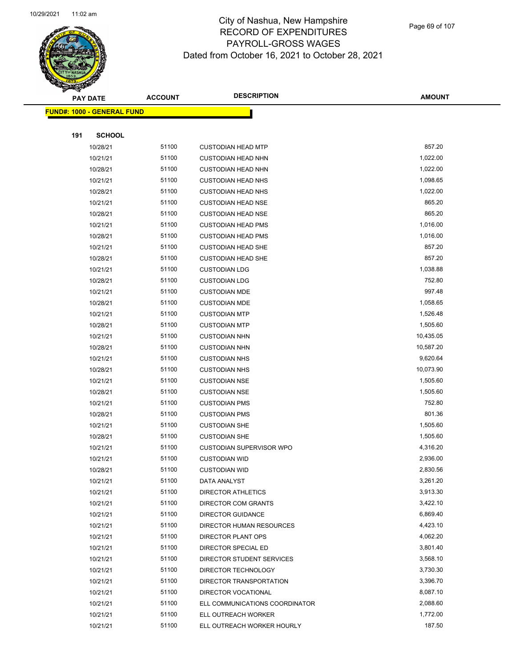

Page 69 of 107

|     | <b>PAY DATE</b>                    | <b>ACCOUNT</b> | <b>DESCRIPTION</b>              | <b>AMOUNT</b> |
|-----|------------------------------------|----------------|---------------------------------|---------------|
|     | <u> FUND#: 1000 - GENERAL FUND</u> |                |                                 |               |
|     |                                    |                |                                 |               |
| 191 | <b>SCHOOL</b>                      |                |                                 |               |
|     | 10/28/21                           | 51100          | <b>CUSTODIAN HEAD MTP</b>       | 857.20        |
|     | 10/21/21                           | 51100          | <b>CUSTODIAN HEAD NHN</b>       | 1,022.00      |
|     | 10/28/21                           | 51100          | <b>CUSTODIAN HEAD NHN</b>       | 1,022.00      |
|     | 10/21/21                           | 51100          | <b>CUSTODIAN HEAD NHS</b>       | 1,098.65      |
|     | 10/28/21                           | 51100          | <b>CUSTODIAN HEAD NHS</b>       | 1,022.00      |
|     | 10/21/21                           | 51100          | <b>CUSTODIAN HEAD NSE</b>       | 865.20        |
|     | 10/28/21                           | 51100          | <b>CUSTODIAN HEAD NSE</b>       | 865.20        |
|     | 10/21/21                           | 51100          | <b>CUSTODIAN HEAD PMS</b>       | 1,016.00      |
|     | 10/28/21                           | 51100          | <b>CUSTODIAN HEAD PMS</b>       | 1,016.00      |
|     | 10/21/21                           | 51100          | <b>CUSTODIAN HEAD SHE</b>       | 857.20        |
|     | 10/28/21                           | 51100          | <b>CUSTODIAN HEAD SHE</b>       | 857.20        |
|     | 10/21/21                           | 51100          | <b>CUSTODIAN LDG</b>            | 1,038.88      |
|     | 10/28/21                           | 51100          | <b>CUSTODIAN LDG</b>            | 752.80        |
|     | 10/21/21                           | 51100          | <b>CUSTODIAN MDE</b>            | 997.48        |
|     | 10/28/21                           | 51100          | <b>CUSTODIAN MDE</b>            | 1,058.65      |
|     | 10/21/21                           | 51100          | <b>CUSTODIAN MTP</b>            | 1,526.48      |
|     | 10/28/21                           | 51100          | <b>CUSTODIAN MTP</b>            | 1,505.60      |
|     | 10/21/21                           | 51100          | <b>CUSTODIAN NHN</b>            | 10,435.05     |
|     | 10/28/21                           | 51100          | <b>CUSTODIAN NHN</b>            | 10,587.20     |
|     | 10/21/21                           | 51100          | <b>CUSTODIAN NHS</b>            | 9,620.64      |
|     | 10/28/21                           | 51100          | <b>CUSTODIAN NHS</b>            | 10,073.90     |
|     | 10/21/21                           | 51100          | <b>CUSTODIAN NSE</b>            | 1,505.60      |
|     | 10/28/21                           | 51100          | <b>CUSTODIAN NSE</b>            | 1,505.60      |
|     | 10/21/21                           | 51100          | <b>CUSTODIAN PMS</b>            | 752.80        |
|     | 10/28/21                           | 51100          | <b>CUSTODIAN PMS</b>            | 801.36        |
|     | 10/21/21                           | 51100          | <b>CUSTODIAN SHE</b>            | 1,505.60      |
|     | 10/28/21                           | 51100          | <b>CUSTODIAN SHE</b>            | 1,505.60      |
|     | 10/21/21                           | 51100          | <b>CUSTODIAN SUPERVISOR WPO</b> | 4,316.20      |
|     | 10/21/21                           | 51100          | <b>CUSTODIAN WID</b>            | 2,936.00      |
|     | 10/28/21                           | 51100          | <b>CUSTODIAN WID</b>            | 2,830.56      |
|     | 10/21/21                           | 51100          | DATA ANALYST                    | 3,261.20      |
|     | 10/21/21                           | 51100          | <b>DIRECTOR ATHLETICS</b>       | 3,913.30      |
|     | 10/21/21                           | 51100          | <b>DIRECTOR COM GRANTS</b>      | 3,422.10      |
|     | 10/21/21                           | 51100          | <b>DIRECTOR GUIDANCE</b>        | 6,869.40      |
|     | 10/21/21                           | 51100          | DIRECTOR HUMAN RESOURCES        | 4,423.10      |
|     | 10/21/21                           | 51100          | DIRECTOR PLANT OPS              | 4,062.20      |
|     | 10/21/21                           | 51100          | DIRECTOR SPECIAL ED             | 3,801.40      |
|     | 10/21/21                           | 51100          | DIRECTOR STUDENT SERVICES       | 3,568.10      |
|     | 10/21/21                           | 51100          | DIRECTOR TECHNOLOGY             | 3,730.30      |
|     | 10/21/21                           | 51100          | DIRECTOR TRANSPORTATION         | 3,396.70      |
|     | 10/21/21                           | 51100          | DIRECTOR VOCATIONAL             | 8,087.10      |
|     | 10/21/21                           | 51100          | ELL COMMUNICATIONS COORDINATOR  | 2,088.60      |
|     | 10/21/21                           | 51100          | ELL OUTREACH WORKER             | 1,772.00      |
|     | 10/21/21                           | 51100          | ELL OUTREACH WORKER HOURLY      | 187.50        |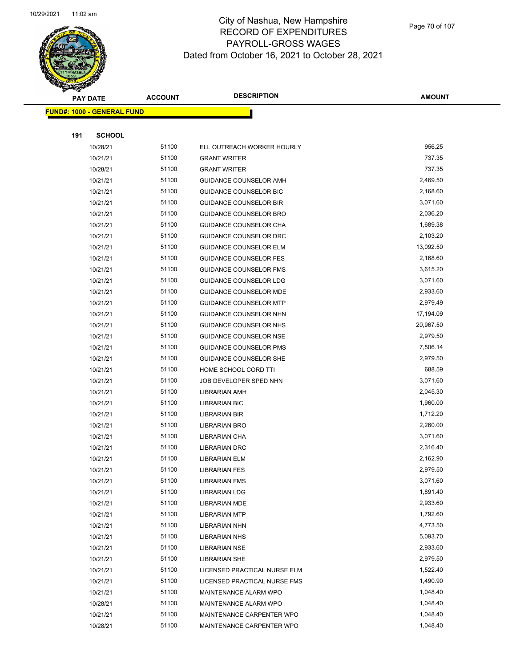

Page 70 of 107

|     | <b>PAY DATE</b>                    | <b>ACCOUNT</b> | <b>DESCRIPTION</b>            | <b>AMOUNT</b> |
|-----|------------------------------------|----------------|-------------------------------|---------------|
|     | <u> FUND#: 1000 - GENERAL FUND</u> |                |                               |               |
|     |                                    |                |                               |               |
| 191 | <b>SCHOOL</b>                      |                |                               |               |
|     | 10/28/21                           | 51100          | ELL OUTREACH WORKER HOURLY    | 956.25        |
|     | 10/21/21                           | 51100          | <b>GRANT WRITER</b>           | 737.35        |
|     | 10/28/21                           | 51100          | <b>GRANT WRITER</b>           | 737.35        |
|     | 10/21/21                           | 51100          | GUIDANCE COUNSELOR AMH        | 2,469.50      |
|     | 10/21/21                           | 51100          | GUIDANCE COUNSELOR BIC        | 2,168.60      |
|     | 10/21/21                           | 51100          | <b>GUIDANCE COUNSELOR BIR</b> | 3,071.60      |
|     | 10/21/21                           | 51100          | GUIDANCE COUNSELOR BRO        | 2,036.20      |
|     | 10/21/21                           | 51100          | GUIDANCE COUNSELOR CHA        | 1,689.38      |
|     | 10/21/21                           | 51100          | GUIDANCE COUNSELOR DRC        | 2,103.20      |
|     | 10/21/21                           | 51100          | <b>GUIDANCE COUNSELOR ELM</b> | 13,092.50     |
|     | 10/21/21                           | 51100          | GUIDANCE COUNSELOR FES        | 2,168.60      |
|     | 10/21/21                           | 51100          | <b>GUIDANCE COUNSELOR FMS</b> | 3,615.20      |
|     | 10/21/21                           | 51100          | <b>GUIDANCE COUNSELOR LDG</b> | 3,071.60      |
|     | 10/21/21                           | 51100          | GUIDANCE COUNSELOR MDE        | 2,933.60      |
|     | 10/21/21                           | 51100          | <b>GUIDANCE COUNSELOR MTP</b> | 2,979.49      |
|     | 10/21/21                           | 51100          | GUIDANCE COUNSELOR NHN        | 17,194.09     |
|     | 10/21/21                           | 51100          | GUIDANCE COUNSELOR NHS        | 20,967.50     |
|     | 10/21/21                           | 51100          | GUIDANCE COUNSELOR NSE        | 2,979.50      |
|     | 10/21/21                           | 51100          | GUIDANCE COUNSELOR PMS        | 7,506.14      |
|     | 10/21/21                           | 51100          | GUIDANCE COUNSELOR SHE        | 2,979.50      |
|     | 10/21/21                           | 51100          | HOME SCHOOL CORD TTI          | 688.59        |
|     | 10/21/21                           | 51100          | JOB DEVELOPER SPED NHN        | 3,071.60      |
|     | 10/21/21                           | 51100          | <b>LIBRARIAN AMH</b>          | 2,045.30      |
|     | 10/21/21                           | 51100          | <b>LIBRARIAN BIC</b>          | 1,960.00      |
|     | 10/21/21                           | 51100          | <b>LIBRARIAN BIR</b>          | 1,712.20      |
|     | 10/21/21                           | 51100          | <b>LIBRARIAN BRO</b>          | 2,260.00      |
|     | 10/21/21                           | 51100          | LIBRARIAN CHA                 | 3,071.60      |
|     | 10/21/21                           | 51100          | <b>LIBRARIAN DRC</b>          | 2,316.40      |
|     | 10/21/21                           | 51100          | <b>LIBRARIAN ELM</b>          | 2,162.90      |
|     | 10/21/21                           | 51100          | <b>LIBRARIAN FES</b>          | 2,979.50      |
|     | 10/21/21                           | 51100          | <b>LIBRARIAN FMS</b>          | 3,071.60      |
|     | 10/21/21                           | 51100          | <b>LIBRARIAN LDG</b>          | 1,891.40      |
|     | 10/21/21                           | 51100          | <b>LIBRARIAN MDE</b>          | 2,933.60      |
|     | 10/21/21                           | 51100          | <b>LIBRARIAN MTP</b>          | 1,792.60      |
|     | 10/21/21                           | 51100          | <b>LIBRARIAN NHN</b>          | 4,773.50      |
|     | 10/21/21                           | 51100          | <b>LIBRARIAN NHS</b>          | 5,093.70      |
|     | 10/21/21                           | 51100          | <b>LIBRARIAN NSE</b>          | 2,933.60      |
|     | 10/21/21                           | 51100          | <b>LIBRARIAN SHE</b>          | 2,979.50      |
|     | 10/21/21                           | 51100          | LICENSED PRACTICAL NURSE ELM  | 1,522.40      |
|     | 10/21/21                           | 51100          | LICENSED PRACTICAL NURSE FMS  | 1,490.90      |
|     | 10/21/21                           | 51100          | MAINTENANCE ALARM WPO         | 1,048.40      |
|     | 10/28/21                           | 51100          | MAINTENANCE ALARM WPO         | 1,048.40      |
|     | 10/21/21                           | 51100          | MAINTENANCE CARPENTER WPO     | 1,048.40      |
|     | 10/28/21                           | 51100          | MAINTENANCE CARPENTER WPO     | 1,048.40      |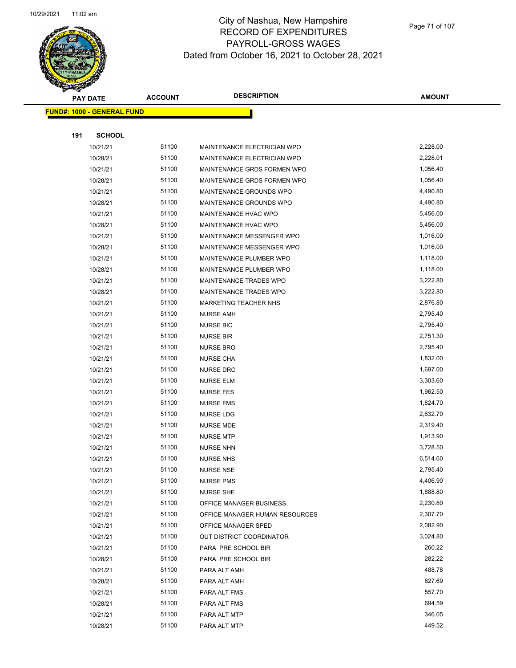

| <b>PAY DATE</b>                   | <b>ACCOUNT</b> | <b>DESCRIPTION</b>             | <b>AMOUNT</b> |
|-----------------------------------|----------------|--------------------------------|---------------|
| <b>FUND#: 1000 - GENERAL FUND</b> |                |                                |               |
|                                   |                |                                |               |
| 191<br><b>SCHOOL</b>              |                |                                |               |
| 10/21/21                          | 51100          | MAINTENANCE ELECTRICIAN WPO    | 2,228.00      |
| 10/28/21                          | 51100          | MAINTENANCE ELECTRICIAN WPO    | 2,228.01      |
| 10/21/21                          | 51100          | MAINTENANCE GRDS FORMEN WPO    | 1,056.40      |
| 10/28/21                          | 51100          | MAINTENANCE GRDS FORMEN WPO    | 1,056.40      |
| 10/21/21                          | 51100          | MAINTENANCE GROUNDS WPO        | 4,490.80      |
| 10/28/21                          | 51100          | MAINTENANCE GROUNDS WPO        | 4,490.80      |
| 10/21/21                          | 51100          | MAINTENANCE HVAC WPO           | 5,456.00      |
| 10/28/21                          | 51100          | MAINTENANCE HVAC WPO           | 5,456.00      |
| 10/21/21                          | 51100          | MAINTENANCE MESSENGER WPO      | 1,016.00      |
| 10/28/21                          | 51100          | MAINTENANCE MESSENGER WPO      | 1,016.00      |
| 10/21/21                          | 51100          | MAINTENANCE PLUMBER WPO        | 1,118.00      |
| 10/28/21                          | 51100          | MAINTENANCE PLUMBER WPO        | 1,118.00      |
| 10/21/21                          | 51100          | MAINTENANCE TRADES WPO         | 3,222.80      |
| 10/28/21                          | 51100          | MAINTENANCE TRADES WPO         | 3,222.80      |
| 10/21/21                          | 51100          | MARKETING TEACHER NHS          | 2,876.80      |
| 10/21/21                          | 51100          | <b>NURSE AMH</b>               | 2,795.40      |
| 10/21/21                          | 51100          | <b>NURSE BIC</b>               | 2,795.40      |
| 10/21/21                          | 51100          | <b>NURSE BIR</b>               | 2,751.30      |
| 10/21/21                          | 51100          | <b>NURSE BRO</b>               | 2,795.40      |
| 10/21/21                          | 51100          | <b>NURSE CHA</b>               | 1,832.00      |
| 10/21/21                          | 51100          | <b>NURSE DRC</b>               | 1,697.00      |
| 10/21/21                          | 51100          | <b>NURSE ELM</b>               | 3,303.60      |
| 10/21/21                          | 51100          | <b>NURSE FES</b>               | 1,962.50      |
| 10/21/21                          | 51100          | <b>NURSE FMS</b>               | 1,824.70      |
| 10/21/21                          | 51100          | <b>NURSE LDG</b>               | 2,632.70      |
| 10/21/21                          | 51100          | <b>NURSE MDE</b>               | 2,319.40      |
| 10/21/21                          | 51100          | <b>NURSE MTP</b>               | 1,913.90      |
| 10/21/21                          | 51100          | <b>NURSE NHN</b>               | 3,728.50      |
| 10/21/21                          | 51100          | <b>NURSE NHS</b>               | 6,514.60      |
| 10/21/21                          | 51100          | <b>NURSE NSE</b>               | 2,795.40      |
| 10/21/21                          | 51100          | <b>NURSE PMS</b>               | 4,406.90      |
| 10/21/21                          | 51100          | <b>NURSE SHE</b>               | 1,888.80      |
| 10/21/21                          | 51100          | OFFICE MANAGER BUSINESS        | 2,230.80      |
| 10/21/21                          | 51100          | OFFICE MANAGER HUMAN RESOURCES | 2,307.70      |
| 10/21/21                          | 51100          | OFFICE MANAGER SPED            | 2,082.90      |
| 10/21/21                          | 51100          | OUT DISTRICT COORDINATOR       | 3,024.80      |
| 10/21/21                          | 51100          | PARA PRE SCHOOL BIR            | 260.22        |
| 10/28/21                          | 51100          | PARA PRE SCHOOL BIR            | 282.22        |
| 10/21/21                          | 51100          | PARA ALT AMH                   | 488.78        |
| 10/28/21                          | 51100          | PARA ALT AMH                   | 627.69        |
| 10/21/21                          | 51100          | PARA ALT FMS                   | 557.70        |
| 10/28/21                          | 51100          | PARA ALT FMS                   | 694.59        |
| 10/21/21                          | 51100          | PARA ALT MTP                   | 346.05        |
| 10/28/21                          | 51100          | PARA ALT MTP                   | 449.52        |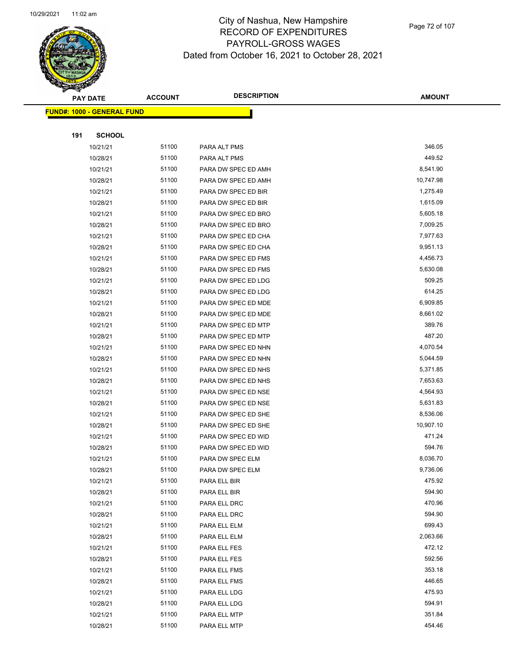

Page 72 of 107

|     | <b>PAY DATE</b>                    | <b>ACCOUNT</b> | <b>DESCRIPTION</b>  | <b>AMOUNT</b> |
|-----|------------------------------------|----------------|---------------------|---------------|
|     | <u> FUND#: 1000 - GENERAL FUND</u> |                |                     |               |
|     |                                    |                |                     |               |
| 191 | <b>SCHOOL</b>                      |                |                     |               |
|     | 10/21/21                           | 51100          | PARA ALT PMS        | 346.05        |
|     | 10/28/21                           | 51100          | PARA ALT PMS        | 449.52        |
|     | 10/21/21                           | 51100          | PARA DW SPEC ED AMH | 8,541.90      |
|     | 10/28/21                           | 51100          | PARA DW SPEC ED AMH | 10,747.98     |
|     | 10/21/21                           | 51100          | PARA DW SPEC ED BIR | 1,275.49      |
|     | 10/28/21                           | 51100          | PARA DW SPEC ED BIR | 1,615.09      |
|     | 10/21/21                           | 51100          | PARA DW SPEC ED BRO | 5,605.18      |
|     | 10/28/21                           | 51100          | PARA DW SPEC ED BRO | 7,009.25      |
|     | 10/21/21                           | 51100          | PARA DW SPEC ED CHA | 7,977.63      |
|     | 10/28/21                           | 51100          | PARA DW SPEC ED CHA | 9,951.13      |
|     | 10/21/21                           | 51100          | PARA DW SPEC ED FMS | 4,456.73      |
|     | 10/28/21                           | 51100          | PARA DW SPEC ED FMS | 5,630.08      |
|     | 10/21/21                           | 51100          | PARA DW SPEC ED LDG | 509.25        |
|     | 10/28/21                           | 51100          | PARA DW SPEC ED LDG | 614.25        |
|     | 10/21/21                           | 51100          | PARA DW SPEC ED MDE | 6,909.85      |
|     | 10/28/21                           | 51100          | PARA DW SPEC ED MDE | 8,661.02      |
|     | 10/21/21                           | 51100          | PARA DW SPEC ED MTP | 389.76        |
|     | 10/28/21                           | 51100          | PARA DW SPEC ED MTP | 487.20        |
|     | 10/21/21                           | 51100          | PARA DW SPEC ED NHN | 4,070.54      |
|     | 10/28/21                           | 51100          | PARA DW SPEC ED NHN | 5,044.59      |
|     | 10/21/21                           | 51100          | PARA DW SPEC ED NHS | 5,371.85      |
|     | 10/28/21                           | 51100          | PARA DW SPEC ED NHS | 7,653.63      |
|     | 10/21/21                           | 51100          | PARA DW SPEC ED NSE | 4,564.93      |
|     | 10/28/21                           | 51100          | PARA DW SPEC ED NSE | 5,631.83      |
|     | 10/21/21                           | 51100          | PARA DW SPEC ED SHE | 8,536.06      |
|     | 10/28/21                           | 51100          | PARA DW SPEC ED SHE | 10,907.10     |
|     | 10/21/21                           | 51100          | PARA DW SPEC ED WID | 471.24        |
|     | 10/28/21                           | 51100          | PARA DW SPEC ED WID | 594.76        |
|     | 10/21/21                           | 51100          | PARA DW SPEC ELM    | 8,036.70      |
|     | 10/28/21                           | 51100          | PARA DW SPEC ELM    | 9,736.06      |
|     | 10/21/21                           | 51100          | PARA ELL BIR        | 475.92        |
|     | 10/28/21                           | 51100          | PARA ELL BIR        | 594.90        |
|     | 10/21/21                           | 51100          | PARA ELL DRC        | 470.96        |
|     | 10/28/21                           | 51100          | PARA ELL DRC        | 594.90        |
|     | 10/21/21                           | 51100          | PARA ELL ELM        | 699.43        |
|     | 10/28/21                           | 51100          | PARA ELL ELM        | 2,063.66      |
|     | 10/21/21                           | 51100          | PARA ELL FES        | 472.12        |
|     | 10/28/21                           | 51100          | PARA ELL FES        | 592.56        |
|     | 10/21/21                           | 51100          | PARA ELL FMS        | 353.18        |
|     | 10/28/21                           | 51100          | PARA ELL FMS        | 446.65        |
|     | 10/21/21                           | 51100          | PARA ELL LDG        | 475.93        |
|     | 10/28/21                           | 51100          | PARA ELL LDG        | 594.91        |
|     | 10/21/21                           | 51100          | PARA ELL MTP        | 351.84        |
|     | 10/28/21                           | 51100          | PARA ELL MTP        | 454.46        |
|     |                                    |                |                     |               |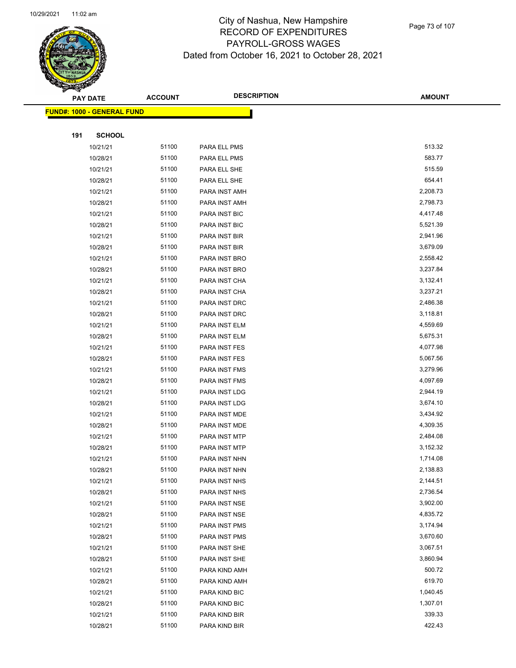

Page 73 of 107

|     | <b>PAY DATE</b>                    | <b>ACCOUNT</b> | <b>DESCRIPTION</b>             | <b>AMOUNT</b>      |
|-----|------------------------------------|----------------|--------------------------------|--------------------|
|     | <u> FUND#: 1000 - GENERAL FUND</u> |                |                                |                    |
|     |                                    |                |                                |                    |
| 191 | <b>SCHOOL</b>                      |                |                                |                    |
|     | 10/21/21                           | 51100          | PARA ELL PMS                   | 513.32             |
|     | 10/28/21                           | 51100          | PARA ELL PMS                   | 583.77             |
|     | 10/21/21                           | 51100          | PARA ELL SHE                   | 515.59             |
|     | 10/28/21                           | 51100          | PARA ELL SHE                   | 654.41             |
|     | 10/21/21                           | 51100          | PARA INST AMH                  | 2,208.73           |
|     | 10/28/21                           | 51100          | PARA INST AMH                  | 2,798.73           |
|     | 10/21/21                           | 51100          | PARA INST BIC                  | 4,417.48           |
|     | 10/28/21                           | 51100          | PARA INST BIC                  | 5,521.39           |
|     | 10/21/21                           | 51100          | PARA INST BIR                  | 2,941.96           |
|     | 10/28/21                           | 51100          | PARA INST BIR                  | 3,679.09           |
|     | 10/21/21                           | 51100          | PARA INST BRO                  | 2,558.42           |
|     | 10/28/21                           | 51100          | PARA INST BRO                  | 3,237.84           |
|     | 10/21/21                           | 51100          | PARA INST CHA                  | 3,132.41           |
|     | 10/28/21                           | 51100          | PARA INST CHA                  | 3,237.21           |
|     | 10/21/21                           | 51100          | PARA INST DRC                  | 2,486.38           |
|     | 10/28/21                           | 51100          | PARA INST DRC                  | 3,118.81           |
|     | 10/21/21                           | 51100          | PARA INST ELM                  | 4,559.69           |
|     | 10/28/21                           | 51100          | PARA INST ELM                  | 5,675.31           |
|     | 10/21/21                           | 51100          | PARA INST FES                  | 4,077.98           |
|     | 10/28/21                           | 51100          | PARA INST FES                  | 5,067.56           |
|     | 10/21/21                           | 51100          | PARA INST FMS                  | 3,279.96           |
|     | 10/28/21                           | 51100          | PARA INST FMS                  | 4,097.69           |
|     | 10/21/21                           | 51100          | PARA INST LDG                  | 2,944.19           |
|     | 10/28/21                           | 51100          | PARA INST LDG                  | 3,674.10           |
|     | 10/21/21                           | 51100          | PARA INST MDE                  | 3,434.92           |
|     | 10/28/21                           | 51100          | PARA INST MDE                  | 4,309.35           |
|     | 10/21/21                           | 51100          | PARA INST MTP                  | 2,484.08           |
|     | 10/28/21                           | 51100          | PARA INST MTP                  | 3,152.32           |
|     | 10/21/21                           | 51100          | PARA INST NHN                  | 1,714.08           |
|     | 10/28/21                           | 51100          | PARA INST NHN                  | 2,138.83           |
|     | 10/21/21                           | 51100          | PARA INST NHS                  | 2,144.51           |
|     | 10/28/21                           | 51100          | PARA INST NHS                  | 2,736.54           |
|     | 10/21/21                           | 51100          | PARA INST NSE                  | 3,902.00           |
|     | 10/28/21                           | 51100          | PARA INST NSE                  | 4,835.72           |
|     | 10/21/21                           | 51100          | PARA INST PMS                  | 3,174.94           |
|     | 10/28/21                           | 51100          | PARA INST PMS                  | 3,670.60           |
|     | 10/21/21                           | 51100          | PARA INST SHE                  | 3,067.51           |
|     | 10/28/21                           | 51100          | PARA INST SHE                  | 3,860.94<br>500.72 |
|     | 10/21/21                           | 51100          | PARA KIND AMH                  | 619.70             |
|     | 10/28/21                           | 51100<br>51100 | PARA KIND AMH                  | 1,040.45           |
|     | 10/21/21                           | 51100          | PARA KIND BIC                  | 1,307.01           |
|     | 10/28/21<br>10/21/21               | 51100          | PARA KIND BIC<br>PARA KIND BIR | 339.33             |
|     | 10/28/21                           | 51100          | PARA KIND BIR                  | 422.43             |
|     |                                    |                |                                |                    |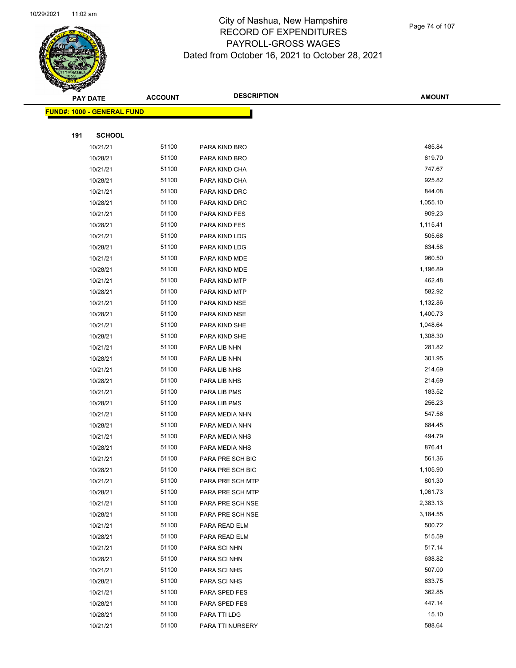

Page 74 of 107

|     | <b>PAY DATE</b>                   | <b>ACCOUNT</b> | <b>DESCRIPTION</b> | <b>AMOUNT</b> |
|-----|-----------------------------------|----------------|--------------------|---------------|
|     | <b>FUND#: 1000 - GENERAL FUND</b> |                |                    |               |
|     |                                   |                |                    |               |
| 191 | <b>SCHOOL</b>                     |                |                    |               |
|     | 10/21/21                          | 51100          | PARA KIND BRO      | 485.84        |
|     | 10/28/21                          | 51100          | PARA KIND BRO      | 619.70        |
|     | 10/21/21                          | 51100          | PARA KIND CHA      | 747.67        |
|     | 10/28/21                          | 51100          | PARA KIND CHA      | 925.82        |
|     | 10/21/21                          | 51100          | PARA KIND DRC      | 844.08        |
|     | 10/28/21                          | 51100          | PARA KIND DRC      | 1,055.10      |
|     | 10/21/21                          | 51100          | PARA KIND FES      | 909.23        |
|     | 10/28/21                          | 51100          | PARA KIND FES      | 1,115.41      |
|     | 10/21/21                          | 51100          | PARA KIND LDG      | 505.68        |
|     | 10/28/21                          | 51100          | PARA KIND LDG      | 634.58        |
|     | 10/21/21                          | 51100          | PARA KIND MDE      | 960.50        |
|     | 10/28/21                          | 51100          | PARA KIND MDE      | 1,196.89      |
|     | 10/21/21                          | 51100          | PARA KIND MTP      | 462.48        |
|     | 10/28/21                          | 51100          | PARA KIND MTP      | 582.92        |
|     | 10/21/21                          | 51100          | PARA KIND NSE      | 1,132.86      |
|     | 10/28/21                          | 51100          | PARA KIND NSE      | 1,400.73      |
|     | 10/21/21                          | 51100          | PARA KIND SHE      | 1,048.64      |
|     | 10/28/21                          | 51100          | PARA KIND SHE      | 1,308.30      |
|     | 10/21/21                          | 51100          | PARA LIB NHN       | 281.82        |
|     | 10/28/21                          | 51100          | PARA LIB NHN       | 301.95        |
|     | 10/21/21                          | 51100          | PARA LIB NHS       | 214.69        |
|     | 10/28/21                          | 51100          | PARA LIB NHS       | 214.69        |
|     | 10/21/21                          | 51100          | PARA LIB PMS       | 183.52        |
|     | 10/28/21                          | 51100          | PARA LIB PMS       | 256.23        |
|     | 10/21/21                          | 51100          | PARA MEDIA NHN     | 547.56        |
|     | 10/28/21                          | 51100          | PARA MEDIA NHN     | 684.45        |
|     | 10/21/21                          | 51100          | PARA MEDIA NHS     | 494.79        |
|     | 10/28/21                          | 51100          | PARA MEDIA NHS     | 876.41        |
|     | 10/21/21                          | 51100          | PARA PRE SCH BIC   | 561.36        |
|     | 10/28/21                          | 51100          | PARA PRE SCH BIC   | 1,105.90      |
|     | 10/21/21                          | 51100          | PARA PRE SCH MTP   | 801.30        |
|     | 10/28/21                          | 51100          | PARA PRE SCH MTP   | 1,061.73      |
|     | 10/21/21                          | 51100          | PARA PRE SCH NSE   | 2,383.13      |
|     | 10/28/21                          | 51100          | PARA PRE SCH NSE   | 3,184.55      |
|     | 10/21/21                          | 51100          | PARA READ ELM      | 500.72        |
|     | 10/28/21                          | 51100          | PARA READ ELM      | 515.59        |
|     | 10/21/21                          | 51100          | PARA SCI NHN       | 517.14        |
|     | 10/28/21                          | 51100          | PARA SCI NHN       | 638.82        |
|     | 10/21/21                          | 51100          | PARA SCI NHS       | 507.00        |
|     | 10/28/21                          | 51100          | PARA SCI NHS       | 633.75        |
|     | 10/21/21                          | 51100          | PARA SPED FES      | 362.85        |
|     | 10/28/21                          | 51100          | PARA SPED FES      | 447.14        |
|     | 10/28/21                          | 51100          | PARA TTI LDG       | 15.10         |
|     | 10/21/21                          | 51100          | PARA TTI NURSERY   | 588.64        |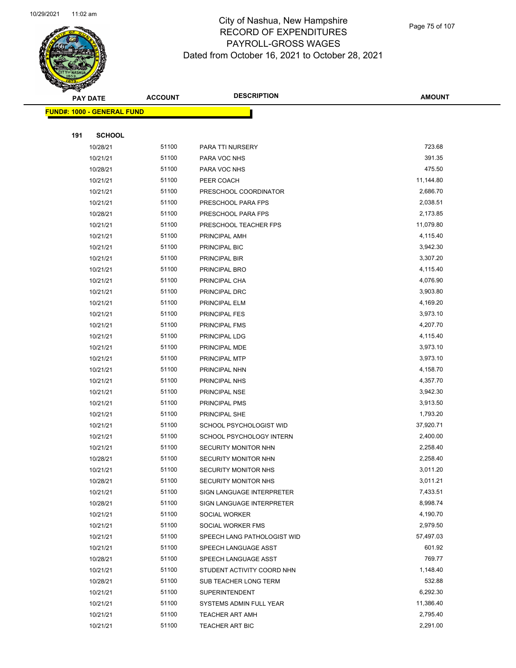

Page 75 of 107

|     | <b>PAY DATE</b>                   | <b>ACCOUNT</b> | <b>DESCRIPTION</b>                               | <b>AMOUNT</b>        |
|-----|-----------------------------------|----------------|--------------------------------------------------|----------------------|
|     | <b>FUND#: 1000 - GENERAL FUND</b> |                |                                                  |                      |
|     |                                   |                |                                                  |                      |
| 191 | <b>SCHOOL</b>                     |                |                                                  |                      |
|     | 10/28/21                          | 51100          | PARA TTI NURSERY                                 | 723.68               |
|     | 10/21/21                          | 51100          | PARA VOC NHS                                     | 391.35               |
|     | 10/28/21                          | 51100          | PARA VOC NHS                                     | 475.50               |
|     | 10/21/21                          | 51100          | PEER COACH                                       | 11,144.80            |
|     | 10/21/21                          | 51100          | PRESCHOOL COORDINATOR                            | 2,686.70             |
|     | 10/21/21                          | 51100          | PRESCHOOL PARA FPS                               | 2,038.51             |
|     | 10/28/21                          | 51100          | PRESCHOOL PARA FPS                               | 2,173.85             |
|     | 10/21/21                          | 51100          | PRESCHOOL TEACHER FPS                            | 11,079.80            |
|     | 10/21/21                          | 51100          | PRINCIPAL AMH                                    | 4,115.40             |
|     | 10/21/21                          | 51100          | PRINCIPAL BIC                                    | 3,942.30             |
|     | 10/21/21                          | 51100          | PRINCIPAL BIR                                    | 3,307.20             |
|     | 10/21/21                          | 51100          | PRINCIPAL BRO                                    | 4,115.40             |
|     | 10/21/21                          | 51100          | PRINCIPAL CHA                                    | 4,076.90             |
|     | 10/21/21                          | 51100          | PRINCIPAL DRC                                    | 3,903.80             |
|     | 10/21/21                          | 51100          | PRINCIPAL ELM                                    | 4,169.20             |
|     | 10/21/21                          | 51100          | PRINCIPAL FES                                    | 3,973.10             |
|     | 10/21/21                          | 51100          | PRINCIPAL FMS                                    | 4,207.70             |
|     | 10/21/21                          | 51100          | PRINCIPAL LDG                                    | 4,115.40             |
|     | 10/21/21                          | 51100          | PRINCIPAL MDE                                    | 3,973.10             |
|     | 10/21/21                          | 51100          | PRINCIPAL MTP                                    | 3,973.10             |
|     | 10/21/21                          | 51100          | PRINCIPAL NHN                                    | 4,158.70             |
|     | 10/21/21                          | 51100          | PRINCIPAL NHS                                    | 4,357.70             |
|     | 10/21/21                          | 51100          | PRINCIPAL NSE                                    | 3,942.30             |
|     | 10/21/21                          | 51100          | PRINCIPAL PMS                                    | 3,913.50             |
|     | 10/21/21                          | 51100          | PRINCIPAL SHE                                    | 1,793.20             |
|     | 10/21/21                          | 51100          | SCHOOL PSYCHOLOGIST WID                          | 37,920.71            |
|     | 10/21/21                          | 51100          | SCHOOL PSYCHOLOGY INTERN                         | 2,400.00             |
|     | 10/21/21                          | 51100          | SECURITY MONITOR NHN                             | 2,258.40             |
|     | 10/28/21                          | 51100          | SECURITY MONITOR NHN                             | 2,258.40             |
|     | 10/21/21                          | 51100          | SECURITY MONITOR NHS                             | 3,011.20             |
|     | 10/28/21                          | 51100          | <b>SECURITY MONITOR NHS</b>                      | 3,011.21             |
|     | 10/21/21                          | 51100          | SIGN LANGUAGE INTERPRETER                        | 7,433.51             |
|     | 10/28/21                          | 51100          | SIGN LANGUAGE INTERPRETER                        | 8,998.74<br>4,190.70 |
|     | 10/21/21                          | 51100<br>51100 | SOCIAL WORKER                                    | 2,979.50             |
|     | 10/21/21<br>10/21/21              | 51100          | SOCIAL WORKER FMS<br>SPEECH LANG PATHOLOGIST WID | 57,497.03            |
|     | 10/21/21                          | 51100          | SPEECH LANGUAGE ASST                             | 601.92               |
|     | 10/28/21                          | 51100          | SPEECH LANGUAGE ASST                             | 769.77               |
|     | 10/21/21                          | 51100          | STUDENT ACTIVITY COORD NHN                       | 1,148.40             |
|     | 10/28/21                          | 51100          | SUB TEACHER LONG TERM                            | 532.88               |
|     | 10/21/21                          | 51100          | <b>SUPERINTENDENT</b>                            | 6,292.30             |
|     | 10/21/21                          | 51100          | SYSTEMS ADMIN FULL YEAR                          | 11,386.40            |
|     | 10/21/21                          | 51100          | <b>TEACHER ART AMH</b>                           | 2,795.40             |
|     | 10/21/21                          | 51100          | <b>TEACHER ART BIC</b>                           | 2,291.00             |
|     |                                   |                |                                                  |                      |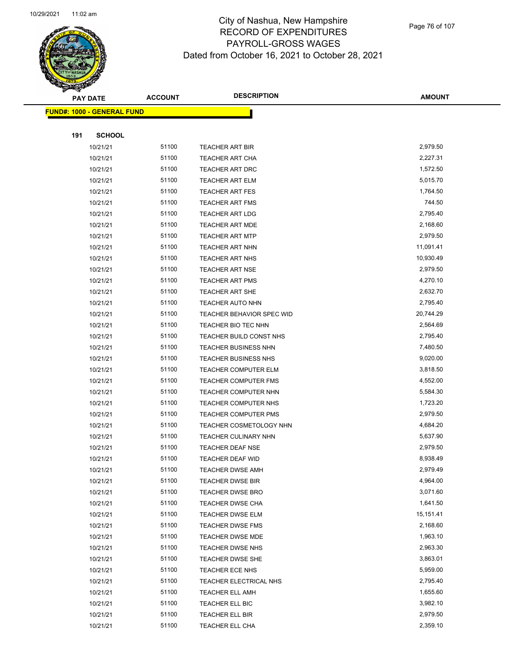

Page 76 of 107

|     | <b>PAY DATE</b>                   | <b>ACCOUNT</b> | <b>DESCRIPTION</b>          | <b>AMOUNT</b>        |
|-----|-----------------------------------|----------------|-----------------------------|----------------------|
|     | <b>FUND#: 1000 - GENERAL FUND</b> |                |                             |                      |
|     |                                   |                |                             |                      |
| 191 | <b>SCHOOL</b>                     |                |                             |                      |
|     | 10/21/21                          | 51100          | TEACHER ART BIR             | 2,979.50             |
|     | 10/21/21                          | 51100          | <b>TEACHER ART CHA</b>      | 2,227.31             |
|     | 10/21/21                          | 51100          | TEACHER ART DRC             | 1,572.50             |
|     | 10/21/21                          | 51100          | <b>TEACHER ART ELM</b>      | 5,015.70             |
|     | 10/21/21                          | 51100          | <b>TEACHER ART FES</b>      | 1,764.50             |
|     | 10/21/21                          | 51100          | <b>TEACHER ART FMS</b>      | 744.50               |
|     | 10/21/21                          | 51100          | <b>TEACHER ART LDG</b>      | 2,795.40             |
|     | 10/21/21                          | 51100          | <b>TEACHER ART MDE</b>      | 2,168.60             |
|     | 10/21/21                          | 51100          | <b>TEACHER ART MTP</b>      | 2,979.50             |
|     | 10/21/21                          | 51100          | <b>TEACHER ART NHN</b>      | 11,091.41            |
|     | 10/21/21                          | 51100          | <b>TEACHER ART NHS</b>      | 10,930.49            |
|     | 10/21/21                          | 51100          | <b>TEACHER ART NSE</b>      | 2,979.50             |
|     | 10/21/21                          | 51100          | <b>TEACHER ART PMS</b>      | 4,270.10             |
|     | 10/21/21                          | 51100          | <b>TEACHER ART SHE</b>      | 2,632.70             |
|     | 10/21/21                          | 51100          | TEACHER AUTO NHN            | 2,795.40             |
|     | 10/21/21                          | 51100          | TEACHER BEHAVIOR SPEC WID   | 20,744.29            |
|     | 10/21/21                          | 51100          | TEACHER BIO TEC NHN         | 2,564.69             |
|     | 10/21/21                          | 51100          | TEACHER BUILD CONST NHS     | 2,795.40             |
|     | 10/21/21                          | 51100          | <b>TEACHER BUSINESS NHN</b> | 7,480.50             |
|     | 10/21/21                          | 51100          | TEACHER BUSINESS NHS        | 9,020.00             |
|     | 10/21/21                          | 51100          | TEACHER COMPUTER ELM        | 3,818.50             |
|     | 10/21/21                          | 51100          | <b>TEACHER COMPUTER FMS</b> | 4,552.00             |
|     | 10/21/21                          | 51100          | TEACHER COMPUTER NHN        | 5,584.30             |
|     | 10/21/21                          | 51100          | TEACHER COMPUTER NHS        | 1,723.20             |
|     | 10/21/21                          | 51100          | <b>TEACHER COMPUTER PMS</b> | 2,979.50             |
|     | 10/21/21                          | 51100          | TEACHER COSMETOLOGY NHN     | 4,684.20             |
|     | 10/21/21                          | 51100          | TEACHER CULINARY NHN        | 5,637.90             |
|     | 10/21/21                          | 51100          | <b>TEACHER DEAF NSE</b>     | 2,979.50             |
|     | 10/21/21                          | 51100          | TEACHER DEAF WID            | 8,938.49             |
|     | 10/21/21                          | 51100          | TEACHER DWSE AMH            | 2,979.49             |
|     | 10/21/21                          | 51100          | TEACHER DWSE BIR            | 4,964.00             |
|     | 10/21/21                          | 51100          | <b>TEACHER DWSE BRO</b>     | 3,071.60             |
|     | 10/21/21                          | 51100          | TEACHER DWSE CHA            | 1,641.50             |
|     | 10/21/21                          | 51100          | TEACHER DWSE ELM            | 15,151.41            |
|     | 10/21/21                          | 51100          | <b>TEACHER DWSE FMS</b>     | 2,168.60             |
|     | 10/21/21                          | 51100          | TEACHER DWSE MDE            | 1,963.10             |
|     | 10/21/21                          | 51100          | <b>TEACHER DWSE NHS</b>     | 2,963.30             |
|     | 10/21/21                          | 51100          | <b>TEACHER DWSE SHE</b>     | 3,863.01             |
|     | 10/21/21                          | 51100          | TEACHER ECE NHS             | 5,959.00             |
|     | 10/21/21                          | 51100          | TEACHER ELECTRICAL NHS      | 2,795.40             |
|     | 10/21/21                          | 51100<br>51100 | <b>TEACHER ELL AMH</b>      | 1,655.60<br>3,982.10 |
|     | 10/21/21                          | 51100          | TEACHER ELL BIC             |                      |
|     | 10/21/21                          |                | TEACHER ELL BIR             | 2,979.50             |
|     | 10/21/21                          | 51100          | TEACHER ELL CHA             | 2,359.10             |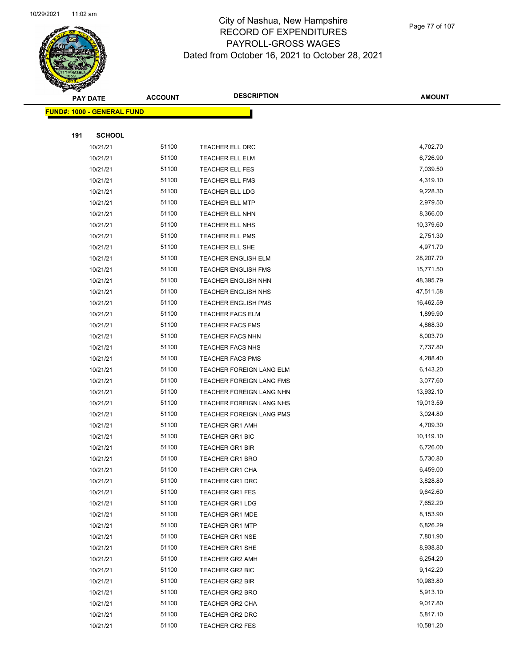

Page 77 of 107

|     | <b>PAY DATE</b>                    | <b>ACCOUNT</b> | <b>DESCRIPTION</b>                        | <b>AMOUNT</b>        |
|-----|------------------------------------|----------------|-------------------------------------------|----------------------|
|     | <u> FUND#: 1000 - GENERAL FUND</u> |                |                                           |                      |
|     |                                    |                |                                           |                      |
| 191 | <b>SCHOOL</b>                      |                |                                           |                      |
|     | 10/21/21                           | 51100          | TEACHER ELL DRC                           | 4,702.70             |
|     | 10/21/21                           | 51100          | <b>TEACHER ELL ELM</b>                    | 6,726.90             |
|     | 10/21/21                           | 51100          | <b>TEACHER ELL FES</b>                    | 7,039.50             |
|     | 10/21/21                           | 51100          | TEACHER ELL FMS                           | 4,319.10             |
|     | 10/21/21                           | 51100          | TEACHER ELL LDG                           | 9,228.30             |
|     | 10/21/21                           | 51100          | <b>TEACHER ELL MTP</b>                    | 2,979.50             |
|     | 10/21/21                           | 51100          | <b>TEACHER ELL NHN</b>                    | 8,366.00             |
|     | 10/21/21                           | 51100          | TEACHER ELL NHS                           | 10,379.60            |
|     | 10/21/21                           | 51100          | TEACHER ELL PMS                           | 2,751.30             |
|     | 10/21/21                           | 51100          | TEACHER ELL SHE                           | 4,971.70             |
|     | 10/21/21                           | 51100          | <b>TEACHER ENGLISH ELM</b>                | 28,207.70            |
|     | 10/21/21                           | 51100          | <b>TEACHER ENGLISH FMS</b>                | 15,771.50            |
|     | 10/21/21                           | 51100          | <b>TEACHER ENGLISH NHN</b>                | 48,395.79            |
|     | 10/21/21                           | 51100          | <b>TEACHER ENGLISH NHS</b>                | 47,511.58            |
|     | 10/21/21                           | 51100          | <b>TEACHER ENGLISH PMS</b>                | 16,462.59            |
|     | 10/21/21                           | 51100          | <b>TEACHER FACS ELM</b>                   | 1,899.90             |
|     | 10/21/21                           | 51100          | <b>TEACHER FACS FMS</b>                   | 4,868.30             |
|     | 10/21/21                           | 51100          | <b>TEACHER FACS NHN</b>                   | 8,003.70             |
|     | 10/21/21                           | 51100          | <b>TEACHER FACS NHS</b>                   | 7,737.80             |
|     | 10/21/21                           | 51100          | <b>TEACHER FACS PMS</b>                   | 4,288.40             |
|     | 10/21/21                           | 51100          | TEACHER FOREIGN LANG ELM                  | 6,143.20             |
|     | 10/21/21                           | 51100          | <b>TEACHER FOREIGN LANG FMS</b>           | 3,077.60             |
|     | 10/21/21                           | 51100          | TEACHER FOREIGN LANG NHN                  | 13,932.10            |
|     | 10/21/21                           | 51100          | TEACHER FOREIGN LANG NHS                  | 19,013.59            |
|     | 10/21/21                           | 51100          | TEACHER FOREIGN LANG PMS                  | 3,024.80             |
|     | 10/21/21                           | 51100          | <b>TEACHER GR1 AMH</b>                    | 4,709.30             |
|     | 10/21/21                           | 51100          | <b>TEACHER GR1 BIC</b>                    | 10,119.10            |
|     | 10/21/21                           | 51100          | <b>TEACHER GR1 BIR</b>                    | 6,726.00             |
|     | 10/21/21                           | 51100          | <b>TEACHER GR1 BRO</b>                    | 5,730.80             |
|     | 10/21/21                           | 51100          | TEACHER GR1 CHA                           | 6,459.00             |
|     | 10/21/21                           | 51100          | <b>TEACHER GR1 DRC</b>                    | 3,828.80             |
|     | 10/21/21                           | 51100          | TEACHER GR1 FES                           | 9,642.60             |
|     | 10/21/21                           | 51100          | <b>TEACHER GR1 LDG</b>                    | 7,652.20             |
|     | 10/21/21                           | 51100          | <b>TEACHER GR1 MDE</b>                    | 8,153.90             |
|     | 10/21/21                           | 51100<br>51100 | <b>TEACHER GR1 MTP</b>                    | 6,826.29<br>7,801.90 |
|     | 10/21/21<br>10/21/21               | 51100          | <b>TEACHER GR1 NSE</b>                    | 8,938.80             |
|     | 10/21/21                           | 51100          | <b>TEACHER GR1 SHE</b><br>TEACHER GR2 AMH | 6,254.20             |
|     | 10/21/21                           | 51100          | TEACHER GR2 BIC                           | 9,142.20             |
|     | 10/21/21                           | 51100          | <b>TEACHER GR2 BIR</b>                    | 10,983.80            |
|     | 10/21/21                           | 51100          | <b>TEACHER GR2 BRO</b>                    | 5,913.10             |
|     | 10/21/21                           | 51100          | TEACHER GR2 CHA                           | 9,017.80             |
|     | 10/21/21                           | 51100          | TEACHER GR2 DRC                           | 5,817.10             |
|     | 10/21/21                           | 51100          | TEACHER GR2 FES                           | 10,581.20            |
|     |                                    |                |                                           |                      |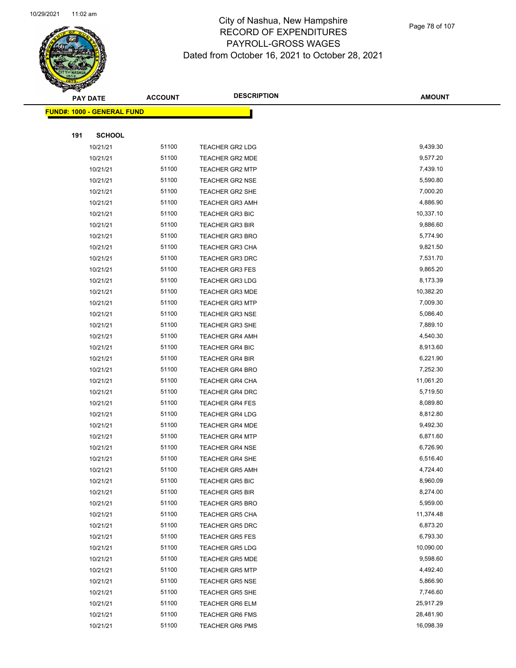

Page 78 of 107

|     | <b>PAY DATE</b>                         | <b>ACCOUNT</b> | <b>DESCRIPTION</b>     | <b>AMOUNT</b> |
|-----|-----------------------------------------|----------------|------------------------|---------------|
|     | <mark>FUND#: 1000 - GENERAL FUND</mark> |                |                        |               |
|     |                                         |                |                        |               |
| 191 | <b>SCHOOL</b>                           |                |                        |               |
|     | 10/21/21                                | 51100          | <b>TEACHER GR2 LDG</b> | 9,439.30      |
|     | 10/21/21                                | 51100          | <b>TEACHER GR2 MDE</b> | 9,577.20      |
|     | 10/21/21                                | 51100          | <b>TEACHER GR2 MTP</b> | 7,439.10      |
|     | 10/21/21                                | 51100          | <b>TEACHER GR2 NSE</b> | 5,590.80      |
|     | 10/21/21                                | 51100          | <b>TEACHER GR2 SHE</b> | 7,000.20      |
|     | 10/21/21                                | 51100          | <b>TEACHER GR3 AMH</b> | 4,886.90      |
|     | 10/21/21                                | 51100          | <b>TEACHER GR3 BIC</b> | 10,337.10     |
|     | 10/21/21                                | 51100          | <b>TEACHER GR3 BIR</b> | 9,886.60      |
|     | 10/21/21                                | 51100          | <b>TEACHER GR3 BRO</b> | 5,774.90      |
|     | 10/21/21                                | 51100          | <b>TEACHER GR3 CHA</b> | 9,821.50      |
|     | 10/21/21                                | 51100          | <b>TEACHER GR3 DRC</b> | 7,531.70      |
|     | 10/21/21                                | 51100          | <b>TEACHER GR3 FES</b> | 9,865.20      |
|     | 10/21/21                                | 51100          | <b>TEACHER GR3 LDG</b> | 8,173.39      |
|     | 10/21/21                                | 51100          | <b>TEACHER GR3 MDE</b> | 10,382.20     |
|     | 10/21/21                                | 51100          | <b>TEACHER GR3 MTP</b> | 7,009.30      |
|     | 10/21/21                                | 51100          | <b>TEACHER GR3 NSE</b> | 5,086.40      |
|     | 10/21/21                                | 51100          | <b>TEACHER GR3 SHE</b> | 7,889.10      |
|     | 10/21/21                                | 51100          | <b>TEACHER GR4 AMH</b> | 4,540.30      |
|     | 10/21/21                                | 51100          | TEACHER GR4 BIC        | 8,913.60      |
|     | 10/21/21                                | 51100          | <b>TEACHER GR4 BIR</b> | 6,221.90      |
|     | 10/21/21                                | 51100          | <b>TEACHER GR4 BRO</b> | 7,252.30      |
|     | 10/21/21                                | 51100          | <b>TEACHER GR4 CHA</b> | 11,061.20     |
|     | 10/21/21                                | 51100          | <b>TEACHER GR4 DRC</b> | 5,719.50      |
|     | 10/21/21                                | 51100          | <b>TEACHER GR4 FES</b> | 8,089.80      |
|     | 10/21/21                                | 51100          | <b>TEACHER GR4 LDG</b> | 8,812.80      |
|     | 10/21/21                                | 51100          | <b>TEACHER GR4 MDE</b> | 9,492.30      |
|     | 10/21/21                                | 51100          | <b>TEACHER GR4 MTP</b> | 6,871.60      |
|     | 10/21/21                                | 51100          | <b>TEACHER GR4 NSE</b> | 6,726.90      |
|     | 10/21/21                                | 51100          | <b>TEACHER GR4 SHE</b> | 6,516.40      |
|     | 10/21/21                                | 51100          | TEACHER GR5 AMH        | 4,724.40      |
|     | 10/21/21                                | 51100          | <b>TEACHER GR5 BIC</b> | 8,960.09      |
|     | 10/21/21                                | 51100          | <b>TEACHER GR5 BIR</b> | 8,274.00      |
|     | 10/21/21                                | 51100          | <b>TEACHER GR5 BRO</b> | 5,959.00      |
|     | 10/21/21                                | 51100          | <b>TEACHER GR5 CHA</b> | 11,374.48     |
|     | 10/21/21                                | 51100          | <b>TEACHER GR5 DRC</b> | 6,873.20      |
|     | 10/21/21                                | 51100          | <b>TEACHER GR5 FES</b> | 6,793.30      |
|     | 10/21/21                                | 51100          | <b>TEACHER GR5 LDG</b> | 10,090.00     |
|     | 10/21/21                                | 51100          | <b>TEACHER GR5 MDE</b> | 9,598.60      |
|     | 10/21/21                                | 51100          | <b>TEACHER GR5 MTP</b> | 4,492.40      |
|     | 10/21/21                                | 51100          | <b>TEACHER GR5 NSE</b> | 5,866.90      |
|     | 10/21/21                                | 51100          | TEACHER GR5 SHE        | 7,746.60      |
|     | 10/21/21                                | 51100          | TEACHER GR6 ELM        | 25,917.29     |
|     | 10/21/21                                | 51100          | <b>TEACHER GR6 FMS</b> | 28,481.90     |
|     | 10/21/21                                | 51100          | <b>TEACHER GR6 PMS</b> | 16,098.39     |
|     |                                         |                |                        |               |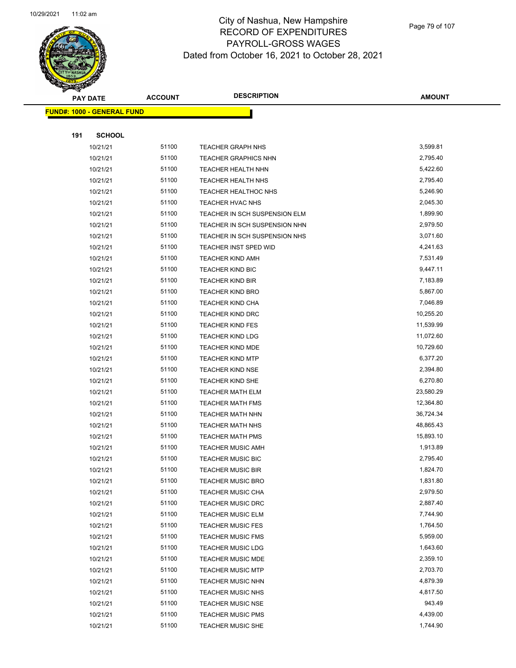

Page 79 of 107

| <b>PAY DATE</b>                   | <b>ACCOUNT</b> | <b>DESCRIPTION</b>            | <b>AMOUNT</b> |
|-----------------------------------|----------------|-------------------------------|---------------|
| <b>FUND#: 1000 - GENERAL FUND</b> |                |                               |               |
|                                   |                |                               |               |
| 191                               | <b>SCHOOL</b>  |                               |               |
| 10/21/21                          | 51100          | <b>TEACHER GRAPH NHS</b>      | 3,599.81      |
| 10/21/21                          | 51100          | <b>TEACHER GRAPHICS NHN</b>   | 2,795.40      |
| 10/21/21                          | 51100          | TEACHER HEALTH NHN            | 5,422.60      |
| 10/21/21                          | 51100          | TEACHER HEALTH NHS            | 2,795.40      |
| 10/21/21                          | 51100          | TEACHER HEALTHOC NHS          | 5,246.90      |
| 10/21/21                          | 51100          | <b>TEACHER HVAC NHS</b>       | 2,045.30      |
| 10/21/21                          | 51100          | TEACHER IN SCH SUSPENSION ELM | 1,899.90      |
| 10/21/21                          | 51100          | TEACHER IN SCH SUSPENSION NHN | 2,979.50      |
| 10/21/21                          | 51100          | TEACHER IN SCH SUSPENSION NHS | 3,071.60      |
| 10/21/21                          | 51100          | TEACHER INST SPED WID         | 4,241.63      |
| 10/21/21                          | 51100          | <b>TEACHER KIND AMH</b>       | 7,531.49      |
| 10/21/21                          | 51100          | <b>TEACHER KIND BIC</b>       | 9,447.11      |
| 10/21/21                          | 51100          | <b>TEACHER KIND BIR</b>       | 7,183.89      |
| 10/21/21                          | 51100          | <b>TEACHER KIND BRO</b>       | 5,867.00      |
| 10/21/21                          | 51100          | <b>TEACHER KIND CHA</b>       | 7,046.89      |
| 10/21/21                          | 51100          | TEACHER KIND DRC              | 10,255.20     |
| 10/21/21                          | 51100          | <b>TEACHER KIND FES</b>       | 11,539.99     |
| 10/21/21                          | 51100          | <b>TEACHER KIND LDG</b>       | 11,072.60     |
| 10/21/21                          | 51100          | <b>TEACHER KIND MDE</b>       | 10,729.60     |
| 10/21/21                          | 51100          | <b>TEACHER KIND MTP</b>       | 6,377.20      |
| 10/21/21                          | 51100          | <b>TEACHER KIND NSE</b>       | 2,394.80      |
| 10/21/21                          | 51100          | <b>TEACHER KIND SHE</b>       | 6,270.80      |
| 10/21/21                          | 51100          | <b>TEACHER MATH ELM</b>       | 23,580.29     |
| 10/21/21                          | 51100          | <b>TEACHER MATH FMS</b>       | 12,364.80     |
| 10/21/21                          | 51100          | TEACHER MATH NHN              | 36,724.34     |
| 10/21/21                          | 51100          | TEACHER MATH NHS              | 48,865.43     |
| 10/21/21                          | 51100          | <b>TEACHER MATH PMS</b>       | 15,893.10     |
| 10/21/21                          | 51100          | <b>TEACHER MUSIC AMH</b>      | 1,913.89      |
| 10/21/21                          | 51100          | <b>TEACHER MUSIC BIC</b>      | 2,795.40      |
| 10/21/21                          | 51100          | <b>TEACHER MUSIC BIR</b>      | 1,824.70      |
| 10/21/21                          | 51100          | <b>TEACHER MUSIC BRO</b>      | 1,831.80      |
| 10/21/21                          | 51100          | <b>TEACHER MUSIC CHA</b>      | 2,979.50      |
| 10/21/21                          | 51100          | <b>TEACHER MUSIC DRC</b>      | 2,887.40      |
| 10/21/21                          | 51100          | <b>TEACHER MUSIC ELM</b>      | 7,744.90      |
| 10/21/21                          | 51100          | <b>TEACHER MUSIC FES</b>      | 1,764.50      |
| 10/21/21                          | 51100          | <b>TEACHER MUSIC FMS</b>      | 5,959.00      |
| 10/21/21                          | 51100          | <b>TEACHER MUSIC LDG</b>      | 1,643.60      |
| 10/21/21                          | 51100          | <b>TEACHER MUSIC MDE</b>      | 2,359.10      |
| 10/21/21                          | 51100          | <b>TEACHER MUSIC MTP</b>      | 2,703.70      |
| 10/21/21                          | 51100          | <b>TEACHER MUSIC NHN</b>      | 4,879.39      |
| 10/21/21                          | 51100          | <b>TEACHER MUSIC NHS</b>      | 4,817.50      |
| 10/21/21                          | 51100          | <b>TEACHER MUSIC NSE</b>      | 943.49        |
| 10/21/21                          | 51100          | <b>TEACHER MUSIC PMS</b>      | 4,439.00      |
| 10/21/21                          | 51100          | <b>TEACHER MUSIC SHE</b>      | 1,744.90      |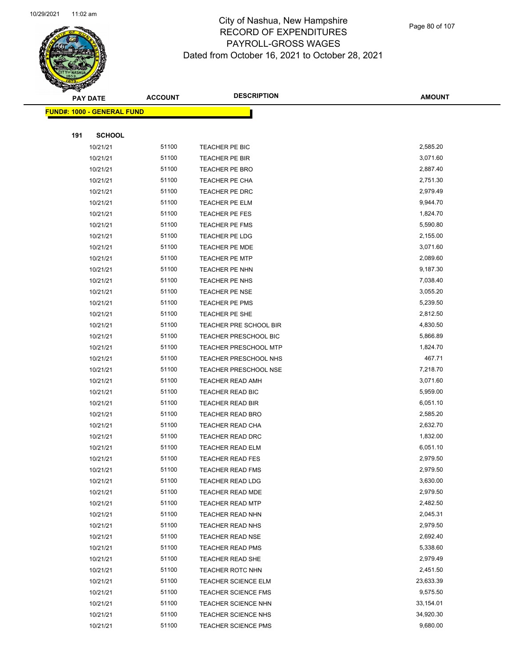

Page 80 of 107

|     | <b>PAY DATE</b>                    | <b>ACCOUNT</b> | <b>DESCRIPTION</b>           | <b>AMOUNT</b> |
|-----|------------------------------------|----------------|------------------------------|---------------|
|     | <u> FUND#: 1000 - GENERAL FUND</u> |                |                              |               |
|     |                                    |                |                              |               |
| 191 | <b>SCHOOL</b>                      |                |                              |               |
|     | 10/21/21                           | 51100          | TEACHER PE BIC               | 2,585.20      |
|     | 10/21/21                           | 51100          | TEACHER PE BIR               | 3,071.60      |
|     | 10/21/21                           | 51100          | TEACHER PE BRO               | 2,887.40      |
|     | 10/21/21                           | 51100          | TEACHER PE CHA               | 2,751.30      |
|     | 10/21/21                           | 51100          | TEACHER PE DRC               | 2,979.49      |
|     | 10/21/21                           | 51100          | TEACHER PE ELM               | 9,944.70      |
|     | 10/21/21                           | 51100          | <b>TEACHER PE FES</b>        | 1,824.70      |
|     | 10/21/21                           | 51100          | <b>TEACHER PE FMS</b>        | 5,590.80      |
|     | 10/21/21                           | 51100          | <b>TEACHER PE LDG</b>        | 2,155.00      |
|     | 10/21/21                           | 51100          | <b>TEACHER PE MDE</b>        | 3,071.60      |
|     | 10/21/21                           | 51100          | TEACHER PE MTP               | 2,089.60      |
|     | 10/21/21                           | 51100          | TEACHER PE NHN               | 9,187.30      |
|     | 10/21/21                           | 51100          | TEACHER PE NHS               | 7,038.40      |
|     | 10/21/21                           | 51100          | TEACHER PE NSE               | 3,055.20      |
|     | 10/21/21                           | 51100          | <b>TEACHER PE PMS</b>        | 5,239.50      |
|     | 10/21/21                           | 51100          | TEACHER PE SHE               | 2,812.50      |
|     | 10/21/21                           | 51100          | TEACHER PRE SCHOOL BIR       | 4,830.50      |
|     | 10/21/21                           | 51100          | <b>TEACHER PRESCHOOL BIC</b> | 5,866.89      |
|     | 10/21/21                           | 51100          | <b>TEACHER PRESCHOOL MTP</b> | 1,824.70      |
|     | 10/21/21                           | 51100          | TEACHER PRESCHOOL NHS        | 467.71        |
|     | 10/21/21                           | 51100          | <b>TEACHER PRESCHOOL NSE</b> | 7,218.70      |
|     | 10/21/21                           | 51100          | <b>TEACHER READ AMH</b>      | 3,071.60      |
|     | 10/21/21                           | 51100          | TEACHER READ BIC             | 5,959.00      |
|     | 10/21/21                           | 51100          | <b>TEACHER READ BIR</b>      | 6,051.10      |
|     | 10/21/21                           | 51100          | <b>TEACHER READ BRO</b>      | 2,585.20      |
|     | 10/21/21                           | 51100          | TEACHER READ CHA             | 2,632.70      |
|     | 10/21/21                           | 51100          | TEACHER READ DRC             | 1,832.00      |
|     | 10/21/21                           | 51100          | <b>TEACHER READ ELM</b>      | 6,051.10      |
|     | 10/21/21                           | 51100          | <b>TEACHER READ FES</b>      | 2,979.50      |
|     | 10/21/21                           | 51100          | <b>TEACHER READ FMS</b>      | 2,979.50      |
|     | 10/21/21                           | 51100          | <b>TEACHER READ LDG</b>      | 3,630.00      |
|     | 10/21/21                           | 51100          | <b>TEACHER READ MDE</b>      | 2,979.50      |
|     | 10/21/21                           | 51100          | <b>TEACHER READ MTP</b>      | 2,482.50      |
|     | 10/21/21                           | 51100          | TEACHER READ NHN             | 2,045.31      |
|     | 10/21/21                           | 51100          | <b>TEACHER READ NHS</b>      | 2,979.50      |
|     | 10/21/21                           | 51100          | <b>TEACHER READ NSE</b>      | 2,692.40      |
|     | 10/21/21                           | 51100          | <b>TEACHER READ PMS</b>      | 5,338.60      |
|     | 10/21/21                           | 51100          | TEACHER READ SHE             | 2,979.49      |
|     | 10/21/21                           | 51100          | <b>TEACHER ROTC NHN</b>      | 2,451.50      |
|     | 10/21/21                           | 51100          | <b>TEACHER SCIENCE ELM</b>   | 23,633.39     |
|     | 10/21/21                           | 51100          | <b>TEACHER SCIENCE FMS</b>   | 9,575.50      |
|     | 10/21/21                           | 51100          | <b>TEACHER SCIENCE NHN</b>   | 33,154.01     |
|     | 10/21/21                           | 51100          | TEACHER SCIENCE NHS          | 34,920.30     |
|     | 10/21/21                           | 51100          | <b>TEACHER SCIENCE PMS</b>   | 9,680.00      |
|     |                                    |                |                              |               |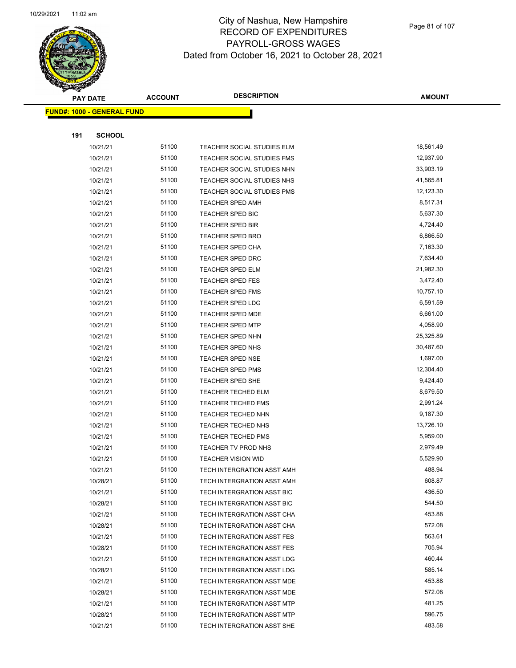

Page 81 of 107

|     | <b>PAY DATE</b>                    | <b>ACCOUNT</b> | <b>DESCRIPTION</b>                                       | <b>AMOUNT</b>    |
|-----|------------------------------------|----------------|----------------------------------------------------------|------------------|
|     | <u> FUND#: 1000 - GENERAL FUND</u> |                |                                                          |                  |
|     |                                    |                |                                                          |                  |
| 191 | <b>SCHOOL</b>                      |                |                                                          |                  |
|     | 10/21/21                           | 51100          | TEACHER SOCIAL STUDIES ELM                               | 18,561.49        |
|     | 10/21/21                           | 51100          | <b>TEACHER SOCIAL STUDIES FMS</b>                        | 12,937.90        |
|     | 10/21/21                           | 51100          | TEACHER SOCIAL STUDIES NHN                               | 33,903.19        |
|     | 10/21/21                           | 51100          | TEACHER SOCIAL STUDIES NHS                               | 41,565.81        |
|     | 10/21/21                           | 51100          | TEACHER SOCIAL STUDIES PMS                               | 12,123.30        |
|     | 10/21/21                           | 51100          | <b>TEACHER SPED AMH</b>                                  | 8,517.31         |
|     | 10/21/21                           | 51100          | <b>TEACHER SPED BIC</b>                                  | 5,637.30         |
|     | 10/21/21                           | 51100          | <b>TEACHER SPED BIR</b>                                  | 4,724.40         |
|     | 10/21/21                           | 51100          | TEACHER SPED BRO                                         | 6,866.50         |
|     | 10/21/21                           | 51100          | <b>TEACHER SPED CHA</b>                                  | 7,163.30         |
|     | 10/21/21                           | 51100          | <b>TEACHER SPED DRC</b>                                  | 7,634.40         |
|     | 10/21/21                           | 51100          | <b>TEACHER SPED ELM</b>                                  | 21,982.30        |
|     | 10/21/21                           | 51100          | <b>TEACHER SPED FES</b>                                  | 3,472.40         |
|     | 10/21/21                           | 51100          | <b>TEACHER SPED FMS</b>                                  | 10,757.10        |
|     | 10/21/21                           | 51100          | <b>TEACHER SPED LDG</b>                                  | 6,591.59         |
|     | 10/21/21                           | 51100          | <b>TEACHER SPED MDE</b>                                  | 6,661.00         |
|     | 10/21/21                           | 51100          | <b>TEACHER SPED MTP</b>                                  | 4,058.90         |
|     | 10/21/21                           | 51100          | <b>TEACHER SPED NHN</b>                                  | 25,325.89        |
|     | 10/21/21                           | 51100          | <b>TEACHER SPED NHS</b>                                  | 30,487.60        |
|     | 10/21/21                           | 51100          | <b>TEACHER SPED NSE</b>                                  | 1,697.00         |
|     | 10/21/21                           | 51100          | <b>TEACHER SPED PMS</b>                                  | 12,304.40        |
|     | 10/21/21                           | 51100          | <b>TEACHER SPED SHE</b>                                  | 9,424.40         |
|     | 10/21/21                           | 51100          | <b>TEACHER TECHED ELM</b>                                | 8,679.50         |
|     | 10/21/21                           | 51100          | <b>TEACHER TECHED FMS</b>                                | 2,991.24         |
|     | 10/21/21                           | 51100          | TEACHER TECHED NHN                                       | 9,187.30         |
|     | 10/21/21                           | 51100          | TEACHER TECHED NHS                                       | 13,726.10        |
|     | 10/21/21                           | 51100          | <b>TEACHER TECHED PMS</b>                                | 5,959.00         |
|     | 10/21/21                           | 51100          | TEACHER TV PROD NHS                                      | 2,979.49         |
|     | 10/21/21                           | 51100          | <b>TEACHER VISION WID</b>                                | 5,529.90         |
|     | 10/21/21                           | 51100          | TECH INTERGRATION ASST AMH                               | 488.94           |
|     | 10/28/21                           | 51100          | TECH INTERGRATION ASST AMH                               | 608.87           |
|     | 10/21/21                           | 51100          | TECH INTERGRATION ASST BIC                               | 436.50           |
|     | 10/28/21                           | 51100          | TECH INTERGRATION ASST BIC                               | 544.50           |
|     | 10/21/21                           | 51100<br>51100 | TECH INTERGRATION ASST CHA                               | 453.88<br>572.08 |
|     | 10/28/21                           | 51100          | TECH INTERGRATION ASST CHA                               | 563.61           |
|     | 10/21/21<br>10/28/21               | 51100          | TECH INTERGRATION ASST FES<br>TECH INTERGRATION ASST FES | 705.94           |
|     | 10/21/21                           | 51100          | TECH INTERGRATION ASST LDG                               | 460.44           |
|     | 10/28/21                           | 51100          | TECH INTERGRATION ASST LDG                               | 585.14           |
|     | 10/21/21                           | 51100          | TECH INTERGRATION ASST MDE                               | 453.88           |
|     | 10/28/21                           | 51100          | TECH INTERGRATION ASST MDE                               | 572.08           |
|     | 10/21/21                           | 51100          | TECH INTERGRATION ASST MTP                               | 481.25           |
|     | 10/28/21                           | 51100          | TECH INTERGRATION ASST MTP                               | 596.75           |
|     | 10/21/21                           | 51100          | TECH INTERGRATION ASST SHE                               | 483.58           |
|     |                                    |                |                                                          |                  |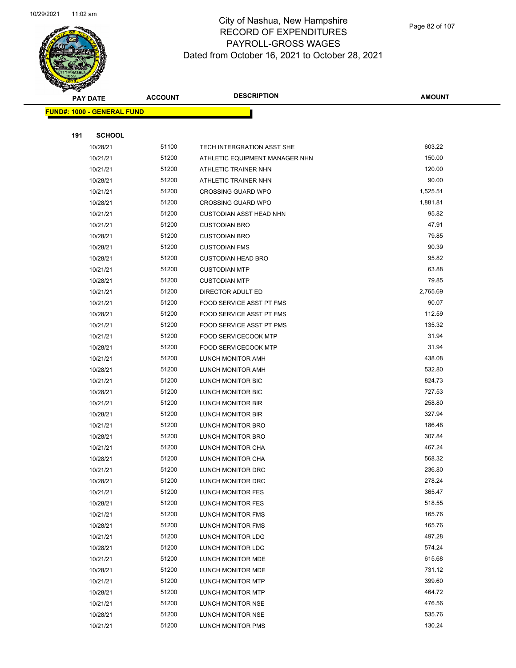

Page 82 of 107

|     | <b>PAY DATE</b>                   | <b>ACCOUNT</b> | <b>DESCRIPTION</b>             | <b>AMOUNT</b> |
|-----|-----------------------------------|----------------|--------------------------------|---------------|
|     | <b>FUND#: 1000 - GENERAL FUND</b> |                |                                |               |
|     |                                   |                |                                |               |
| 191 | <b>SCHOOL</b>                     |                |                                |               |
|     | 10/28/21                          | 51100          | TECH INTERGRATION ASST SHE     | 603.22        |
|     | 10/21/21                          | 51200          | ATHLETIC EQUIPMENT MANAGER NHN | 150.00        |
|     | 10/21/21                          | 51200          | ATHLETIC TRAINER NHN           | 120.00        |
|     | 10/28/21                          | 51200          | ATHLETIC TRAINER NHN           | 90.00         |
|     | 10/21/21                          | 51200          | <b>CROSSING GUARD WPO</b>      | 1,525.51      |
|     | 10/28/21                          | 51200          | <b>CROSSING GUARD WPO</b>      | 1,881.81      |
|     | 10/21/21                          | 51200          | <b>CUSTODIAN ASST HEAD NHN</b> | 95.82         |
|     | 10/21/21                          | 51200          | <b>CUSTODIAN BRO</b>           | 47.91         |
|     | 10/28/21                          | 51200          | <b>CUSTODIAN BRO</b>           | 79.85         |
|     | 10/28/21                          | 51200          | <b>CUSTODIAN FMS</b>           | 90.39         |
|     | 10/28/21                          | 51200          | <b>CUSTODIAN HEAD BRO</b>      | 95.82         |
|     | 10/21/21                          | 51200          | <b>CUSTODIAN MTP</b>           | 63.88         |
|     | 10/28/21                          | 51200          | <b>CUSTODIAN MTP</b>           | 79.85         |
|     | 10/21/21                          | 51200          | DIRECTOR ADULT ED              | 2,765.69      |
|     | 10/21/21                          | 51200          | FOOD SERVICE ASST PT FMS       | 90.07         |
|     | 10/28/21                          | 51200          | FOOD SERVICE ASST PT FMS       | 112.59        |
|     | 10/21/21                          | 51200          | FOOD SERVICE ASST PT PMS       | 135.32        |
|     | 10/21/21                          | 51200          | <b>FOOD SERVICECOOK MTP</b>    | 31.94         |
|     | 10/28/21                          | 51200          | <b>FOOD SERVICECOOK MTP</b>    | 31.94         |
|     | 10/21/21                          | 51200          | LUNCH MONITOR AMH              | 438.08        |
|     | 10/28/21                          | 51200          | LUNCH MONITOR AMH              | 532.80        |
|     | 10/21/21                          | 51200          | LUNCH MONITOR BIC              | 824.73        |
|     | 10/28/21                          | 51200          | LUNCH MONITOR BIC              | 727.53        |
|     | 10/21/21                          | 51200          | LUNCH MONITOR BIR              | 258.80        |
|     | 10/28/21                          | 51200          | LUNCH MONITOR BIR              | 327.94        |
|     | 10/21/21                          | 51200          | LUNCH MONITOR BRO              | 186.48        |
|     | 10/28/21                          | 51200          | <b>LUNCH MONITOR BRO</b>       | 307.84        |
|     | 10/21/21                          | 51200          | LUNCH MONITOR CHA              | 467.24        |
|     | 10/28/21                          | 51200          | LUNCH MONITOR CHA              | 568.32        |
|     | 10/21/21                          | 51200          | LUNCH MONITOR DRC              | 236.80        |
|     | 10/28/21                          | 51200          | LUNCH MONITOR DRC              | 278.24        |
|     | 10/21/21                          | 51200          | LUNCH MONITOR FES              | 365.47        |
|     | 10/28/21                          | 51200          | <b>LUNCH MONITOR FES</b>       | 518.55        |
|     | 10/21/21                          | 51200          | LUNCH MONITOR FMS              | 165.76        |
|     | 10/28/21                          | 51200          | LUNCH MONITOR FMS              | 165.76        |
|     | 10/21/21                          | 51200          | LUNCH MONITOR LDG              | 497.28        |
|     | 10/28/21                          | 51200          | LUNCH MONITOR LDG              | 574.24        |
|     | 10/21/21                          | 51200          | LUNCH MONITOR MDE              | 615.68        |
|     | 10/28/21                          | 51200          | LUNCH MONITOR MDE              | 731.12        |
|     | 10/21/21                          | 51200          | LUNCH MONITOR MTP              | 399.60        |
|     | 10/28/21                          | 51200          | LUNCH MONITOR MTP              | 464.72        |
|     | 10/21/21                          | 51200          | LUNCH MONITOR NSE              | 476.56        |
|     | 10/28/21                          | 51200          | LUNCH MONITOR NSE              | 535.76        |
|     | 10/21/21                          | 51200          | LUNCH MONITOR PMS              | 130.24        |
|     |                                   |                |                                |               |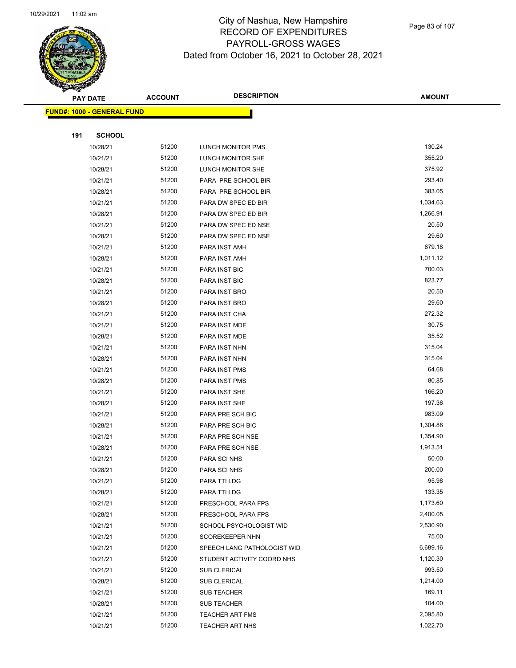

Page 83 of 107

|     | <b>PAY DATE</b>                    | <b>ACCOUNT</b> | <b>DESCRIPTION</b>          | <b>AMOUNT</b> |
|-----|------------------------------------|----------------|-----------------------------|---------------|
|     | <u> FUND#: 1000 - GENERAL FUND</u> |                |                             |               |
|     |                                    |                |                             |               |
| 191 | <b>SCHOOL</b>                      |                |                             |               |
|     | 10/28/21                           | 51200          | LUNCH MONITOR PMS           | 130.24        |
|     | 10/21/21                           | 51200          | LUNCH MONITOR SHE           | 355.20        |
|     | 10/28/21                           | 51200          | LUNCH MONITOR SHE           | 375.92        |
|     | 10/21/21                           | 51200          | PARA PRE SCHOOL BIR         | 293.40        |
|     | 10/28/21                           | 51200          | PARA PRE SCHOOL BIR         | 383.05        |
|     | 10/21/21                           | 51200          | PARA DW SPEC ED BIR         | 1,034.63      |
|     | 10/28/21                           | 51200          | PARA DW SPEC ED BIR         | 1,266.91      |
|     | 10/21/21                           | 51200          | PARA DW SPEC ED NSE         | 20.50         |
|     | 10/28/21                           | 51200          | PARA DW SPEC ED NSE         | 29.60         |
|     | 10/21/21                           | 51200          | PARA INST AMH               | 679.18        |
|     | 10/28/21                           | 51200          | PARA INST AMH               | 1,011.12      |
|     | 10/21/21                           | 51200          | PARA INST BIC               | 700.03        |
|     | 10/28/21                           | 51200          | PARA INST BIC               | 823.77        |
|     | 10/21/21                           | 51200          | PARA INST BRO               | 20.50         |
|     | 10/28/21                           | 51200          | PARA INST BRO               | 29.60         |
|     | 10/21/21                           | 51200          | PARA INST CHA               | 272.32        |
|     | 10/21/21                           | 51200          | PARA INST MDE               | 30.75         |
|     | 10/28/21                           | 51200          | PARA INST MDE               | 35.52         |
|     | 10/21/21                           | 51200          | PARA INST NHN               | 315.04        |
|     | 10/28/21                           | 51200          | PARA INST NHN               | 315.04        |
|     | 10/21/21                           | 51200          | PARA INST PMS               | 64.68         |
|     | 10/28/21                           | 51200          | PARA INST PMS               | 80.85         |
|     | 10/21/21                           | 51200          | PARA INST SHE               | 166.20        |
|     | 10/28/21                           | 51200          | PARA INST SHE               | 197.36        |
|     | 10/21/21                           | 51200          | PARA PRE SCH BIC            | 983.09        |
|     | 10/28/21                           | 51200          | PARA PRE SCH BIC            | 1,304.88      |
|     | 10/21/21                           | 51200          | PARA PRE SCH NSE            | 1,354.90      |
|     | 10/28/21                           | 51200          | PARA PRE SCH NSE            | 1,913.51      |
|     | 10/21/21                           | 51200          | PARA SCI NHS                | 50.00         |
|     | 10/28/21                           | 51200          | PARA SCI NHS                | 200.00        |
|     | 10/21/21                           | 51200          | PARA TTI LDG                | 95.98         |
|     | 10/28/21                           | 51200          | PARA TTI LDG                | 133.35        |
|     | 10/21/21                           | 51200          | PRESCHOOL PARA FPS          | 1,173.60      |
|     | 10/28/21                           | 51200          | PRESCHOOL PARA FPS          | 2,400.05      |
|     | 10/21/21                           | 51200          | SCHOOL PSYCHOLOGIST WID     | 2,530.90      |
|     | 10/21/21                           | 51200          | SCOREKEEPER NHN             | 75.00         |
|     | 10/21/21                           | 51200          | SPEECH LANG PATHOLOGIST WID | 6,689.16      |
|     | 10/21/21                           | 51200          | STUDENT ACTIVITY COORD NHS  | 1,120.30      |
|     | 10/21/21                           | 51200          | <b>SUB CLERICAL</b>         | 993.50        |
|     | 10/28/21                           | 51200          | <b>SUB CLERICAL</b>         | 1,214.00      |
|     | 10/21/21                           | 51200          | SUB TEACHER                 | 169.11        |
|     | 10/28/21                           | 51200          | SUB TEACHER                 | 104.00        |
|     | 10/21/21                           | 51200          | <b>TEACHER ART FMS</b>      | 2,095.80      |
|     | 10/21/21                           | 51200          | <b>TEACHER ART NHS</b>      | 1,022.70      |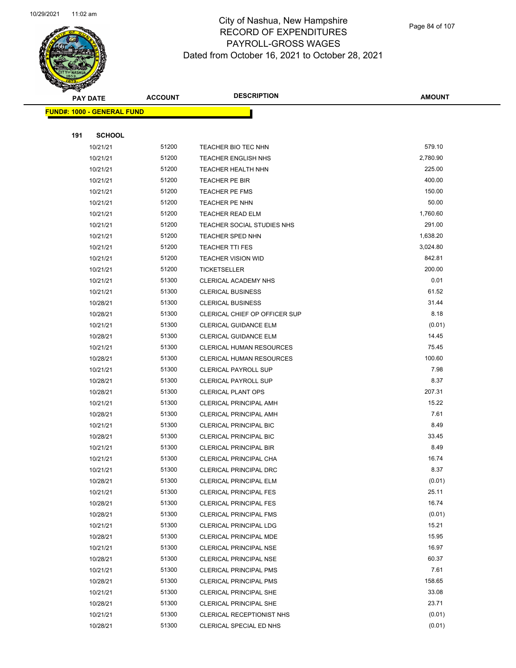

Page 84 of 107

|     | <b>PAY DATE</b>                   | <b>ACCOUNT</b> | <b>DESCRIPTION</b>                                             | <b>AMOUNT</b>   |
|-----|-----------------------------------|----------------|----------------------------------------------------------------|-----------------|
|     | <b>FUND#: 1000 - GENERAL FUND</b> |                |                                                                |                 |
|     |                                   |                |                                                                |                 |
| 191 | <b>SCHOOL</b>                     |                |                                                                |                 |
|     | 10/21/21                          | 51200          | TEACHER BIO TEC NHN                                            | 579.10          |
|     | 10/21/21                          | 51200          | <b>TEACHER ENGLISH NHS</b>                                     | 2,780.90        |
|     | 10/21/21                          | 51200          | TEACHER HEALTH NHN                                             | 225.00          |
|     | 10/21/21                          | 51200          | <b>TEACHER PE BIR</b>                                          | 400.00          |
|     | 10/21/21                          | 51200          | TEACHER PE FMS                                                 | 150.00          |
|     | 10/21/21                          | 51200          | TEACHER PE NHN                                                 | 50.00           |
|     | 10/21/21                          | 51200          | <b>TEACHER READ ELM</b>                                        | 1,760.60        |
|     | 10/21/21                          | 51200          | TEACHER SOCIAL STUDIES NHS                                     | 291.00          |
|     | 10/21/21                          | 51200          | <b>TEACHER SPED NHN</b>                                        | 1,638.20        |
|     | 10/21/21                          | 51200          | <b>TEACHER TTI FES</b>                                         | 3,024.80        |
|     | 10/21/21                          | 51200          | <b>TEACHER VISION WID</b>                                      | 842.81          |
|     | 10/21/21                          | 51200          | TICKETSELLER                                                   | 200.00          |
|     | 10/21/21                          | 51300          | CLERICAL ACADEMY NHS                                           | 0.01            |
|     | 10/21/21                          | 51300          | <b>CLERICAL BUSINESS</b>                                       | 61.52           |
|     | 10/28/21                          | 51300          | <b>CLERICAL BUSINESS</b>                                       | 31.44           |
|     | 10/28/21                          | 51300          | CLERICAL CHIEF OP OFFICER SUP                                  | 8.18            |
|     | 10/21/21                          | 51300          | <b>CLERICAL GUIDANCE ELM</b>                                   | (0.01)          |
|     | 10/28/21                          | 51300          | <b>CLERICAL GUIDANCE ELM</b>                                   | 14.45           |
|     | 10/21/21                          | 51300          | <b>CLERICAL HUMAN RESOURCES</b>                                | 75.45           |
|     | 10/28/21                          | 51300          | <b>CLERICAL HUMAN RESOURCES</b>                                | 100.60          |
|     | 10/21/21                          | 51300          | <b>CLERICAL PAYROLL SUP</b>                                    | 7.98            |
|     | 10/28/21                          | 51300          | <b>CLERICAL PAYROLL SUP</b>                                    | 8.37            |
|     | 10/28/21                          | 51300          | <b>CLERICAL PLANT OPS</b>                                      | 207.31          |
|     | 10/21/21                          | 51300          | <b>CLERICAL PRINCIPAL AMH</b>                                  | 15.22           |
|     | 10/28/21                          | 51300          | <b>CLERICAL PRINCIPAL AMH</b>                                  | 7.61            |
|     | 10/21/21                          | 51300          | <b>CLERICAL PRINCIPAL BIC</b>                                  | 8.49            |
|     | 10/28/21                          | 51300          | <b>CLERICAL PRINCIPAL BIC</b>                                  | 33.45           |
|     | 10/21/21                          | 51300          | <b>CLERICAL PRINCIPAL BIR</b>                                  | 8.49            |
|     | 10/21/21                          | 51300          | CLERICAL PRINCIPAL CHA                                         | 16.74           |
|     | 10/21/21                          | 51300          | <b>CLERICAL PRINCIPAL DRC</b>                                  | 8.37            |
|     | 10/28/21                          | 51300<br>51300 | <b>CLERICAL PRINCIPAL ELM</b>                                  | (0.01)<br>25.11 |
|     | 10/21/21<br>10/28/21              | 51300          | <b>CLERICAL PRINCIPAL FES</b><br><b>CLERICAL PRINCIPAL FES</b> | 16.74           |
|     | 10/28/21                          | 51300          | CLERICAL PRINCIPAL FMS                                         | (0.01)          |
|     | 10/21/21                          | 51300          | <b>CLERICAL PRINCIPAL LDG</b>                                  | 15.21           |
|     | 10/28/21                          | 51300          | CLERICAL PRINCIPAL MDE                                         | 15.95           |
|     | 10/21/21                          | 51300          | <b>CLERICAL PRINCIPAL NSE</b>                                  | 16.97           |
|     | 10/28/21                          | 51300          | <b>CLERICAL PRINCIPAL NSE</b>                                  | 60.37           |
|     | 10/21/21                          | 51300          | CLERICAL PRINCIPAL PMS                                         | 7.61            |
|     | 10/28/21                          | 51300          | <b>CLERICAL PRINCIPAL PMS</b>                                  | 158.65          |
|     | 10/21/21                          | 51300          | <b>CLERICAL PRINCIPAL SHE</b>                                  | 33.08           |
|     | 10/28/21                          | 51300          | <b>CLERICAL PRINCIPAL SHE</b>                                  | 23.71           |
|     | 10/21/21                          | 51300          | CLERICAL RECEPTIONIST NHS                                      | (0.01)          |
|     | 10/28/21                          | 51300          | CLERICAL SPECIAL ED NHS                                        | (0.01)          |
|     |                                   |                |                                                                |                 |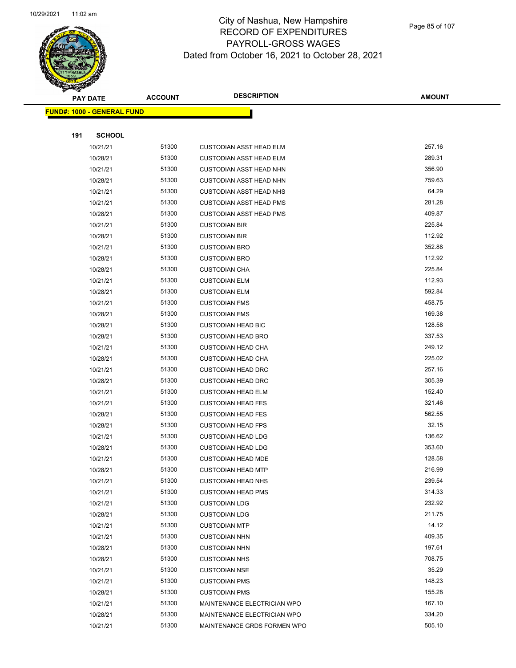

Page 85 of 107

| <b>PAY DATE</b> |                                    | <b>ACCOUNT</b> | <b>DESCRIPTION</b>                                         | <b>AMOUNT</b>   |
|-----------------|------------------------------------|----------------|------------------------------------------------------------|-----------------|
|                 | <u> FUND#: 1000 - GENERAL FUND</u> |                |                                                            |                 |
|                 |                                    |                |                                                            |                 |
| 191             | <b>SCHOOL</b>                      |                |                                                            |                 |
|                 | 10/21/21                           | 51300          | <b>CUSTODIAN ASST HEAD ELM</b>                             | 257.16          |
|                 | 10/28/21                           | 51300          | <b>CUSTODIAN ASST HEAD ELM</b>                             | 289.31          |
|                 | 10/21/21                           | 51300          | <b>CUSTODIAN ASST HEAD NHN</b>                             | 356.90          |
|                 | 10/28/21                           | 51300          | <b>CUSTODIAN ASST HEAD NHN</b>                             | 759.63          |
|                 | 10/21/21                           | 51300          | <b>CUSTODIAN ASST HEAD NHS</b>                             | 64.29           |
|                 | 10/21/21                           | 51300          | <b>CUSTODIAN ASST HEAD PMS</b>                             | 281.28          |
|                 | 10/28/21                           | 51300          | <b>CUSTODIAN ASST HEAD PMS</b>                             | 409.87          |
|                 | 10/21/21                           | 51300          | <b>CUSTODIAN BIR</b>                                       | 225.84          |
|                 | 10/28/21                           | 51300          | <b>CUSTODIAN BIR</b>                                       | 112.92          |
|                 | 10/21/21                           | 51300          | <b>CUSTODIAN BRO</b>                                       | 352.88          |
|                 | 10/28/21                           | 51300          | <b>CUSTODIAN BRO</b>                                       | 112.92          |
|                 | 10/28/21                           | 51300          | <b>CUSTODIAN CHA</b>                                       | 225.84          |
|                 | 10/21/21                           | 51300          | <b>CUSTODIAN ELM</b>                                       | 112.93          |
|                 | 10/28/21                           | 51300          | <b>CUSTODIAN ELM</b>                                       | 592.84          |
|                 | 10/21/21                           | 51300          | <b>CUSTODIAN FMS</b>                                       | 458.75          |
|                 | 10/28/21                           | 51300          | <b>CUSTODIAN FMS</b>                                       | 169.38          |
|                 | 10/28/21                           | 51300          | <b>CUSTODIAN HEAD BIC</b>                                  | 128.58          |
|                 | 10/28/21                           | 51300          | <b>CUSTODIAN HEAD BRO</b>                                  | 337.53          |
|                 | 10/21/21                           | 51300          | <b>CUSTODIAN HEAD CHA</b>                                  | 249.12          |
|                 | 10/28/21                           | 51300          | <b>CUSTODIAN HEAD CHA</b>                                  | 225.02          |
|                 | 10/21/21                           | 51300          | <b>CUSTODIAN HEAD DRC</b>                                  | 257.16          |
|                 | 10/28/21                           | 51300          | <b>CUSTODIAN HEAD DRC</b>                                  | 305.39          |
|                 | 10/21/21                           | 51300          | <b>CUSTODIAN HEAD ELM</b>                                  | 152.40          |
|                 | 10/21/21                           | 51300          | <b>CUSTODIAN HEAD FES</b>                                  | 321.46          |
|                 | 10/28/21                           | 51300          | <b>CUSTODIAN HEAD FES</b>                                  | 562.55          |
|                 | 10/28/21                           | 51300          | <b>CUSTODIAN HEAD FPS</b>                                  | 32.15           |
|                 | 10/21/21                           | 51300          | <b>CUSTODIAN HEAD LDG</b>                                  | 136.62          |
|                 | 10/28/21                           | 51300          | <b>CUSTODIAN HEAD LDG</b>                                  | 353.60          |
|                 | 10/21/21                           | 51300          | <b>CUSTODIAN HEAD MDE</b>                                  | 128.58          |
|                 | 10/28/21                           | 51300          | <b>CUSTODIAN HEAD MTP</b>                                  | 216.99          |
|                 | 10/21/21                           | 51300          | <b>CUSTODIAN HEAD NHS</b>                                  | 239.54          |
|                 | 10/21/21                           | 51300          | <b>CUSTODIAN HEAD PMS</b>                                  | 314.33          |
|                 | 10/21/21                           | 51300          | <b>CUSTODIAN LDG</b>                                       | 232.92          |
|                 | 10/28/21                           | 51300          | <b>CUSTODIAN LDG</b>                                       | 211.75          |
|                 | 10/21/21                           | 51300          | <b>CUSTODIAN MTP</b>                                       | 14.12           |
|                 | 10/21/21                           | 51300          | <b>CUSTODIAN NHN</b>                                       | 409.35          |
|                 | 10/28/21                           | 51300          | <b>CUSTODIAN NHN</b>                                       | 197.61          |
|                 | 10/28/21                           | 51300          | <b>CUSTODIAN NHS</b><br><b>CUSTODIAN NSE</b>               | 708.75<br>35.29 |
|                 | 10/21/21                           | 51300<br>51300 |                                                            | 148.23          |
|                 | 10/21/21                           | 51300          | <b>CUSTODIAN PMS</b>                                       | 155.28          |
|                 | 10/28/21                           | 51300          | <b>CUSTODIAN PMS</b>                                       | 167.10          |
|                 | 10/21/21<br>10/28/21               | 51300          | MAINTENANCE ELECTRICIAN WPO<br>MAINTENANCE ELECTRICIAN WPO | 334.20          |
|                 | 10/21/21                           | 51300          | MAINTENANCE GRDS FORMEN WPO                                | 505.10          |
|                 |                                    |                |                                                            |                 |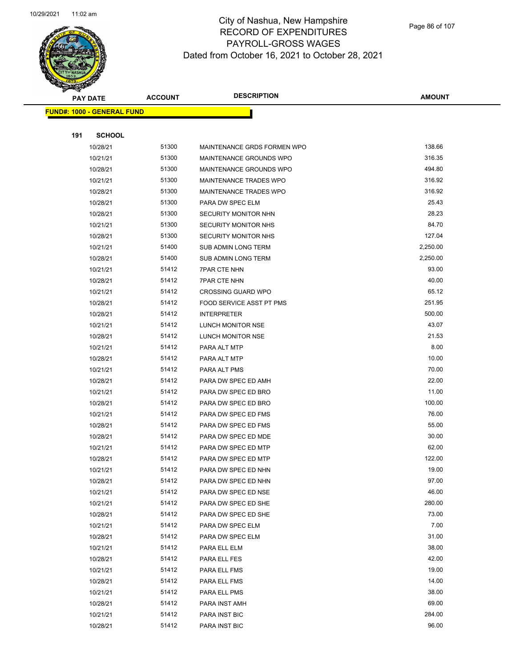

Page 86 of 107

|     | <b>PAY DATE</b>                    | <b>ACCOUNT</b> | <b>DESCRIPTION</b>            | AMOUNT   |
|-----|------------------------------------|----------------|-------------------------------|----------|
|     | <u> FUND#: 1000 - GENERAL FUND</u> |                |                               |          |
|     |                                    |                |                               |          |
| 191 | <b>SCHOOL</b>                      |                |                               |          |
|     | 10/28/21                           | 51300          | MAINTENANCE GRDS FORMEN WPO   | 138.66   |
|     | 10/21/21                           | 51300          | MAINTENANCE GROUNDS WPO       | 316.35   |
|     | 10/28/21                           | 51300          | MAINTENANCE GROUNDS WPO       | 494.80   |
|     | 10/21/21                           | 51300          | <b>MAINTENANCE TRADES WPO</b> | 316.92   |
|     | 10/28/21                           | 51300          | <b>MAINTENANCE TRADES WPO</b> | 316.92   |
|     | 10/28/21                           | 51300          | PARA DW SPEC ELM              | 25.43    |
|     | 10/28/21                           | 51300          | SECURITY MONITOR NHN          | 28.23    |
|     | 10/21/21                           | 51300          | SECURITY MONITOR NHS          | 84.70    |
|     | 10/28/21                           | 51300          | SECURITY MONITOR NHS          | 127.04   |
|     | 10/21/21                           | 51400          | SUB ADMIN LONG TERM           | 2,250.00 |
|     | 10/28/21                           | 51400          | <b>SUB ADMIN LONG TERM</b>    | 2,250.00 |
|     | 10/21/21                           | 51412          | <b>7PAR CTE NHN</b>           | 93.00    |
|     | 10/28/21                           | 51412          | <b>7PAR CTE NHN</b>           | 40.00    |
|     | 10/21/21                           | 51412          | <b>CROSSING GUARD WPO</b>     | 65.12    |
|     | 10/28/21                           | 51412          | FOOD SERVICE ASST PT PMS      | 251.95   |
|     | 10/28/21                           | 51412          | <b>INTERPRETER</b>            | 500.00   |
|     | 10/21/21                           | 51412          | LUNCH MONITOR NSE             | 43.07    |
|     | 10/28/21                           | 51412          | LUNCH MONITOR NSE             | 21.53    |
|     | 10/21/21                           | 51412          | PARA ALT MTP                  | 8.00     |
|     | 10/28/21                           | 51412          | PARA ALT MTP                  | 10.00    |
|     | 10/21/21                           | 51412          | PARA ALT PMS                  | 70.00    |
|     | 10/28/21                           | 51412          | PARA DW SPEC ED AMH           | 22.00    |
|     | 10/21/21                           | 51412          | PARA DW SPEC ED BRO           | 11.00    |
|     | 10/28/21                           | 51412          | PARA DW SPEC ED BRO           | 100.00   |
|     | 10/21/21                           | 51412          | PARA DW SPEC ED FMS           | 76.00    |
|     | 10/28/21                           | 51412          | PARA DW SPEC ED FMS           | 55.00    |
|     | 10/28/21                           | 51412          | PARA DW SPEC ED MDE           | 30.00    |
|     | 10/21/21                           | 51412          | PARA DW SPEC ED MTP           | 62.00    |
|     | 10/28/21                           | 51412          | PARA DW SPEC ED MTP           | 122.00   |
|     | 10/21/21                           | 51412          | PARA DW SPEC ED NHN           | 19.00    |
|     | 10/28/21                           | 51412          | PARA DW SPEC ED NHN           | 97.00    |
|     | 10/21/21                           | 51412          | PARA DW SPEC ED NSE           | 46.00    |
|     | 10/21/21                           | 51412          | PARA DW SPEC ED SHE           | 280.00   |
|     | 10/28/21                           | 51412          | PARA DW SPEC ED SHE           | 73.00    |
|     | 10/21/21                           | 51412          | PARA DW SPEC ELM              | 7.00     |
|     | 10/28/21                           | 51412          | PARA DW SPEC ELM              | 31.00    |
|     | 10/21/21                           | 51412          | PARA ELL ELM                  | 38.00    |
|     | 10/28/21                           | 51412          | PARA ELL FES                  | 42.00    |
|     | 10/21/21                           | 51412          | PARA ELL FMS                  | 19.00    |
|     | 10/28/21                           | 51412          | PARA ELL FMS                  | 14.00    |
|     | 10/21/21                           | 51412          | PARA ELL PMS                  | 38.00    |
|     | 10/28/21                           | 51412          | PARA INST AMH                 | 69.00    |
|     | 10/21/21                           | 51412          | PARA INST BIC                 | 284.00   |
|     | 10/28/21                           | 51412          | PARA INST BIC                 | 96.00    |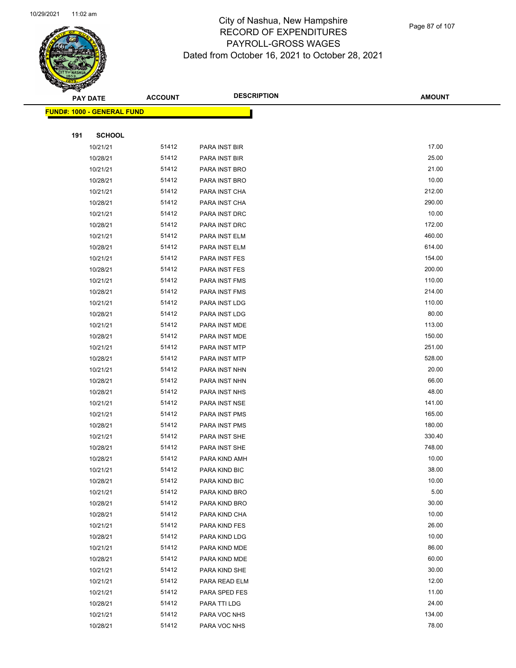

Page 87 of 107

|     | <b>PAY DATE</b>            | <b>ACCOUNT</b> | <b>DESCRIPTION</b> | <b>AMOUNT</b> |
|-----|----------------------------|----------------|--------------------|---------------|
|     | FUND#: 1000 - GENERAL FUND |                |                    |               |
|     |                            |                |                    |               |
| 191 | <b>SCHOOL</b>              |                |                    |               |
|     | 10/21/21                   | 51412          | PARA INST BIR      | 17.00         |
|     | 10/28/21                   | 51412          | PARA INST BIR      | 25.00         |
|     | 10/21/21                   | 51412          | PARA INST BRO      | 21.00         |
|     | 10/28/21                   | 51412          | PARA INST BRO      | 10.00         |
|     | 10/21/21                   | 51412          | PARA INST CHA      | 212.00        |
|     | 10/28/21                   | 51412          | PARA INST CHA      | 290.00        |
|     | 10/21/21                   | 51412          | PARA INST DRC      | 10.00         |
|     | 10/28/21                   | 51412          | PARA INST DRC      | 172.00        |
|     | 10/21/21                   | 51412          | PARA INST ELM      | 460.00        |
|     | 10/28/21                   | 51412          | PARA INST ELM      | 614.00        |
|     | 10/21/21                   | 51412          | PARA INST FES      | 154.00        |
|     | 10/28/21                   | 51412          | PARA INST FES      | 200.00        |
|     | 10/21/21                   | 51412          | PARA INST FMS      | 110.00        |
|     | 10/28/21                   | 51412          | PARA INST FMS      | 214.00        |
|     | 10/21/21                   | 51412          | PARA INST LDG      | 110.00        |
|     | 10/28/21                   | 51412          | PARA INST LDG      | 80.00         |
|     | 10/21/21                   | 51412          | PARA INST MDE      | 113.00        |
|     | 10/28/21                   | 51412          | PARA INST MDE      | 150.00        |
|     | 10/21/21                   | 51412          | PARA INST MTP      | 251.00        |
|     | 10/28/21                   | 51412          | PARA INST MTP      | 528.00        |
|     | 10/21/21                   | 51412          | PARA INST NHN      | 20.00         |
|     | 10/28/21                   | 51412          | PARA INST NHN      | 66.00         |
|     | 10/28/21                   | 51412          | PARA INST NHS      | 48.00         |
|     | 10/21/21                   | 51412          | PARA INST NSE      | 141.00        |
|     | 10/21/21                   | 51412          | PARA INST PMS      | 165.00        |
|     | 10/28/21                   | 51412          | PARA INST PMS      | 180.00        |
|     | 10/21/21                   | 51412          | PARA INST SHE      | 330.40        |
|     | 10/28/21                   | 51412          | PARA INST SHE      | 748.00        |
|     | 10/28/21                   | 51412          | PARA KIND AMH      | 10.00         |
|     | 10/21/21                   | 51412          | PARA KIND BIC      | 38.00         |
|     | 10/28/21                   | 51412          | PARA KIND BIC      | 10.00         |
|     | 10/21/21                   | 51412          | PARA KIND BRO      | 5.00          |
|     | 10/28/21                   | 51412          | PARA KIND BRO      | 30.00         |
|     | 10/28/21                   | 51412          | PARA KIND CHA      | 10.00         |
|     | 10/21/21                   | 51412          | PARA KIND FES      | 26.00         |
|     | 10/28/21                   | 51412          | PARA KIND LDG      | 10.00         |
|     | 10/21/21                   | 51412          | PARA KIND MDE      | 86.00         |
|     | 10/28/21                   | 51412          | PARA KIND MDE      | 60.00         |
|     | 10/21/21                   | 51412          | PARA KIND SHE      | 30.00         |
|     | 10/21/21                   | 51412          | PARA READ ELM      | 12.00         |
|     | 10/21/21                   | 51412          | PARA SPED FES      | 11.00         |
|     | 10/28/21                   | 51412          | PARA TTI LDG       | 24.00         |
|     | 10/21/21                   | 51412          | PARA VOC NHS       | 134.00        |
|     | 10/28/21                   | 51412          | PARA VOC NHS       | 78.00         |
|     |                            |                |                    |               |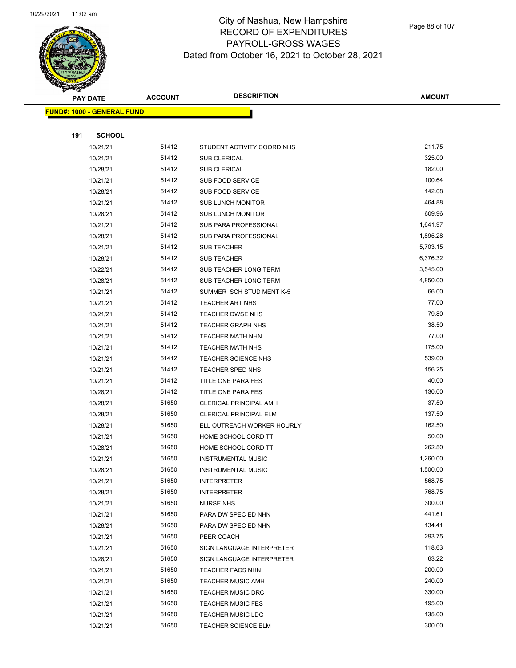

Page 88 of 107

| <b>PAY DATE</b>                    |               | <b>ACCOUNT</b> | <b>DESCRIPTION</b>            | <b>AMOUNT</b> |  |
|------------------------------------|---------------|----------------|-------------------------------|---------------|--|
| <u> FUND#: 1000 - GENERAL FUND</u> |               |                |                               |               |  |
|                                    |               |                |                               |               |  |
| 191                                | <b>SCHOOL</b> |                |                               |               |  |
|                                    | 10/21/21      | 51412          | STUDENT ACTIVITY COORD NHS    | 211.75        |  |
|                                    | 10/21/21      | 51412          | <b>SUB CLERICAL</b>           | 325.00        |  |
|                                    | 10/28/21      | 51412          | <b>SUB CLERICAL</b>           | 182.00        |  |
|                                    | 10/21/21      | 51412          | SUB FOOD SERVICE              | 100.64        |  |
|                                    | 10/28/21      | 51412          | SUB FOOD SERVICE              | 142.08        |  |
|                                    | 10/21/21      | 51412          | <b>SUB LUNCH MONITOR</b>      | 464.88        |  |
|                                    | 10/28/21      | 51412          | <b>SUB LUNCH MONITOR</b>      | 609.96        |  |
|                                    | 10/21/21      | 51412          | <b>SUB PARA PROFESSIONAL</b>  | 1,641.97      |  |
|                                    | 10/28/21      | 51412          | SUB PARA PROFESSIONAL         | 1,895.28      |  |
|                                    | 10/21/21      | 51412          | SUB TEACHER                   | 5,703.15      |  |
|                                    | 10/28/21      | 51412          | <b>SUB TEACHER</b>            | 6,376.32      |  |
|                                    | 10/22/21      | 51412          | SUB TEACHER LONG TERM         | 3,545.00      |  |
|                                    | 10/28/21      | 51412          | SUB TEACHER LONG TERM         | 4,850.00      |  |
|                                    | 10/21/21      | 51412          | SUMMER SCH STUD MENT K-5      | 66.00         |  |
|                                    | 10/21/21      | 51412          | <b>TEACHER ART NHS</b>        | 77.00         |  |
|                                    | 10/21/21      | 51412          | <b>TEACHER DWSE NHS</b>       | 79.80         |  |
|                                    | 10/21/21      | 51412          | <b>TEACHER GRAPH NHS</b>      | 38.50         |  |
|                                    | 10/21/21      | 51412          | <b>TEACHER MATH NHN</b>       | 77.00         |  |
|                                    | 10/21/21      | 51412          | <b>TEACHER MATH NHS</b>       | 175.00        |  |
|                                    | 10/21/21      | 51412          | <b>TEACHER SCIENCE NHS</b>    | 539.00        |  |
|                                    | 10/21/21      | 51412          | <b>TEACHER SPED NHS</b>       | 156.25        |  |
|                                    | 10/21/21      | 51412          | TITLE ONE PARA FES            | 40.00         |  |
|                                    | 10/28/21      | 51412          | TITLE ONE PARA FES            | 130.00        |  |
|                                    | 10/28/21      | 51650          | <b>CLERICAL PRINCIPAL AMH</b> | 37.50         |  |
|                                    | 10/28/21      | 51650          | <b>CLERICAL PRINCIPAL ELM</b> | 137.50        |  |
|                                    | 10/28/21      | 51650          | ELL OUTREACH WORKER HOURLY    | 162.50        |  |
|                                    | 10/21/21      | 51650          | HOME SCHOOL CORD TTI          | 50.00         |  |
|                                    | 10/28/21      | 51650          | HOME SCHOOL CORD TTI          | 262.50        |  |
|                                    | 10/21/21      | 51650          | <b>INSTRUMENTAL MUSIC</b>     | 1,260.00      |  |
|                                    | 10/28/21      | 51650          | <b>INSTRUMENTAL MUSIC</b>     | 1,500.00      |  |
|                                    | 10/21/21      | 51650          | <b>INTERPRETER</b>            | 568.75        |  |
|                                    | 10/28/21      | 51650          | <b>INTERPRETER</b>            | 768.75        |  |
|                                    | 10/21/21      | 51650          | <b>NURSE NHS</b>              | 300.00        |  |
|                                    | 10/21/21      | 51650          | PARA DW SPEC ED NHN           | 441.61        |  |
|                                    | 10/28/21      | 51650          | PARA DW SPEC ED NHN           | 134.41        |  |
|                                    | 10/21/21      | 51650          | PEER COACH                    | 293.75        |  |
|                                    | 10/21/21      | 51650          | SIGN LANGUAGE INTERPRETER     | 118.63        |  |
|                                    | 10/28/21      | 51650          | SIGN LANGUAGE INTERPRETER     | 63.22         |  |
|                                    | 10/21/21      | 51650          | <b>TEACHER FACS NHN</b>       | 200.00        |  |
|                                    | 10/21/21      | 51650          | <b>TEACHER MUSIC AMH</b>      | 240.00        |  |
|                                    | 10/21/21      | 51650          | <b>TEACHER MUSIC DRC</b>      | 330.00        |  |
|                                    | 10/21/21      | 51650          | <b>TEACHER MUSIC FES</b>      | 195.00        |  |
|                                    | 10/21/21      | 51650          | <b>TEACHER MUSIC LDG</b>      | 135.00        |  |
|                                    | 10/21/21      | 51650          | <b>TEACHER SCIENCE ELM</b>    | 300.00        |  |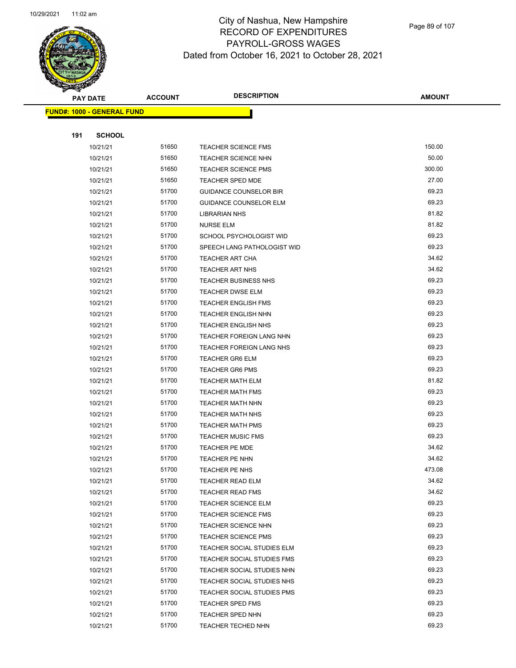

Page 89 of 107

|     | <b>PAY DATE</b>                   | <b>ACCOUNT</b> | <b>DESCRIPTION</b>            | <b>AMOUNT</b> |
|-----|-----------------------------------|----------------|-------------------------------|---------------|
|     | <b>FUND#: 1000 - GENERAL FUND</b> |                |                               |               |
|     |                                   |                |                               |               |
| 191 | <b>SCHOOL</b>                     |                |                               |               |
|     | 10/21/21                          | 51650          | <b>TEACHER SCIENCE FMS</b>    | 150.00        |
|     | 10/21/21                          | 51650          | <b>TEACHER SCIENCE NHN</b>    | 50.00         |
|     | 10/21/21                          | 51650          | <b>TEACHER SCIENCE PMS</b>    | 300.00        |
|     | 10/21/21                          | 51650          | <b>TEACHER SPED MDE</b>       | 27.00         |
|     | 10/21/21                          | 51700          | <b>GUIDANCE COUNSELOR BIR</b> | 69.23         |
|     | 10/21/21                          | 51700          | <b>GUIDANCE COUNSELOR ELM</b> | 69.23         |
|     | 10/21/21                          | 51700          | <b>LIBRARIAN NHS</b>          | 81.82         |
|     | 10/21/21                          | 51700          | <b>NURSE ELM</b>              | 81.82         |
|     | 10/21/21                          | 51700          | SCHOOL PSYCHOLOGIST WID       | 69.23         |
|     | 10/21/21                          | 51700          | SPEECH LANG PATHOLOGIST WID   | 69.23         |
|     | 10/21/21                          | 51700          | <b>TEACHER ART CHA</b>        | 34.62         |
|     | 10/21/21                          | 51700          | <b>TEACHER ART NHS</b>        | 34.62         |
|     | 10/21/21                          | 51700          | <b>TEACHER BUSINESS NHS</b>   | 69.23         |
|     | 10/21/21                          | 51700          | <b>TEACHER DWSE ELM</b>       | 69.23         |
|     | 10/21/21                          | 51700          | <b>TEACHER ENGLISH FMS</b>    | 69.23         |
|     | 10/21/21                          | 51700          | <b>TEACHER ENGLISH NHN</b>    | 69.23         |
|     | 10/21/21                          | 51700          | <b>TEACHER ENGLISH NHS</b>    | 69.23         |
|     | 10/21/21                          | 51700          | TEACHER FOREIGN LANG NHN      | 69.23         |
|     | 10/21/21                          | 51700          | TEACHER FOREIGN LANG NHS      | 69.23         |
|     | 10/21/21                          | 51700          | <b>TEACHER GR6 ELM</b>        | 69.23         |
|     | 10/21/21                          | 51700          | <b>TEACHER GR6 PMS</b>        | 69.23         |
|     | 10/21/21                          | 51700          | <b>TEACHER MATH ELM</b>       | 81.82         |
|     | 10/21/21                          | 51700          | <b>TEACHER MATH FMS</b>       | 69.23         |
|     | 10/21/21                          | 51700          | TEACHER MATH NHN              | 69.23         |
|     | 10/21/21                          | 51700          | <b>TEACHER MATH NHS</b>       | 69.23         |
|     | 10/21/21                          | 51700          | <b>TEACHER MATH PMS</b>       | 69.23         |
|     | 10/21/21                          | 51700          | <b>TEACHER MUSIC FMS</b>      | 69.23         |
|     | 10/21/21                          | 51700          | <b>TEACHER PE MDE</b>         | 34.62         |
|     | 10/21/21                          | 51700          | TEACHER PE NHN                | 34.62         |
|     | 10/21/21                          | 51700          | TEACHER PE NHS                | 473.08        |
|     | 10/21/21                          | 51700          | TEACHER READ ELM              | 34.62         |
|     | 10/21/21                          | 51700          | <b>TEACHER READ FMS</b>       | 34.62         |
|     | 10/21/21                          | 51700          | <b>TEACHER SCIENCE ELM</b>    | 69.23         |
|     | 10/21/21                          | 51700          | <b>TEACHER SCIENCE FMS</b>    | 69.23         |
|     | 10/21/21                          | 51700          | <b>TEACHER SCIENCE NHN</b>    | 69.23         |
|     | 10/21/21                          | 51700          | <b>TEACHER SCIENCE PMS</b>    | 69.23         |
|     | 10/21/21                          | 51700          | TEACHER SOCIAL STUDIES ELM    | 69.23         |
|     | 10/21/21                          | 51700          | TEACHER SOCIAL STUDIES FMS    | 69.23         |
|     | 10/21/21                          | 51700          | TEACHER SOCIAL STUDIES NHN    | 69.23         |
|     | 10/21/21                          | 51700          | TEACHER SOCIAL STUDIES NHS    | 69.23         |
|     | 10/21/21                          | 51700          | TEACHER SOCIAL STUDIES PMS    | 69.23         |
|     | 10/21/21                          | 51700          | TEACHER SPED FMS              | 69.23         |
|     | 10/21/21                          | 51700          | <b>TEACHER SPED NHN</b>       | 69.23         |
|     | 10/21/21                          | 51700          | TEACHER TECHED NHN            | 69.23         |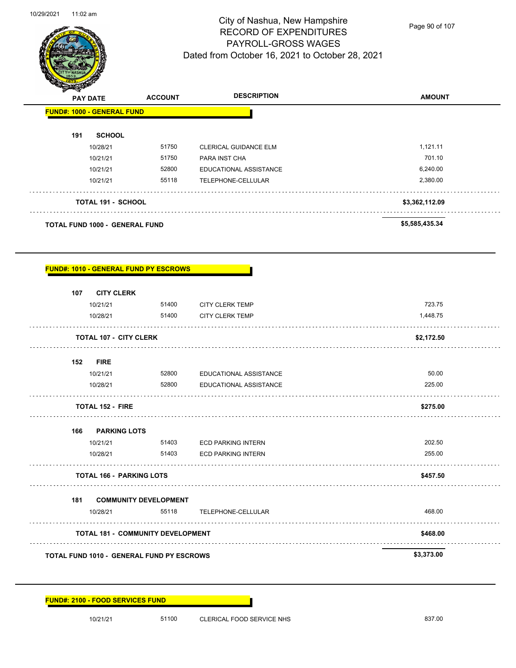

Page 90 of 107

|     | <b>PAY DATE</b>                       | <b>ACCOUNT</b> | <b>DESCRIPTION</b>           | <b>AMOUNT</b>  |
|-----|---------------------------------------|----------------|------------------------------|----------------|
|     | <b>FUND#: 1000 - GENERAL FUND</b>     |                |                              |                |
| 191 | <b>SCHOOL</b>                         |                |                              |                |
|     | 10/28/21                              | 51750          | <b>CLERICAL GUIDANCE ELM</b> | 1,121.11       |
|     | 10/21/21                              | 51750          | PARA INST CHA                | 701.10         |
|     | 10/21/21                              | 52800          | EDUCATIONAL ASSISTANCE       | 6,240.00       |
|     | 10/21/21                              | 55118          | TELEPHONE-CELLULAR           | 2,380.00       |
|     | <b>TOTAL 191 - SCHOOL</b>             |                |                              | \$3,362,112.09 |
|     | <b>TOTAL FUND 1000 - GENERAL FUND</b> |                |                              | \$5,585,435.34 |

## **FUND#: 1010 - GENERAL FUND PY ESCROWS**

| 107 | <b>CITY CLERK</b>                                |                                          |                               |            |
|-----|--------------------------------------------------|------------------------------------------|-------------------------------|------------|
|     | 10/21/21                                         | 51400                                    | <b>CITY CLERK TEMP</b>        | 723.75     |
|     | 10/28/21                                         | 51400                                    | <b>CITY CLERK TEMP</b>        | 1,448.75   |
|     | <b>TOTAL 107 - CITY CLERK</b>                    |                                          |                               | \$2,172.50 |
| 152 | <b>FIRE</b>                                      |                                          |                               |            |
|     | 10/21/21                                         | 52800                                    | <b>EDUCATIONAL ASSISTANCE</b> | 50.00      |
|     | 10/28/21                                         | 52800                                    | EDUCATIONAL ASSISTANCE        | 225.00     |
|     | <b>TOTAL 152 - FIRE</b>                          |                                          |                               | \$275.00   |
|     | 166 PARKING LOTS                                 |                                          |                               |            |
|     | 10/21/21                                         | 51403                                    | <b>ECD PARKING INTERN</b>     | 202.50     |
|     | 10/28/21                                         | 51403                                    | <b>ECD PARKING INTERN</b>     | 255.00     |
|     | <b>TOTAL 166 - PARKING LOTS</b>                  |                                          |                               | \$457.50   |
| 181 |                                                  | <b>COMMUNITY DEVELOPMENT</b>             |                               |            |
|     | 10/28/21                                         | 55118                                    | TELEPHONE-CELLULAR            | 468.00     |
|     |                                                  | <b>TOTAL 181 - COMMUNITY DEVELOPMENT</b> |                               | \$468.00   |
|     | <b>TOTAL FUND 1010 - GENERAL FUND PY ESCROWS</b> |                                          |                               | \$3,373.00 |

### **FUND#: 2100 - FOOD SERVICES FUND**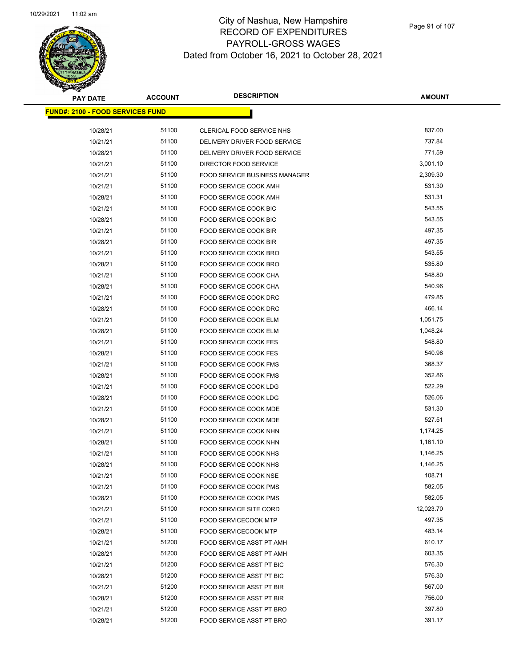

| <b>PAY DATE</b>                         | <b>ACCOUNT</b> | <b>DESCRIPTION</b>                   | <b>AMOUNT</b> |
|-----------------------------------------|----------------|--------------------------------------|---------------|
| <b>FUND#: 2100 - FOOD SERVICES FUND</b> |                |                                      |               |
| 10/28/21                                | 51100          | CLERICAL FOOD SERVICE NHS            | 837.00        |
| 10/21/21                                | 51100          | DELIVERY DRIVER FOOD SERVICE         | 737.84        |
| 10/28/21                                | 51100          | DELIVERY DRIVER FOOD SERVICE         | 771.59        |
| 10/21/21                                | 51100          | DIRECTOR FOOD SERVICE                | 3,001.10      |
| 10/21/21                                | 51100          | <b>FOOD SERVICE BUSINESS MANAGER</b> | 2,309.30      |
| 10/21/21                                | 51100          | <b>FOOD SERVICE COOK AMH</b>         | 531.30        |
| 10/28/21                                | 51100          | FOOD SERVICE COOK AMH                | 531.31        |
| 10/21/21                                | 51100          | FOOD SERVICE COOK BIC                | 543.55        |
| 10/28/21                                | 51100          | FOOD SERVICE COOK BIC                | 543.55        |
| 10/21/21                                | 51100          | FOOD SERVICE COOK BIR                | 497.35        |
| 10/28/21                                | 51100          | FOOD SERVICE COOK BIR                | 497.35        |
| 10/21/21                                | 51100          | FOOD SERVICE COOK BRO                | 543.55        |
| 10/28/21                                | 51100          | FOOD SERVICE COOK BRO                | 535.80        |
| 10/21/21                                | 51100          | FOOD SERVICE COOK CHA                | 548.80        |
| 10/28/21                                | 51100          | FOOD SERVICE COOK CHA                | 540.96        |
| 10/21/21                                | 51100          | FOOD SERVICE COOK DRC                | 479.85        |
| 10/28/21                                | 51100          | FOOD SERVICE COOK DRC                | 466.14        |
| 10/21/21                                | 51100          | FOOD SERVICE COOK ELM                | 1,051.75      |
| 10/28/21                                | 51100          | FOOD SERVICE COOK ELM                | 1,048.24      |
| 10/21/21                                | 51100          | FOOD SERVICE COOK FES                | 548.80        |
| 10/28/21                                | 51100          | FOOD SERVICE COOK FES                | 540.96        |
| 10/21/21                                | 51100          | FOOD SERVICE COOK FMS                | 368.37        |
| 10/28/21                                | 51100          | FOOD SERVICE COOK FMS                | 352.86        |
| 10/21/21                                | 51100          | FOOD SERVICE COOK LDG                | 522.29        |
| 10/28/21                                | 51100          | FOOD SERVICE COOK LDG                | 526.06        |
| 10/21/21                                | 51100          | FOOD SERVICE COOK MDE                | 531.30        |
| 10/28/21                                | 51100          | FOOD SERVICE COOK MDE                | 527.51        |
| 10/21/21                                | 51100          | FOOD SERVICE COOK NHN                | 1,174.25      |
| 10/28/21                                | 51100          | FOOD SERVICE COOK NHN                | 1,161.10      |
| 10/21/21                                | 51100          | FOOD SERVICE COOK NHS                | 1,146.25      |
| 10/28/21                                | 51100          | FOOD SERVICE COOK NHS                | 1,146.25      |
| 10/21/21                                | 51100          | FOOD SERVICE COOK NSE                | 108.71        |
| 10/21/21                                | 51100          | FOOD SERVICE COOK PMS                | 582.05        |
| 10/28/21                                | 51100          | <b>FOOD SERVICE COOK PMS</b>         | 582.05        |
| 10/21/21                                | 51100          | <b>FOOD SERVICE SITE CORD</b>        | 12,023.70     |
| 10/21/21                                | 51100          | <b>FOOD SERVICECOOK MTP</b>          | 497.35        |
| 10/28/21                                | 51100          | <b>FOOD SERVICECOOK MTP</b>          | 483.14        |
| 10/21/21                                | 51200          | FOOD SERVICE ASST PT AMH             | 610.17        |
| 10/28/21                                | 51200          | FOOD SERVICE ASST PT AMH             | 603.35        |
| 10/21/21                                | 51200          | <b>FOOD SERVICE ASST PT BIC</b>      | 576.30        |
| 10/28/21                                | 51200          | <b>FOOD SERVICE ASST PT BIC</b>      | 576.30        |
| 10/21/21                                | 51200          | FOOD SERVICE ASST PT BIR             | 567.00        |
| 10/28/21                                | 51200          | FOOD SERVICE ASST PT BIR             | 756.00        |
| 10/21/21                                | 51200          | FOOD SERVICE ASST PT BRO             | 397.80        |
| 10/28/21                                | 51200          | FOOD SERVICE ASST PT BRO             | 391.17        |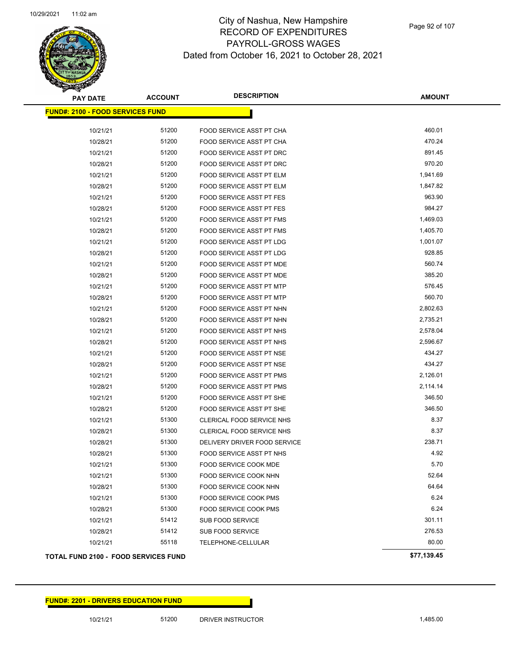

| <b>PAY DATE</b>                             | <b>ACCOUNT</b> | <b>DESCRIPTION</b>              | <b>AMOUNT</b> |
|---------------------------------------------|----------------|---------------------------------|---------------|
| <b>FUND#: 2100 - FOOD SERVICES FUND</b>     |                |                                 |               |
| 10/21/21                                    | 51200          | FOOD SERVICE ASST PT CHA        | 460.01        |
| 10/28/21                                    | 51200          | FOOD SERVICE ASST PT CHA        | 470.24        |
| 10/21/21                                    | 51200          | FOOD SERVICE ASST PT DRC        | 891.45        |
| 10/28/21                                    | 51200          | FOOD SERVICE ASST PT DRC        | 970.20        |
| 10/21/21                                    | 51200          | FOOD SERVICE ASST PT ELM        | 1,941.69      |
| 10/28/21                                    | 51200          | FOOD SERVICE ASST PT ELM        | 1,847.82      |
| 10/21/21                                    | 51200          | FOOD SERVICE ASST PT FES        | 963.90        |
| 10/28/21                                    | 51200          | <b>FOOD SERVICE ASST PT FES</b> | 984.27        |
| 10/21/21                                    | 51200          | FOOD SERVICE ASST PT FMS        | 1,469.03      |
| 10/28/21                                    | 51200          | FOOD SERVICE ASST PT FMS        | 1,405.70      |
| 10/21/21                                    | 51200          | FOOD SERVICE ASST PT LDG        | 1,001.07      |
| 10/28/21                                    | 51200          | FOOD SERVICE ASST PT LDG        | 928.85        |
| 10/21/21                                    | 51200          | FOOD SERVICE ASST PT MDE        | 560.74        |
| 10/28/21                                    | 51200          | FOOD SERVICE ASST PT MDE        | 385.20        |
| 10/21/21                                    | 51200          | FOOD SERVICE ASST PT MTP        | 576.45        |
| 10/28/21                                    | 51200          | <b>FOOD SERVICE ASST PT MTP</b> | 560.70        |
| 10/21/21                                    | 51200          | FOOD SERVICE ASST PT NHN        | 2,802.63      |
| 10/28/21                                    | 51200          | FOOD SERVICE ASST PT NHN        | 2,735.21      |
| 10/21/21                                    | 51200          | FOOD SERVICE ASST PT NHS        | 2,578.04      |
| 10/28/21                                    | 51200          | FOOD SERVICE ASST PT NHS        | 2,596.67      |
| 10/21/21                                    | 51200          | FOOD SERVICE ASST PT NSE        | 434.27        |
| 10/28/21                                    | 51200          | FOOD SERVICE ASST PT NSE        | 434.27        |
| 10/21/21                                    | 51200          | FOOD SERVICE ASST PT PMS        | 2,126.01      |
| 10/28/21                                    | 51200          | FOOD SERVICE ASST PT PMS        | 2,114.14      |
| 10/21/21                                    | 51200          | FOOD SERVICE ASST PT SHE        | 346.50        |
| 10/28/21                                    | 51200          | FOOD SERVICE ASST PT SHE        | 346.50        |
| 10/21/21                                    | 51300          | CLERICAL FOOD SERVICE NHS       | 8.37          |
| 10/28/21                                    | 51300          | CLERICAL FOOD SERVICE NHS       | 8.37          |
| 10/28/21                                    | 51300          | DELIVERY DRIVER FOOD SERVICE    | 238.71        |
| 10/28/21                                    | 51300          | FOOD SERVICE ASST PT NHS        | 4.92          |
| 10/21/21                                    | 51300          | <b>FOOD SERVICE COOK MDE</b>    | 5.70          |
| 10/21/21                                    | 51300          | FOOD SERVICE COOK NHN           | 52.64         |
| 10/28/21                                    | 51300          | FOOD SERVICE COOK NHN           | 64.64         |
| 10/21/21                                    | 51300          | FOOD SERVICE COOK PMS           | 6.24          |
| 10/28/21                                    | 51300          | FOOD SERVICE COOK PMS           | 6.24          |
| 10/21/21                                    | 51412          | SUB FOOD SERVICE                | 301.11        |
| 10/28/21                                    | 51412          | SUB FOOD SERVICE                | 276.53        |
| 10/21/21                                    | 55118          | TELEPHONE-CELLULAR              | 80.00         |
| <b>TOTAL FUND 2100 - FOOD SERVICES FUND</b> |                |                                 | \$77,139.45   |

### **FUND#: 2201 - DRIVERS EDUCATION FUND**

10/21/21 51200 DRIVER INSTRUCTOR 1,485.00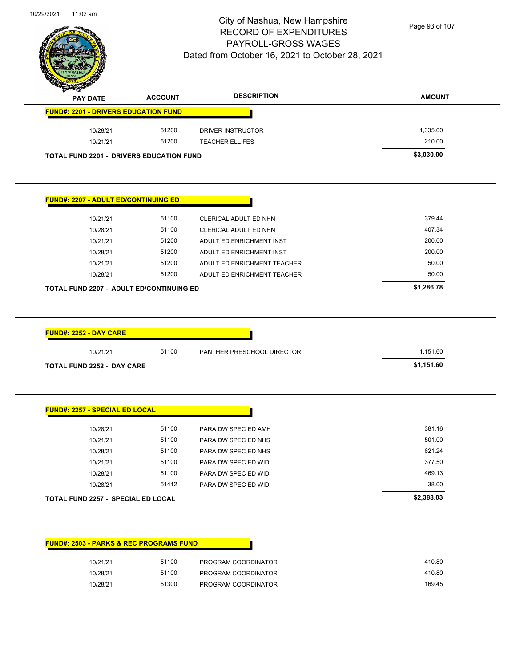

Page 93 of 107

| <b>PAY DATE</b>                                                                                                                                                                                      | <b>ACCOUNT</b> | <b>DESCRIPTION</b>          | <b>AMOUNT</b> |
|------------------------------------------------------------------------------------------------------------------------------------------------------------------------------------------------------|----------------|-----------------------------|---------------|
| <b>FUND#: 2201 - DRIVERS EDUCATION FUND</b>                                                                                                                                                          |                |                             |               |
| 10/28/21                                                                                                                                                                                             | 51200          | <b>DRIVER INSTRUCTOR</b>    | 1,335.00      |
| 10/21/21                                                                                                                                                                                             | 51200          | TEACHER ELL FES             | 210.00        |
| <b>TOTAL FUND 2201 - DRIVERS EDUCATION FUND</b>                                                                                                                                                      |                |                             | \$3,030.00    |
|                                                                                                                                                                                                      |                |                             |               |
| <u> FUND#: 2207 - ADULT ED/CONTINUING ED</u>                                                                                                                                                         |                |                             |               |
| 10/21/21                                                                                                                                                                                             | 51100          | CLERICAL ADULT ED NHN       | 379.44        |
| 10/28/21                                                                                                                                                                                             | 51100          | CLERICAL ADULT ED NHN       | 407.34        |
| 10/21/21                                                                                                                                                                                             | 51200          | ADULT ED ENRICHMENT INST    | 200.00        |
| 10/28/21                                                                                                                                                                                             | 51200          | ADULT ED ENRICHMENT INST    | 200.00        |
| 10/21/21                                                                                                                                                                                             | 51200          | ADULT ED ENRICHMENT TEACHER | 50.00         |
|                                                                                                                                                                                                      | 51200          | ADULT ED ENRICHMENT TEACHER | 50.00         |
| 10/28/21                                                                                                                                                                                             |                |                             |               |
|                                                                                                                                                                                                      |                |                             | \$1,286.78    |
|                                                                                                                                                                                                      |                |                             |               |
| 10/21/21                                                                                                                                                                                             | 51100          | PANTHER PRESCHOOL DIRECTOR  | 1,151.60      |
|                                                                                                                                                                                                      |                |                             | \$1,151.60    |
|                                                                                                                                                                                                      |                |                             |               |
| 10/28/21                                                                                                                                                                                             | 51100          | PARA DW SPEC ED AMH         | 381.16        |
| 10/21/21                                                                                                                                                                                             | 51100          | PARA DW SPEC ED NHS         | 501.00        |
| 10/28/21                                                                                                                                                                                             | 51100          | PARA DW SPEC ED NHS         | 621.24        |
| 10/21/21                                                                                                                                                                                             | 51100          | PARA DW SPEC ED WID         | 377.50        |
| 10/28/21                                                                                                                                                                                             | 51100          | PARA DW SPEC ED WID         | 469.13        |
| 10/28/21                                                                                                                                                                                             | 51412          | PARA DW SPEC ED WID         | 38.00         |
| TOTAL FUND 2207 - ADULT ED/CONTINUING ED<br><b>FUND#: 2252 - DAY CARE</b><br><b>TOTAL FUND 2252 - DAY CARE</b><br><b>FUND#: 2257 - SPECIAL ED LOCAL</b><br><b>TOTAL FUND 2257 - SPECIAL ED LOCAL</b> |                |                             | \$2,388.03    |

| 410.80 | PROGRAM COORDINATOR | 51100 | 10/21/21 |
|--------|---------------------|-------|----------|
| 410.80 | PROGRAM COORDINATOR | 51100 | 10/28/21 |
| 169.45 | PROGRAM COORDINATOR | 51300 | 10/28/21 |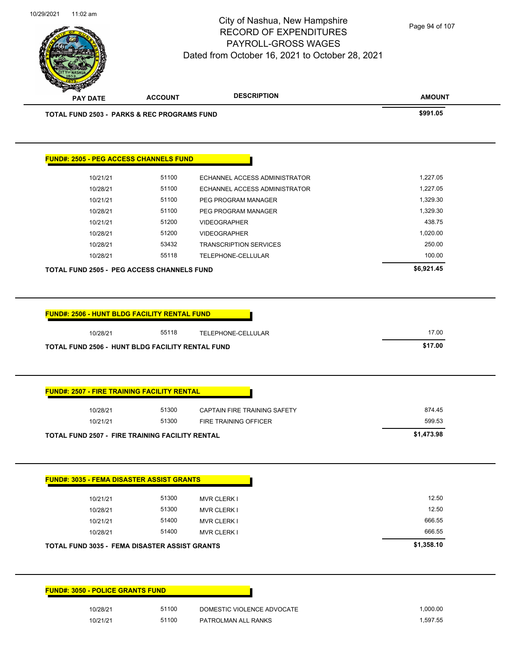

Page 94 of 107

|                                                                                                                                                     | <b>ACCOUNT</b> | <b>DESCRIPTION</b>            | <b>AMOUNT</b>        |
|-----------------------------------------------------------------------------------------------------------------------------------------------------|----------------|-------------------------------|----------------------|
| <b>TOTAL FUND 2503 - PARKS &amp; REC PROGRAMS FUND</b>                                                                                              |                |                               | \$991.05             |
| <b>FUND#: 2505 - PEG ACCESS CHANNELS FUND</b>                                                                                                       |                |                               |                      |
| 10/21/21                                                                                                                                            | 51100          | ECHANNEL ACCESS ADMINISTRATOR | 1,227.05             |
| 10/28/21                                                                                                                                            | 51100          | ECHANNEL ACCESS ADMINISTRATOR | 1,227.05             |
| 10/21/21                                                                                                                                            | 51100          | PEG PROGRAM MANAGER           | 1,329.30             |
| 10/28/21                                                                                                                                            | 51100          | PEG PROGRAM MANAGER           | 1,329.30             |
| 10/21/21                                                                                                                                            | 51200          | <b>VIDEOGRAPHER</b>           | 438.75               |
| 10/28/21                                                                                                                                            | 51200          | <b>VIDEOGRAPHER</b>           | 1,020.00             |
| 10/28/21                                                                                                                                            | 53432          | <b>TRANSCRIPTION SERVICES</b> | 250.00               |
| 10/28/21                                                                                                                                            | 55118          | TELEPHONE-CELLULAR            | 100.00               |
| <b>TOTAL FUND 2505 - PEG ACCESS CHANNELS FUND</b>                                                                                                   |                |                               | \$6,921.45           |
|                                                                                                                                                     |                |                               |                      |
|                                                                                                                                                     |                |                               |                      |
|                                                                                                                                                     |                |                               |                      |
| <b>FUND#: 2506 - HUNT BLDG FACILITY RENTAL FUND</b>                                                                                                 |                |                               |                      |
| 10/28/21                                                                                                                                            | 55118          | TELEPHONE-CELLULAR            | 17.00                |
| TOTAL FUND 2506 - HUNT BLDG FACILITY RENTAL FUND                                                                                                    |                |                               | \$17.00              |
|                                                                                                                                                     |                |                               |                      |
|                                                                                                                                                     |                |                               |                      |
|                                                                                                                                                     |                |                               |                      |
| 10/28/21                                                                                                                                            | 51300          | CAPTAIN FIRE TRAINING SAFETY  | 874.45               |
| 10/21/21                                                                                                                                            | 51300          | FIRE TRAINING OFFICER         | 599.53               |
| <b>FUND#: 2507 - FIRE TRAINING FACILITY RENTAL</b><br><b>TOTAL FUND 2507 - FIRE TRAINING FACILITY RENTAL</b>                                        |                |                               | \$1,473.98           |
|                                                                                                                                                     |                |                               |                      |
|                                                                                                                                                     |                |                               |                      |
| 10/21/21                                                                                                                                            | 51300          | <b>MVR CLERK I</b>            | 12.50                |
| 10/28/21                                                                                                                                            | 51300          | <b>MVR CLERK I</b>            | 12.50                |
| 10/21/21                                                                                                                                            | 51400          | <b>MVR CLERK I</b>            | 666.55               |
| 10/28/21                                                                                                                                            | 51400          | <b>MVR CLERK I</b>            | 666.55               |
|                                                                                                                                                     |                |                               | \$1,358.10           |
|                                                                                                                                                     |                |                               |                      |
| <b>FUND#: 3035 - FEMA DISASTER ASSIST GRANTS</b><br><b>TOTAL FUND 3035 - FEMA DISASTER ASSIST GRANTS</b><br><b>FUND#: 3050 - POLICE GRANTS FUND</b> |                |                               |                      |
| 10/28/21<br>10/21/21                                                                                                                                | 51100<br>51100 | DOMESTIC VIOLENCE ADVOCATE    | 1,000.00<br>1,597.55 |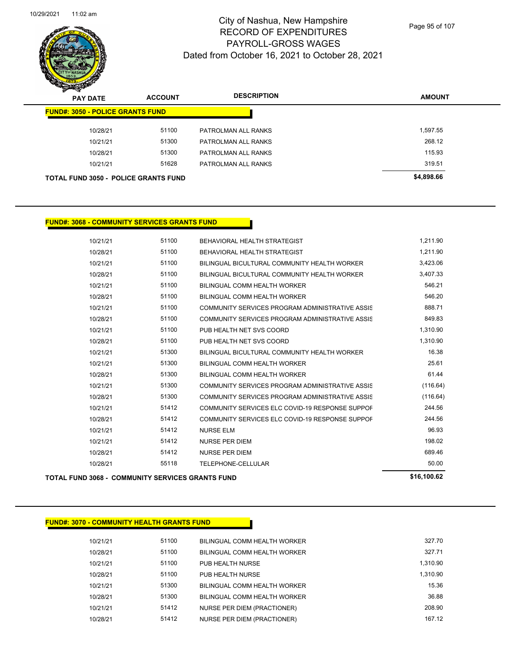

Page 95 of 107

| z<br>∼<br><b>PAY DATE</b>                   | <b>ACCOUNT</b> | <b>DESCRIPTION</b>  | <b>AMOUNT</b> |
|---------------------------------------------|----------------|---------------------|---------------|
| <b>FUND#: 3050 - POLICE GRANTS FUND</b>     |                |                     |               |
| 10/28/21                                    | 51100          | PATROLMAN ALL RANKS | .597.55       |
| 10/21/21                                    | 51300          | PATROLMAN ALL RANKS | 268.12        |
| 10/28/21                                    | 51300          | PATROLMAN ALL RANKS | 115.93        |
| 10/21/21                                    | 51628          | PATROLMAN ALL RANKS | 319.51        |
| <b>TOTAL FUND 3050 - POLICE GRANTS FUND</b> |                |                     | \$4,898.66    |

### **FUND#: 3068 - COMMUNITY SERVICES GRANTS FUND**

| <b>TOTAL FUND 3068 - COMMUNITY SERVICES GRANTS FUND</b> |       |                                                 | \$16,100.62 |
|---------------------------------------------------------|-------|-------------------------------------------------|-------------|
| 10/28/21                                                | 55118 | TELEPHONE-CELLULAR                              | 50.00       |
| 10/28/21                                                | 51412 | <b>NURSE PER DIEM</b>                           | 689.46      |
| 10/21/21                                                | 51412 | <b>NURSE PER DIEM</b>                           | 198.02      |
| 10/21/21                                                | 51412 | <b>NURSE ELM</b>                                | 96.93       |
| 10/28/21                                                | 51412 | COMMUNITY SERVICES ELC COVID-19 RESPONSE SUPPOF | 244.56      |
| 10/21/21                                                | 51412 | COMMUNITY SERVICES ELC COVID-19 RESPONSE SUPPOF | 244.56      |
| 10/28/21                                                | 51300 | COMMUNITY SERVICES PROGRAM ADMINISTRATIVE ASSIS | (116.64)    |
| 10/21/21                                                | 51300 | COMMUNITY SERVICES PROGRAM ADMINISTRATIVE ASSIS | (116.64)    |
| 10/28/21                                                | 51300 | BILINGUAL COMM HEALTH WORKER                    | 61.44       |
| 10/21/21                                                | 51300 | BILINGUAL COMM HEALTH WORKER                    | 25.61       |
| 10/21/21                                                | 51300 | BILINGUAL BICULTURAL COMMUNITY HEALTH WORKER    | 16.38       |
| 10/28/21                                                | 51100 | PUB HEALTH NET SVS COORD                        | 1,310.90    |
| 10/21/21                                                | 51100 | PUB HEALTH NET SVS COORD                        | 1,310.90    |
| 10/28/21                                                | 51100 | COMMUNITY SERVICES PROGRAM ADMINISTRATIVE ASSIS | 849.83      |
| 10/21/21                                                | 51100 | COMMUNITY SERVICES PROGRAM ADMINISTRATIVE ASSIS | 888.71      |
| 10/28/21                                                | 51100 | BILINGUAL COMM HEALTH WORKER                    | 546.20      |
| 10/21/21                                                | 51100 | BILINGUAL COMM HEALTH WORKER                    | 546.21      |
| 10/28/21                                                | 51100 | BILINGUAL BICULTURAL COMMUNITY HEALTH WORKER    | 3,407.33    |
| 10/21/21                                                | 51100 | BILINGUAL BICULTURAL COMMUNITY HEALTH WORKER    | 3,423.06    |
| 10/28/21                                                | 51100 | BEHAVIORAL HEALTH STRATEGIST                    | 1,211.90    |
| 10/21/21                                                | 51100 | BEHAVIORAL HEALTH STRATEGIST                    | 1,211.90    |
|                                                         |       |                                                 |             |

|  | \$16,100.62 |  |
|--|-------------|--|
|  |             |  |

| <b>FUND#: 3070 - COMMUNITY HEALTH GRANTS FUND</b> |
|---------------------------------------------------|
|                                                   |
|                                                   |

| 327.71<br>51100<br>10/28/21<br>BILINGUAL COMM HEALTH WORKER<br>1.310.90<br>51100<br>10/21/21<br>PUB HEALTH NURSE<br>1.310.90<br>51100<br>10/28/21<br>PUB HEALTH NURSE<br>15.36<br>51300<br>10/21/21<br>BILINGUAL COMM HEALTH WORKER<br>36.88<br>51300<br>10/28/21<br>BILINGUAL COMM HEALTH WORKER<br>208.90<br>51412<br>10/21/21<br>NURSE PER DIEM (PRACTIONER)<br>167 12<br>51412<br>10/28/21<br>NURSE PER DIEM (PRACTIONER) | 10/21/21 | 51100 | BILINGUAL COMM HEALTH WORKER | 327.70 |
|-------------------------------------------------------------------------------------------------------------------------------------------------------------------------------------------------------------------------------------------------------------------------------------------------------------------------------------------------------------------------------------------------------------------------------|----------|-------|------------------------------|--------|
|                                                                                                                                                                                                                                                                                                                                                                                                                               |          |       |                              |        |
|                                                                                                                                                                                                                                                                                                                                                                                                                               |          |       |                              |        |
|                                                                                                                                                                                                                                                                                                                                                                                                                               |          |       |                              |        |
|                                                                                                                                                                                                                                                                                                                                                                                                                               |          |       |                              |        |
|                                                                                                                                                                                                                                                                                                                                                                                                                               |          |       |                              |        |
|                                                                                                                                                                                                                                                                                                                                                                                                                               |          |       |                              |        |
|                                                                                                                                                                                                                                                                                                                                                                                                                               |          |       |                              |        |

 $\blacksquare$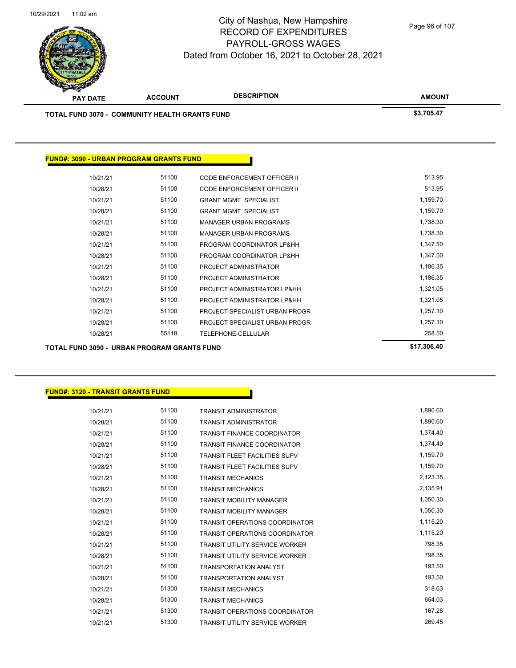

Page 96 of 107

| <b>TOTAL FUND 3070 - COMMUNITY HEALTH GRANTS FUND</b> |                                                |                                    | \$3,705.47  |
|-------------------------------------------------------|------------------------------------------------|------------------------------------|-------------|
|                                                       |                                                |                                    |             |
|                                                       | <b>FUND#: 3090 - URBAN PROGRAM GRANTS FUND</b> |                                    |             |
| 10/21/21                                              | 51100                                          | <b>CODE ENFORCEMENT OFFICER II</b> | 513.95      |
| 10/28/21                                              | 51100                                          | <b>CODE ENFORCEMENT OFFICER II</b> | 513.95      |
| 10/21/21                                              | 51100                                          | <b>GRANT MGMT SPECIALIST</b>       | 1,159.70    |
| 10/28/21                                              | 51100                                          | <b>GRANT MGMT SPECIALIST</b>       | 1,159.70    |
| 10/21/21                                              | 51100                                          | <b>MANAGER URBAN PROGRAMS</b>      | 1,738.30    |
| 10/28/21                                              | 51100                                          | <b>MANAGER URBAN PROGRAMS</b>      | 1,738.30    |
| 10/21/21                                              | 51100                                          | PROGRAM COORDINATOR LP&HH          | 1,347.50    |
| 10/28/21                                              | 51100                                          | PROGRAM COORDINATOR LP&HH          | 1,347.50    |
| 10/21/21                                              | 51100                                          | PROJECT ADMINISTRATOR              | 1,186.35    |
| 10/28/21                                              | 51100                                          | PROJECT ADMINISTRATOR              | 1,186.35    |
| 10/21/21                                              | 51100                                          | PROJECT ADMINISTRATOR LP&HH        | 1,321.05    |
| 10/28/21                                              | 51100                                          | PROJECT ADMINISTRATOR LP&HH        | 1,321.05    |
| 10/21/21                                              | 51100                                          | PROJECT SPECIALIST URBAN PROGR     | 1,257.10    |
| 10/28/21                                              | 51100                                          | PROJECT SPECIALIST URBAN PROGR     | 1,257.10    |
| 10/28/21                                              | 55118                                          | TELEPHONE-CELLULAR                 | 258.50      |
| <b>TOTAL FUND 3090 - URBAN PROGRAM GRANTS FUND</b>    |                                                |                                    | \$17,306.40 |

### **FUND#: 3120 - TRANSIT GRANTS FUND**

| 10/21/21 | 51100 | <b>TRANSIT ADMINISTRATOR</b>          | 1,890.60 |
|----------|-------|---------------------------------------|----------|
| 10/28/21 | 51100 | <b>TRANSIT ADMINISTRATOR</b>          | 1,890.60 |
| 10/21/21 | 51100 | <b>TRANSIT FINANCE COORDINATOR</b>    | 1,374.40 |
| 10/28/21 | 51100 | <b>TRANSIT FINANCE COORDINATOR</b>    | 1.374.40 |
| 10/21/21 | 51100 | <b>TRANSIT FLEET FACILITIES SUPV</b>  | 1,159.70 |
| 10/28/21 | 51100 | <b>TRANSIT FLEET FACILITIES SUPV</b>  | 1,159.70 |
| 10/21/21 | 51100 | <b>TRANSIT MECHANICS</b>              | 2,123.35 |
| 10/28/21 | 51100 | <b>TRANSIT MECHANICS</b>              | 2,135.91 |
| 10/21/21 | 51100 | <b>TRANSIT MOBILITY MANAGER</b>       | 1,050.30 |
| 10/28/21 | 51100 | <b>TRANSIT MOBILITY MANAGER</b>       | 1,050.30 |
| 10/21/21 | 51100 | <b>TRANSIT OPERATIONS COORDINATOR</b> | 1,115.20 |
| 10/28/21 | 51100 | <b>TRANSIT OPERATIONS COORDINATOR</b> | 1,115.20 |
| 10/21/21 | 51100 | <b>TRANSIT UTILITY SERVICE WORKER</b> | 798.35   |
| 10/28/21 | 51100 | <b>TRANSIT UTILITY SERVICE WORKER</b> | 798.35   |
| 10/21/21 | 51100 | <b>TRANSPORTATION ANALYST</b>         | 193.50   |
| 10/28/21 | 51100 | <b>TRANSPORTATION ANALYST</b>         | 193.50   |
| 10/21/21 | 51300 | <b>TRANSIT MECHANICS</b>              | 318.63   |
| 10/28/21 | 51300 | <b>TRANSIT MECHANICS</b>              | 654.03   |
| 10/21/21 | 51300 | <b>TRANSIT OPERATIONS COORDINATOR</b> | 167.28   |
| 10/21/21 | 51300 | <b>TRANSIT UTILITY SERVICE WORKER</b> | 269.45   |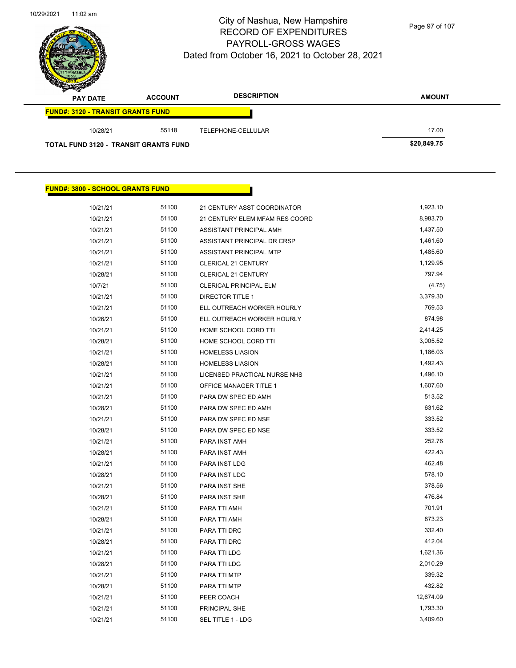

Page 97 of 107

| $-$<br><b>PAY DATE</b>                       | <b>ACCOUNT</b> | <b>DESCRIPTION</b> | <b>AMOUNT</b> |
|----------------------------------------------|----------------|--------------------|---------------|
| <b>FUND#: 3120 - TRANSIT GRANTS FUND</b>     |                |                    |               |
| 10/28/21                                     | 55118          | TELEPHONE-CELLULAR | 17.00         |
| <b>TOTAL FUND 3120 - TRANSIT GRANTS FUND</b> |                |                    | \$20,849.75   |

| <b>FUND#: 3800 - SCHOOL GRANTS FUND</b> |       |                                |           |
|-----------------------------------------|-------|--------------------------------|-----------|
| 10/21/21                                | 51100 | 21 CENTURY ASST COORDINATOR    | 1,923.10  |
| 10/21/21                                | 51100 | 21 CENTURY ELEM MFAM RES COORD | 8,983.70  |
| 10/21/21                                | 51100 | ASSISTANT PRINCIPAL AMH        | 1,437.50  |
| 10/21/21                                | 51100 | ASSISTANT PRINCIPAL DR CRSP    | 1,461.60  |
| 10/21/21                                | 51100 | ASSISTANT PRINCIPAL MTP        | 1,485.60  |
| 10/21/21                                | 51100 | <b>CLERICAL 21 CENTURY</b>     | 1,129.95  |
| 10/28/21                                | 51100 | <b>CLERICAL 21 CENTURY</b>     | 797.94    |
| 10/7/21                                 | 51100 | <b>CLERICAL PRINCIPAL ELM</b>  | (4.75)    |
| 10/21/21                                | 51100 | <b>DIRECTOR TITLE 1</b>        | 3,379.30  |
| 10/21/21                                | 51100 | ELL OUTREACH WORKER HOURLY     | 769.53    |
| 10/26/21                                | 51100 | ELL OUTREACH WORKER HOURLY     | 874.98    |
| 10/21/21                                | 51100 | HOME SCHOOL CORD TTI           | 2,414.25  |
| 10/28/21                                | 51100 | HOME SCHOOL CORD TTI           | 3,005.52  |
| 10/21/21                                | 51100 | <b>HOMELESS LIASION</b>        | 1,186.03  |
| 10/28/21                                | 51100 | <b>HOMELESS LIASION</b>        | 1,492.43  |
| 10/21/21                                | 51100 | LICENSED PRACTICAL NURSE NHS   | 1,496.10  |
| 10/21/21                                | 51100 | OFFICE MANAGER TITLE 1         | 1,607.60  |
| 10/21/21                                | 51100 | PARA DW SPEC ED AMH            | 513.52    |
| 10/28/21                                | 51100 | PARA DW SPEC ED AMH            | 631.62    |
| 10/21/21                                | 51100 | PARA DW SPEC ED NSE            | 333.52    |
| 10/28/21                                | 51100 | PARA DW SPEC ED NSE            | 333.52    |
| 10/21/21                                | 51100 | PARA INST AMH                  | 252.76    |
| 10/28/21                                | 51100 | PARA INST AMH                  | 422.43    |
| 10/21/21                                | 51100 | PARA INST LDG                  | 462.48    |
| 10/28/21                                | 51100 | PARA INST LDG                  | 578.10    |
| 10/21/21                                | 51100 | PARA INST SHE                  | 378.56    |
| 10/28/21                                | 51100 | PARA INST SHE                  | 476.84    |
| 10/21/21                                | 51100 | PARA TTI AMH                   | 701.91    |
| 10/28/21                                | 51100 | PARA TTI AMH                   | 873.23    |
| 10/21/21                                | 51100 | PARA TTI DRC                   | 332.40    |
| 10/28/21                                | 51100 | PARA TTI DRC                   | 412.04    |
| 10/21/21                                | 51100 | PARA TTI LDG                   | 1,621.36  |
| 10/28/21                                | 51100 | PARA TTI LDG                   | 2,010.29  |
| 10/21/21                                | 51100 | PARA TTI MTP                   | 339.32    |
| 10/28/21                                | 51100 | PARA TTI MTP                   | 432.82    |
| 10/21/21                                | 51100 | PEER COACH                     | 12,674.09 |
| 10/21/21                                | 51100 | PRINCIPAL SHE                  | 1,793.30  |
| 10/21/21                                | 51100 | SEL TITLE 1 - LDG              | 3,409.60  |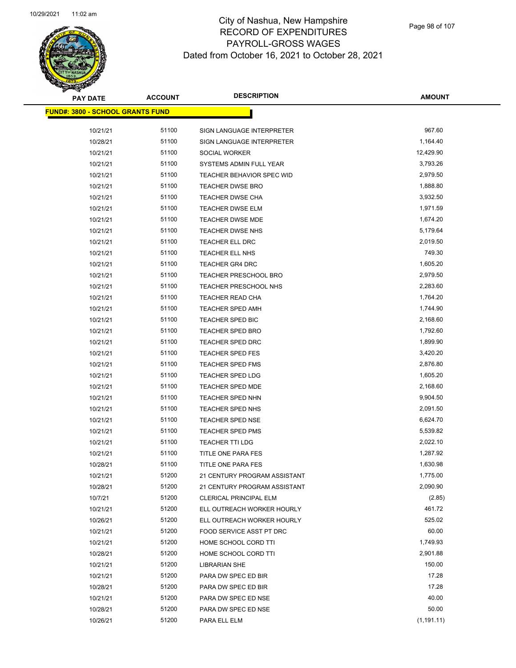

Page 98 of 107

| <b>PAY DATE</b>                         | <b>ACCOUNT</b> | <b>DESCRIPTION</b>           | <b>AMOUNT</b> |
|-----------------------------------------|----------------|------------------------------|---------------|
| <b>FUND#: 3800 - SCHOOL GRANTS FUND</b> |                |                              |               |
| 10/21/21                                | 51100          | SIGN LANGUAGE INTERPRETER    | 967.60        |
| 10/28/21                                | 51100          | SIGN LANGUAGE INTERPRETER    | 1,164.40      |
| 10/21/21                                | 51100          | SOCIAL WORKER                | 12,429.90     |
| 10/21/21                                | 51100          | SYSTEMS ADMIN FULL YEAR      | 3,793.26      |
| 10/21/21                                | 51100          | TEACHER BEHAVIOR SPEC WID    | 2,979.50      |
| 10/21/21                                | 51100          | <b>TEACHER DWSE BRO</b>      | 1,888.80      |
| 10/21/21                                | 51100          | TEACHER DWSE CHA             | 3,932.50      |
| 10/21/21                                | 51100          | TEACHER DWSE ELM             | 1,971.59      |
| 10/21/21                                | 51100          | <b>TEACHER DWSE MDE</b>      | 1,674.20      |
| 10/21/21                                | 51100          | <b>TEACHER DWSE NHS</b>      | 5,179.64      |
| 10/21/21                                | 51100          | TEACHER ELL DRC              | 2,019.50      |
| 10/21/21                                | 51100          | TEACHER ELL NHS              | 749.30        |
| 10/21/21                                | 51100          | TEACHER GR4 DRC              | 1,605.20      |
| 10/21/21                                | 51100          | <b>TEACHER PRESCHOOL BRO</b> | 2,979.50      |
| 10/21/21                                | 51100          | TEACHER PRESCHOOL NHS        | 2,283.60      |
| 10/21/21                                | 51100          | TEACHER READ CHA             | 1,764.20      |
| 10/21/21                                | 51100          | TEACHER SPED AMH             | 1,744.90      |
| 10/21/21                                | 51100          | TEACHER SPED BIC             | 2,168.60      |
| 10/21/21                                | 51100          | <b>TEACHER SPED BRO</b>      | 1,792.60      |
| 10/21/21                                | 51100          | TEACHER SPED DRC             | 1,899.90      |
| 10/21/21                                | 51100          | <b>TEACHER SPED FES</b>      | 3,420.20      |
| 10/21/21                                | 51100          | TEACHER SPED FMS             | 2,876.80      |
| 10/21/21                                | 51100          | <b>TEACHER SPED LDG</b>      | 1,605.20      |
| 10/21/21                                | 51100          | <b>TEACHER SPED MDE</b>      | 2,168.60      |
| 10/21/21                                | 51100          | <b>TEACHER SPED NHN</b>      | 9,904.50      |
| 10/21/21                                | 51100          | <b>TEACHER SPED NHS</b>      | 2,091.50      |
| 10/21/21                                | 51100          | <b>TEACHER SPED NSE</b>      | 6,624.70      |
| 10/21/21                                | 51100          | <b>TEACHER SPED PMS</b>      | 5,539.82      |
| 10/21/21                                | 51100          | <b>TEACHER TTI LDG</b>       | 2,022.10      |
| 10/21/21                                | 51100          | TITLE ONE PARA FES           | 1,287.92      |
| 10/28/21                                | 51100          | TITLE ONE PARA FES           | 1,630.98      |
| 10/21/21                                | 51200          | 21 CENTURY PROGRAM ASSISTANT | 1,775.00      |
| 10/28/21                                | 51200          | 21 CENTURY PROGRAM ASSISTANT | 2,090.90      |
| 10/7/21                                 | 51200          | CLERICAL PRINCIPAL ELM       | (2.85)        |
| 10/21/21                                | 51200          | ELL OUTREACH WORKER HOURLY   | 461.72        |
| 10/26/21                                | 51200          | ELL OUTREACH WORKER HOURLY   | 525.02        |
| 10/21/21                                | 51200          | FOOD SERVICE ASST PT DRC     | 60.00         |
| 10/21/21                                | 51200          | HOME SCHOOL CORD TTI         | 1,749.93      |
| 10/28/21                                | 51200          | HOME SCHOOL CORD TTI         | 2,901.88      |
| 10/21/21                                | 51200          | <b>LIBRARIAN SHE</b>         | 150.00        |
| 10/21/21                                | 51200          | PARA DW SPEC ED BIR          | 17.28         |
| 10/28/21                                | 51200          | PARA DW SPEC ED BIR          | 17.28         |
| 10/21/21                                | 51200          | PARA DW SPEC ED NSE          | 40.00         |
| 10/28/21                                | 51200          | PARA DW SPEC ED NSE          | 50.00         |
| 10/26/21                                | 51200          | PARA ELL ELM                 | (1, 191.11)   |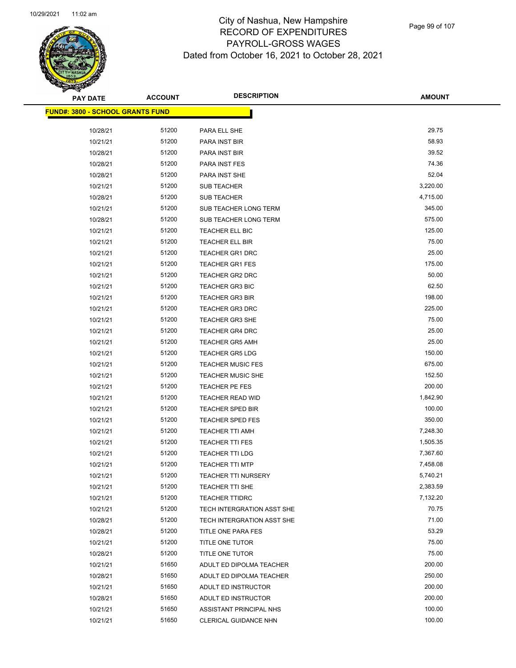

Page 99 of 107

| <b>PAY DATE</b>                         | <b>ACCOUNT</b> | <b>DESCRIPTION</b>                        | <b>AMOUNT</b>  |
|-----------------------------------------|----------------|-------------------------------------------|----------------|
| <b>FUND#: 3800 - SCHOOL GRANTS FUND</b> |                |                                           |                |
| 10/28/21                                | 51200          | PARA ELL SHE                              | 29.75          |
| 10/21/21                                | 51200          | PARA INST BIR                             | 58.93          |
| 10/28/21                                | 51200          | PARA INST BIR                             | 39.52          |
| 10/28/21                                | 51200          | PARA INST FES                             | 74.36          |
| 10/28/21                                | 51200          | <b>PARA INST SHE</b>                      | 52.04          |
| 10/21/21                                | 51200          | SUB TEACHER                               | 3,220.00       |
| 10/28/21                                | 51200          | SUB TEACHER                               | 4,715.00       |
| 10/21/21                                | 51200          | SUB TEACHER LONG TERM                     | 345.00         |
| 10/28/21                                | 51200          | SUB TEACHER LONG TERM                     | 575.00         |
| 10/21/21                                | 51200          | TEACHER ELL BIC                           | 125.00         |
| 10/21/21                                | 51200          | TEACHER ELL BIR                           | 75.00          |
| 10/21/21                                | 51200          | <b>TEACHER GR1 DRC</b>                    | 25.00          |
| 10/21/21                                | 51200          | <b>TEACHER GR1 FES</b>                    | 175.00         |
| 10/21/21                                | 51200          | TEACHER GR2 DRC                           | 50.00          |
| 10/21/21                                | 51200          | <b>TEACHER GR3 BIC</b>                    | 62.50          |
| 10/21/21                                | 51200          | <b>TEACHER GR3 BIR</b>                    | 198.00         |
| 10/21/21                                | 51200          | <b>TEACHER GR3 DRC</b>                    | 225.00         |
| 10/21/21                                | 51200          | <b>TEACHER GR3 SHE</b>                    | 75.00          |
| 10/21/21                                | 51200          | <b>TEACHER GR4 DRC</b>                    | 25.00          |
| 10/21/21                                | 51200          | <b>TEACHER GR5 AMH</b>                    | 25.00          |
| 10/21/21                                | 51200          | <b>TEACHER GR5 LDG</b>                    | 150.00         |
| 10/21/21                                | 51200          | <b>TEACHER MUSIC FES</b>                  | 675.00         |
| 10/21/21                                | 51200          | <b>TEACHER MUSIC SHE</b>                  | 152.50         |
| 10/21/21                                | 51200          | <b>TEACHER PE FES</b>                     | 200.00         |
| 10/21/21                                | 51200          | TEACHER READ WID                          | 1,842.90       |
| 10/21/21                                | 51200          | TEACHER SPED BIR                          | 100.00         |
| 10/21/21                                | 51200          | <b>TEACHER SPED FES</b>                   | 350.00         |
| 10/21/21                                | 51200          | <b>TEACHER TTI AMH</b>                    | 7,248.30       |
| 10/21/21                                | 51200          | TEACHER TTI FES                           | 1,505.35       |
| 10/21/21                                | 51200          | TEACHER TTI LDG                           | 7,367.60       |
| 10/21/21                                | 51200          | <b>TEACHER TTI MTP</b>                    | 7,458.08       |
| 10/21/21                                | 51200          | <b>TEACHER TTI NURSERY</b>                | 5,740.21       |
| 10/21/21                                | 51200          | TEACHER TTI SHE                           | 2,383.59       |
| 10/21/21                                | 51200          | <b>TEACHER TTIDRC</b>                     | 7,132.20       |
| 10/21/21                                | 51200          | TECH INTERGRATION ASST SHE                | 70.75          |
| 10/28/21                                | 51200<br>51200 | TECH INTERGRATION ASST SHE                | 71.00<br>53.29 |
| 10/28/21                                | 51200          | TITLE ONE PARA FES                        | 75.00          |
| 10/21/21<br>10/28/21                    | 51200          | TITLE ONE TUTOR<br><b>TITLE ONE TUTOR</b> | 75.00          |
| 10/21/21                                | 51650          | ADULT ED DIPOLMA TEACHER                  | 200.00         |
| 10/28/21                                | 51650          | ADULT ED DIPOLMA TEACHER                  | 250.00         |
| 10/21/21                                | 51650          | ADULT ED INSTRUCTOR                       | 200.00         |
| 10/28/21                                | 51650          | ADULT ED INSTRUCTOR                       | 200.00         |
| 10/21/21                                | 51650          | ASSISTANT PRINCIPAL NHS                   | 100.00         |
| 10/21/21                                | 51650          | CLERICAL GUIDANCE NHN                     | 100.00         |
|                                         |                |                                           |                |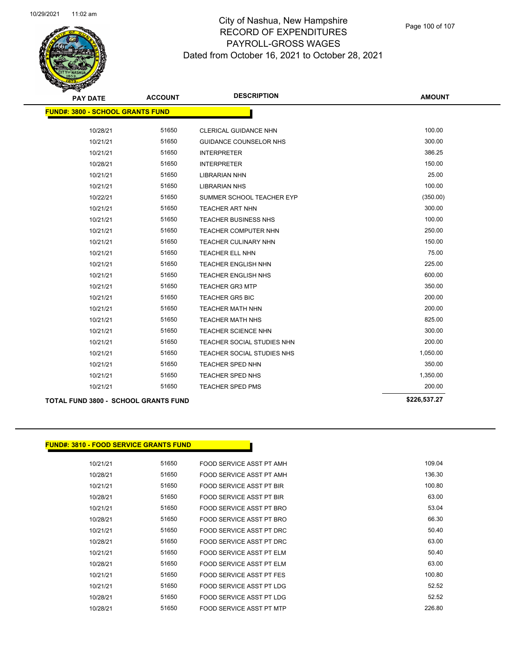

| <b>PAY DATE</b>                         | <b>ACCOUNT</b> | <b>DESCRIPTION</b>                | <b>AMOUNT</b> |
|-----------------------------------------|----------------|-----------------------------------|---------------|
| <b>FUND#: 3800 - SCHOOL GRANTS FUND</b> |                |                                   |               |
| 10/28/21                                | 51650          | <b>CLERICAL GUIDANCE NHN</b>      | 100.00        |
| 10/21/21                                | 51650          | <b>GUIDANCE COUNSELOR NHS</b>     | 300.00        |
| 10/21/21                                | 51650          | <b>INTERPRETER</b>                | 386.25        |
| 10/28/21                                | 51650          | <b>INTERPRETER</b>                | 150.00        |
| 10/21/21                                | 51650          | <b>LIBRARIAN NHN</b>              | 25.00         |
| 10/21/21                                | 51650          | <b>LIBRARIAN NHS</b>              | 100.00        |
| 10/22/21                                | 51650          | SUMMER SCHOOL TEACHER EYP         | (350.00)      |
| 10/21/21                                | 51650          | <b>TEACHER ART NHN</b>            | 300.00        |
| 10/21/21                                | 51650          | <b>TEACHER BUSINESS NHS</b>       | 100.00        |
| 10/21/21                                | 51650          | <b>TEACHER COMPUTER NHN</b>       | 250.00        |
| 10/21/21                                | 51650          | TEACHER CULINARY NHN              | 150.00        |
| 10/21/21                                | 51650          | <b>TEACHER ELL NHN</b>            | 75.00         |
| 10/21/21                                | 51650          | <b>TEACHER ENGLISH NHN</b>        | 225.00        |
| 10/21/21                                | 51650          | TEACHER ENGLISH NHS               | 600.00        |
| 10/21/21                                | 51650          | <b>TEACHER GR3 MTP</b>            | 350.00        |
| 10/21/21                                | 51650          | <b>TEACHER GR5 BIC</b>            | 200.00        |
| 10/21/21                                | 51650          | <b>TEACHER MATH NHN</b>           | 200.00        |
| 10/21/21                                | 51650          | <b>TEACHER MATH NHS</b>           | 825.00        |
| 10/21/21                                | 51650          | <b>TEACHER SCIENCE NHN</b>        | 300.00        |
| 10/21/21                                | 51650          | TEACHER SOCIAL STUDIES NHN        | 200.00        |
| 10/21/21                                | 51650          | <b>TEACHER SOCIAL STUDIES NHS</b> | 1,050.00      |
| 10/21/21                                | 51650          | <b>TEACHER SPED NHN</b>           | 350.00        |
| 10/21/21                                | 51650          | TEACHER SPED NHS                  | 1,350.00      |
| 10/21/21                                | 51650          | <b>TEACHER SPED PMS</b>           | 200.00        |
|                                         |                |                                   |               |

**TOTAL FUND 3800 - SCHOOL GRANTS FUND \$226,537.27** 

### **FUND#: 3810 - FOOD SERVICE GRANTS FUND**

| 109.04 | FOOD SERVICE ASST PT AMH | 51650 | 10/21/21 |
|--------|--------------------------|-------|----------|
| 136.30 | FOOD SERVICE ASST PT AMH | 51650 | 10/28/21 |
| 100.80 | FOOD SERVICE ASST PT BIR | 51650 | 10/21/21 |
| 63.00  | FOOD SERVICE ASST PT BIR | 51650 | 10/28/21 |
| 53.04  | FOOD SERVICE ASST PT BRO | 51650 | 10/21/21 |
| 66.30  | FOOD SERVICE ASST PT BRO | 51650 | 10/28/21 |
| 50.40  | FOOD SERVICE ASST PT DRC | 51650 | 10/21/21 |
| 63.00  | FOOD SERVICE ASST PT DRC | 51650 | 10/28/21 |
| 50.40  | FOOD SERVICE ASST PT FLM | 51650 | 10/21/21 |
| 63.00  | FOOD SERVICE ASST PT ELM | 51650 | 10/28/21 |
| 100.80 | FOOD SERVICE ASST PT FES | 51650 | 10/21/21 |
| 52.52  | FOOD SERVICE ASST PT LDG | 51650 | 10/21/21 |
| 52.52  | FOOD SERVICE ASST PT LDG | 51650 | 10/28/21 |
| 226.80 | FOOD SERVICE ASST PT MTP | 51650 | 10/28/21 |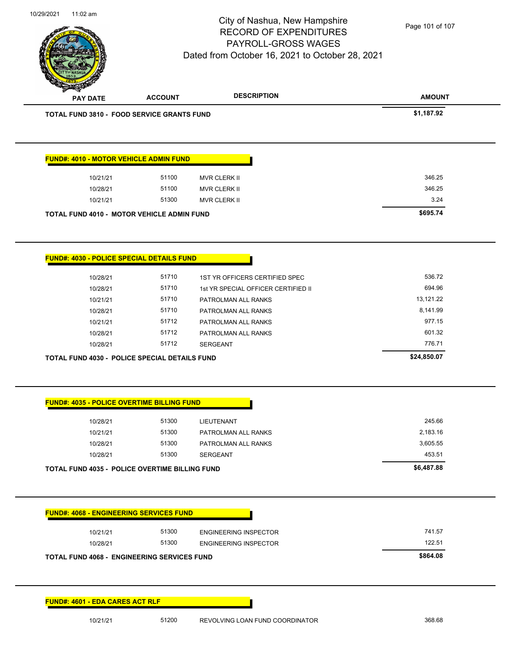

Page 101 of 107

|                                                                                                      | <b>ACCOUNT</b> | <b>DESCRIPTION</b>                  | <b>AMOUNT</b> |
|------------------------------------------------------------------------------------------------------|----------------|-------------------------------------|---------------|
| <b>TOTAL FUND 3810 - FOOD SERVICE GRANTS FUND</b>                                                    |                |                                     | \$1,187.92    |
|                                                                                                      |                |                                     |               |
| <b>FUND#: 4010 - MOTOR VEHICLE ADMIN FUND</b>                                                        |                |                                     |               |
| 10/21/21                                                                                             | 51100          | MVR CLERK II                        | 346.25        |
| 10/28/21                                                                                             | 51100          | MVR CLERK II                        | 346.25        |
| 10/21/21                                                                                             | 51300          | <b>MVR CLERK II</b>                 | 3.24          |
| TOTAL FUND 4010 - MOTOR VEHICLE ADMIN FUND                                                           |                |                                     | \$695.74      |
| <b>FUND#: 4030 - POLICE SPECIAL DETAILS FUND</b>                                                     |                |                                     |               |
| 10/28/21                                                                                             | 51710          | 1ST YR OFFICERS CERTIFIED SPEC      | 536.72        |
| 10/28/21                                                                                             | 51710          | 1st YR SPECIAL OFFICER CERTIFIED II | 694.96        |
| 10/21/21                                                                                             | 51710          | PATROLMAN ALL RANKS                 | 13,121.22     |
| 10/28/21                                                                                             | 51710          | PATROLMAN ALL RANKS                 | 8,141.99      |
| 10/21/21                                                                                             | 51712          | PATROLMAN ALL RANKS                 | 977.15        |
| 10/28/21                                                                                             | 51712          | PATROLMAN ALL RANKS                 | 601.32        |
| 10/28/21                                                                                             | 51712          | <b>SERGEANT</b>                     | 776.71        |
| TOTAL FUND 4030 - POLICE SPECIAL DETAILS FUND                                                        |                |                                     | \$24,850.07   |
|                                                                                                      |                |                                     |               |
| <b>FUND#: 4035 - POLICE OVERTIME BILLING FUND</b>                                                    |                |                                     |               |
| 10/28/21                                                                                             | 51300          | LIEUTENANT                          | 245.66        |
| 10/21/21                                                                                             | 51300          | PATROLMAN ALL RANKS                 | 2,183.16      |
|                                                                                                      | 51300          | PATROLMAN ALL RANKS                 | 3,605.55      |
| 10/28/21                                                                                             |                |                                     | 453.51        |
| 10/28/21                                                                                             | 51300          | <b>SERGEANT</b>                     |               |
| <b>TOTAL FUND 4035 - POLICE OVERTIME BILLING FUND</b>                                                |                |                                     | \$6,487.88    |
|                                                                                                      |                |                                     |               |
|                                                                                                      |                |                                     |               |
| 10/21/21                                                                                             | 51300          | <b>ENGINEERING INSPECTOR</b>        | 741.57        |
| 10/28/21                                                                                             | 51300          | <b>ENGINEERING INSPECTOR</b>        | 122.51        |
| <b>FUND#: 4068 - ENGINEERING SERVICES FUND</b><br><b>TOTAL FUND 4068 - ENGINEERING SERVICES FUND</b> |                |                                     | \$864.08      |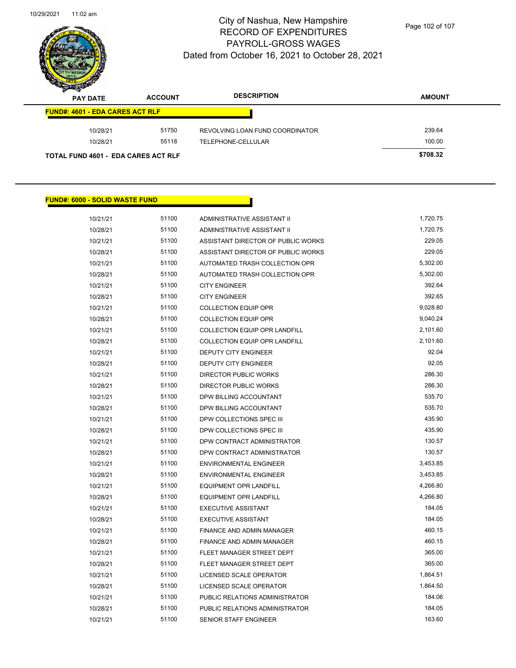

Page 102 of 107

| $\mathscr{D}$ $\mathscr{D}$<br><b>PAY DATE</b> | <b>ACCOUNT</b> | <b>DESCRIPTION</b>              | <b>AMOUNT</b> |
|------------------------------------------------|----------------|---------------------------------|---------------|
| <b>FUND#: 4601 - EDA CARES ACT RLF</b>         |                |                                 |               |
| 10/28/21                                       | 51750          | REVOLVING LOAN FUND COORDINATOR | 239.64        |
| 10/28/21                                       | 55118          | TELEPHONE-CELLULAR              | 100.00        |
| <b>TOTAL FUND 4601 - EDA CARES ACT RLF</b>     |                |                                 | \$708.32      |

## **FUND#: 6000 - SOLID WASTE FUND**

| 10/21/21 | 51100 | ADMINISTRATIVE ASSISTANT II          | 1,720.75 |
|----------|-------|--------------------------------------|----------|
| 10/28/21 | 51100 | ADMINISTRATIVE ASSISTANT II          | 1,720.75 |
| 10/21/21 | 51100 | ASSISTANT DIRECTOR OF PUBLIC WORKS   | 229.05   |
| 10/28/21 | 51100 | ASSISTANT DIRECTOR OF PUBLIC WORKS   | 229.05   |
| 10/21/21 | 51100 | AUTOMATED TRASH COLLECTION OPR       | 5,302.00 |
| 10/28/21 | 51100 | AUTOMATED TRASH COLLECTION OPR       | 5,302.00 |
| 10/21/21 | 51100 | <b>CITY ENGINEER</b>                 | 392.64   |
| 10/28/21 | 51100 | <b>CITY ENGINEER</b>                 | 392.65   |
| 10/21/21 | 51100 | <b>COLLECTION EQUIP OPR</b>          | 9,028.80 |
| 10/28/21 | 51100 | <b>COLLECTION EQUIP OPR</b>          | 9,040.24 |
| 10/21/21 | 51100 | <b>COLLECTION EQUIP OPR LANDFILL</b> | 2,101.60 |
| 10/28/21 | 51100 | COLLECTION EQUIP OPR LANDFILL        | 2,101.60 |
| 10/21/21 | 51100 | <b>DEPUTY CITY ENGINEER</b>          | 92.04    |
| 10/28/21 | 51100 | DEPUTY CITY ENGINEER                 | 92.05    |
| 10/21/21 | 51100 | <b>DIRECTOR PUBLIC WORKS</b>         | 286.30   |
| 10/28/21 | 51100 | <b>DIRECTOR PUBLIC WORKS</b>         | 286.30   |
| 10/21/21 | 51100 | DPW BILLING ACCOUNTANT               | 535.70   |
| 10/28/21 | 51100 | DPW BILLING ACCOUNTANT               | 535.70   |
| 10/21/21 | 51100 | DPW COLLECTIONS SPEC III             | 435.90   |
| 10/28/21 | 51100 | DPW COLLECTIONS SPEC III             | 435.90   |
| 10/21/21 | 51100 | DPW CONTRACT ADMINISTRATOR           | 130.57   |
| 10/28/21 | 51100 | DPW CONTRACT ADMINISTRATOR           | 130.57   |
| 10/21/21 | 51100 | <b>ENVIRONMENTAL ENGINEER</b>        | 3,453.85 |
| 10/28/21 | 51100 | <b>ENVIRONMENTAL ENGINEER</b>        | 3,453.85 |
| 10/21/21 | 51100 | <b>EQUIPMENT OPR LANDFILL</b>        | 4,266.80 |
| 10/28/21 | 51100 | <b>EQUIPMENT OPR LANDFILL</b>        | 4,266.80 |
| 10/21/21 | 51100 | <b>EXECUTIVE ASSISTANT</b>           | 184.05   |
| 10/28/21 | 51100 | <b>EXECUTIVE ASSISTANT</b>           | 184.05   |
| 10/21/21 | 51100 | <b>FINANCE AND ADMIN MANAGER</b>     | 460.15   |
| 10/28/21 | 51100 | FINANCE AND ADMIN MANAGER            | 460.15   |
| 10/21/21 | 51100 | FLEET MANAGER STREET DEPT            | 365.00   |
| 10/28/21 | 51100 | FLEET MANAGER STREET DEPT            | 365.00   |
| 10/21/21 | 51100 | LICENSED SCALE OPERATOR              | 1,864.51 |
| 10/28/21 | 51100 | LICENSED SCALE OPERATOR              | 1,864.50 |
| 10/21/21 | 51100 | PUBLIC RELATIONS ADMINISTRATOR       | 184.06   |
| 10/28/21 | 51100 | PUBLIC RELATIONS ADMINISTRATOR       | 184.05   |
| 10/21/21 | 51100 | SENIOR STAFF ENGINEER                | 163.60   |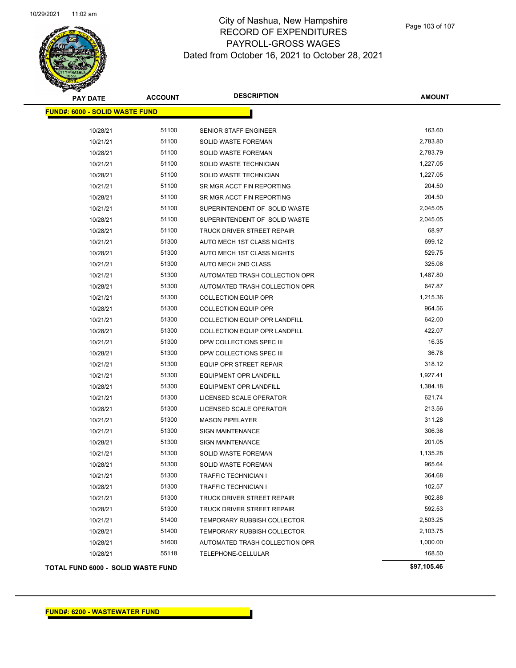

Page 103 of 107

| <b>PAY DATE</b>                           | <b>ACCOUNT</b> | <b>DESCRIPTION</b>                   | <b>AMOUNT</b> |
|-------------------------------------------|----------------|--------------------------------------|---------------|
| <b>FUND#: 6000 - SOLID WASTE FUND</b>     |                |                                      |               |
| 10/28/21                                  | 51100          | SENIOR STAFF ENGINEER                | 163.60        |
| 10/21/21                                  | 51100          | SOLID WASTE FOREMAN                  | 2,783.80      |
| 10/28/21                                  | 51100          | SOLID WASTE FOREMAN                  | 2,783.79      |
| 10/21/21                                  | 51100          | SOLID WASTE TECHNICIAN               | 1,227.05      |
| 10/28/21                                  | 51100          | SOLID WASTE TECHNICIAN               | 1,227.05      |
| 10/21/21                                  | 51100          | SR MGR ACCT FIN REPORTING            | 204.50        |
| 10/28/21                                  | 51100          | SR MGR ACCT FIN REPORTING            | 204.50        |
| 10/21/21                                  | 51100          | SUPERINTENDENT OF SOLID WASTE        | 2,045.05      |
| 10/28/21                                  | 51100          | SUPERINTENDENT OF SOLID WASTE        | 2,045.05      |
| 10/28/21                                  | 51100          | TRUCK DRIVER STREET REPAIR           | 68.97         |
| 10/21/21                                  | 51300          | AUTO MECH 1ST CLASS NIGHTS           | 699.12        |
| 10/28/21                                  | 51300          | AUTO MECH 1ST CLASS NIGHTS           | 529.75        |
| 10/21/21                                  | 51300          | AUTO MECH 2ND CLASS                  | 325.08        |
| 10/21/21                                  | 51300          | AUTOMATED TRASH COLLECTION OPR       | 1,487.80      |
| 10/28/21                                  | 51300          | AUTOMATED TRASH COLLECTION OPR       | 647.87        |
| 10/21/21                                  | 51300          | <b>COLLECTION EQUIP OPR</b>          | 1,215.36      |
| 10/28/21                                  | 51300          | <b>COLLECTION EQUIP OPR</b>          | 964.56        |
| 10/21/21                                  | 51300          | <b>COLLECTION EQUIP OPR LANDFILL</b> | 642.00        |
| 10/28/21                                  | 51300          | <b>COLLECTION EQUIP OPR LANDFILL</b> | 422.07        |
| 10/21/21                                  | 51300          | DPW COLLECTIONS SPEC III             | 16.35         |
| 10/28/21                                  | 51300          | DPW COLLECTIONS SPEC III             | 36.78         |
| 10/21/21                                  | 51300          | EQUIP OPR STREET REPAIR              | 318.12        |
| 10/21/21                                  | 51300          | <b>EQUIPMENT OPR LANDFILL</b>        | 1,927.41      |
| 10/28/21                                  | 51300          | <b>EQUIPMENT OPR LANDFILL</b>        | 1,384.18      |
| 10/21/21                                  | 51300          | LICENSED SCALE OPERATOR              | 621.74        |
| 10/28/21                                  | 51300          | LICENSED SCALE OPERATOR              | 213.56        |
| 10/21/21                                  | 51300          | <b>MASON PIPELAYER</b>               | 311.28        |
| 10/21/21                                  | 51300          | <b>SIGN MAINTENANCE</b>              | 306.36        |
| 10/28/21                                  | 51300          | <b>SIGN MAINTENANCE</b>              | 201.05        |
| 10/21/21                                  | 51300          | SOLID WASTE FOREMAN                  | 1,135.28      |
| 10/28/21                                  | 51300          | SOLID WASTE FOREMAN                  | 965.64        |
| 10/21/21                                  | 51300          | <b>TRAFFIC TECHNICIAN I</b>          | 364.68        |
| 10/28/21                                  | 51300          | <b>TRAFFIC TECHNICIAN I</b>          | 102.57        |
| 10/21/21                                  | 51300          | TRUCK DRIVER STREET REPAIR           | 902.88        |
| 10/28/21                                  | 51300          | TRUCK DRIVER STREET REPAIR           | 592.53        |
| 10/21/21                                  | 51400          | TEMPORARY RUBBISH COLLECTOR          | 2,503.25      |
| 10/28/21                                  | 51400          | TEMPORARY RUBBISH COLLECTOR          | 2,103.75      |
| 10/28/21                                  | 51600          | AUTOMATED TRASH COLLECTION OPR       | 1,000.00      |
| 10/28/21                                  | 55118          | TELEPHONE-CELLULAR                   | 168.50        |
| <b>TOTAL FUND 6000 - SOLID WASTE FUND</b> |                |                                      | \$97,105.46   |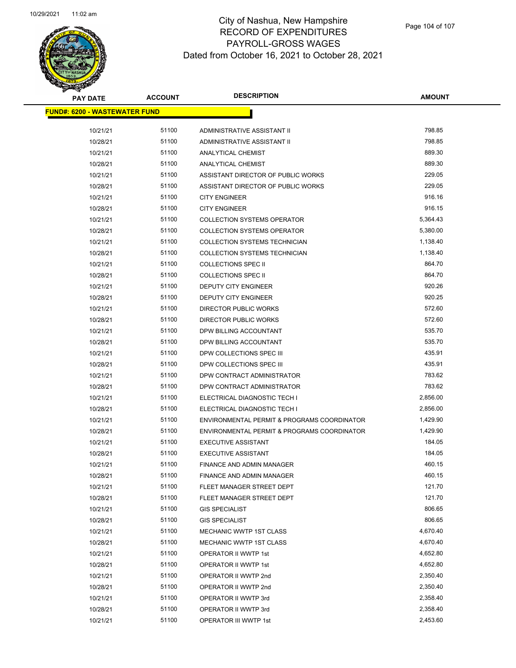

| <b>PAY DATE</b>                      | <b>ACCOUNT</b> | <b>DESCRIPTION</b>                          | <b>AMOUNT</b> |
|--------------------------------------|----------------|---------------------------------------------|---------------|
| <b>FUND#: 6200 - WASTEWATER FUND</b> |                |                                             |               |
|                                      |                |                                             |               |
| 10/21/21                             | 51100          | ADMINISTRATIVE ASSISTANT II                 | 798.85        |
| 10/28/21                             | 51100          | ADMINISTRATIVE ASSISTANT II                 | 798.85        |
| 10/21/21                             | 51100          | ANALYTICAL CHEMIST                          | 889.30        |
| 10/28/21                             | 51100          | ANALYTICAL CHEMIST                          | 889.30        |
| 10/21/21                             | 51100          | ASSISTANT DIRECTOR OF PUBLIC WORKS          | 229.05        |
| 10/28/21                             | 51100          | ASSISTANT DIRECTOR OF PUBLIC WORKS          | 229.05        |
| 10/21/21                             | 51100          | <b>CITY ENGINEER</b>                        | 916.16        |
| 10/28/21                             | 51100          | <b>CITY ENGINEER</b>                        | 916.15        |
| 10/21/21                             | 51100          | <b>COLLECTION SYSTEMS OPERATOR</b>          | 5,364.43      |
| 10/28/21                             | 51100          | <b>COLLECTION SYSTEMS OPERATOR</b>          | 5,380.00      |
| 10/21/21                             | 51100          | COLLECTION SYSTEMS TECHNICIAN               | 1,138.40      |
| 10/28/21                             | 51100          | COLLECTION SYSTEMS TECHNICIAN               | 1,138.40      |
| 10/21/21                             | 51100          | <b>COLLECTIONS SPEC II</b>                  | 864.70        |
| 10/28/21                             | 51100          | <b>COLLECTIONS SPEC II</b>                  | 864.70        |
| 10/21/21                             | 51100          | DEPUTY CITY ENGINEER                        | 920.26        |
| 10/28/21                             | 51100          | DEPUTY CITY ENGINEER                        | 920.25        |
| 10/21/21                             | 51100          | DIRECTOR PUBLIC WORKS                       | 572.60        |
| 10/28/21                             | 51100          | DIRECTOR PUBLIC WORKS                       | 572.60        |
| 10/21/21                             | 51100          | DPW BILLING ACCOUNTANT                      | 535.70        |
| 10/28/21                             | 51100          | DPW BILLING ACCOUNTANT                      | 535.70        |
| 10/21/21                             | 51100          | DPW COLLECTIONS SPEC III                    | 435.91        |
| 10/28/21                             | 51100          | DPW COLLECTIONS SPEC III                    | 435.91        |
| 10/21/21                             | 51100          | DPW CONTRACT ADMINISTRATOR                  | 783.62        |
| 10/28/21                             | 51100          | DPW CONTRACT ADMINISTRATOR                  | 783.62        |
| 10/21/21                             | 51100          | ELECTRICAL DIAGNOSTIC TECH I                | 2,856.00      |
| 10/28/21                             | 51100          | ELECTRICAL DIAGNOSTIC TECH I                | 2,856.00      |
| 10/21/21                             | 51100          | ENVIRONMENTAL PERMIT & PROGRAMS COORDINATOR | 1,429.90      |
| 10/28/21                             | 51100          | ENVIRONMENTAL PERMIT & PROGRAMS COORDINATOR | 1,429.90      |
| 10/21/21                             | 51100          | <b>EXECUTIVE ASSISTANT</b>                  | 184.05        |
| 10/28/21                             | 51100          | <b>EXECUTIVE ASSISTANT</b>                  | 184.05        |
| 10/21/21                             | 51100          | <b>FINANCE AND ADMIN MANAGER</b>            | 460.15        |
| 10/28/21                             | 51100          | FINANCE AND ADMIN MANAGER                   | 460.15        |
| 10/21/21                             | 51100          | FLEET MANAGER STREET DEPT                   | 121.70        |
| 10/28/21                             | 51100          | FLEET MANAGER STREET DEPT                   | 121.70        |
| 10/21/21                             | 51100          | <b>GIS SPECIALIST</b>                       | 806.65        |
| 10/28/21                             | 51100          | <b>GIS SPECIALIST</b>                       | 806.65        |
| 10/21/21                             | 51100          | MECHANIC WWTP 1ST CLASS                     | 4,670.40      |
| 10/28/21                             | 51100          | MECHANIC WWTP 1ST CLASS                     | 4,670.40      |
| 10/21/21                             | 51100          | OPERATOR II WWTP 1st                        | 4,652.80      |
| 10/28/21                             | 51100          | OPERATOR II WWTP 1st                        | 4,652.80      |
| 10/21/21                             | 51100          | OPERATOR II WWTP 2nd                        | 2,350.40      |
| 10/28/21                             | 51100          | OPERATOR II WWTP 2nd                        | 2,350.40      |
| 10/21/21                             | 51100          | OPERATOR II WWTP 3rd                        | 2,358.40      |
| 10/28/21                             | 51100          | OPERATOR II WWTP 3rd                        | 2,358.40      |
| 10/21/21                             | 51100          | OPERATOR III WWTP 1st                       | 2,453.60      |
|                                      |                |                                             |               |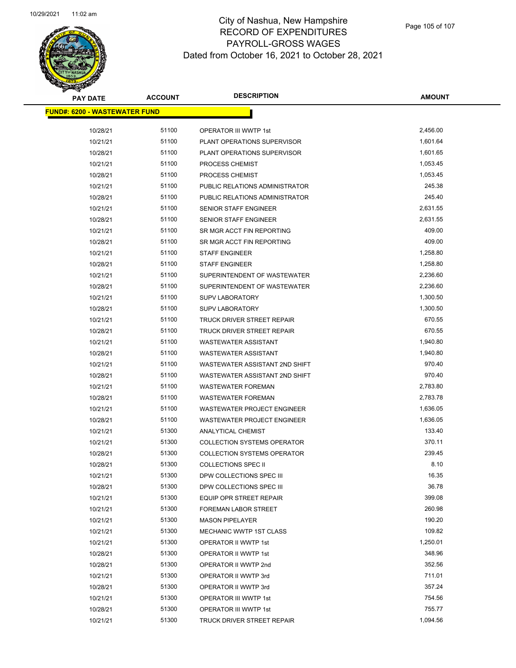

| <b>PAY DATE</b>                      | <b>ACCOUNT</b> | <b>DESCRIPTION</b>                 | <b>AMOUNT</b> |
|--------------------------------------|----------------|------------------------------------|---------------|
| <b>FUND#: 6200 - WASTEWATER FUND</b> |                |                                    |               |
| 10/28/21                             | 51100          | OPERATOR III WWTP 1st              | 2,456.00      |
| 10/21/21                             | 51100          | PLANT OPERATIONS SUPERVISOR        | 1,601.64      |
| 10/28/21                             | 51100          | PLANT OPERATIONS SUPERVISOR        | 1,601.65      |
| 10/21/21                             | 51100          | PROCESS CHEMIST                    | 1,053.45      |
| 10/28/21                             | 51100          | PROCESS CHEMIST                    | 1,053.45      |
| 10/21/21                             | 51100          | PUBLIC RELATIONS ADMINISTRATOR     | 245.38        |
| 10/28/21                             | 51100          | PUBLIC RELATIONS ADMINISTRATOR     | 245.40        |
| 10/21/21                             | 51100          | SENIOR STAFF ENGINEER              | 2,631.55      |
| 10/28/21                             | 51100          | <b>SENIOR STAFF ENGINEER</b>       | 2,631.55      |
| 10/21/21                             | 51100          | SR MGR ACCT FIN REPORTING          | 409.00        |
| 10/28/21                             | 51100          | SR MGR ACCT FIN REPORTING          | 409.00        |
| 10/21/21                             | 51100          | <b>STAFF ENGINEER</b>              | 1,258.80      |
| 10/28/21                             | 51100          | <b>STAFF ENGINEER</b>              | 1,258.80      |
| 10/21/21                             | 51100          | SUPERINTENDENT OF WASTEWATER       | 2,236.60      |
| 10/28/21                             | 51100          | SUPERINTENDENT OF WASTEWATER       | 2,236.60      |
| 10/21/21                             | 51100          | <b>SUPV LABORATORY</b>             | 1,300.50      |
| 10/28/21                             | 51100          | <b>SUPV LABORATORY</b>             | 1,300.50      |
| 10/21/21                             | 51100          | TRUCK DRIVER STREET REPAIR         | 670.55        |
| 10/28/21                             | 51100          | TRUCK DRIVER STREET REPAIR         | 670.55        |
| 10/21/21                             | 51100          | <b>WASTEWATER ASSISTANT</b>        | 1,940.80      |
| 10/28/21                             | 51100          | <b>WASTEWATER ASSISTANT</b>        | 1,940.80      |
| 10/21/21                             | 51100          | WASTEWATER ASSISTANT 2ND SHIFT     | 970.40        |
| 10/28/21                             | 51100          | WASTEWATER ASSISTANT 2ND SHIFT     | 970.40        |
| 10/21/21                             | 51100          | <b>WASTEWATER FOREMAN</b>          | 2,783.80      |
| 10/28/21                             | 51100          | <b>WASTEWATER FOREMAN</b>          | 2,783.78      |
| 10/21/21                             | 51100          | WASTEWATER PROJECT ENGINEER        | 1,636.05      |
| 10/28/21                             | 51100          | <b>WASTEWATER PROJECT ENGINEER</b> | 1,636.05      |
| 10/21/21                             | 51300          | ANALYTICAL CHEMIST                 | 133.40        |
| 10/21/21                             | 51300          | <b>COLLECTION SYSTEMS OPERATOR</b> | 370.11        |
| 10/28/21                             | 51300          | COLLECTION SYSTEMS OPERATOR        | 239.45        |
| 10/28/21                             | 51300          | <b>COLLECTIONS SPEC II</b>         | 8.10          |
| 10/21/21                             | 51300          | DPW COLLECTIONS SPEC III           | 16.35         |
| 10/28/21                             | 51300          | DPW COLLECTIONS SPEC III           | 36.78         |
| 10/21/21                             | 51300          | <b>EQUIP OPR STREET REPAIR</b>     | 399.08        |
| 10/21/21                             | 51300          | FOREMAN LABOR STREET               | 260.98        |
| 10/21/21                             | 51300          | <b>MASON PIPELAYER</b>             | 190.20        |
| 10/21/21                             | 51300          | <b>MECHANIC WWTP 1ST CLASS</b>     | 109.82        |
| 10/21/21                             | 51300          | OPERATOR II WWTP 1st               | 1,250.01      |
| 10/28/21                             | 51300          | OPERATOR II WWTP 1st               | 348.96        |
| 10/28/21                             | 51300          | OPERATOR II WWTP 2nd               | 352.56        |
| 10/21/21                             | 51300          | OPERATOR II WWTP 3rd               | 711.01        |
| 10/28/21                             | 51300          | OPERATOR II WWTP 3rd               | 357.24        |
| 10/21/21                             | 51300          | OPERATOR III WWTP 1st              | 754.56        |
| 10/28/21                             | 51300          | OPERATOR III WWTP 1st              | 755.77        |
| 10/21/21                             | 51300          | TRUCK DRIVER STREET REPAIR         | 1,094.56      |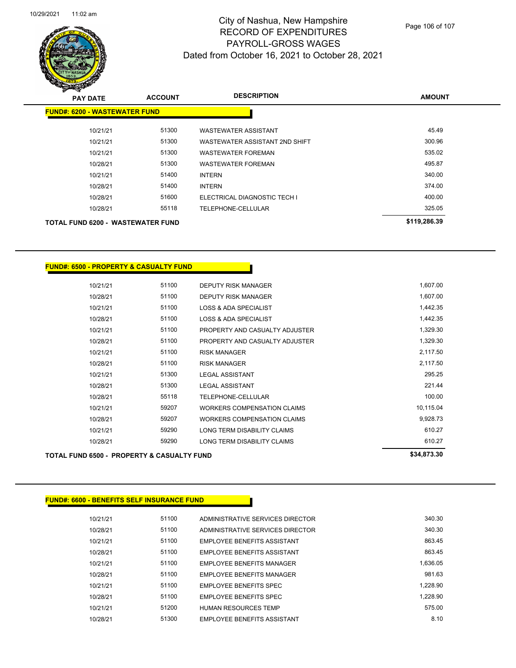

| <b>PAY DATE</b>                          | <b>ACCOUNT</b> | <b>DESCRIPTION</b>             | <b>AMOUNT</b> |
|------------------------------------------|----------------|--------------------------------|---------------|
| <b>FUND#: 6200 - WASTEWATER FUND</b>     |                |                                |               |
| 10/21/21                                 | 51300          | <b>WASTEWATER ASSISTANT</b>    | 45.49         |
| 10/21/21                                 | 51300          | WASTEWATER ASSISTANT 2ND SHIFT | 300.96        |
| 10/21/21                                 | 51300          | <b>WASTEWATER FOREMAN</b>      | 535.02        |
| 10/28/21                                 | 51300          | <b>WASTEWATER FOREMAN</b>      | 495.87        |
| 10/21/21                                 | 51400          | <b>INTERN</b>                  | 340.00        |
| 10/28/21                                 | 51400          | <b>INTERN</b>                  | 374.00        |
| 10/28/21                                 | 51600          | ELECTRICAL DIAGNOSTIC TECH I   | 400.00        |
| 10/28/21                                 | 55118          | TELEPHONE-CELLULAR             | 325.05        |
| <b>TOTAL FUND 6200 - WASTEWATER FUND</b> |                |                                | \$119,286.39  |

### **FUND#: 6500 - PROPERTY & CASUALTY FUND**

| 10/21/21 | 51100 | DEPUTY RISK MANAGER                | 1,607.00  |
|----------|-------|------------------------------------|-----------|
| 10/28/21 | 51100 | <b>DEPUTY RISK MANAGER</b>         | 1,607.00  |
| 10/21/21 | 51100 | <b>LOSS &amp; ADA SPECIALIST</b>   | 1,442.35  |
| 10/28/21 | 51100 | <b>LOSS &amp; ADA SPECIALIST</b>   | 1,442.35  |
| 10/21/21 | 51100 | PROPERTY AND CASUALTY ADJUSTER     | 1,329.30  |
| 10/28/21 | 51100 | PROPERTY AND CASUALTY ADJUSTER     | 1,329.30  |
| 10/21/21 | 51100 | <b>RISK MANAGER</b>                | 2,117.50  |
| 10/28/21 | 51100 | <b>RISK MANAGER</b>                | 2,117.50  |
| 10/21/21 | 51300 | <b>LEGAL ASSISTANT</b>             | 295.25    |
| 10/28/21 | 51300 | <b>LEGAL ASSISTANT</b>             | 221.44    |
| 10/28/21 | 55118 | TELEPHONE-CELLULAR                 | 100.00    |
| 10/21/21 | 59207 | <b>WORKERS COMPENSATION CLAIMS</b> | 10,115.04 |
| 10/28/21 | 59207 | WORKERS COMPENSATION CLAIMS        | 9,928.73  |
| 10/21/21 | 59290 | LONG TERM DISABILITY CLAIMS        | 610.27    |
| 10/28/21 | 59290 | LONG TERM DISABILITY CLAIMS        | 610.27    |
|          |       |                                    |           |

## TOTAL FUND 6500 - PROPERTY & CASUALTY FUND

### **FUND#: 6600 - BENEFITS SELF INSURANCE FUND**

| 10/21/21 | 51100 | ADMINISTRATIVE SERVICES DIRECTOR   | 340.30   |
|----------|-------|------------------------------------|----------|
| 10/28/21 | 51100 | ADMINISTRATIVE SERVICES DIRECTOR   | 340.30   |
| 10/21/21 | 51100 | <b>FMPLOYEE BENEEITS ASSISTANT</b> | 863.45   |
| 10/28/21 | 51100 | EMPLOYEE BENEFITS ASSISTANT        | 863.45   |
| 10/21/21 | 51100 | EMPLOYEE BENEFITS MANAGER          | 1.636.05 |
| 10/28/21 | 51100 | EMPLOYEE BENEFITS MANAGER          | 981.63   |
| 10/21/21 | 51100 | <b>EMPLOYEE BENEFITS SPEC</b>      | 1.228.90 |
| 10/28/21 | 51100 | <b>EMPLOYEE BENEFITS SPEC</b>      | 1.228.90 |
| 10/21/21 | 51200 | <b>HUMAN RESOURCES TEMP</b>        | 575.00   |
| 10/28/21 | 51300 | EMPLOYEE BENEFITS ASSISTANT        | 8.10     |